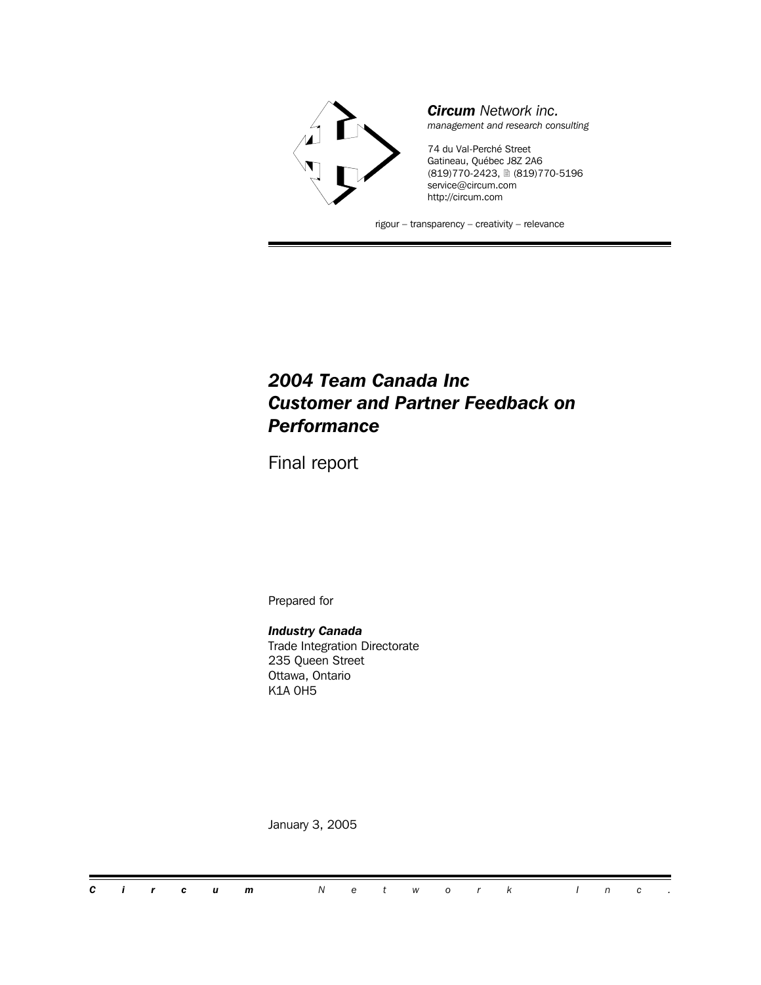

## *2004 Team Canada Inc Customer and Partner Feedback on Performance*

Final report

Prepared for

*Industry Canada* Trade Integration Directorate 235 Queen Street Ottawa, Ontario K1A 0H5

January 3, 2005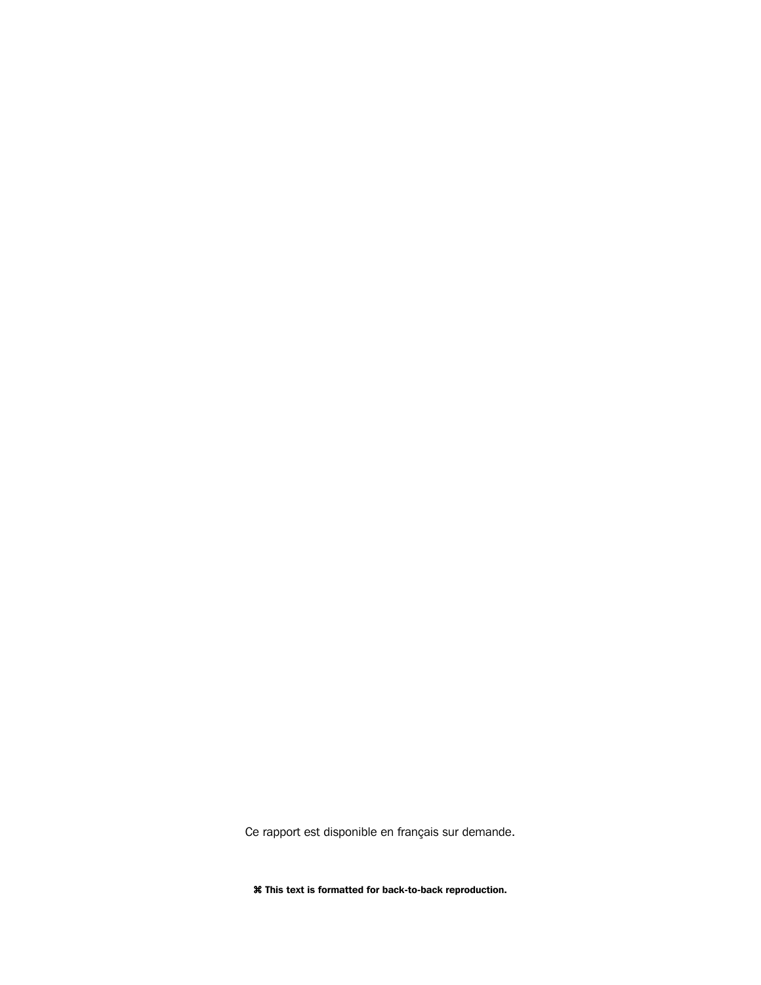Ce rapport est disponible en français sur demande.

**z This text is formatted for back-to-back reproduction.**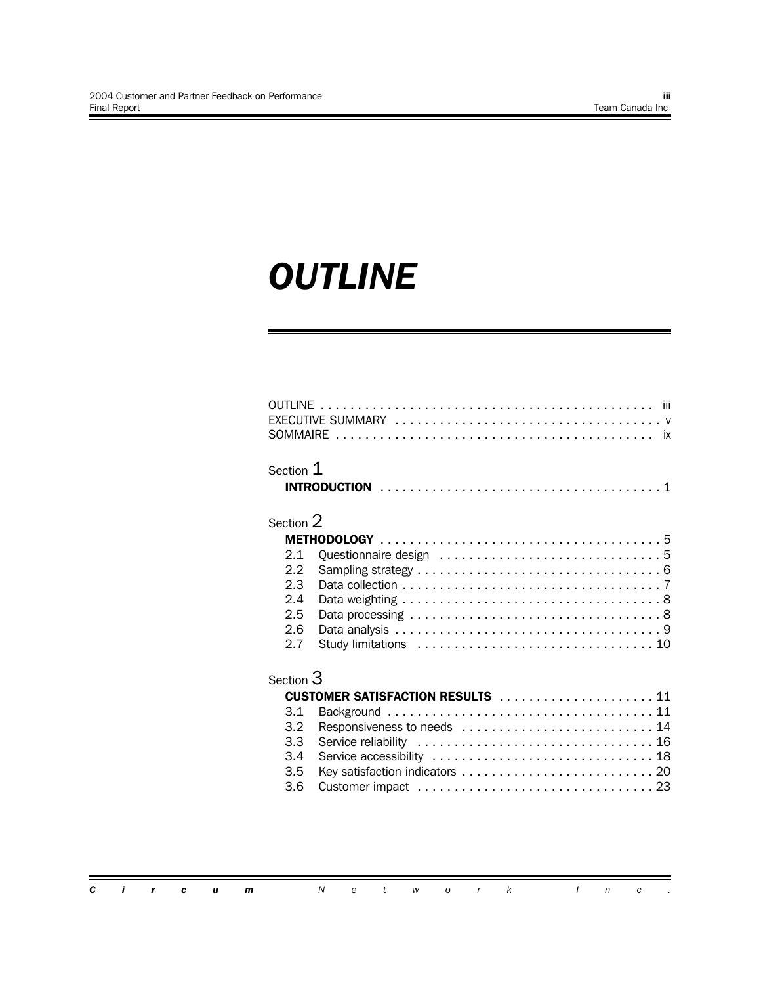# *OUTLINE*

|                  | OUTLINE                                 |  |  |  |  |  |  |  |  |  |  |  |  |  |
|------------------|-----------------------------------------|--|--|--|--|--|--|--|--|--|--|--|--|--|
| Section $1$      |                                         |  |  |  |  |  |  |  |  |  |  |  |  |  |
| Section 2        |                                         |  |  |  |  |  |  |  |  |  |  |  |  |  |
|                  |                                         |  |  |  |  |  |  |  |  |  |  |  |  |  |
| 2.1              |                                         |  |  |  |  |  |  |  |  |  |  |  |  |  |
| $2.2^{\circ}$    |                                         |  |  |  |  |  |  |  |  |  |  |  |  |  |
| 2.3              |                                         |  |  |  |  |  |  |  |  |  |  |  |  |  |
| 2.4              |                                         |  |  |  |  |  |  |  |  |  |  |  |  |  |
| 2.5              |                                         |  |  |  |  |  |  |  |  |  |  |  |  |  |
| 2.6              |                                         |  |  |  |  |  |  |  |  |  |  |  |  |  |
| 2.7              |                                         |  |  |  |  |  |  |  |  |  |  |  |  |  |
| Section 3        |                                         |  |  |  |  |  |  |  |  |  |  |  |  |  |
|                  | <b>CUSTOMER SATISFACTION RESULTS</b> 11 |  |  |  |  |  |  |  |  |  |  |  |  |  |
| 3.1              |                                         |  |  |  |  |  |  |  |  |  |  |  |  |  |
| 3.2 <sub>2</sub> |                                         |  |  |  |  |  |  |  |  |  |  |  |  |  |
| 3.3              |                                         |  |  |  |  |  |  |  |  |  |  |  |  |  |
| 3.4              |                                         |  |  |  |  |  |  |  |  |  |  |  |  |  |
| 3.5              |                                         |  |  |  |  |  |  |  |  |  |  |  |  |  |
| 3.6              |                                         |  |  |  |  |  |  |  |  |  |  |  |  |  |
|                  |                                         |  |  |  |  |  |  |  |  |  |  |  |  |  |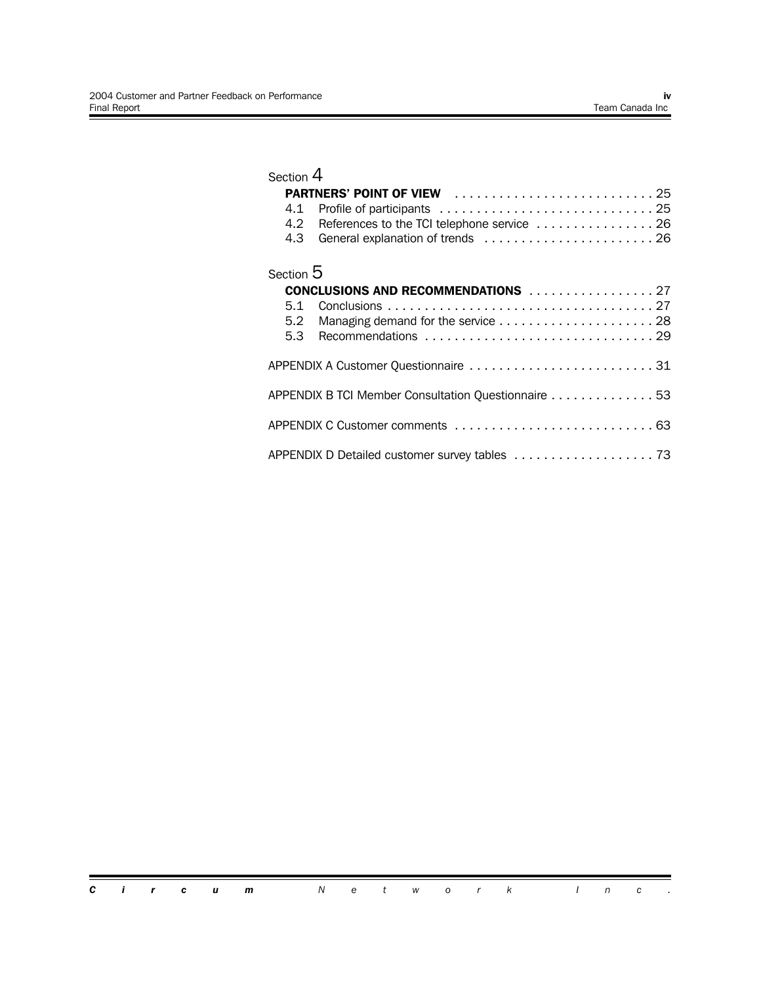f

|     | Section 4                                          |                                                     |  |  |  |  |  |  |  |  |  |
|-----|----------------------------------------------------|-----------------------------------------------------|--|--|--|--|--|--|--|--|--|
|     |                                                    |                                                     |  |  |  |  |  |  |  |  |  |
|     | 4.1                                                |                                                     |  |  |  |  |  |  |  |  |  |
|     | References to the TCI telephone service  26<br>4.2 |                                                     |  |  |  |  |  |  |  |  |  |
|     | General explanation of trends  26<br>4.3           |                                                     |  |  |  |  |  |  |  |  |  |
|     | Section 5                                          |                                                     |  |  |  |  |  |  |  |  |  |
|     |                                                    | <b>CONCLUSIONS AND RECOMMENDATIONS</b> 27           |  |  |  |  |  |  |  |  |  |
| 5.1 |                                                    |                                                     |  |  |  |  |  |  |  |  |  |
|     | 5.2                                                |                                                     |  |  |  |  |  |  |  |  |  |
|     | 5.3                                                |                                                     |  |  |  |  |  |  |  |  |  |
|     |                                                    |                                                     |  |  |  |  |  |  |  |  |  |
|     |                                                    | APPENDIX B TCI Member Consultation Questionnaire 53 |  |  |  |  |  |  |  |  |  |
|     |                                                    |                                                     |  |  |  |  |  |  |  |  |  |
|     |                                                    |                                                     |  |  |  |  |  |  |  |  |  |
|     |                                                    |                                                     |  |  |  |  |  |  |  |  |  |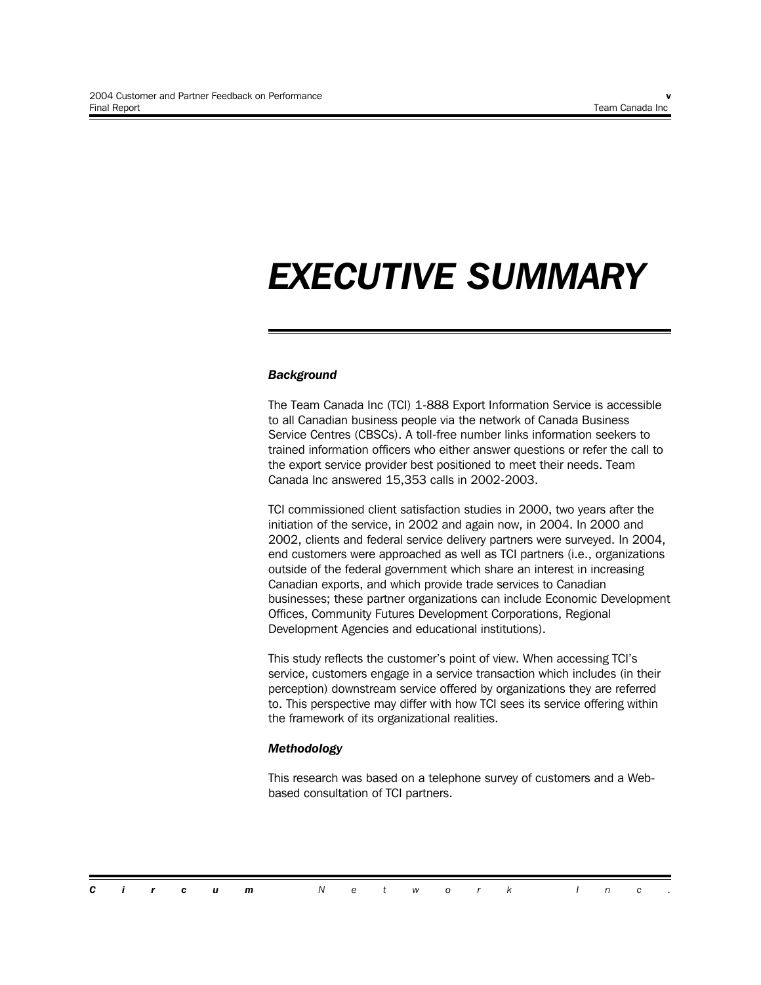## *EXECUTIVE SUMMARY*

### *Background*

The Team Canada Inc (TCI) 1-888 Export Information Service is accessible to all Canadian business people via the network of Canada Business Service Centres (CBSCs). A toll-free number links information seekers to trained information officers who either answer questions or refer the call to the export service provider best positioned to meet their needs. Team Canada Inc answered 15,353 calls in 2002-2003.

TCI commissioned client satisfaction studies in 2000, two years after the initiation of the service, in 2002 and again now, in 2004. In 2000 and 2002, clients and federal service delivery partners were surveyed. In 2004, end customers were approached as well as TCI partners (i.e., organizations outside of the federal government which share an interest in increasing Canadian exports, and which provide trade services to Canadian businesses; these partner organizations can include Economic Development Offices, Community Futures Development Corporations, Regional Development Agencies and educational institutions).

This study reflects the customer's point of view. When accessing TCI's service, customers engage in a service transaction which includes (in their perception) downstream service offered by organizations they are referred to. This perspective may differ with how TCI sees its service offering within the framework of its organizational realities.

### *Methodology*

This research was based on a telephone survey of customers and a Webbased consultation of TCI partners.

|  |  | <b>Circum</b> Network Inc. |  |  |  |  |  |  |
|--|--|----------------------------|--|--|--|--|--|--|
|  |  |                            |  |  |  |  |  |  |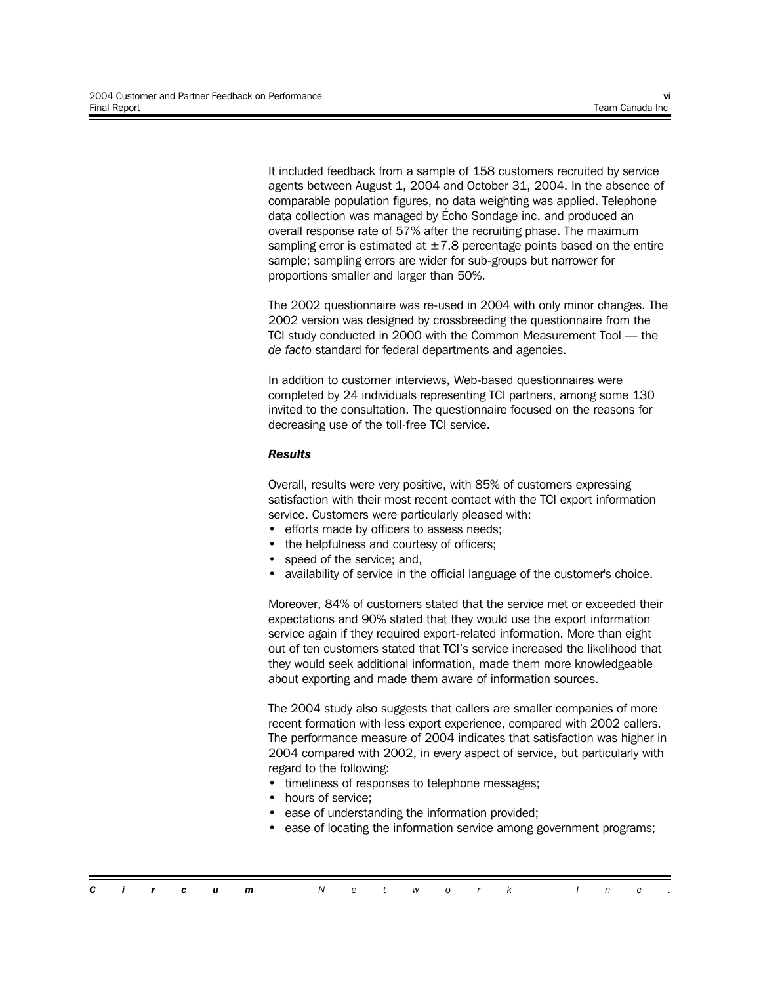It included feedback from a sample of 158 customers recruited by service agents between August 1, 2004 and October 31, 2004. In the absence of comparable population figures, no data weighting was applied. Telephone data collection was managed by Écho Sondage inc. and produced an overall response rate of 57% after the recruiting phase. The maximum sampling error is estimated at  $\pm 7.8$  percentage points based on the entire sample; sampling errors are wider for sub-groups but narrower for proportions smaller and larger than 50%.

The 2002 questionnaire was re-used in 2004 with only minor changes. The 2002 version was designed by crossbreeding the questionnaire from the TCI study conducted in 2000 with the Common Measurement Tool — the *de facto* standard for federal departments and agencies.

In addition to customer interviews, Web-based questionnaires were completed by 24 individuals representing TCI partners, among some 130 invited to the consultation. The questionnaire focused on the reasons for decreasing use of the toll-free TCI service.

### *Results*

Overall, results were very positive, with 85% of customers expressing satisfaction with their most recent contact with the TCI export information service. Customers were particularly pleased with:

- efforts made by officers to assess needs;
- the helpfulness and courtesy of officers;
- speed of the service; and,
- availability of service in the official language of the customer's choice.

Moreover, 84% of customers stated that the service met or exceeded their expectations and 90% stated that they would use the export information service again if they required export-related information. More than eight out of ten customers stated that TCI's service increased the likelihood that they would seek additional information, made them more knowledgeable about exporting and made them aware of information sources.

The 2004 study also suggests that callers are smaller companies of more recent formation with less export experience, compared with 2002 callers. The performance measure of 2004 indicates that satisfaction was higher in 2004 compared with 2002, in every aspect of service, but particularly with regard to the following:

- timeliness of responses to telephone messages;
- hours of service:
- ease of understanding the information provided;
- ease of locating the information service among government programs;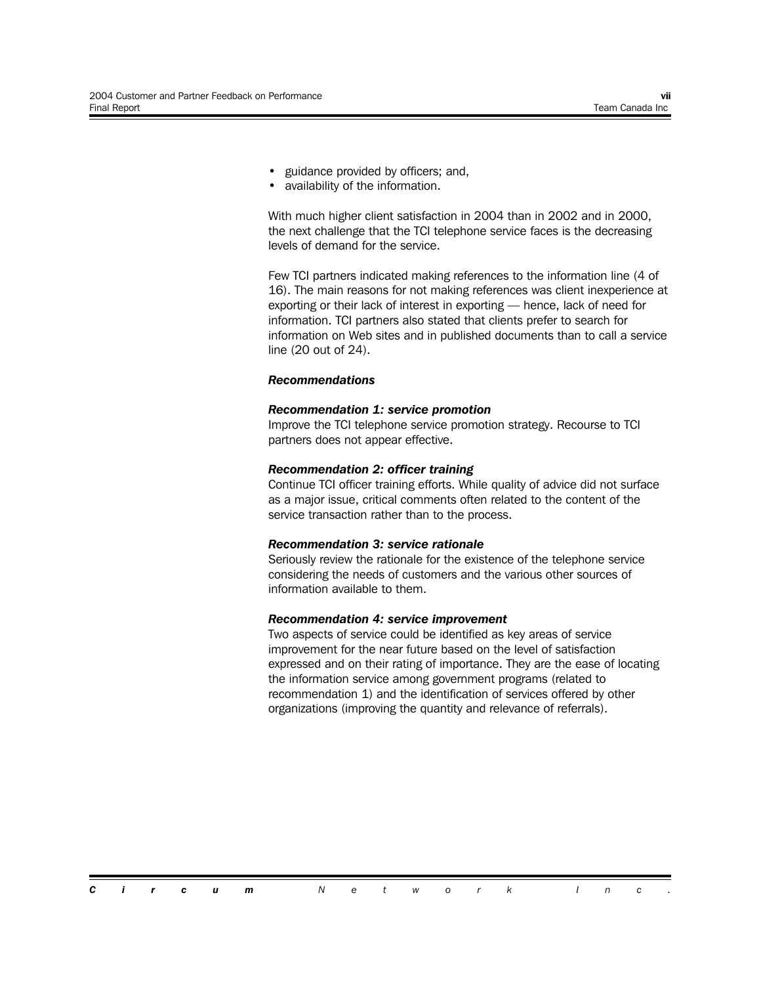- guidance provided by officers; and,
- availability of the information.

With much higher client satisfaction in 2004 than in 2002 and in 2000, the next challenge that the TCI telephone service faces is the decreasing levels of demand for the service.

Few TCI partners indicated making references to the information line (4 of 16). The main reasons for not making references was client inexperience at exporting or their lack of interest in exporting — hence, lack of need for information. TCI partners also stated that clients prefer to search for information on Web sites and in published documents than to call a service line (20 out of 24).

### *Recommendations*

### *Recommendation 1: service promotion*

Improve the TCI telephone service promotion strategy. Recourse to TCI partners does not appear effective.

### *Recommendation 2: officer training*

Continue TCI officer training efforts. While quality of advice did not surface as a major issue, critical comments often related to the content of the service transaction rather than to the process.

### *Recommendation 3: service rationale*

Seriously review the rationale for the existence of the telephone service considering the needs of customers and the various other sources of information available to them.

### *Recommendation 4: service improvement*

Two aspects of service could be identified as key areas of service improvement for the near future based on the level of satisfaction expressed and on their rating of importance. They are the ease of locating the information service among government programs (related to recommendation 1) and the identification of services offered by other organizations (improving the quantity and relevance of referrals).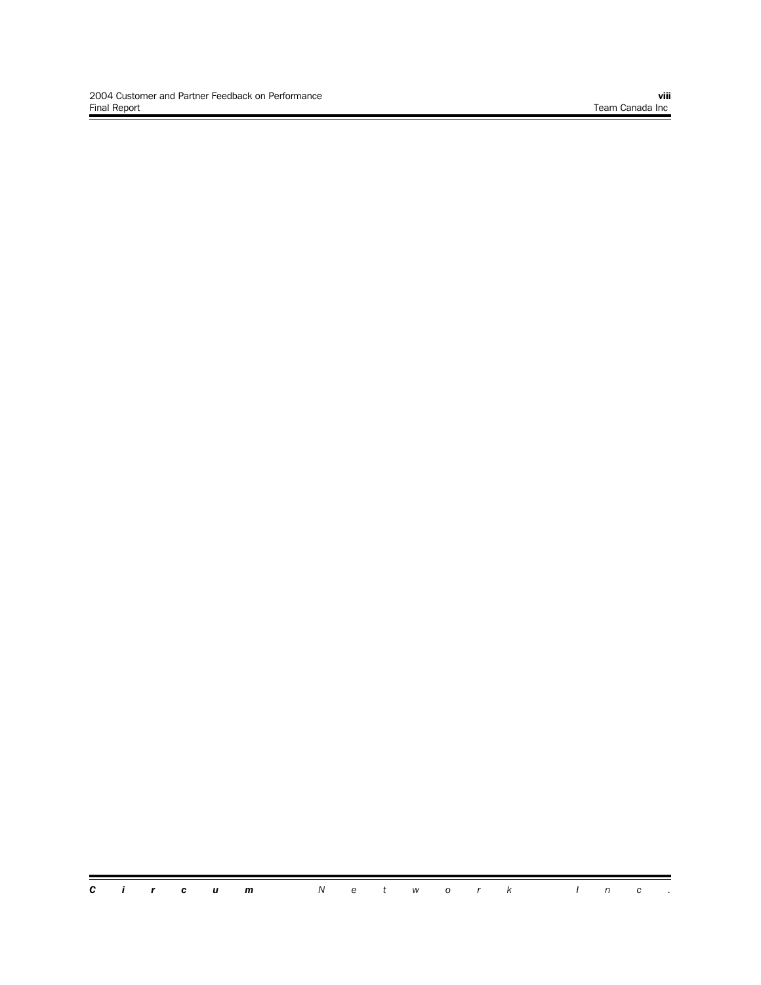Ξ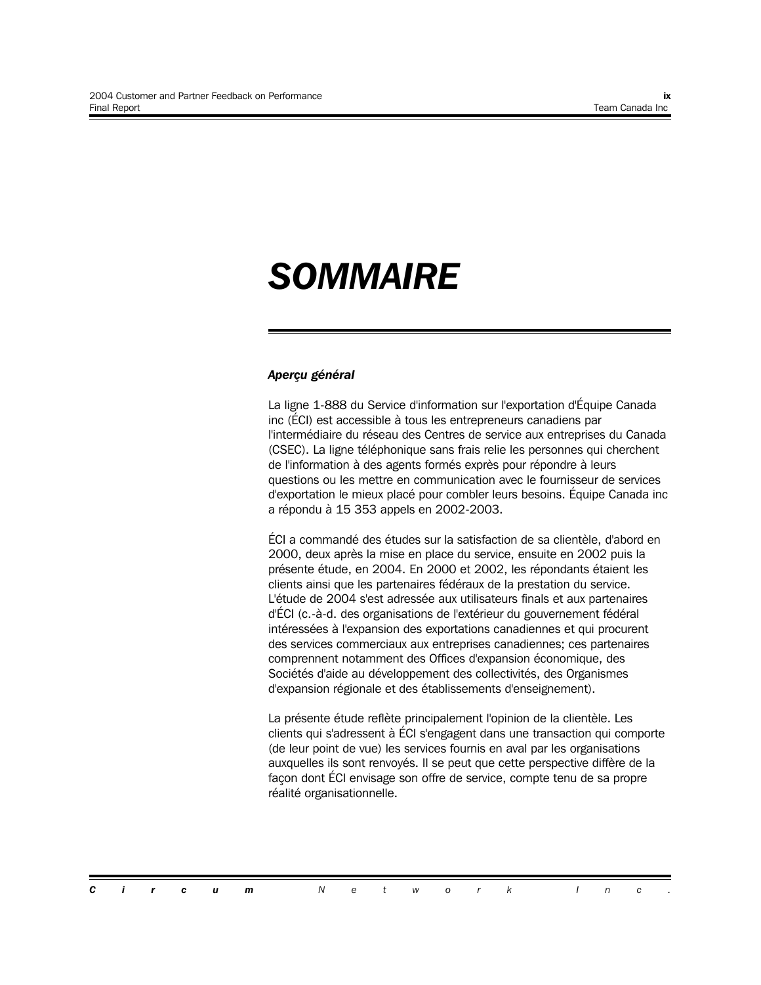## *SOMMAIRE*

### *Aperçu général*

La ligne 1-888 du Service d'information sur l'exportation d'Équipe Canada inc (ÉCI) est accessible à tous les entrepreneurs canadiens par l'intermédiaire du réseau des Centres de service aux entreprises du Canada (CSEC). La ligne téléphonique sans frais relie les personnes qui cherchent de l'information à des agents formés exprès pour répondre à leurs questions ou les mettre en communication avec le fournisseur de services d'exportation le mieux placé pour combler leurs besoins. Équipe Canada inc a répondu à 15 353 appels en 2002-2003.

ÉCI a commandé des études sur la satisfaction de sa clientèle, d'abord en 2000, deux après la mise en place du service, ensuite en 2002 puis la présente étude, en 2004. En 2000 et 2002, les répondants étaient les clients ainsi que les partenaires fédéraux de la prestation du service. L'étude de 2004 s'est adressée aux utilisateurs finals et aux partenaires d'ÉCI (c.-à-d. des organisations de l'extérieur du gouvernement fédéral intéressées à l'expansion des exportations canadiennes et qui procurent des services commerciaux aux entreprises canadiennes; ces partenaires comprennent notamment des Offices d'expansion économique, des Sociétés d'aide au développement des collectivités, des Organismes d'expansion régionale et des établissements d'enseignement).

La présente étude reflète principalement l'opinion de la clientèle. Les clients qui s'adressent à ÉCI s'engagent dans une transaction qui comporte (de leur point de vue) les services fournis en aval par les organisations auxquelles ils sont renvoyés. Il se peut que cette perspective diffère de la façon dont ÉCI envisage son offre de service, compte tenu de sa propre réalité organisationnelle.

| <b>Circum</b> Network Inc. |
|----------------------------|
|----------------------------|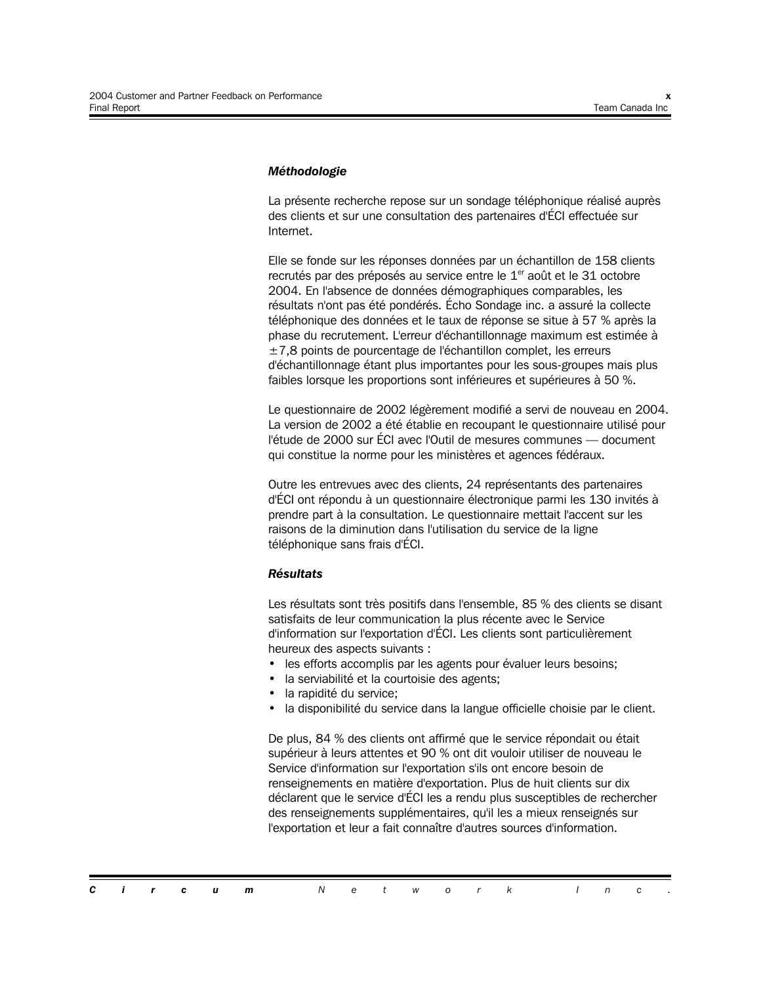### *Méthodologie*

La présente recherche repose sur un sondage téléphonique réalisé auprès des clients et sur une consultation des partenaires d'ÉCI effectuée sur Internet.

Elle se fonde sur les réponses données par un échantillon de 158 clients recrutés par des préposés au service entre le  $1<sup>er</sup>$  août et le 31 octobre 2004. En l'absence de données démographiques comparables, les résultats n'ont pas été pondérés. Écho Sondage inc. a assuré la collecte téléphonique des données et le taux de réponse se situe à 57 % après la phase du recrutement. L'erreur d'échantillonnage maximum est estimée à ±7,8 points de pourcentage de l'échantillon complet, les erreurs d'échantillonnage étant plus importantes pour les sous-groupes mais plus faibles lorsque les proportions sont inférieures et supérieures à 50 %.

Le questionnaire de 2002 légèrement modifié a servi de nouveau en 2004. La version de 2002 a été établie en recoupant le questionnaire utilisé pour l'étude de 2000 sur ÉCI avec l'Outil de mesures communes — document qui constitue la norme pour les ministères et agences fédéraux.

Outre les entrevues avec des clients, 24 représentants des partenaires d'ÉCI ont répondu à un questionnaire électronique parmi les 130 invités à prendre part à la consultation. Le questionnaire mettait l'accent sur les raisons de la diminution dans l'utilisation du service de la ligne téléphonique sans frais d'ÉCI.

### *Résultats*

Les résultats sont très positifs dans l'ensemble, 85 % des clients se disant satisfaits de leur communication la plus récente avec le Service d'information sur l'exportation d'ÉCI. Les clients sont particulièrement heureux des aspects suivants :

- les efforts accomplis par les agents pour évaluer leurs besoins;
- la serviabilité et la courtoisie des agents;
- la rapidité du service:
- la disponibilité du service dans la langue officielle choisie par le client.

De plus, 84 % des clients ont affirmé que le service répondait ou était supérieur à leurs attentes et 90 % ont dit vouloir utiliser de nouveau le Service d'information sur l'exportation s'ils ont encore besoin de renseignements en matière d'exportation. Plus de huit clients sur dix déclarent que le service d'ÉCI les a rendu plus susceptibles de rechercher des renseignements supplémentaires, qu'il les a mieux renseignés sur l'exportation et leur a fait connaître d'autres sources d'information.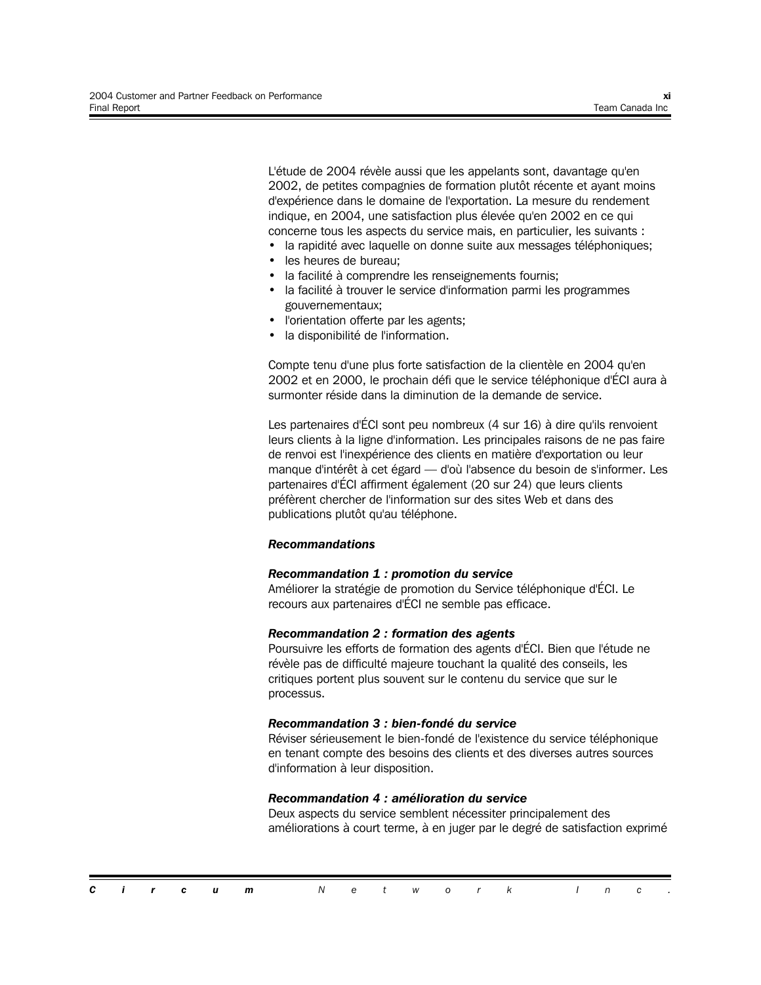L'étude de 2004 révèle aussi que les appelants sont, davantage qu'en 2002, de petites compagnies de formation plutôt récente et ayant moins d'expérience dans le domaine de l'exportation. La mesure du rendement indique, en 2004, une satisfaction plus élevée qu'en 2002 en ce qui concerne tous les aspects du service mais, en particulier, les suivants :

- la rapidité avec laquelle on donne suite aux messages téléphoniques;
- les heures de bureau;
- la facilité à comprendre les renseignements fournis;
- la facilité à trouver le service d'information parmi les programmes gouvernementaux;
- l'orientation offerte par les agents;
- la disponibilité de l'information.

Compte tenu d'une plus forte satisfaction de la clientèle en 2004 qu'en 2002 et en 2000, le prochain défi que le service téléphonique d'ÉCI aura à surmonter réside dans la diminution de la demande de service.

Les partenaires d'ÉCI sont peu nombreux (4 sur 16) à dire qu'ils renvoient leurs clients à la ligne d'information. Les principales raisons de ne pas faire de renvoi est l'inexpérience des clients en matière d'exportation ou leur manque d'intérêt à cet égard — d'où l'absence du besoin de s'informer. Les partenaires d'ÉCI affirment également (20 sur 24) que leurs clients préfèrent chercher de l'information sur des sites Web et dans des publications plutôt qu'au téléphone.

### *Recommandations*

### *Recommandation 1 : promotion du service*

Améliorer la stratégie de promotion du Service téléphonique d'ÉCI. Le recours aux partenaires d'ÉCI ne semble pas efficace.

### *Recommandation 2 : formation des agents*

Poursuivre les efforts de formation des agents d'ÉCI. Bien que l'étude ne révèle pas de difficulté majeure touchant la qualité des conseils, les critiques portent plus souvent sur le contenu du service que sur le processus.

### *Recommandation 3 : bien-fondé du service*

Réviser sérieusement le bien-fondé de l'existence du service téléphonique en tenant compte des besoins des clients et des diverses autres sources d'information à leur disposition.

### *Recommandation 4 : amélioration du service*

Deux aspects du service semblent nécessiter principalement des améliorations à court terme, à en juger par le degré de satisfaction exprimé

|  |  | <b>Circum</b> Network Inc. |  |  |  |  |  |  |
|--|--|----------------------------|--|--|--|--|--|--|
|  |  |                            |  |  |  |  |  |  |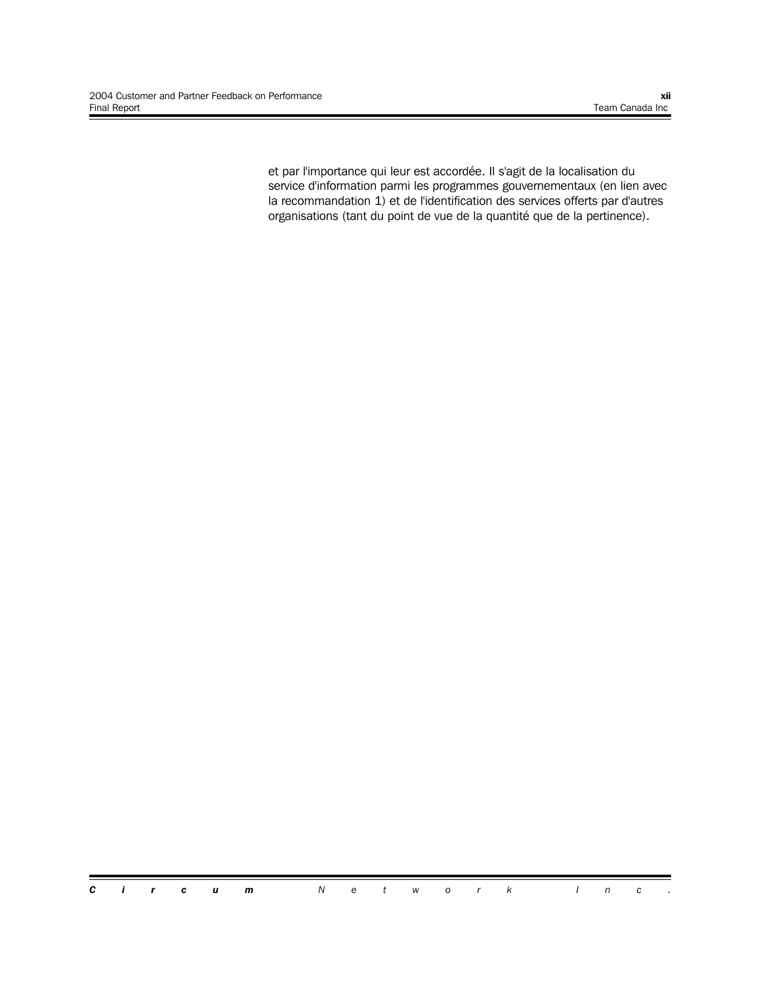et par l'importance qui leur est accordée. Il s'agit de la localisation du service d'information parmi les programmes gouvernementaux (en lien avec la recommandation 1) et de l'identification des services offerts par d'autres organisations (tant du point de vue de la quantité que de la pertinence).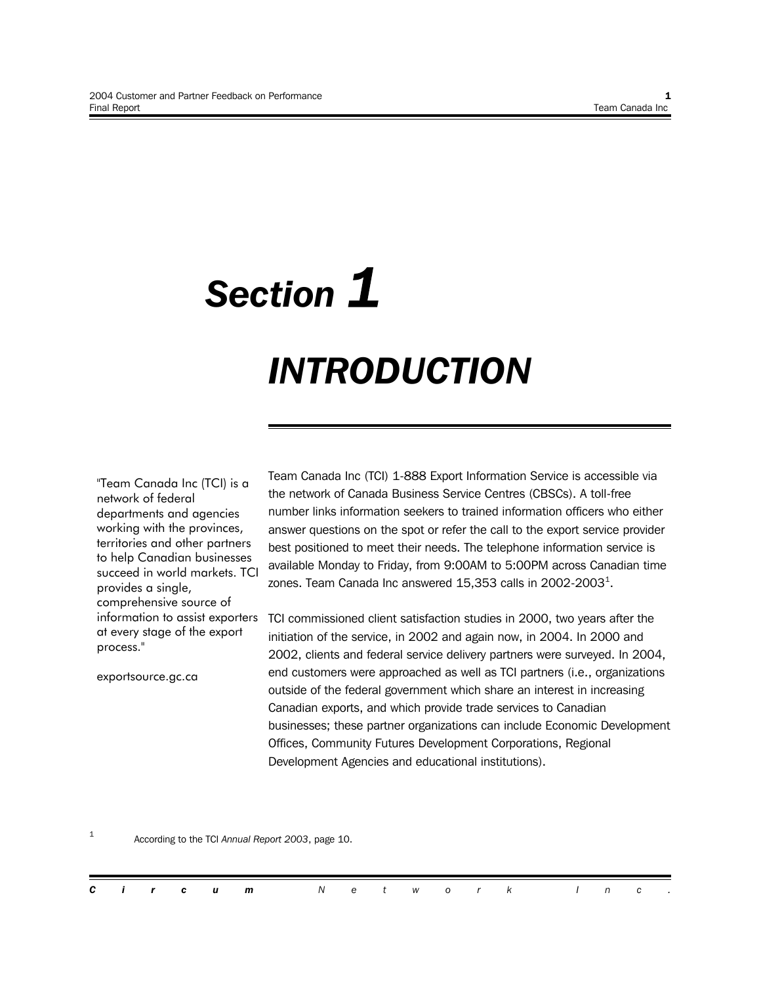# *Section*

# *INTRODUCTION*

"Team Canada Inc (TCI) is a network of federal departments and agencies working with the provinces, territories and other partners to help Canadian businesses succeed in world markets. TCI provides a single, comprehensive source of information to assist exporters at every stage of the export process."

exportsource.gc.ca

Team Canada Inc (TCI) 1-888 Export Information Service is accessible via the network of Canada Business Service Centres (CBSCs). A toll-free number links information seekers to trained information officers who either answer questions on the spot or refer the call to the export service provider best positioned to meet their needs. The telephone information service is available Monday to Friday, from 9:00AM to 5:00PM across Canadian time zones. Team Canada Inc answered 15,353 calls in 2002-2003 $^{\rm 1}.$ 

TCI commissioned client satisfaction studies in 2000, two years after the initiation of the service, in 2002 and again now, in 2004. In 2000 and 2002, clients and federal service delivery partners were surveyed. In 2004, end customers were approached as well as TCI partners (i.e., organizations outside of the federal government which share an interest in increasing Canadian exports, and which provide trade services to Canadian businesses; these partner organizations can include Economic Development Offices, Community Futures Development Corporations, Regional Development Agencies and educational institutions).

1 According to the TCI *Annual Report 2003*, page 10.

|  |  | <b>Circum</b> Network Inc. |  |  |  |  |  |  |
|--|--|----------------------------|--|--|--|--|--|--|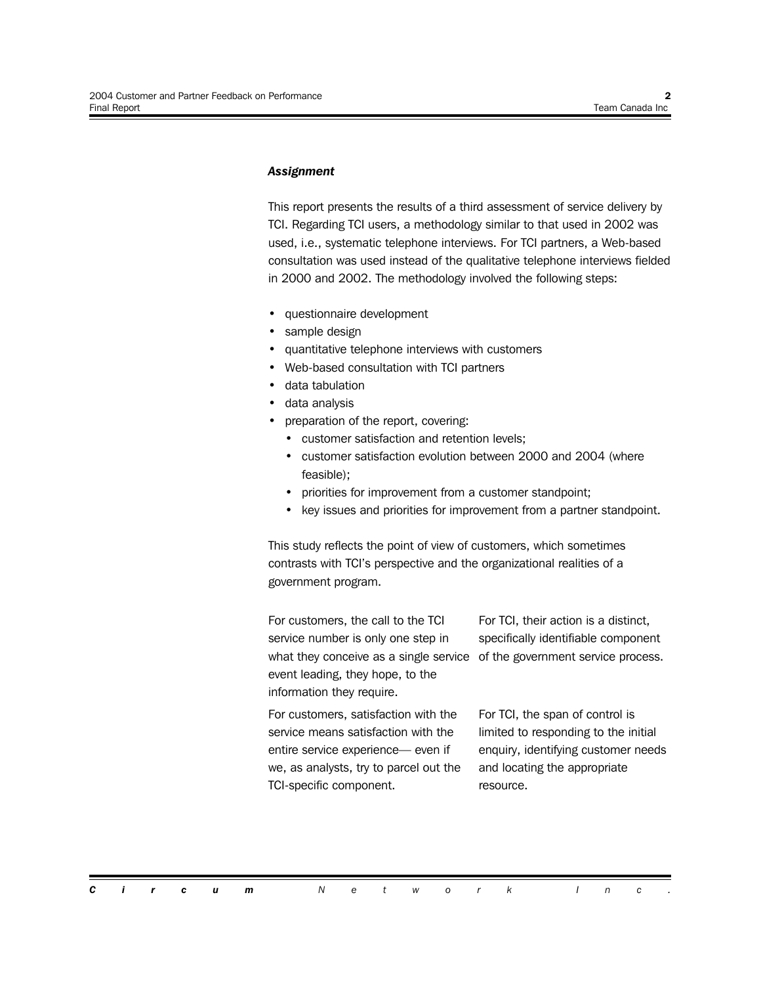### *Assignment*

This report presents the results of a third assessment of service delivery by TCI. Regarding TCI users, a methodology similar to that used in 2002 was used, i.e., systematic telephone interviews. For TCI partners, a Web-based consultation was used instead of the qualitative telephone interviews fielded in 2000 and 2002. The methodology involved the following steps:

- questionnaire development
- sample design
- quantitative telephone interviews with customers
- Web-based consultation with TCI partners
- data tabulation
- data analysis
- preparation of the report, covering:
	- customer satisfaction and retention levels;
	- customer satisfaction evolution between 2000 and 2004 (where feasible);
	- priorities for improvement from a customer standpoint;
	- key issues and priorities for improvement from a partner standpoint.

This study reflects the point of view of customers, which sometimes contrasts with TCI's perspective and the organizational realities of a government program.

For customers, the call to the TCI service number is only one step in what they conceive as a single service of the government service process. event leading, they hope, to the information they require.

For TCI, their action is a distinct, specifically identifiable component

For customers, satisfaction with the service means satisfaction with the entire service experience— even if we, as analysts, try to parcel out the TCI-specific component.

For TCI, the span of control is limited to responding to the initial enquiry, identifying customer needs and locating the appropriate resource.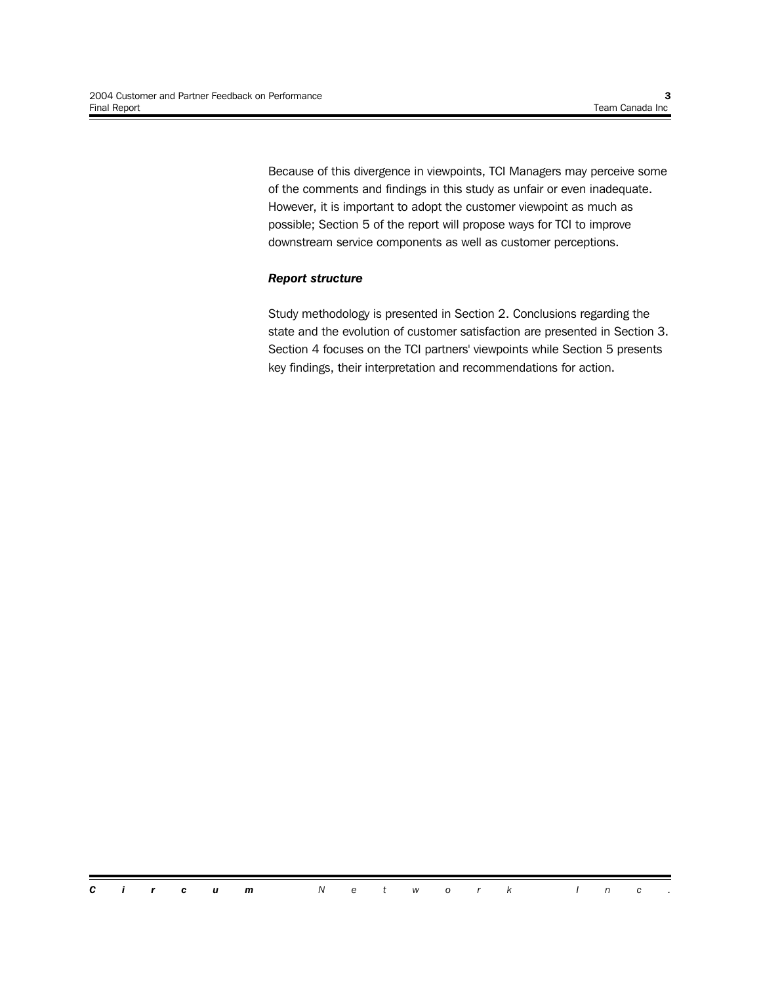Because of this divergence in viewpoints, TCI Managers may perceive some of the comments and findings in this study as unfair or even inadequate. However, it is important to adopt the customer viewpoint as much as possible; Section 5 of the report will propose ways for TCI to improve downstream service components as well as customer perceptions.

### *Report structure*

Study methodology is presented in Section 2. Conclusions regarding the state and the evolution of customer satisfaction are presented in Section 3. Section 4 focuses on the TCI partners' viewpoints while Section 5 presents key findings, their interpretation and recommendations for action.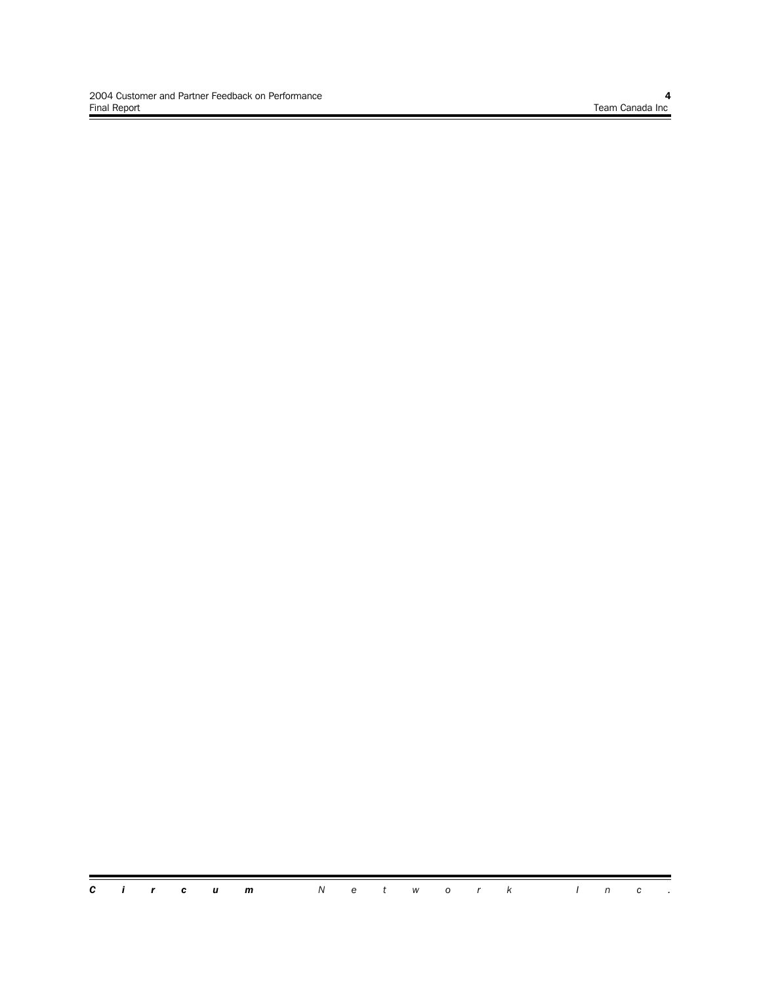Ξ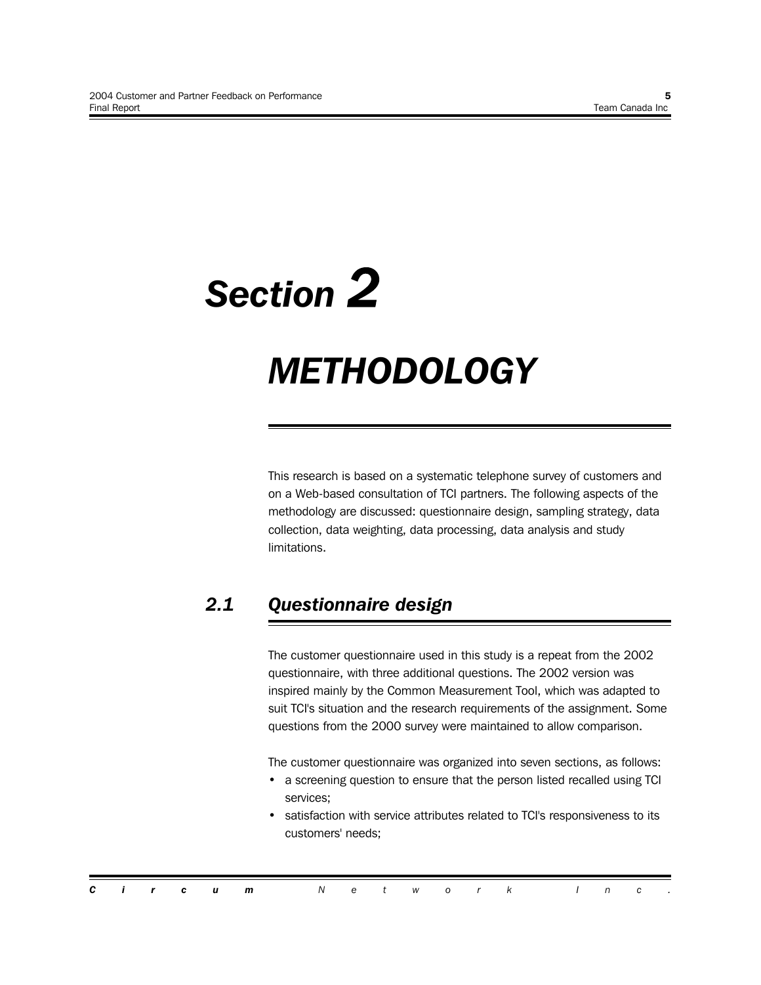# *Section*

# *METHODOLOGY*

This research is based on a systematic telephone survey of customers and on a Web-based consultation of TCI partners. The following aspects of the methodology are discussed: questionnaire design, sampling strategy, data collection, data weighting, data processing, data analysis and study limitations.

## *2.1 Questionnaire design*

The customer questionnaire used in this study is a repeat from the 2002 questionnaire, with three additional questions. The 2002 version was inspired mainly by the Common Measurement Tool, which was adapted to suit TCI's situation and the research requirements of the assignment. Some questions from the 2000 survey were maintained to allow comparison.

The customer questionnaire was organized into seven sections, as follows:

- a screening question to ensure that the person listed recalled using TCI services;
- satisfaction with service attributes related to TCI's responsiveness to its customers' needs;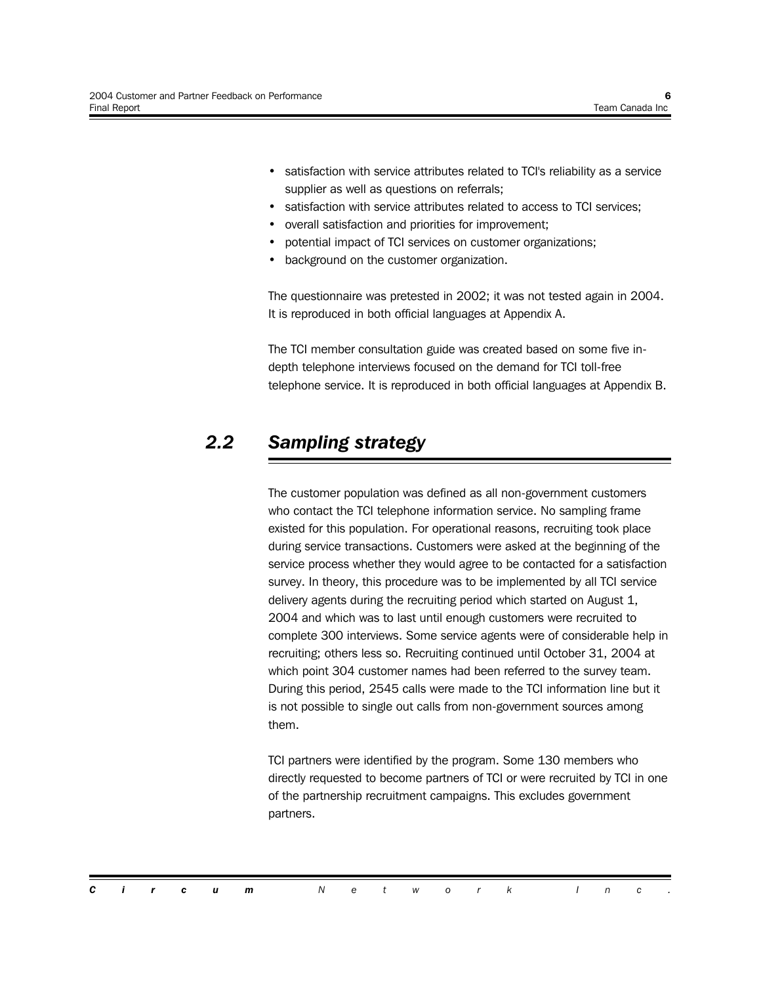- satisfaction with service attributes related to TCI's reliability as a service supplier as well as questions on referrals;
- satisfaction with service attributes related to access to TCI services;
- overall satisfaction and priorities for improvement;
- potential impact of TCI services on customer organizations;
- background on the customer organization.

The questionnaire was pretested in 2002; it was not tested again in 2004. It is reproduced in both official languages at Appendix A.

The TCI member consultation guide was created based on some five indepth telephone interviews focused on the demand for TCI toll-free telephone service. It is reproduced in both official languages at Appendix B.

### *2.2 Sampling strategy*

The customer population was defined as all non-government customers who contact the TCI telephone information service. No sampling frame existed for this population. For operational reasons, recruiting took place during service transactions. Customers were asked at the beginning of the service process whether they would agree to be contacted for a satisfaction survey. In theory, this procedure was to be implemented by all TCI service delivery agents during the recruiting period which started on August 1, 2004 and which was to last until enough customers were recruited to complete 300 interviews. Some service agents were of considerable help in recruiting; others less so. Recruiting continued until October 31, 2004 at which point 304 customer names had been referred to the survey team. During this period, 2545 calls were made to the TCI information line but it is not possible to single out calls from non-government sources among them.

TCI partners were identified by the program. Some 130 members who directly requested to become partners of TCI or were recruited by TCI in one of the partnership recruitment campaigns. This excludes government partners.

|  |  | <b>Circum</b> Network Inc. |  |  |  |  |  |  |
|--|--|----------------------------|--|--|--|--|--|--|
|  |  |                            |  |  |  |  |  |  |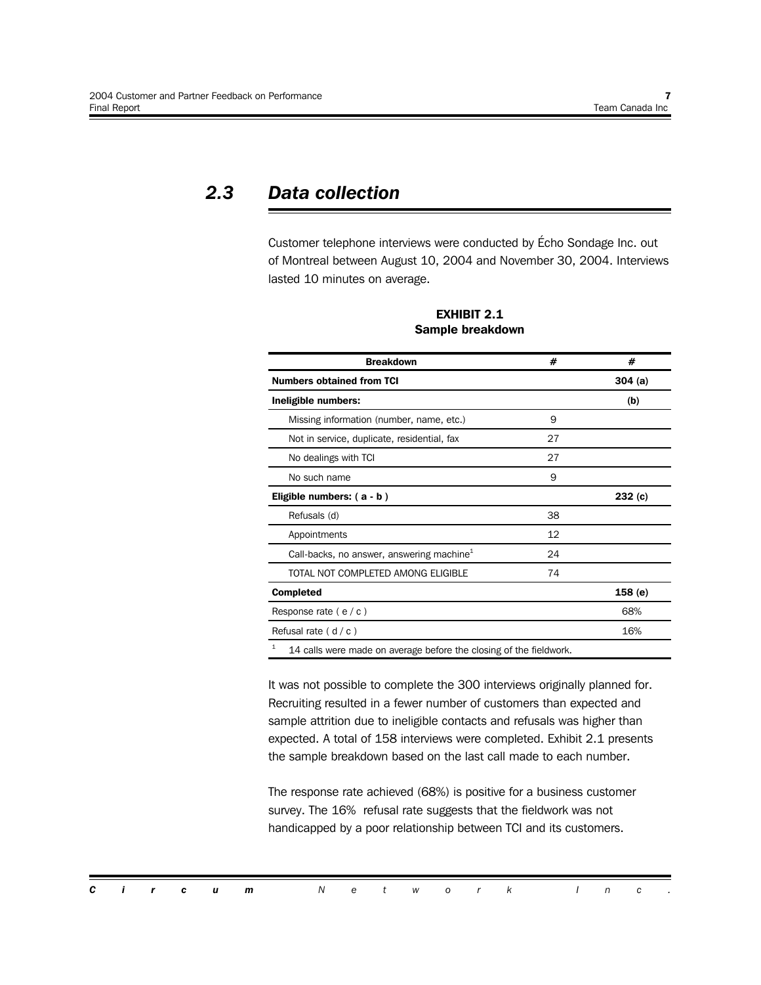## *2.3 Data collection*

Customer telephone interviews were conducted by Écho Sondage Inc. out of Montreal between August 10, 2004 and November 30, 2004. Interviews lasted 10 minutes on average.

| <b>Breakdown</b>                                                        | #  | #       |
|-------------------------------------------------------------------------|----|---------|
| <b>Numbers obtained from TCI</b>                                        |    | 304(a)  |
| Ineligible numbers:                                                     |    | (b)     |
| Missing information (number, name, etc.)                                | 9  |         |
| Not in service, duplicate, residential, fax                             | 27 |         |
| No dealings with TCI                                                    | 27 |         |
| No such name                                                            | 9  |         |
| Eligible numbers: $(a - b)$                                             |    | 232(c)  |
| Refusals (d)                                                            | 38 |         |
| Appointments                                                            | 12 |         |
| Call-backs, no answer, answering machine $1$                            | 24 |         |
| TOTAL NOT COMPLETED AMONG ELIGIBLE                                      | 74 |         |
| <b>Completed</b>                                                        |    | 158 (e) |
| Response rate $(e/c)$                                                   |    | 68%     |
| Refusal rate $(d / c)$                                                  |    | 16%     |
| 1<br>14 calls were made on average before the closing of the fieldwork. |    |         |

### **EXHIBIT 2.1 Sample breakdown**

It was not possible to complete the 300 interviews originally planned for. Recruiting resulted in a fewer number of customers than expected and sample attrition due to ineligible contacts and refusals was higher than expected. A total of 158 interviews were completed. Exhibit 2.1 presents the sample breakdown based on the last call made to each number.

The response rate achieved (68%) is positive for a business customer survey. The 16% refusal rate suggests that the fieldwork was not handicapped by a poor relationship between TCI and its customers.

|  |  | <b>Circum</b> Network Inc. |  |  |  |  |  |  |
|--|--|----------------------------|--|--|--|--|--|--|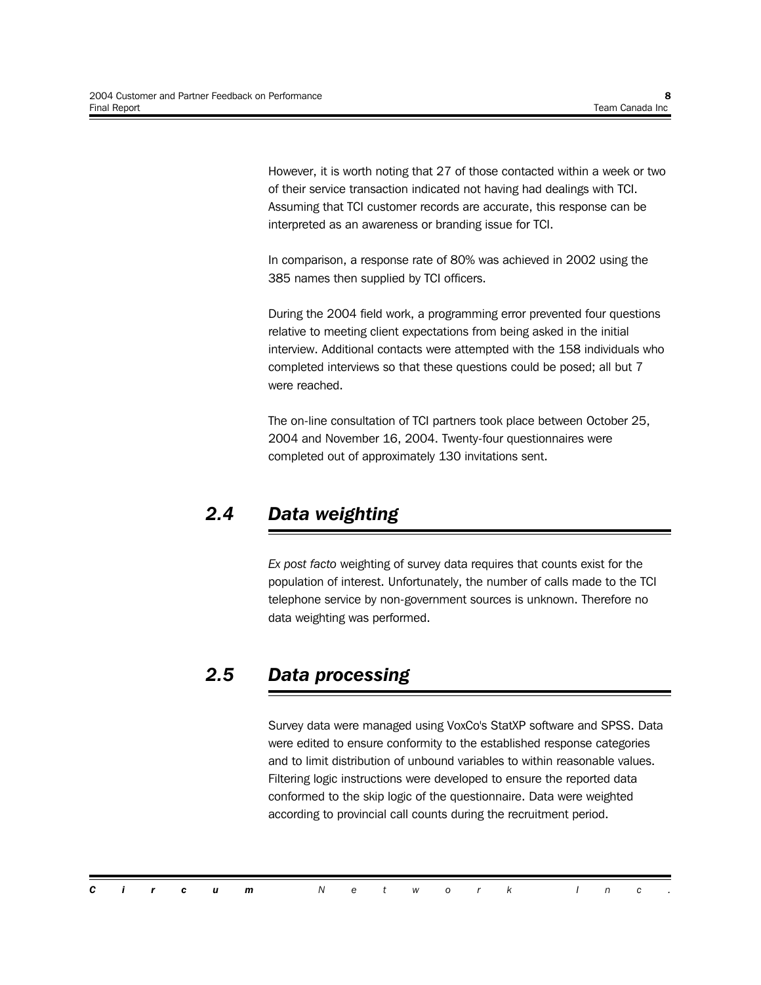However, it is worth noting that 27 of those contacted within a week or two of their service transaction indicated not having had dealings with TCI. Assuming that TCI customer records are accurate, this response can be interpreted as an awareness or branding issue for TCI.

In comparison, a response rate of 80% was achieved in 2002 using the 385 names then supplied by TCI officers.

During the 2004 field work, a programming error prevented four questions relative to meeting client expectations from being asked in the initial interview. Additional contacts were attempted with the 158 individuals who completed interviews so that these questions could be posed; all but 7 were reached.

The on-line consultation of TCI partners took place between October 25, 2004 and November 16, 2004. Twenty-four questionnaires were completed out of approximately 130 invitations sent.

## *2.4 Data weighting*

*Ex post facto* weighting of survey data requires that counts exist for the population of interest. Unfortunately, the number of calls made to the TCI telephone service by non-government sources is unknown. Therefore no data weighting was performed.

## *2.5 Data processing*

Survey data were managed using VoxCo's StatXP software and SPSS. Data were edited to ensure conformity to the established response categories and to limit distribution of unbound variables to within reasonable values. Filtering logic instructions were developed to ensure the reported data conformed to the skip logic of the questionnaire. Data were weighted according to provincial call counts during the recruitment period.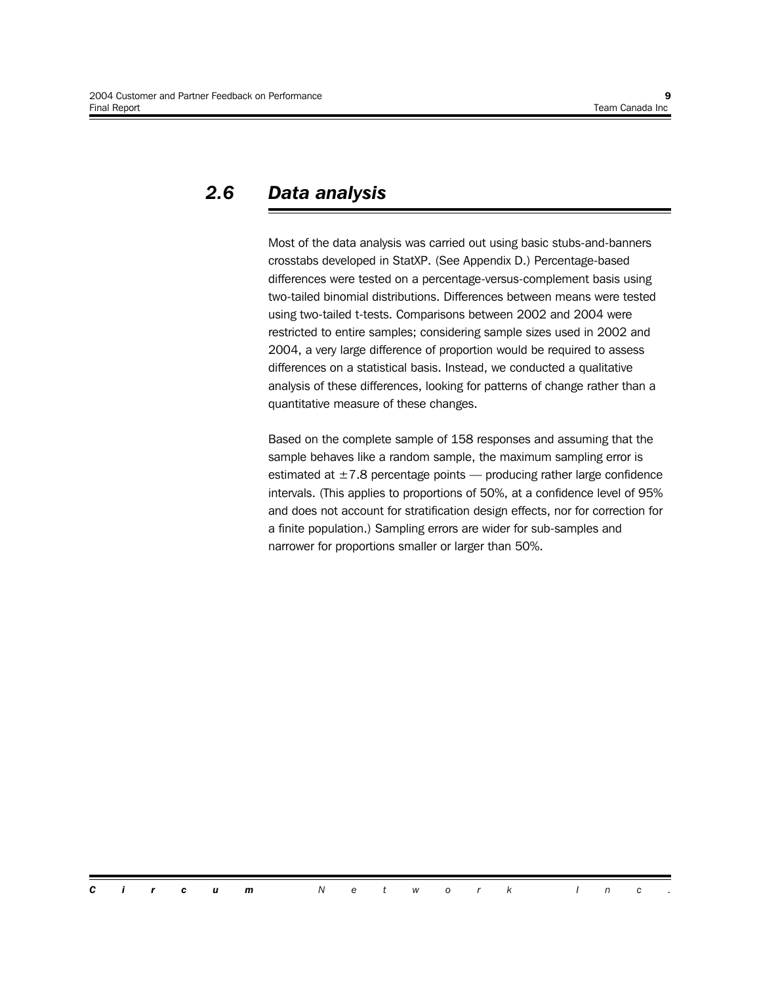## *2.6 Data analysis*

Most of the data analysis was carried out using basic stubs-and-banners crosstabs developed in StatXP. (See Appendix D.) Percentage-based differences were tested on a percentage-versus-complement basis using two-tailed binomial distributions. Differences between means were tested using two-tailed t-tests. Comparisons between 2002 and 2004 were restricted to entire samples; considering sample sizes used in 2002 and 2004, a very large difference of proportion would be required to assess differences on a statistical basis. Instead, we conducted a qualitative analysis of these differences, looking for patterns of change rather than a quantitative measure of these changes.

Based on the complete sample of 158 responses and assuming that the sample behaves like a random sample, the maximum sampling error is estimated at  $\pm$  7.8 percentage points — producing rather large confidence intervals. (This applies to proportions of 50%, at a confidence level of 95% and does not account for stratification design effects, nor for correction for a finite population.) Sampling errors are wider for sub-samples and narrower for proportions smaller or larger than 50%.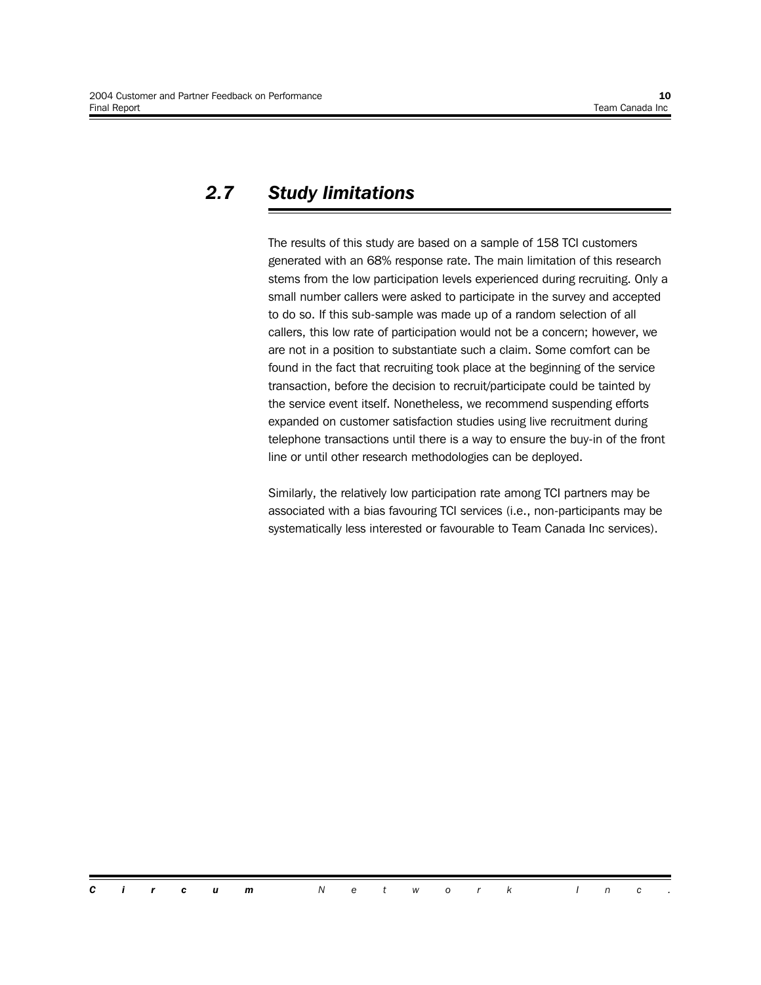## *2.7 Study limitations*

The results of this study are based on a sample of 158 TCI customers generated with an 68% response rate. The main limitation of this research stems from the low participation levels experienced during recruiting. Only a small number callers were asked to participate in the survey and accepted to do so. If this sub-sample was made up of a random selection of all callers, this low rate of participation would not be a concern; however, we are not in a position to substantiate such a claim. Some comfort can be found in the fact that recruiting took place at the beginning of the service transaction, before the decision to recruit/participate could be tainted by the service event itself. Nonetheless, we recommend suspending efforts expanded on customer satisfaction studies using live recruitment during telephone transactions until there is a way to ensure the buy-in of the front line or until other research methodologies can be deployed.

Similarly, the relatively low participation rate among TCI partners may be associated with a bias favouring TCI services (i.e., non-participants may be systematically less interested or favourable to Team Canada Inc services).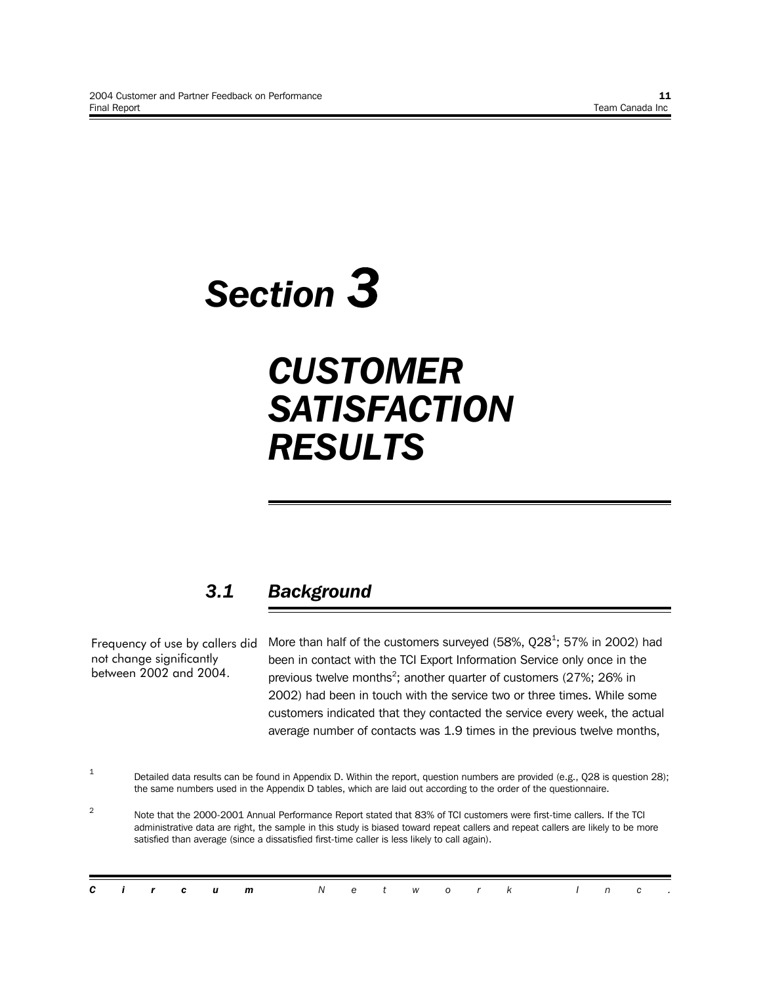# *Section*

## *CUSTOMER SATISFACTION RESULTS*

## *3.1 Background*

Frequency of use by callers did not change significantly between 2002 and 2004.

More than half of the customers surveyed (58%,  $Q28^2$ ; 57% in 2002) had been in contact with the TCI Export Information Service only once in the previous twelve months<sup>2</sup>; another quarter of customers (27%; 26% in 2002) had been in touch with the service two or three times. While some customers indicated that they contacted the service every week, the actual average number of contacts was 1.9 times in the previous twelve months,

1 Detailed data results can be found in Appendix D. Within the report, question numbers are provided (e.g., Q28 is question 28); the same numbers used in the Appendix D tables, which are laid out according to the order of the questionnaire.

2 Note that the 2000-2001 Annual Performance Report stated that 83% of TCI customers were first-time callers. If the TCI administrative data are right, the sample in this study is biased toward repeat callers and repeat callers are likely to be more satisfied than average (since a dissatisfied first-time caller is less likely to call again).

|  |  | <b>Circum</b> Network Inc. |  |  |  |  |  |  |
|--|--|----------------------------|--|--|--|--|--|--|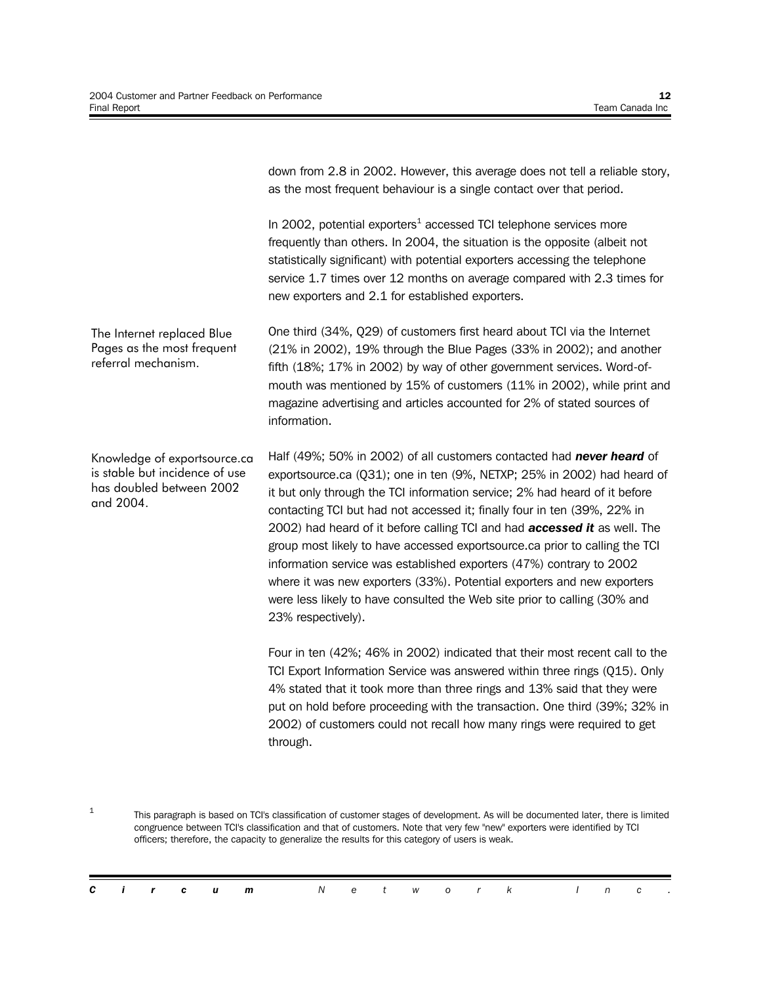down from 2.8 in 2002. However, this average does not tell a reliable story, as the most frequent behaviour is a single contact over that period.

In 2002, potential exporters $^1$  accessed TCI telephone services more frequently than others. In 2004, the situation is the opposite (albeit not statistically significant) with potential exporters accessing the telephone service 1.7 times over 12 months on average compared with 2.3 times for new exporters and 2.1 for established exporters.

One third (34%, Q29) of customers first heard about TCI via the Internet (21% in 2002), 19% through the Blue Pages (33% in 2002); and another fifth (18%; 17% in 2002) by way of other government services. Word-ofmouth was mentioned by 15% of customers (11% in 2002), while print and magazine advertising and articles accounted for 2% of stated sources of information. The Internet replaced Blue Pages as the most frequent referral mechanism.

> Half (49%; 50% in 2002) of all customers contacted had *never heard* of exportsource.ca (Q31); one in ten (9%, NETXP; 25% in 2002) had heard of it but only through the TCI information service; 2% had heard of it before contacting TCI but had not accessed it; finally four in ten (39%, 22% in 2002) had heard of it before calling TCI and had *accessed it* as well. The group most likely to have accessed exportsource.ca prior to calling the TCI information service was established exporters (47%) contrary to 2002 where it was new exporters (33%). Potential exporters and new exporters were less likely to have consulted the Web site prior to calling (30% and 23% respectively).

Four in ten (42%; 46% in 2002) indicated that their most recent call to the TCI Export Information Service was answered within three rings (Q15). Only 4% stated that it took more than three rings and 13% said that they were put on hold before proceeding with the transaction. One third (39%; 32% in 2002) of customers could not recall how many rings were required to get through.

1 This paragraph is based on TCI's classification of customer stages of development. As will be documented later, there is limited congruence between TCI's classification and that of customers. Note that very few "new" exporters were identified by TCI officers; therefore, the capacity to generalize the results for this category of users is weak.

|  |  | <b>Circum</b> Network Inc. |  |  |  |  |  |  |
|--|--|----------------------------|--|--|--|--|--|--|

Knowledge of exportsource.ca is stable but incidence of use has doubled between 2002 and 2004.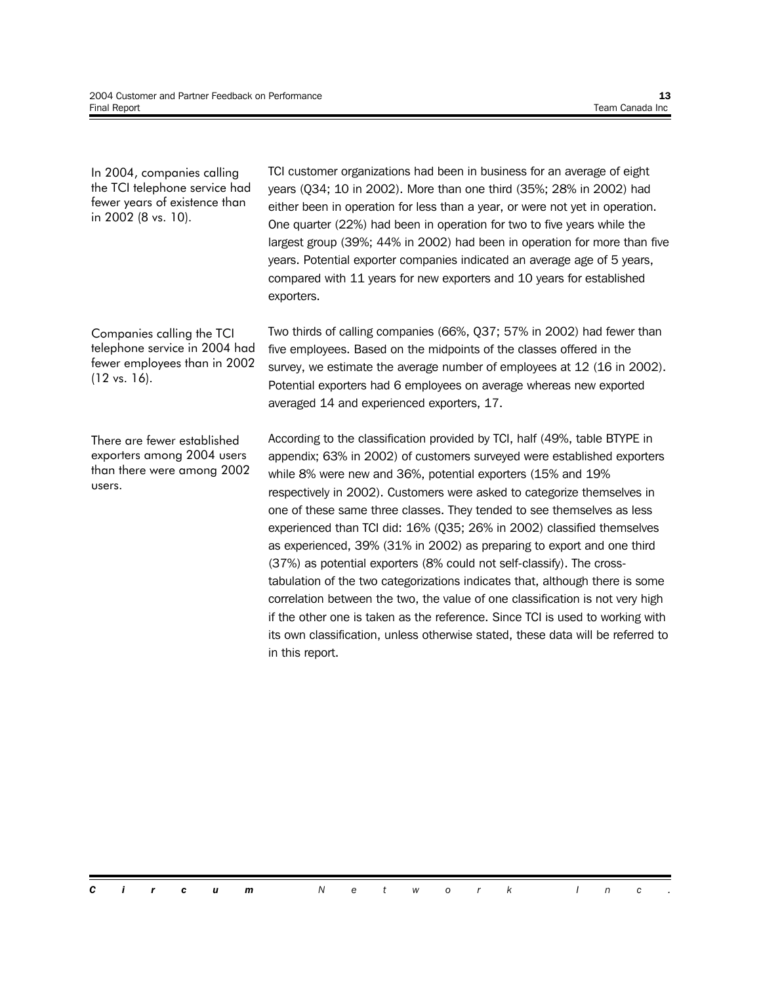| In 2004, companies calling<br>the TCI telephone service had<br>fewer years of existence than<br>in 2002 (8 vs. 10).   | TCI customer organizations had been in business for an average of eight<br>years (Q34; 10 in 2002). More than one third (35%; 28% in 2002) had<br>either been in operation for less than a year, or were not yet in operation.<br>One quarter (22%) had been in operation for two to five years while the<br>largest group (39%; 44% in 2002) had been in operation for more than five<br>years. Potential exporter companies indicated an average age of 5 years,<br>compared with 11 years for new exporters and 10 years for established<br>exporters.                                                                                                                                                                                                              |
|-----------------------------------------------------------------------------------------------------------------------|------------------------------------------------------------------------------------------------------------------------------------------------------------------------------------------------------------------------------------------------------------------------------------------------------------------------------------------------------------------------------------------------------------------------------------------------------------------------------------------------------------------------------------------------------------------------------------------------------------------------------------------------------------------------------------------------------------------------------------------------------------------------|
| Companies calling the TCI<br>telephone service in 2004 had<br>fewer employees than in 2002<br>$(12 \text{ vs. } 16).$ | Two thirds of calling companies (66%, Q37; 57% in 2002) had fewer than<br>five employees. Based on the midpoints of the classes offered in the<br>survey, we estimate the average number of employees at 12 (16 in 2002).<br>Potential exporters had 6 employees on average whereas new exported<br>averaged 14 and experienced exporters, 17.                                                                                                                                                                                                                                                                                                                                                                                                                         |
| There are fewer established<br>exporters among 2004 users<br>than there were among 2002<br>users.                     | According to the classification provided by TCI, half (49%, table BTYPE in<br>appendix; 63% in 2002) of customers surveyed were established exporters<br>while 8% were new and 36%, potential exporters (15% and 19%<br>respectively in 2002). Customers were asked to categorize themselves in<br>one of these same three classes. They tended to see themselves as less<br>experienced than TCI did: 16% (Q35; 26% in 2002) classified themselves<br>as experienced, 39% (31% in 2002) as preparing to export and one third<br>(37%) as potential exporters (8% could not self-classify). The cross-<br>tabulation of the two categorizations indicates that, although there is some<br>operalation hatwaan tha two tha value of one classification is not vany high |

correlation between the two, the value of one classification is not very high if the other one is taken as the reference. Since TCI is used to working with its own classification, unless otherwise stated, these data will be referred to in this report.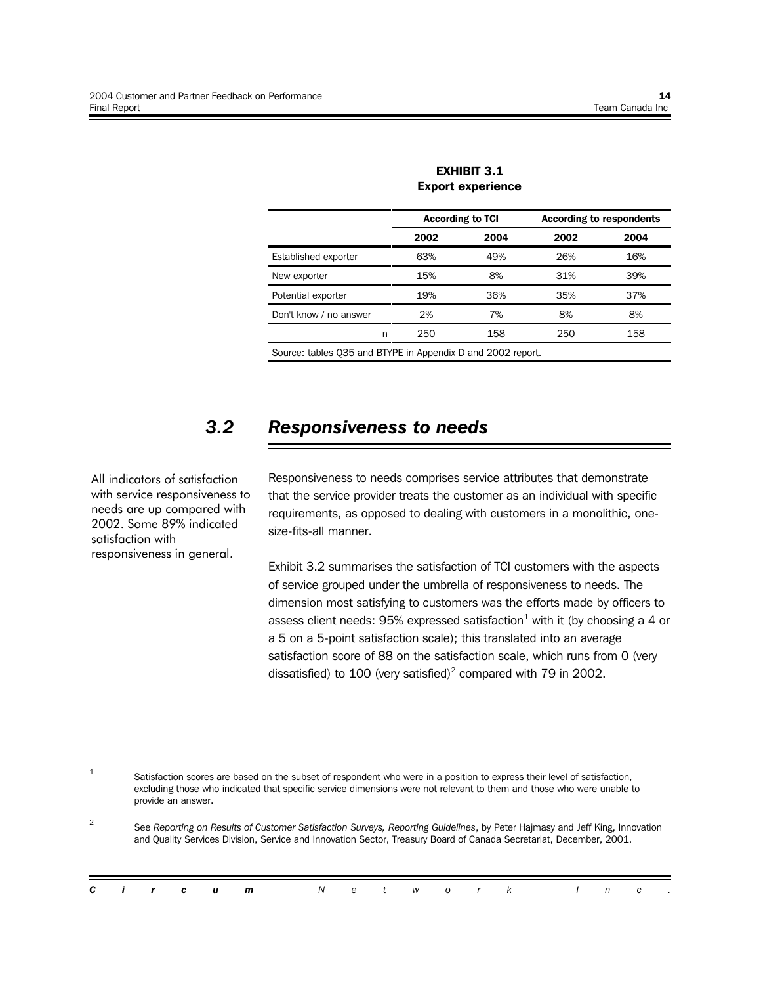|                                                             |      | <b>According to TCI</b> | <b>According to respondents</b> |      |  |  |
|-------------------------------------------------------------|------|-------------------------|---------------------------------|------|--|--|
|                                                             | 2002 | 2004                    | 2002                            | 2004 |  |  |
| Established exporter                                        | 63%  | 49%                     | 26%                             | 16%  |  |  |
| New exporter                                                | 15%  | 8%                      | 31%                             | 39%  |  |  |
| Potential exporter                                          | 19%  | 36%                     | 35%                             | 37%  |  |  |
| Don't know / no answer                                      | 2%   | 7%                      | 8%                              | 8%   |  |  |
| n                                                           | 250  | 158                     | 250                             | 158  |  |  |
| Source: tables 035 and BTYPE in Appendix D and 2002 report. |      |                         |                                 |      |  |  |

### **EXHIBIT 3.1 Export experience**

### *3.2 Responsiveness to needs*

All indicators of satisfaction with service responsiveness to needs are up compared with 2002. Some 89% indicated satisfaction with responsiveness in general.

Responsiveness to needs comprises service attributes that demonstrate that the service provider treats the customer as an individual with specific requirements, as opposed to dealing with customers in a monolithic, onesize-fits-all manner.

Exhibit 3.2 summarises the satisfaction of TCI customers with the aspects of service grouped under the umbrella of responsiveness to needs. The dimension most satisfying to customers was the efforts made by officers to assess client needs: 95% expressed satisfaction<sup>1</sup> with it (by choosing a 4 or a 5 on a 5-point satisfaction scale); this translated into an average satisfaction score of 88 on the satisfaction scale, which runs from 0 (very dissatisfied) to 100 (very satisfied)<sup>2</sup> compared with 79 in 2002.

1 Satisfaction scores are based on the subset of respondent who were in a position to express their level of satisfaction, excluding those who indicated that specific service dimensions were not relevant to them and those who were unable to provide an answer.

2 See *Reporting on Results of Customer Satisfaction Surveys, Reporting Guidelines*, by Peter Hajmasy and Jeff King, Innovation and Quality Services Division, Service and Innovation Sector, Treasury Board of Canada Secretariat, December, 2001.

|  |  |  | <b>Circum</b> Network Inc. |  |  |  |  |  |  |
|--|--|--|----------------------------|--|--|--|--|--|--|
|  |  |  |                            |  |  |  |  |  |  |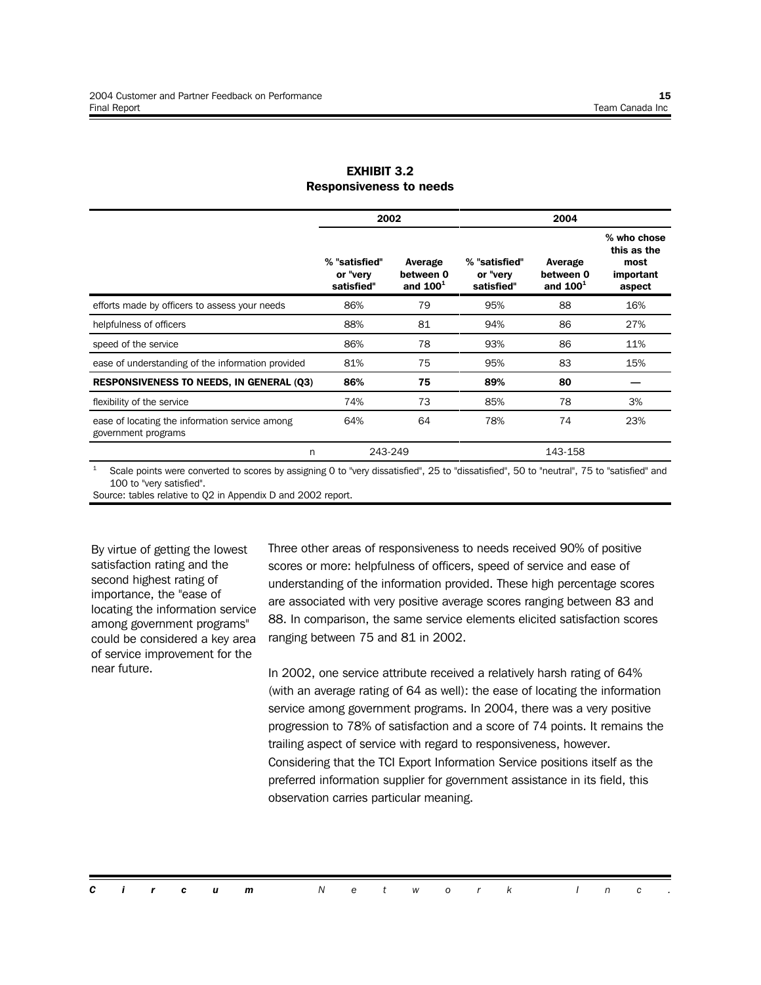|                                                                       | 2002                                    | 2004                               |                                         |                                    |                                                           |
|-----------------------------------------------------------------------|-----------------------------------------|------------------------------------|-----------------------------------------|------------------------------------|-----------------------------------------------------------|
|                                                                       | % "satisfied"<br>or "very<br>satisfied" | Average<br>between 0<br>and $1001$ | % "satisfied"<br>or "very<br>satisfied" | Average<br>between 0<br>and $1001$ | % who chose<br>this as the<br>most<br>important<br>aspect |
| efforts made by officers to assess your needs                         | 86%                                     | 79                                 | 95%                                     | 88                                 | 16%                                                       |
| helpfulness of officers                                               | 88%                                     | 81                                 | 94%                                     | 86                                 | 27%                                                       |
| speed of the service                                                  | 86%                                     | 78                                 | 93%                                     | 86                                 | 11%                                                       |
| ease of understanding of the information provided                     | 81%                                     | 75                                 | 95%                                     | 83                                 | 15%                                                       |
| <b>RESPONSIVENESS TO NEEDS, IN GENERAL (Q3)</b>                       | 86%                                     | 75                                 | 89%                                     | 80                                 |                                                           |
| flexibility of the service                                            | 74%                                     | 73                                 | 85%                                     | 78                                 | 3%                                                        |
| ease of locating the information service among<br>government programs | 64%                                     | 64                                 | 78%                                     | 74                                 | 23%                                                       |
| n                                                                     | 243-249                                 |                                    |                                         | 143-158                            |                                                           |

### **EXHIBIT 3.2 Responsiveness to needs**

Scale points were converted to scores by assigning 0 to "very dissatisfied", 25 to "dissatisfied", 50 to "neutral", 75 to "satisfied" and 100 to "very satisfied".

Source: tables relative to Q2 in Appendix D and 2002 report.

By virtue of getting the lowest satisfaction rating and the second highest rating of importance, the "ease of locating the information service among government programs" could be considered a key area of service improvement for the near future.

Three other areas of responsiveness to needs received 90% of positive scores or more: helpfulness of officers, speed of service and ease of understanding of the information provided. These high percentage scores are associated with very positive average scores ranging between 83 and 88. In comparison, the same service elements elicited satisfaction scores ranging between 75 and 81 in 2002.

In 2002, one service attribute received a relatively harsh rating of 64% (with an average rating of 64 as well): the ease of locating the information service among government programs. In 2004, there was a very positive progression to 78% of satisfaction and a score of 74 points. It remains the trailing aspect of service with regard to responsiveness, however. Considering that the TCI Export Information Service positions itself as the preferred information supplier for government assistance in its field, this observation carries particular meaning.

|  |  |  | <b>Circum</b> Network Inc. |  |  |  |  |  |  |
|--|--|--|----------------------------|--|--|--|--|--|--|
|  |  |  |                            |  |  |  |  |  |  |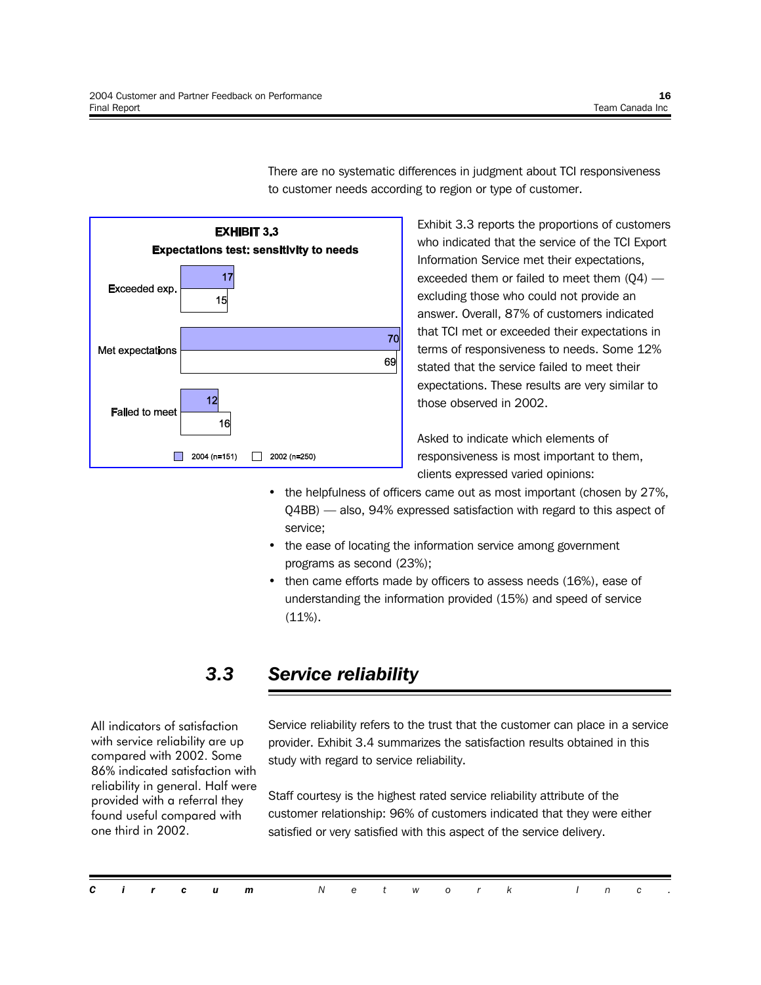**EXHIBIT 3.3 Expectations test: sensitivity to needs** 17 Exceeded exp. 15 70 Met expectations 69 12 **Failed to meet** 16  $2004(n=151)$  $2002(n=250)$ 

There are no systematic differences in judgment about TCI responsiveness to customer needs according to region or type of customer.

> Exhibit 3.3 reports the proportions of customers who indicated that the service of the TCI Export Information Service met their expectations, exceeded them or failed to meet them  $(Q4)$  excluding those who could not provide an answer. Overall, 87% of customers indicated that TCI met or exceeded their expectations in terms of responsiveness to needs. Some 12% stated that the service failed to meet their expectations. These results are very similar to those observed in 2002.

Asked to indicate which elements of responsiveness is most important to them, clients expressed varied opinions:

- the helpfulness of officers came out as most important (chosen by 27%, Q4BB) — also, 94% expressed satisfaction with regard to this aspect of service;
- the ease of locating the information service among government programs as second (23%);
- then came efforts made by officers to assess needs (16%), ease of understanding the information provided (15%) and speed of service (11%).

## *3.3 Service reliability*

All indicators of satisfaction with service reliability are up compared with 2002. Some 86% indicated satisfaction with reliability in general. Half were provided with a referral they found useful compared with one third in 2002.

Service reliability refers to the trust that the customer can place in a service provider. Exhibit 3.4 summarizes the satisfaction results obtained in this study with regard to service reliability.

Staff courtesy is the highest rated service reliability attribute of the customer relationship: 96% of customers indicated that they were either satisfied or very satisfied with this aspect of the service delivery.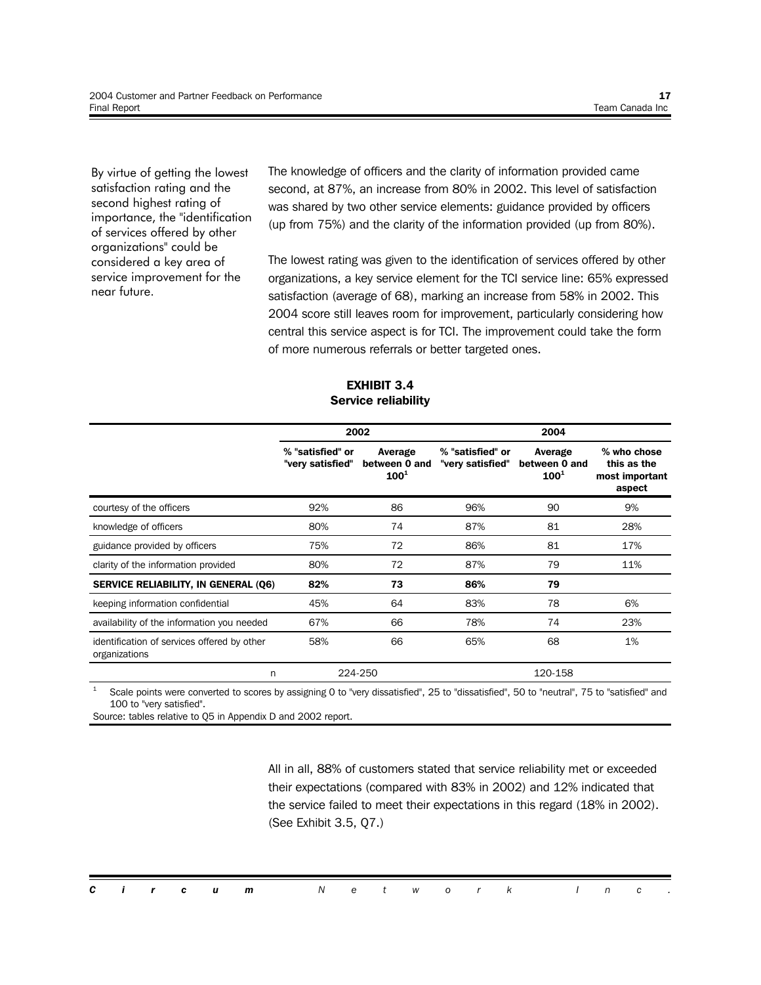By virtue of getting the lowest satisfaction rating and the second highest rating of importance, the "identification of services offered by other organizations" could be considered a key area of service improvement for the near future.

The knowledge of officers and the clarity of information provided came second, at 87%, an increase from 80% in 2002. This level of satisfaction was shared by two other service elements: guidance provided by officers (up from 75%) and the clarity of the information provided (up from 80%).

The lowest rating was given to the identification of services offered by other organizations, a key service element for the TCI service line: 65% expressed satisfaction (average of 68), marking an increase from 58% in 2002. This 2004 score still leaves room for improvement, particularly considering how central this service aspect is for TCI. The improvement could take the form of more numerous referrals or better targeted ones.

**EXHIBIT 3.4 Service reliability**

|                                                              |                                      | 2002                                  |                                      | 2004                                  |                                                        |
|--------------------------------------------------------------|--------------------------------------|---------------------------------------|--------------------------------------|---------------------------------------|--------------------------------------------------------|
|                                                              | % "satisfied" or<br>"very satisfied" | Average<br>between 0 and<br>$100^{1}$ | % "satisfied" or<br>"very satisfied" | Average<br>between 0 and<br>$100^{1}$ | % who chose<br>this as the<br>most important<br>aspect |
| courtesy of the officers                                     | 92%                                  | 86                                    | 96%                                  | 90                                    | 9%                                                     |
| knowledge of officers                                        | 80%                                  | 74                                    | 87%                                  | 81                                    | 28%                                                    |
| guidance provided by officers                                | 75%                                  | 72                                    | 86%                                  | 81                                    | 17%                                                    |
| clarity of the information provided                          | 80%                                  | 72                                    | 87%                                  | 79                                    | 11%                                                    |
| <b>SERVICE RELIABILITY, IN GENERAL (Q6)</b>                  | 82%                                  | 73                                    | 86%                                  | 79                                    |                                                        |
| keeping information confidential                             | 45%                                  | 64                                    | 83%                                  | 78                                    | 6%                                                     |
| availability of the information you needed                   | 67%                                  | 66                                    | 78%                                  | 74                                    | 23%                                                    |
| identification of services offered by other<br>organizations | 58%                                  | 66                                    | 65%                                  | 68                                    | 1%                                                     |
| n                                                            |                                      | 224-250                               |                                      | 120-158                               |                                                        |

<sup>1</sup> Scale points were converted to scores by assigning 0 to "very dissatisfied", 25 to "dissatisfied", 50 to "neutral", 75 to "satisfied" and 100 to "very satisfied".

Source: tables relative to Q5 in Appendix D and 2002 report.

All in all, 88% of customers stated that service reliability met or exceeded their expectations (compared with 83% in 2002) and 12% indicated that the service failed to meet their expectations in this regard (18% in 2002). (See Exhibit 3.5, Q7.)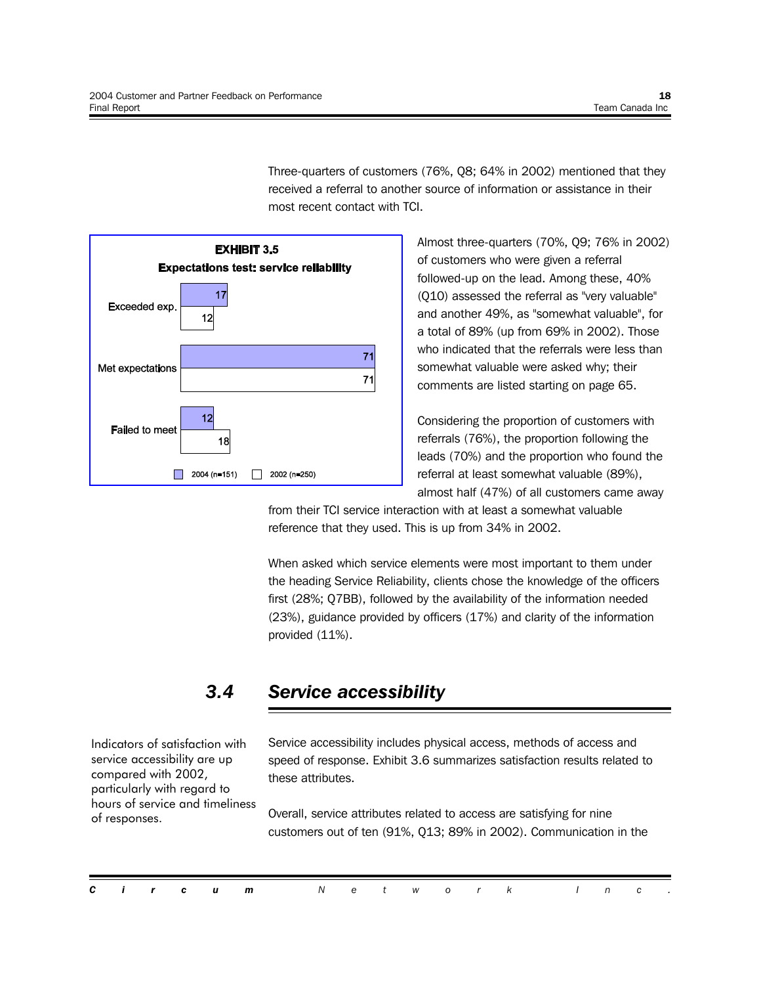Three-quarters of customers (76%, Q8; 64% in 2002) mentioned that they received a referral to another source of information or assistance in their most recent contact with TCI.



Almost three-quarters (70%, Q9; 76% in 2002) of customers who were given a referral followed-up on the lead. Among these, 40% (Q10) assessed the referral as "very valuable" and another 49%, as "somewhat valuable", for a total of 89% (up from 69% in 2002). Those who indicated that the referrals were less than somewhat valuable were asked why; their comments are listed starting on page 65.

Considering the proportion of customers with referrals (76%), the proportion following the leads (70%) and the proportion who found the referral at least somewhat valuable (89%), almost half (47%) of all customers came away

from their TCI service interaction with at least a somewhat valuable reference that they used. This is up from 34% in 2002.

When asked which service elements were most important to them under the heading Service Reliability, clients chose the knowledge of the officers first (28%; Q7BB), followed by the availability of the information needed (23%), guidance provided by officers (17%) and clarity of the information provided (11%).

## *3.4 Service accessibility*

Indicators of satisfaction with service accessibility are up compared with 2002, particularly with regard to hours of service and timeliness of responses.

Service accessibility includes physical access, methods of access and speed of response. Exhibit 3.6 summarizes satisfaction results related to these attributes.

Overall, service attributes related to access are satisfying for nine customers out of ten (91%, Q13; 89% in 2002). Communication in the

|  |  |  | <b>Circum</b> Network Inc. |  |  |  |  |  |  |
|--|--|--|----------------------------|--|--|--|--|--|--|
|  |  |  |                            |  |  |  |  |  |  |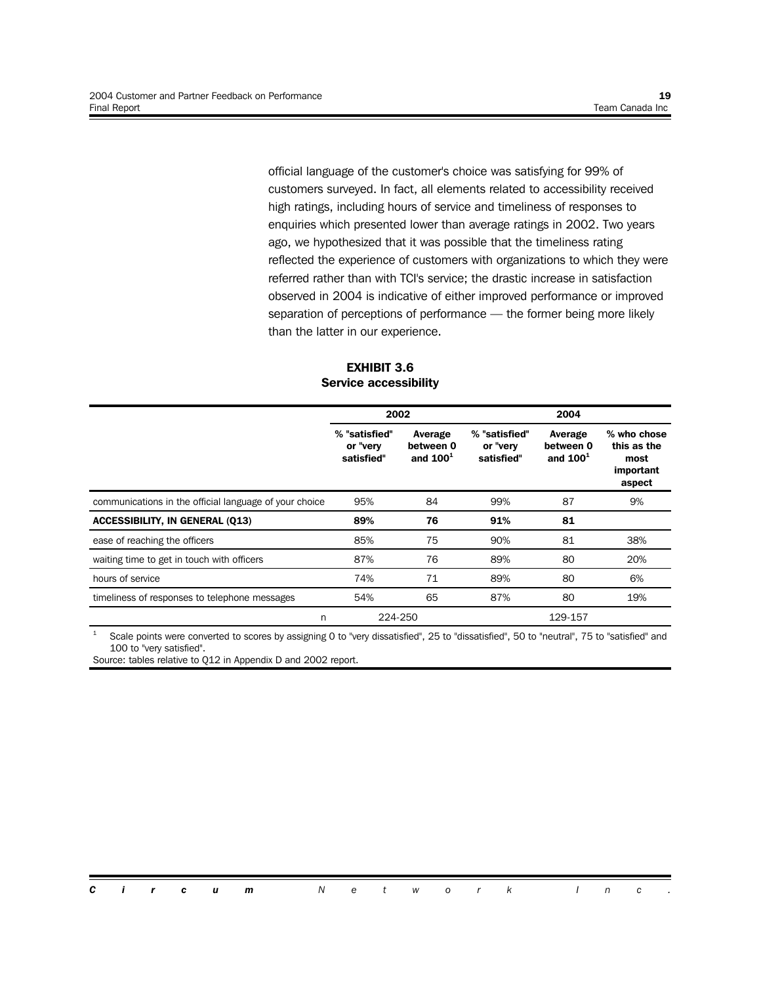official language of the customer's choice was satisfying for 99% of customers surveyed. In fact, all elements related to accessibility received high ratings, including hours of service and timeliness of responses to enquiries which presented lower than average ratings in 2002. Two years ago, we hypothesized that it was possible that the timeliness rating reflected the experience of customers with organizations to which they were referred rather than with TCI's service; the drastic increase in satisfaction observed in 2004 is indicative of either improved performance or improved separation of perceptions of performance — the former being more likely than the latter in our experience.

| <b>EXHIBIT 3.6</b>           |
|------------------------------|
| <b>Service accessibility</b> |

|                                                        |                                         | 2002                               |                                         | 2004                               |                                                           |
|--------------------------------------------------------|-----------------------------------------|------------------------------------|-----------------------------------------|------------------------------------|-----------------------------------------------------------|
|                                                        | % "satisfied"<br>or "very<br>satisfied" | Average<br>between 0<br>and $1001$ | % "satisfied"<br>or "verv<br>satisfied" | Average<br>between 0<br>and $1001$ | % who chose<br>this as the<br>most<br>important<br>aspect |
| communications in the official language of your choice | 95%                                     | 84                                 | 99%                                     | 87                                 | 9%                                                        |
| <b>ACCESSIBILITY, IN GENERAL (Q13)</b>                 | 89%                                     | 76                                 | 91%                                     | 81                                 |                                                           |
| ease of reaching the officers                          | 85%                                     | 75                                 | 90%                                     | 81                                 | 38%                                                       |
| waiting time to get in touch with officers             | 87%                                     | 76                                 | 89%                                     | 80                                 | 20%                                                       |
| hours of service                                       | 74%                                     | 71                                 | 89%                                     | 80                                 | 6%                                                        |
| timeliness of responses to telephone messages          | 54%                                     | 65                                 | 87%                                     | 80                                 | 19%                                                       |
| n                                                      | 224-250                                 |                                    |                                         | 129-157                            |                                                           |

<sup>1</sup> Scale points were converted to scores by assigning 0 to "very dissatisfied", 25 to "dissatisfied", 50 to "neutral", 75 to "satisfied" and 100 to "very satisfied".

Source: tables relative to Q12 in Appendix D and 2002 report.

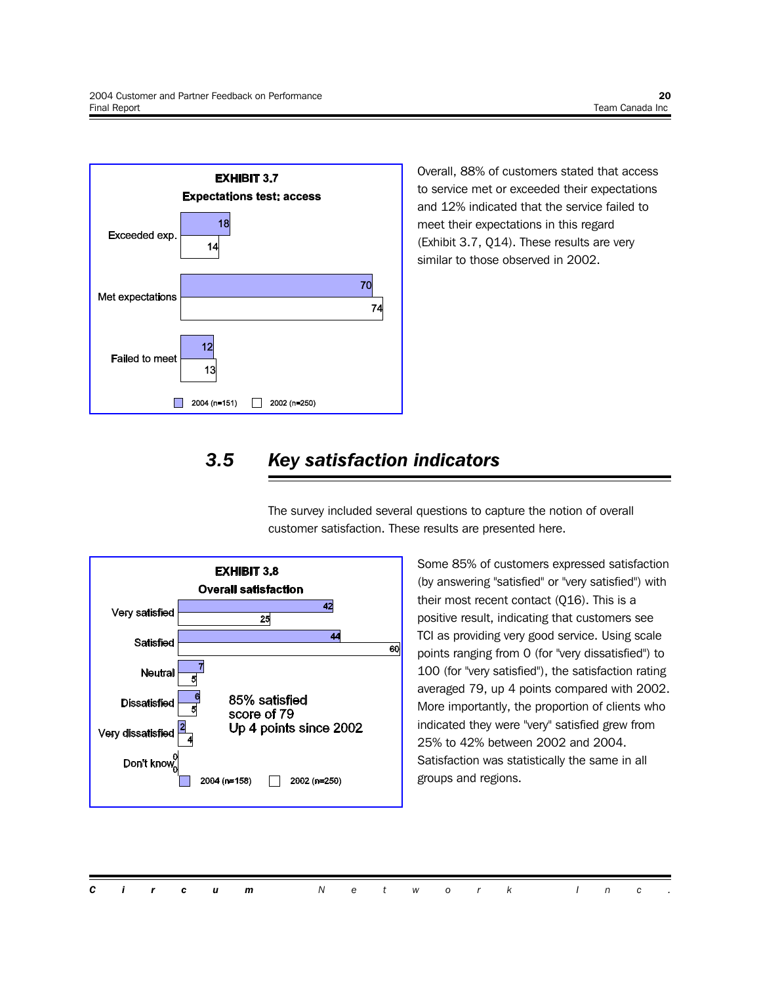

Overall, 88% of customers stated that access to service met or exceeded their expectations and 12% indicated that the service failed to meet their expectations in this regard (Exhibit 3.7, Q14). These results are very similar to those observed in 2002.

## *3.5 Key satisfaction indicators*



The survey included several questions to capture the notion of overall customer satisfaction. These results are presented here.

> Some 85% of customers expressed satisfaction (by answering "satisfied" or "very satisfied") with their most recent contact (Q16). This is a positive result, indicating that customers see TCI as providing very good service. Using scale points ranging from 0 (for "very dissatisfied") to 100 (for "very satisfied"), the satisfaction rating averaged 79, up 4 points compared with 2002. More importantly, the proportion of clients who indicated they were "very" satisfied grew from 25% to 42% between 2002 and 2004. Satisfaction was statistically the same in all groups and regions.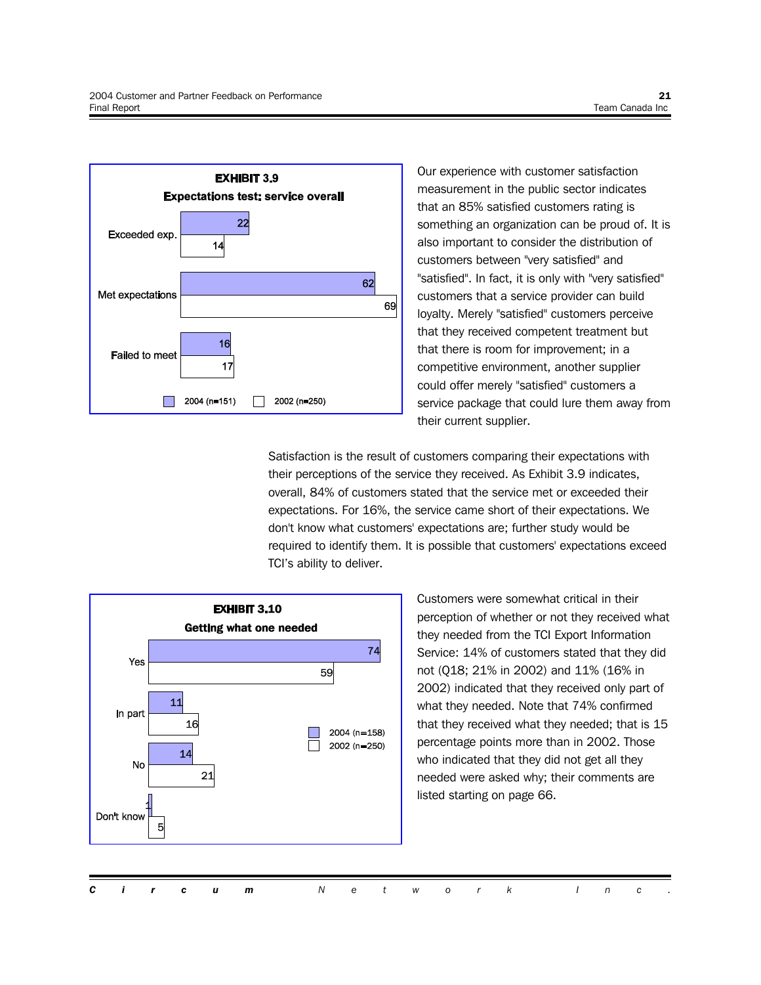

Our experience with customer satisfaction measurement in the public sector indicates that an 85% satisfied customers rating is something an organization can be proud of. It is also important to consider the distribution of customers between "very satisfied" and "satisfied". In fact, it is only with "very satisfied" customers that a service provider can build loyalty. Merely "satisfied" customers perceive that they received competent treatment but that there is room for improvement; in a competitive environment, another supplier could offer merely "satisfied" customers a service package that could lure them away from their current supplier.

Satisfaction is the result of customers comparing their expectations with their perceptions of the service they received. As Exhibit 3.9 indicates, overall, 84% of customers stated that the service met or exceeded their expectations. For 16%, the service came short of their expectations. We don't know what customers' expectations are; further study would be required to identify them. It is possible that customers' expectations exceed TCI's ability to deliver.



Customers were somewhat critical in their perception of whether or not they received what they needed from the TCI Export Information Service: 14% of customers stated that they did not (Q18; 21% in 2002) and 11% (16% in 2002) indicated that they received only part of what they needed. Note that 74% confirmed that they received what they needed; that is 15 percentage points more than in 2002. Those who indicated that they did not get all they needed were asked why; their comments are listed starting on page 66.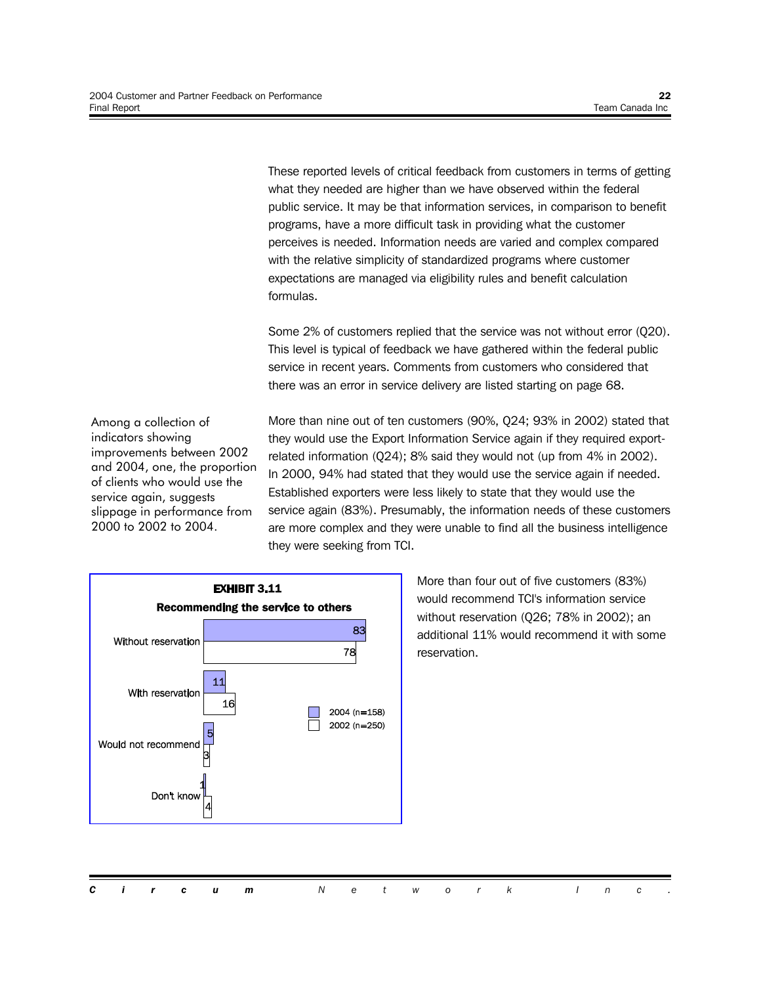These reported levels of critical feedback from customers in terms of getting what they needed are higher than we have observed within the federal public service. It may be that information services, in comparison to benefit programs, have a more difficult task in providing what the customer perceives is needed. Information needs are varied and complex compared with the relative simplicity of standardized programs where customer expectations are managed via eligibility rules and benefit calculation formulas.

Some 2% of customers replied that the service was not without error (Q20). This level is typical of feedback we have gathered within the federal public service in recent years. Comments from customers who considered that there was an error in service delivery are listed starting on page 68.

Among a collection of indicators showing improvements between 2002 and 2004, one, the proportion of clients who would use the service again, suggests slippage in performance from 2000 to 2002 to 2004.

More than nine out of ten customers (90%, Q24; 93% in 2002) stated that they would use the Export Information Service again if they required exportrelated information (Q24); 8% said they would not (up from 4% in 2002). In 2000, 94% had stated that they would use the service again if needed. Established exporters were less likely to state that they would use the service again (83%). Presumably, the information needs of these customers are more complex and they were unable to find all the business intelligence they were seeking from TCI.



More than four out of five customers (83%) would recommend TCI's information service without reservation (Q26; 78% in 2002); an additional 11% would recommend it with some reservation.

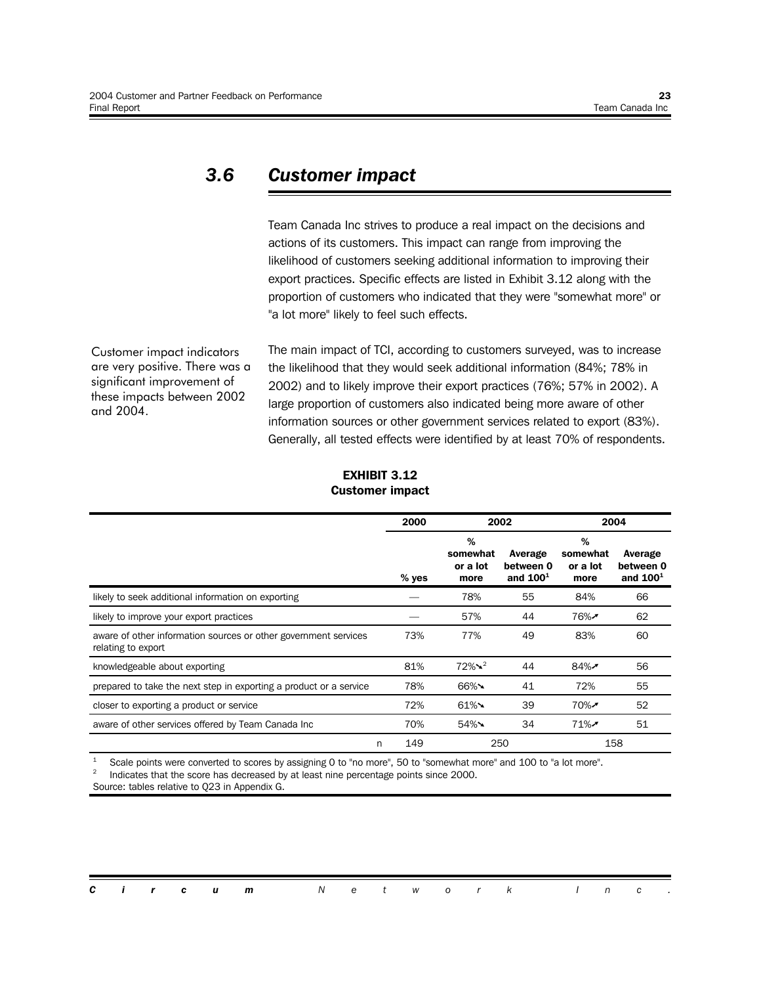## *3.6 Customer impact*

Team Canada Inc strives to produce a real impact on the decisions and actions of its customers. This impact can range from improving the likelihood of customers seeking additional information to improving their export practices. Specific effects are listed in Exhibit 3.12 along with the proportion of customers who indicated that they were "somewhat more" or "a lot more" likely to feel such effects.

Customer impact indicators are very positive. There was a significant improvement of these impacts between 2002 and 2004.

The main impact of TCI, according to customers surveyed, was to increase the likelihood that they would seek additional information (84%; 78% in 2002) and to likely improve their export practices (76%; 57% in 2002). A large proportion of customers also indicated being more aware of other information sources or other government services related to export (83%). Generally, all tested effects were identified by at least 70% of respondents.

### **EXHIBIT 3.12 Customer impact**

|                                                                                       | 2000     |                                   | 2002                               |                                   | 2004                               |
|---------------------------------------------------------------------------------------|----------|-----------------------------------|------------------------------------|-----------------------------------|------------------------------------|
|                                                                                       | $%$ yes  | %<br>somewhat<br>or a lot<br>more | Average<br>between 0<br>and $1001$ | %<br>somewhat<br>or a lot<br>more | Average<br>between 0<br>and $1001$ |
| likely to seek additional information on exporting                                    |          | 78%                               | 55                                 | 84%                               | 66                                 |
| likely to improve your export practices                                               |          | 57%                               | 44                                 | 76%↗                              | 62                                 |
| aware of other information sources or other government services<br>relating to export | 73%      | 77%                               | 49                                 | 83%                               | 60                                 |
| knowledgeable about exporting                                                         | 81%      | $72\%$ $\lambda^2$                | 44                                 | 84% $\sim$                        | 56                                 |
| prepared to take the next step in exporting a product or a service                    | 78%      | $66\%$                            | 41                                 | 72%                               | 55                                 |
| closer to exporting a product or service                                              | 72%      | $61\%$                            | 39                                 | $70\%$                            | 52                                 |
| aware of other services offered by Team Canada Inc                                    | 70%      | $54\%$                            | 34                                 | $71\%$                            | 51                                 |
|                                                                                       | 149<br>n |                                   | 250                                |                                   | 158                                |

Scale points were converted to scores by assigning 0 to "no more", 50 to "somewhat more" and 100 to "a lot more".

2 Indicates that the score has decreased by at least nine percentage points since 2000.

Source: tables relative to Q23 in Appendix G.

|  |  |  | <b>Circum</b> Network Inc. |  |  |  |  |  |  |
|--|--|--|----------------------------|--|--|--|--|--|--|
|  |  |  |                            |  |  |  |  |  |  |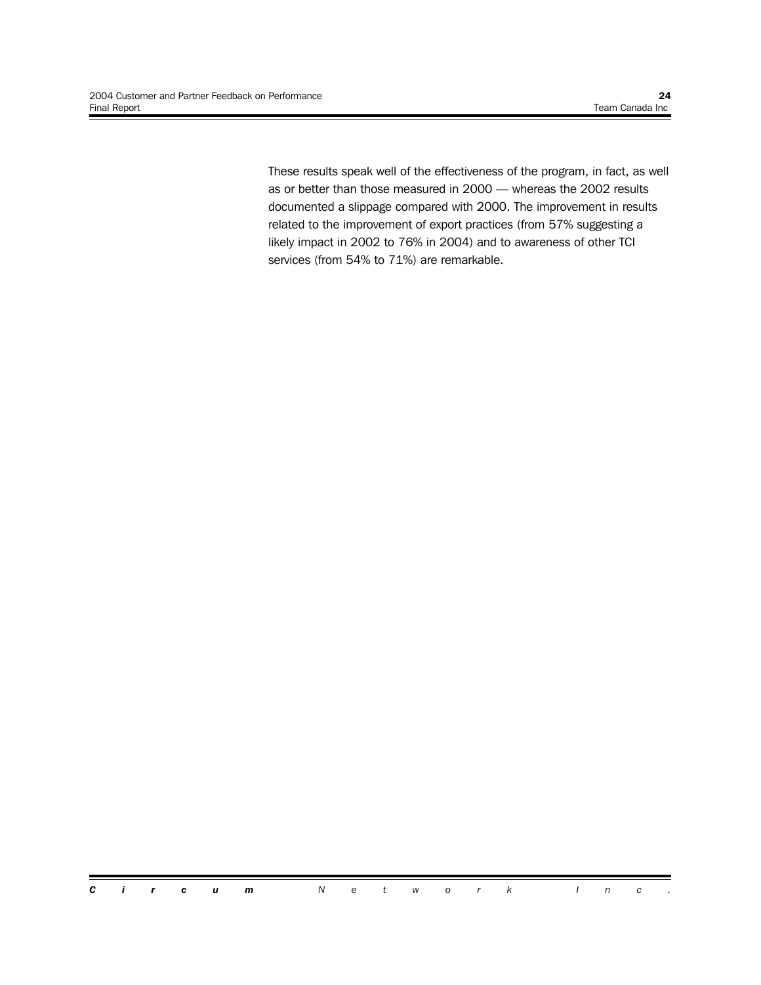These results speak well of the effectiveness of the program, in fact, as well as or better than those measured in 2000 — whereas the 2002 results documented a slippage compared with 2000. The improvement in results related to the improvement of export practices (from 57% suggesting a likely impact in 2002 to 76% in 2004) and to awareness of other TCI services (from 54% to 71%) are remarkable.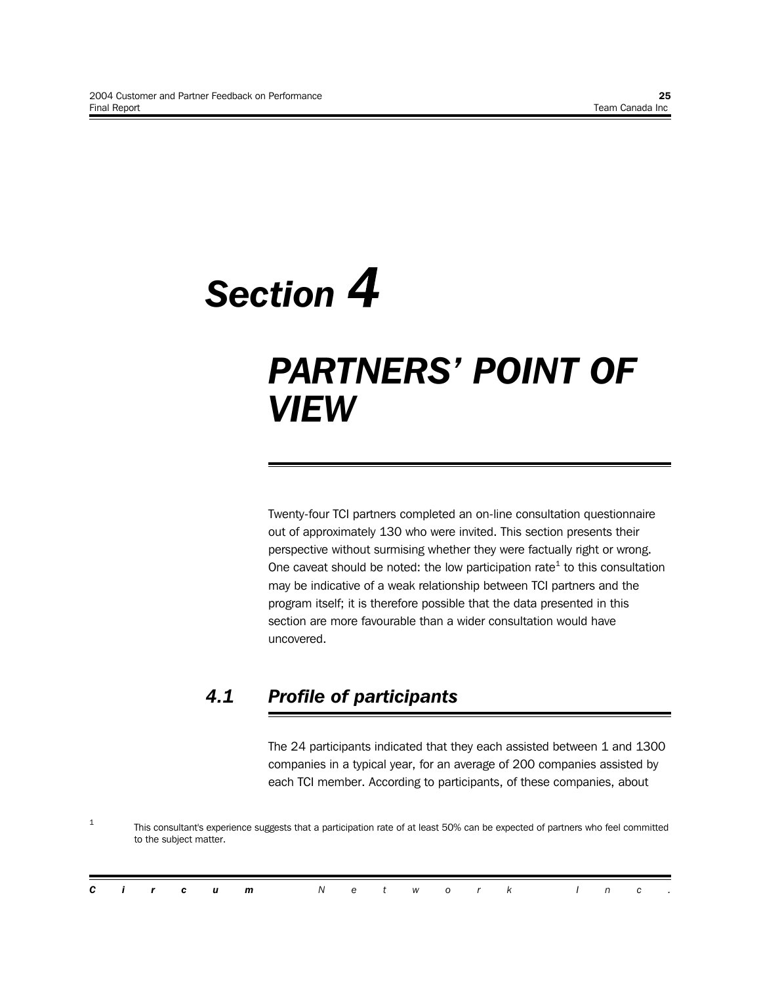# *Section*

## *PARTNERS' POINT OF VIEW*

Twenty-four TCI partners completed an on-line consultation questionnaire out of approximately 130 who were invited. This section presents their perspective without surmising whether they were factually right or wrong. One caveat should be noted: the low participation rate<sup>1</sup> to this consultation may be indicative of a weak relationship between TCI partners and the program itself; it is therefore possible that the data presented in this section are more favourable than a wider consultation would have uncovered.

### *4.1 Profile of participants*

The 24 participants indicated that they each assisted between 1 and 1300 companies in a typical year, for an average of 200 companies assisted by each TCI member. According to participants, of these companies, about

1 This consultant's experience suggests that a participation rate of at least 50% can be expected of partners who feel committed to the subject matter.

|  |  | <b>Circum</b> Network Inc. |  |  |  |  |  |  |
|--|--|----------------------------|--|--|--|--|--|--|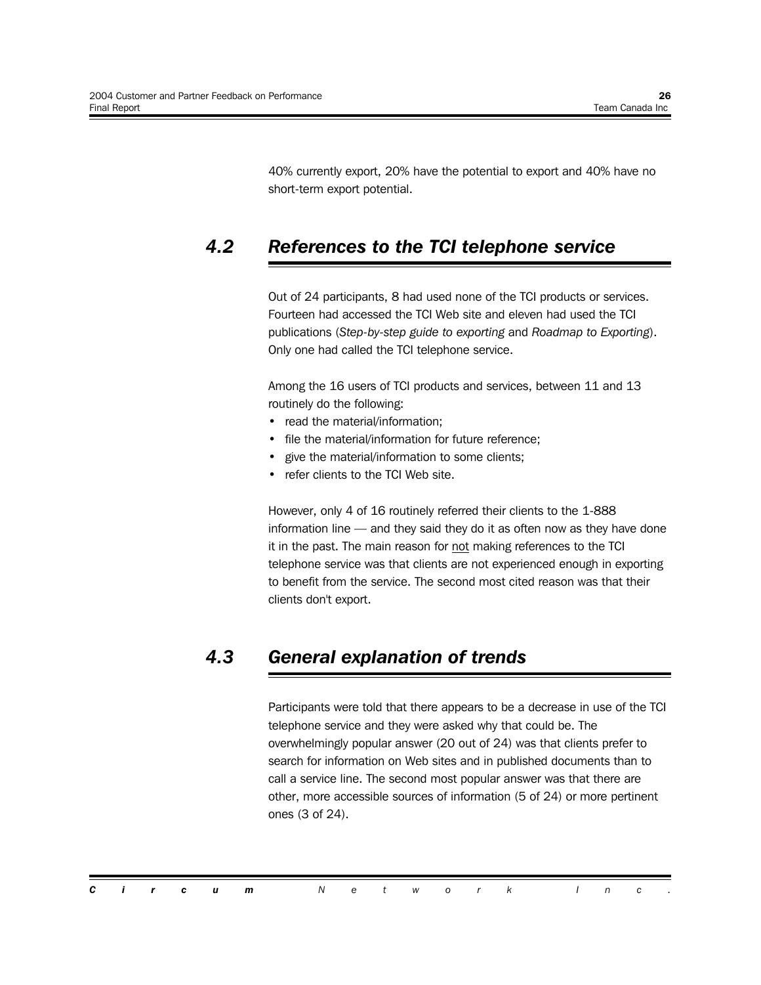40% currently export, 20% have the potential to export and 40% have no short-term export potential.

### *4.2 References to the TCI telephone service*

Out of 24 participants, 8 had used none of the TCI products or services. Fourteen had accessed the TCI Web site and eleven had used the TCI publications (*Step-by-step guide to exporting* and *Roadmap to Exporting*). Only one had called the TCI telephone service.

Among the 16 users of TCI products and services, between 11 and 13 routinely do the following:

- read the material/information;
- file the material/information for future reference;
- give the material/information to some clients;
- refer clients to the TCI Web site.

However, only 4 of 16 routinely referred their clients to the 1-888 information line — and they said they do it as often now as they have done it in the past. The main reason for not making references to the TCI telephone service was that clients are not experienced enough in exporting to benefit from the service. The second most cited reason was that their clients don't export.

### *4.3 General explanation of trends*

Participants were told that there appears to be a decrease in use of the TCI telephone service and they were asked why that could be. The overwhelmingly popular answer (20 out of 24) was that clients prefer to search for information on Web sites and in published documents than to call a service line. The second most popular answer was that there are other, more accessible sources of information (5 of 24) or more pertinent ones (3 of 24).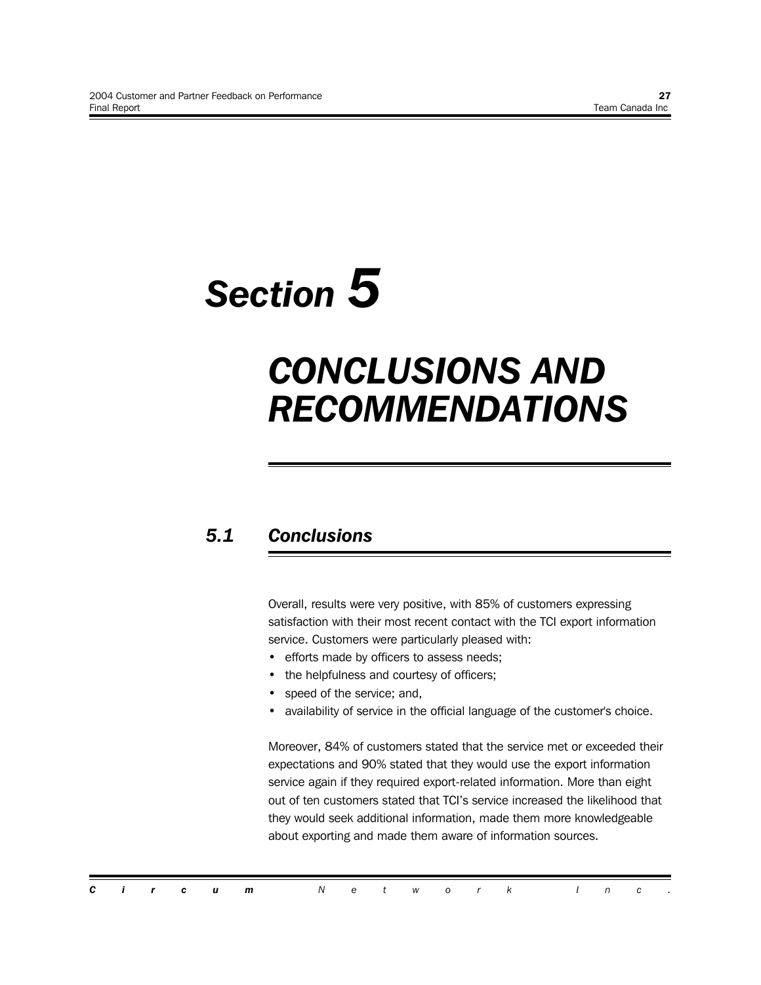# *Section*

## *CONCLUSIONS AND RECOMMENDATIONS*

### *5.1 Conclusions*

Overall, results were very positive, with 85% of customers expressing satisfaction with their most recent contact with the TCI export information service. Customers were particularly pleased with:

- efforts made by officers to assess needs;
- the helpfulness and courtesy of officers;
- speed of the service; and,
- availability of service in the official language of the customer's choice.

Moreover, 84% of customers stated that the service met or exceeded their expectations and 90% stated that they would use the export information service again if they required export-related information. More than eight out of ten customers stated that TCI's service increased the likelihood that they would seek additional information, made them more knowledgeable about exporting and made them aware of information sources.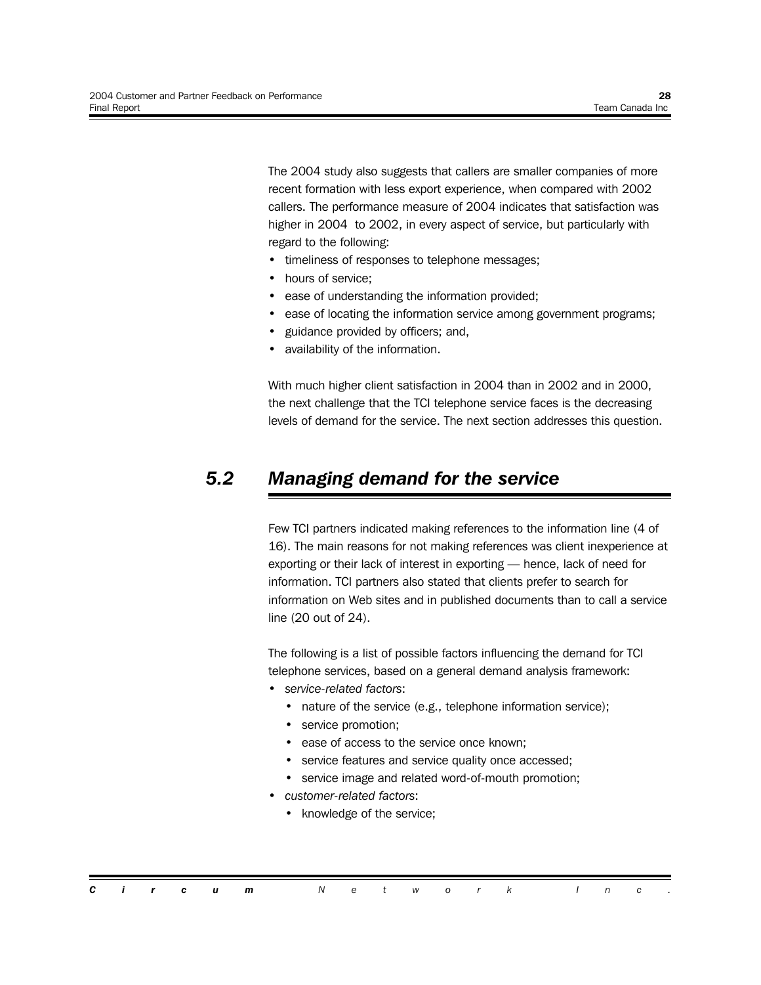The 2004 study also suggests that callers are smaller companies of more recent formation with less export experience, when compared with 2002 callers. The performance measure of 2004 indicates that satisfaction was higher in 2004 to 2002, in every aspect of service, but particularly with regard to the following:

- timeliness of responses to telephone messages;
- hours of service;
- ease of understanding the information provided;
- ease of locating the information service among government programs;
- guidance provided by officers; and,
- availability of the information.

With much higher client satisfaction in 2004 than in 2002 and in 2000, the next challenge that the TCI telephone service faces is the decreasing levels of demand for the service. The next section addresses this question.

### *5.2 Managing demand for the service*

Few TCI partners indicated making references to the information line (4 of 16). The main reasons for not making references was client inexperience at exporting or their lack of interest in exporting — hence, lack of need for information. TCI partners also stated that clients prefer to search for information on Web sites and in published documents than to call a service line (20 out of 24).

The following is a list of possible factors influencing the demand for TCI telephone services, based on a general demand analysis framework:

- *service-related factors*:
	- nature of the service (e.g., telephone information service);
	- service promotion;
	- ease of access to the service once known;
	- service features and service quality once accessed;
	- service image and related word-of-mouth promotion;
- *customer-related factors*:
	- knowledge of the service;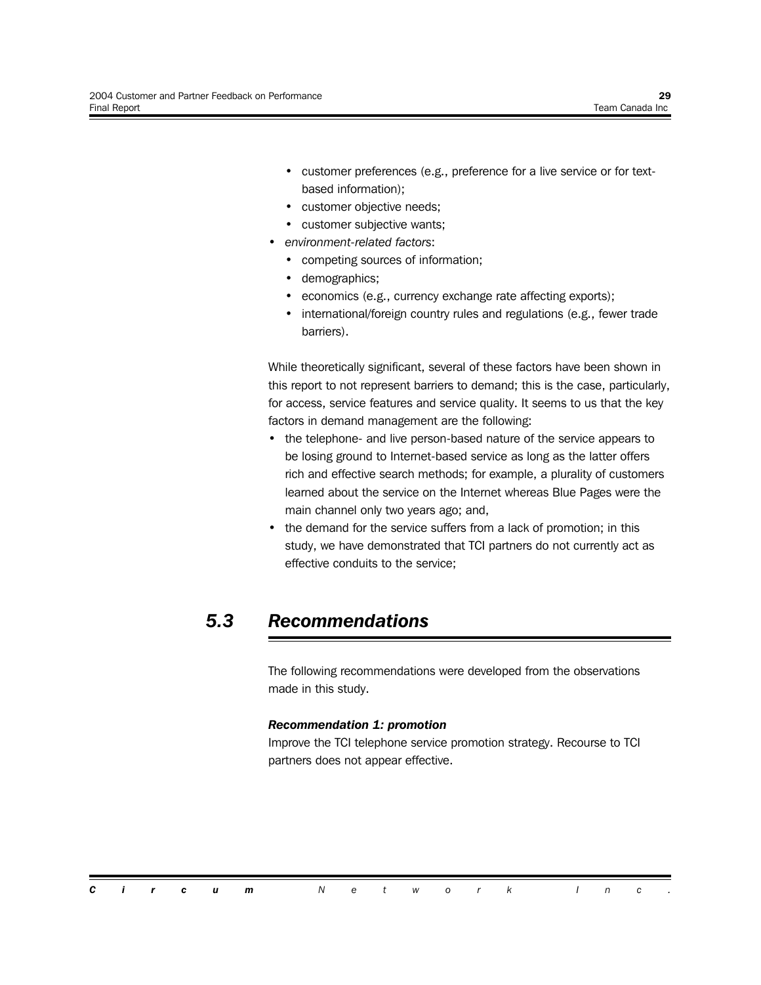- customer preferences (e.g., preference for a live service or for textbased information);
- customer objective needs;
- customer subjective wants;
- *environment-related factors*:
	- competing sources of information;
	- demographics;
	- economics (e.g., currency exchange rate affecting exports);
	- international/foreign country rules and regulations (e.g., fewer trade barriers).

While theoretically significant, several of these factors have been shown in this report to not represent barriers to demand; this is the case, particularly, for access, service features and service quality. It seems to us that the key factors in demand management are the following:

- the telephone- and live person-based nature of the service appears to be losing ground to Internet-based service as long as the latter offers rich and effective search methods; for example, a plurality of customers learned about the service on the Internet whereas Blue Pages were the main channel only two years ago; and,
- the demand for the service suffers from a lack of promotion; in this study, we have demonstrated that TCI partners do not currently act as effective conduits to the service;

### *5.3 Recommendations*

The following recommendations were developed from the observations made in this study.

### *Recommendation 1: promotion*

Improve the TCI telephone service promotion strategy. Recourse to TCI partners does not appear effective.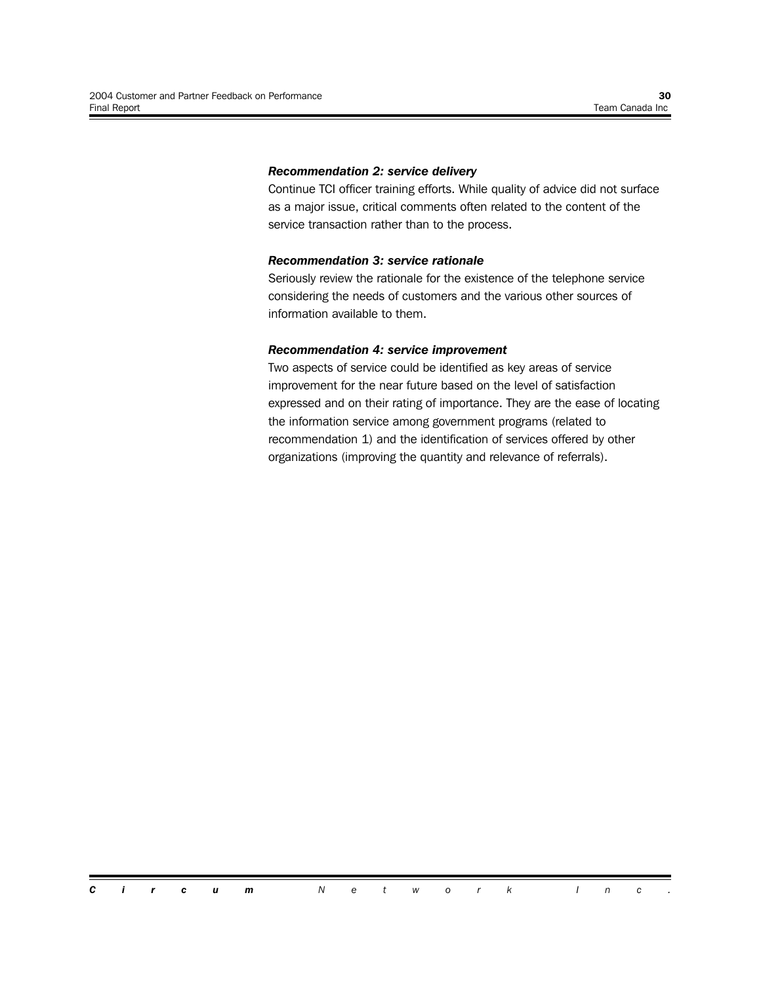#### *Recommendation 2: service delivery*

Continue TCI officer training efforts. While quality of advice did not surface as a major issue, critical comments often related to the content of the service transaction rather than to the process.

### *Recommendation 3: service rationale*

Seriously review the rationale for the existence of the telephone service considering the needs of customers and the various other sources of information available to them.

### *Recommendation 4: service improvement*

Two aspects of service could be identified as key areas of service improvement for the near future based on the level of satisfaction expressed and on their rating of importance. They are the ease of locating the information service among government programs (related to recommendation 1) and the identification of services offered by other organizations (improving the quantity and relevance of referrals).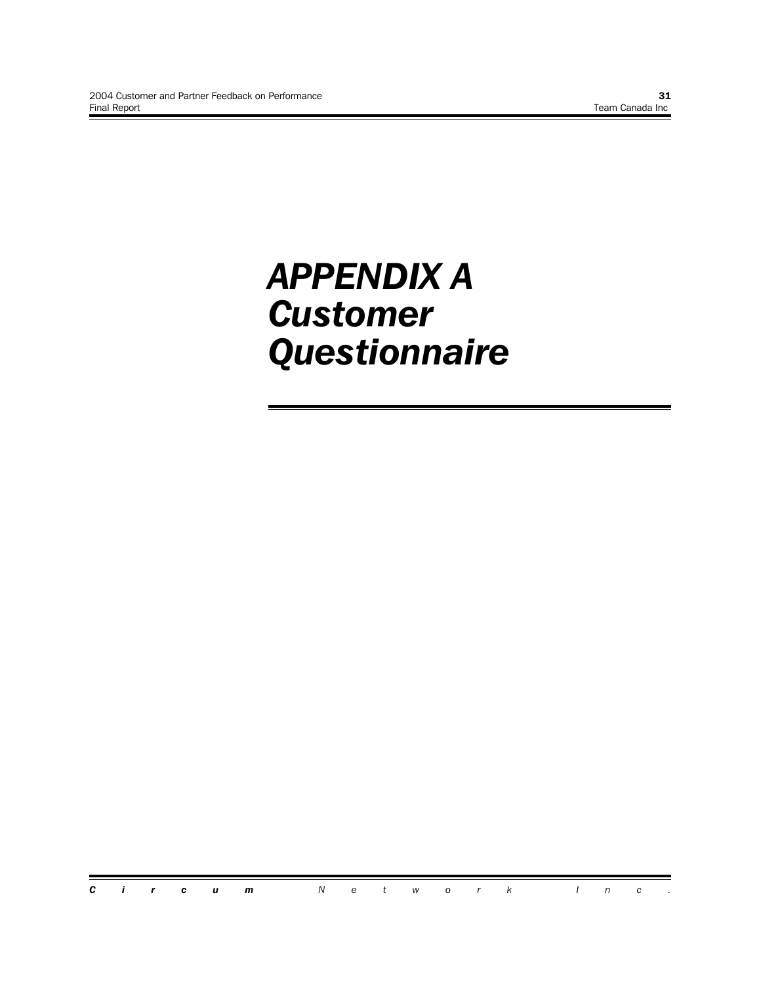## *APPENDIX A Customer Questionnaire*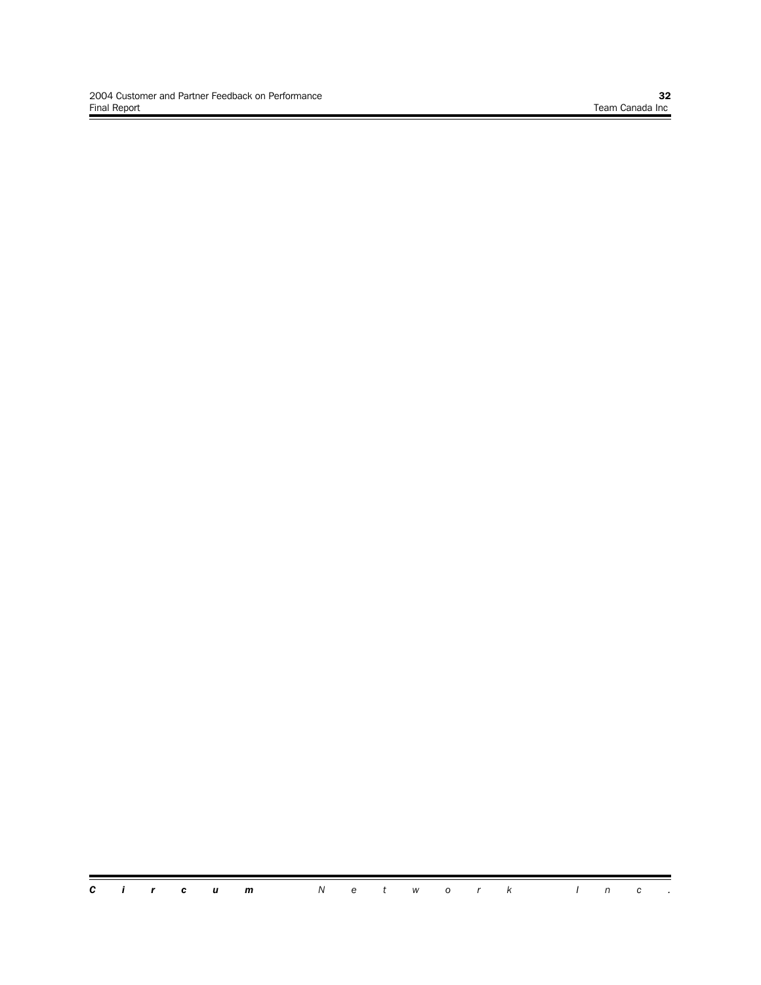Ξ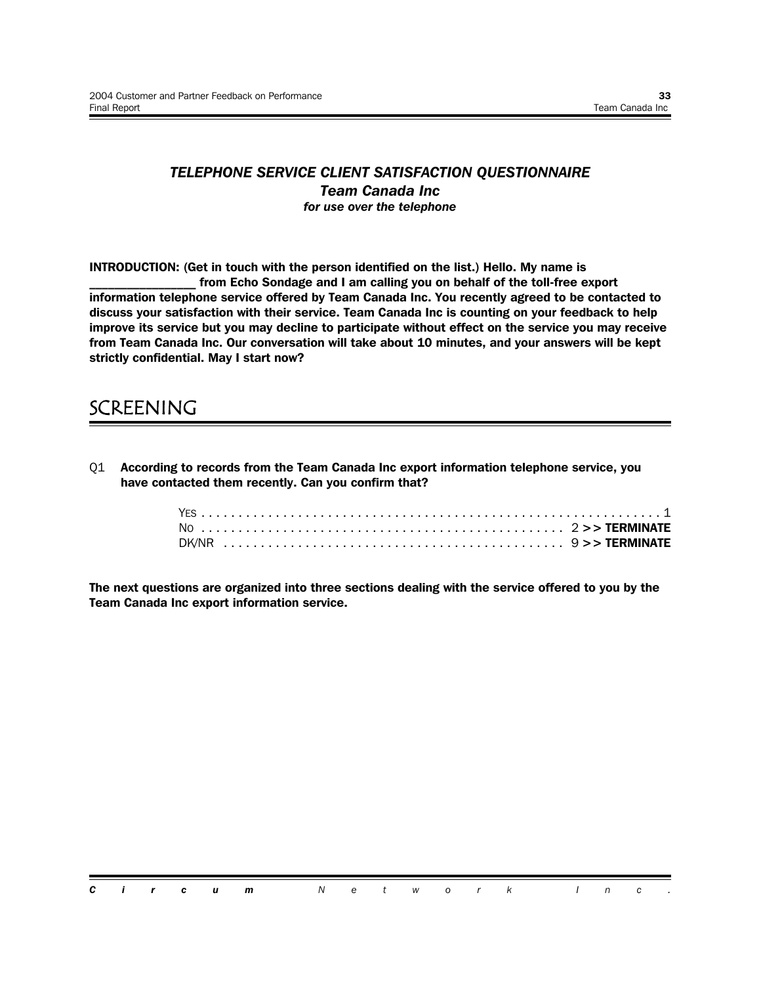### *TELEPHONE SERVICE CLIENT SATISFACTION QUESTIONNAIRE Team Canada Inc for use over the telephone*

**INTRODUCTION: (Get in touch with the person identified on the list.) Hello. My name is \_\_\_\_\_\_\_\_\_\_\_\_\_\_\_\_\_ from Echo Sondage and I am calling you on behalf of the toll-free export information telephone service offered by Team Canada Inc. You recently agreed to be contacted to discuss your satisfaction with their service. Team Canada Inc is counting on your feedback to help improve its service but you may decline to participate without effect on the service you may receive from Team Canada Inc. Our conversation will take about 10 minutes, and your answers will be kept strictly confidential. May I start now?**

### **SCREENING**

Q1 **According to records from the Team Canada Inc export information telephone service, you have contacted them recently. Can you confirm that?**

**The next questions are organized into three sections dealing with the service offered to you by the Team Canada Inc export information service.**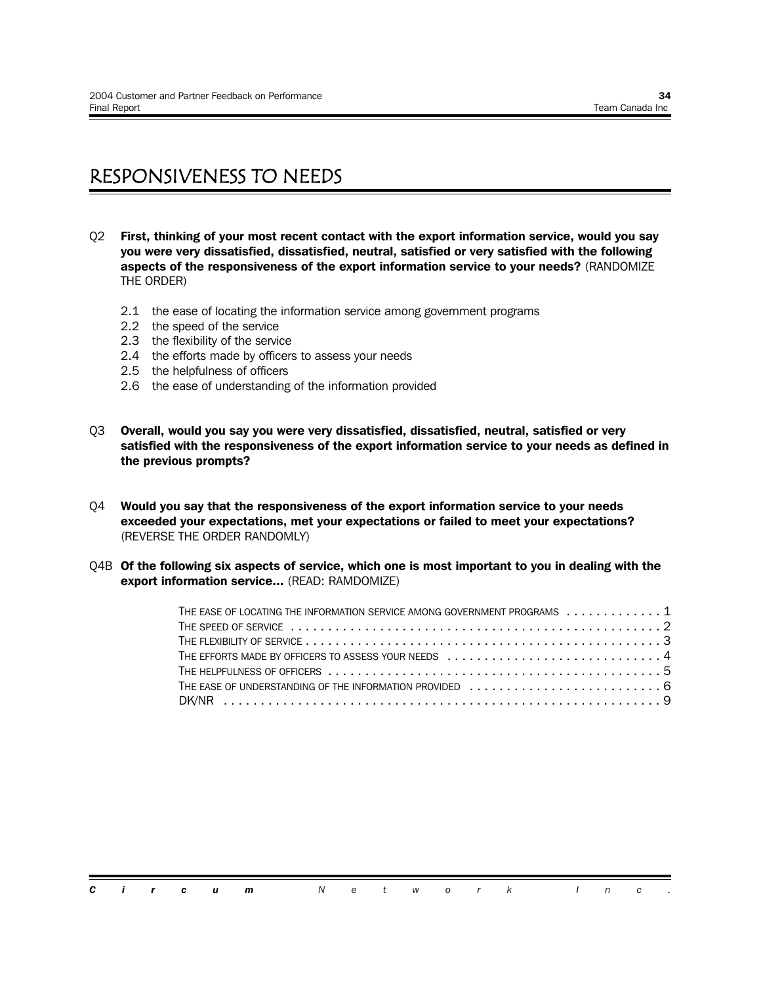### **RESPONSIVENESS TO NEEDS**

- Q2 **First, thinking of your most recent contact with the export information service, would you say you were very dissatisfied, dissatisfied, neutral, satisfied or very satisfied with the following aspects of the responsiveness of the export information service to your needs?** (RANDOMIZE THE ORDER)
	- 2.1 the ease of locating the information service among government programs
	- 2.2 the speed of the service
	- 2.3 the flexibility of the service
	- 2.4 the efforts made by officers to assess your needs
	- 2.5 the helpfulness of officers
	- 2.6 the ease of understanding of the information provided
- Q3 **Overall, would you say you were very dissatisfied, dissatisfied, neutral, satisfied or very satisfied with the responsiveness of the export information service to your needs as defined in the previous prompts?**
- Q4 **Would you say that the responsiveness of the export information service to your needs exceeded your expectations, met your expectations or failed to meet your expectations?** (REVERSE THE ORDER RANDOMLY)
- Q4B **Of the following six aspects of service, which one is most important to you in dealing with the export information service...** (READ: RAMDOMIZE)

| THE EASE OF LOCATING THE INFORMATION SERVICE AMONG GOVERNMENT PROGRAMS  1                                       |  |
|-----------------------------------------------------------------------------------------------------------------|--|
|                                                                                                                 |  |
|                                                                                                                 |  |
| THE EFFORTS MADE BY OFFICERS TO ASSESS YOUR NEEDS 4                                                             |  |
|                                                                                                                 |  |
| THE EASE OF UNDERSTANDING OF THE INFORMATION PROVIDED $\ldots \ldots \ldots \ldots \ldots \ldots \ldots \ldots$ |  |
|                                                                                                                 |  |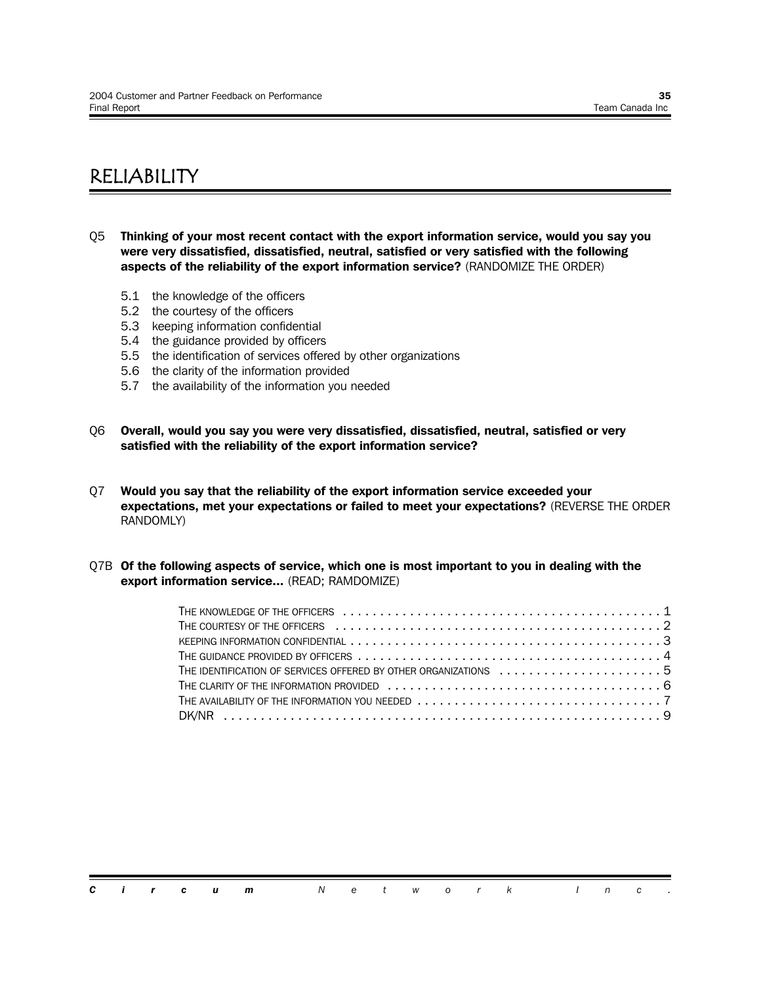### **RELIABILITY**

Q5 **Thinking of your most recent contact with the export information service, would you say you were very dissatisfied, dissatisfied, neutral, satisfied or very satisfied with the following aspects of the reliability of the export information service?** (RANDOMIZE THE ORDER)

- 5.1 the knowledge of the officers
- 5.2 the courtesy of the officers
- 5.3 keeping information confidential
- 5.4 the guidance provided by officers
- 5.5 the identification of services offered by other organizations
- 5.6 the clarity of the information provided
- 5.7 the availability of the information you needed
- Q6 **Overall, would you say you were very dissatisfied, dissatisfied, neutral, satisfied or very satisfied with the reliability of the export information service?**
- Q7 **Would you say that the reliability of the export information service exceeded your expectations, met your expectations or failed to meet your expectations?** (REVERSE THE ORDER RANDOMLY)
- Q7B **Of the following aspects of service, which one is most important to you in dealing with the export information service...** (READ; RAMDOMIZE)

| THE IDENTIFICATION OF SERVICES OFFERED BY OTHER ORGANIZATIONS 5 |
|-----------------------------------------------------------------|
|                                                                 |
|                                                                 |
|                                                                 |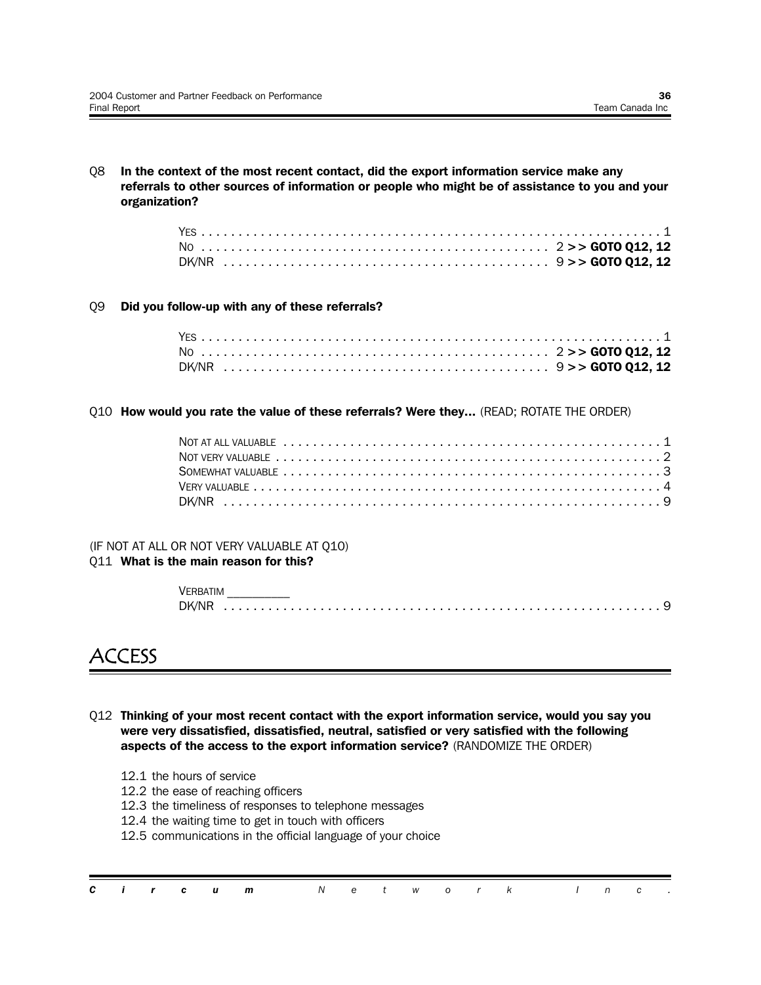Q8 **In the context of the most recent contact, did the export information service make any referrals to other sources of information or people who might be of assistance to you and your organization?**

### Q9 **Did you follow-up with any of these referrals?**

Q10 **How would you rate the value of these referrals? Were they...** (READ; ROTATE THE ORDER)

(IF NOT AT ALL OR NOT VERY VALUABLE AT Q10) Q11 **What is the main reason for this?**

| <b>VERRATIM</b> |  |
|-----------------|--|
| DK/NR           |  |

### **ACCESS**

- Q12 **Thinking of your most recent contact with the export information service, would you say you were very dissatisfied, dissatisfied, neutral, satisfied or very satisfied with the following aspects of the access to the export information service?** (RANDOMIZE THE ORDER)
	- 12.1 the hours of service
	- 12.2 the ease of reaching officers
	- 12.3 the timeliness of responses to telephone messages
	- 12.4 the waiting time to get in touch with officers
	- 12.5 communications in the official language of your choice

|  |  | <b>Circum</b> Network Inc. |  |  |  |  |  |  |
|--|--|----------------------------|--|--|--|--|--|--|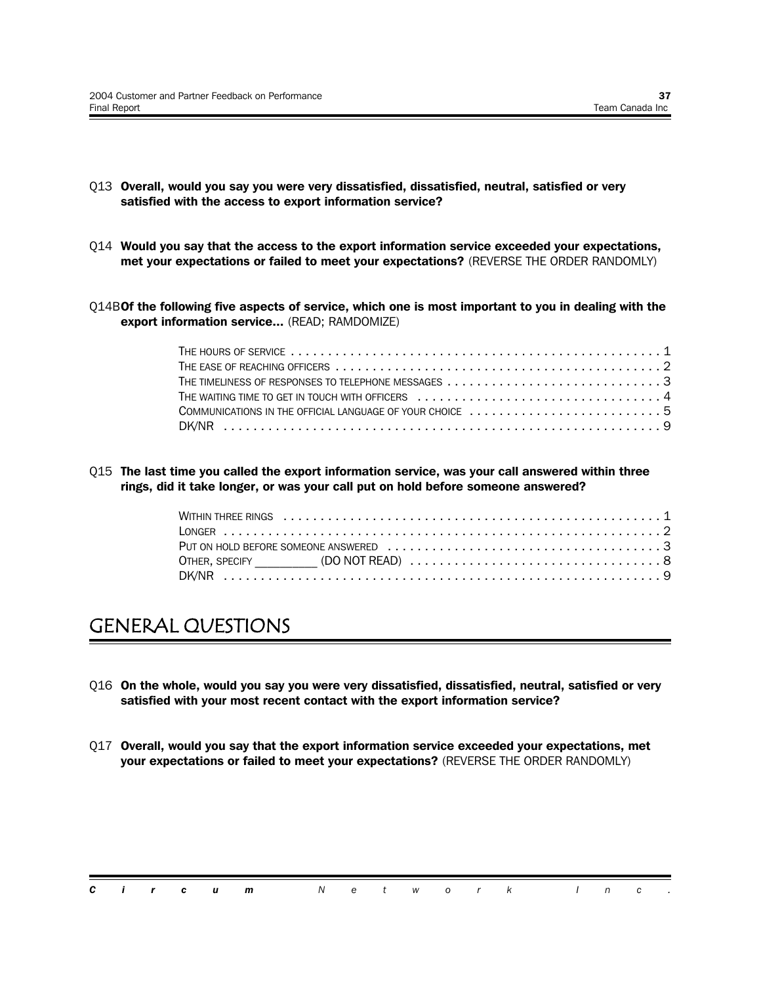- Q13 **Overall, would you say you were very dissatisfied, dissatisfied, neutral, satisfied or very satisfied with the access to export information service?**
- Q14 **Would you say that the access to the export information service exceeded your expectations, met your expectations or failed to meet your expectations?** (REVERSE THE ORDER RANDOMLY)
- Q14B**Of the following five aspects of service, which one is most important to you in dealing with the export information service...** (READ; RAMDOMIZE)

| THE HOURS OF SERVICE $\dots\dots\dots\dots\dots\dots\dots\dots\dots\dots\dots\dots\dots\dots\dots\dots\dots\dots$             |  |
|-------------------------------------------------------------------------------------------------------------------------------|--|
| THE EASE OF REACHING OFFICERS $\dots\dots\dots\dots\dots\dots\dots\dots\dots\dots\dots\dots\dots\dots\dots$                   |  |
| The timeliness of responses to telephone messages $\dots\dots\dots\dots\dots\dots\dots\dots\dots\dots\dots\dots$              |  |
| The waiting time to get in touch with officers $\dots\dots\dots\dots\dots\dots\dots\dots\dots\dots\dots\dots\dots\dots\dots4$ |  |
| COMMUNICATIONS IN THE OFFICIAL LANGUAGE OF YOUR CHOICE $\ldots \ldots \ldots \ldots \ldots \ldots \ldots \ldots \ldots 5$     |  |
|                                                                                                                               |  |

Q15 **The last time you called the export information service, was your call answered within three rings, did it take longer, or was your call put on hold before someone answered?**

### **GENERAL QUESTIONS**

- Q16 **On the whole, would you say you were very dissatisfied, dissatisfied, neutral, satisfied or very satisfied with your most recent contact with the export information service?**
- Q17 **Overall, would you say that the export information service exceeded your expectations, met your expectations or failed to meet your expectations?** (REVERSE THE ORDER RANDOMLY)

|  |  | <b>Circum</b> Network Inc. |  |  |  |  |  |  |
|--|--|----------------------------|--|--|--|--|--|--|
|  |  |                            |  |  |  |  |  |  |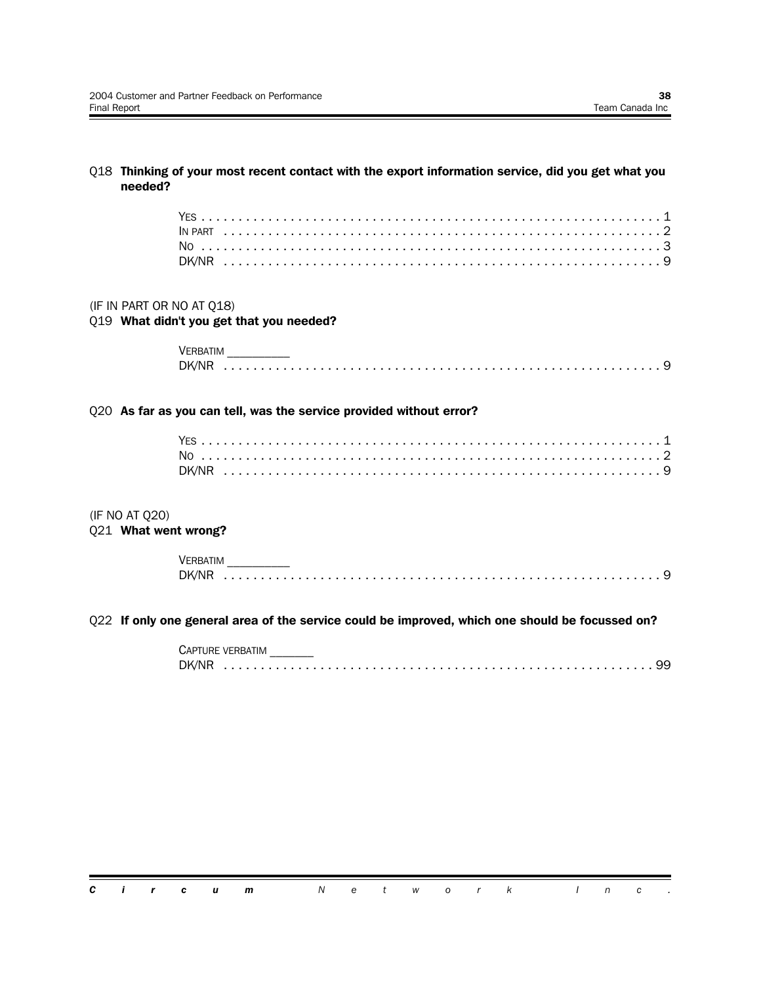Q18 **Thinking of your most recent contact with the export information service, did you get what you needed?**

#### (IF IN PART OR NO AT Q18)

#### Q19 **What didn't you get that you needed?**

| <b>VERRA</b> |  |  |  |  |
|--------------|--|--|--|--|
| <b>DK/NF</b> |  |  |  |  |

### Q20 **As far as you can tell, was the service provided without error?**

### (IF NO AT Q20)

### Q21 **What went wrong?**

| <b>VERRATIM</b> |  |  |  |  |  |  |  |
|-----------------|--|--|--|--|--|--|--|
|                 |  |  |  |  |  |  |  |

### Q22 **If only one general area of the service could be improved, which one should be focussed on?**

CAPTURE VERBATIM DK/NR .......................................................... 99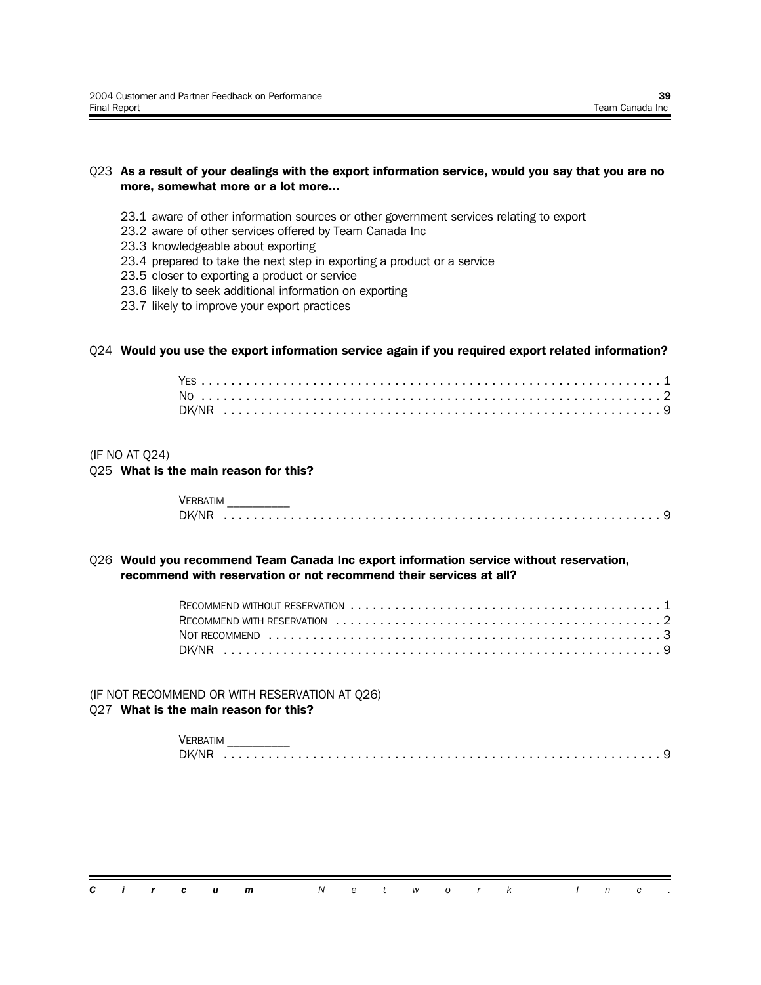### Q23 **As a result of your dealings with the export information service, would you say that you are no more, somewhat more or a lot more...**

- 23.1 aware of other information sources or other government services relating to export
- 23.2 aware of other services offered by Team Canada Inc
- 23.3 knowledgeable about exporting
- 23.4 prepared to take the next step in exporting a product or a service
- 23.5 closer to exporting a product or service
- 23.6 likely to seek additional information on exporting
- 23.7 likely to improve your export practices

### Q24 **Would you use the export information service again if you required export related information?**

### (IF NO AT Q24)

### Q25 **What is the main reason for this?**

| <b>VERRATIM</b> |  |  |  |  |  |  |  |  |  |  |  |  |  |  |  |  |  |  |  |
|-----------------|--|--|--|--|--|--|--|--|--|--|--|--|--|--|--|--|--|--|--|
|                 |  |  |  |  |  |  |  |  |  |  |  |  |  |  |  |  |  |  |  |

### Q26 **Would you recommend Team Canada Inc export information service without reservation, recommend with reservation or not recommend their services at all?**

### (IF NOT RECOMMEND OR WITH RESERVATION AT Q26) Q27 **What is the main reason for this?**

| Verra |  |
|-------|--|
|       |  |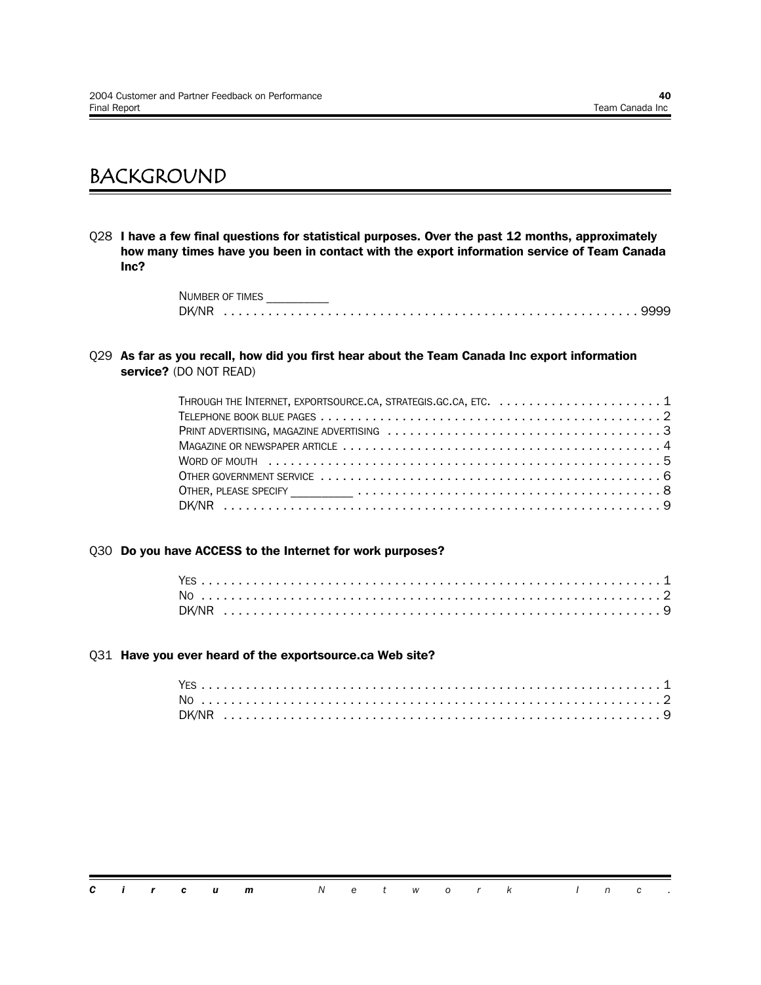### **BACKGROUND**

Q28 **I have a few final questions for statistical purposes. Over the past 12 months, approximately how many times have you been in contact with the export information service of Team Canada Inc?**

| NUMBER OF TIMES |  |  |  |  |  |  |  |  |  |  |  |  |  |  |  |  |  |  |  |  |  |
|-----------------|--|--|--|--|--|--|--|--|--|--|--|--|--|--|--|--|--|--|--|--|--|
|                 |  |  |  |  |  |  |  |  |  |  |  |  |  |  |  |  |  |  |  |  |  |

### Q29 **As far as you recall, how did you first hear about the Team Canada Inc export information service?** (DO NOT READ)

| THROUGH THE INTERNET, EXPORTSOURCE.CA, STRATEGIS.GC.CA, ETC.  1 |
|-----------------------------------------------------------------|
|                                                                 |
|                                                                 |
|                                                                 |
|                                                                 |
|                                                                 |
|                                                                 |
|                                                                 |

#### Q30 **Do you have ACCESS to the Internet for work purposes?**

#### Q31 **Have you ever heard of the exportsource.ca Web site?**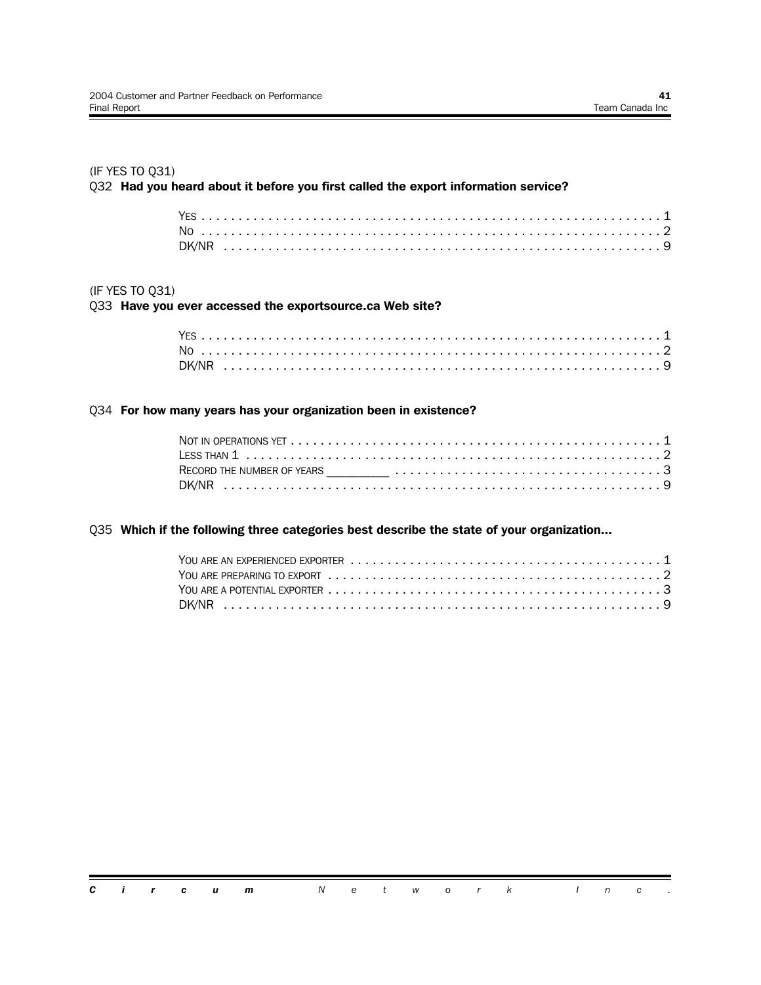### (IF YES TO Q31)

### Q32 **Had you heard about it before you first called the export information service?**

### (IF YES TO Q31)

### Q33 **Have you ever accessed the exportsource.ca Web site?**

### Q34 **For how many years has your organization been in existence?**

### Q35 **Which if the following three categories best describe the state of your organization...**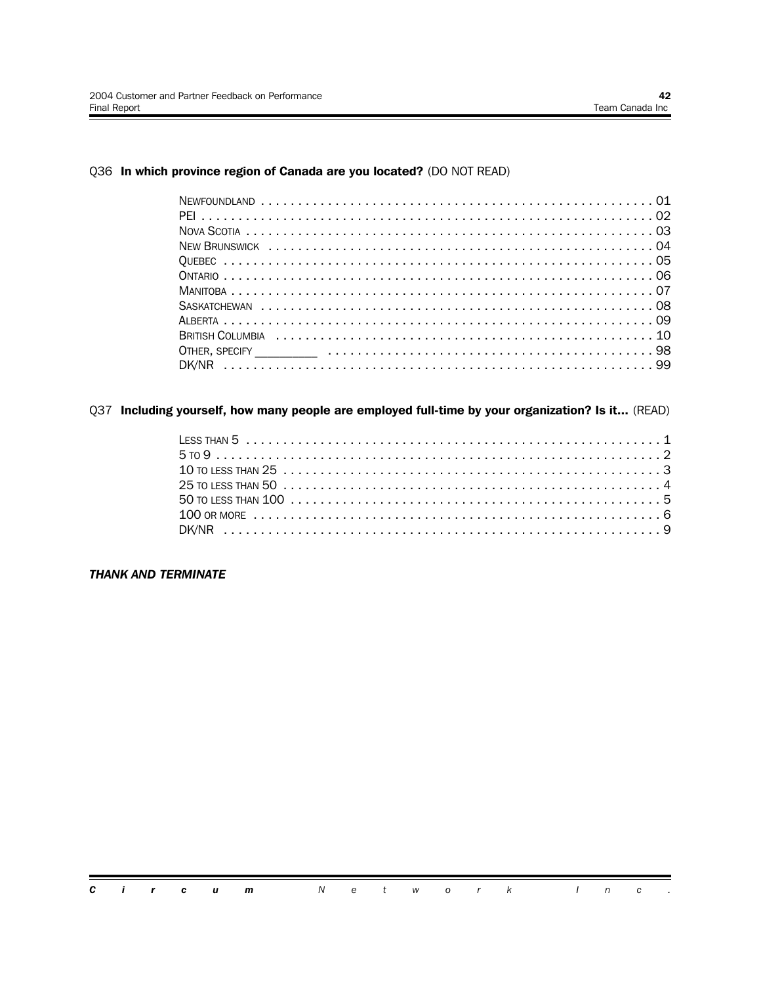### Q36 In which province region of Canada are you located? (DO NOT READ)

### Q37 Including yourself, how many people are employed full-time by your organization? Is it... (READ)

### **THANK AND TERMINATE**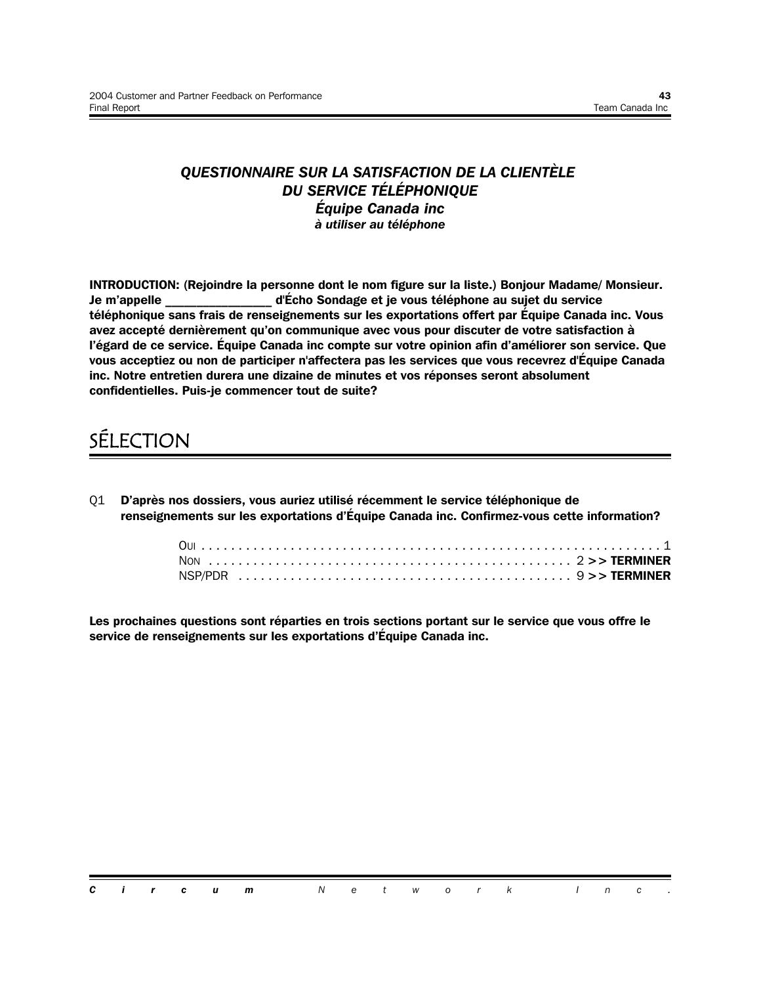### *QUESTIONNAIRE SUR LA SATISFACTION DE LA CLIENTÈLE DU SERVICE TÉLÉPHONIQUE Équipe Canada inc à utiliser au téléphone*

**INTRODUCTION: (Rejoindre la personne dont le nom figure sur la liste.) Bonjour Madame/ Monsieur. Je m'appelle \_\_\_\_\_\_\_\_\_\_\_\_\_\_\_\_\_ d'Écho Sondage et je vous téléphone au sujet du service téléphonique sans frais de renseignements sur les exportations offert par Équipe Canada inc. Vous avez accepté dernièrement qu'on communique avec vous pour discuter de votre satisfaction à l'égard de ce service. Équipe Canada inc compte sur votre opinion afin d'améliorer son service. Que vous acceptiez ou non de participer n'affectera pas les services que vous recevrez d'Équipe Canada inc. Notre entretien durera une dizaine de minutes et vos réponses seront absolument confidentielles. Puis-je commencer tout de suite?**

### **SÉLECTION**

Q1 **D'après nos dossiers, vous auriez utilisé récemment le service téléphonique de renseignements sur les exportations d'Équipe Canada inc. Confirmez-vous cette information?**

**Les prochaines questions sont réparties en trois sections portant sur le service que vous offre le service de renseignements sur les exportations d'Équipe Canada inc.**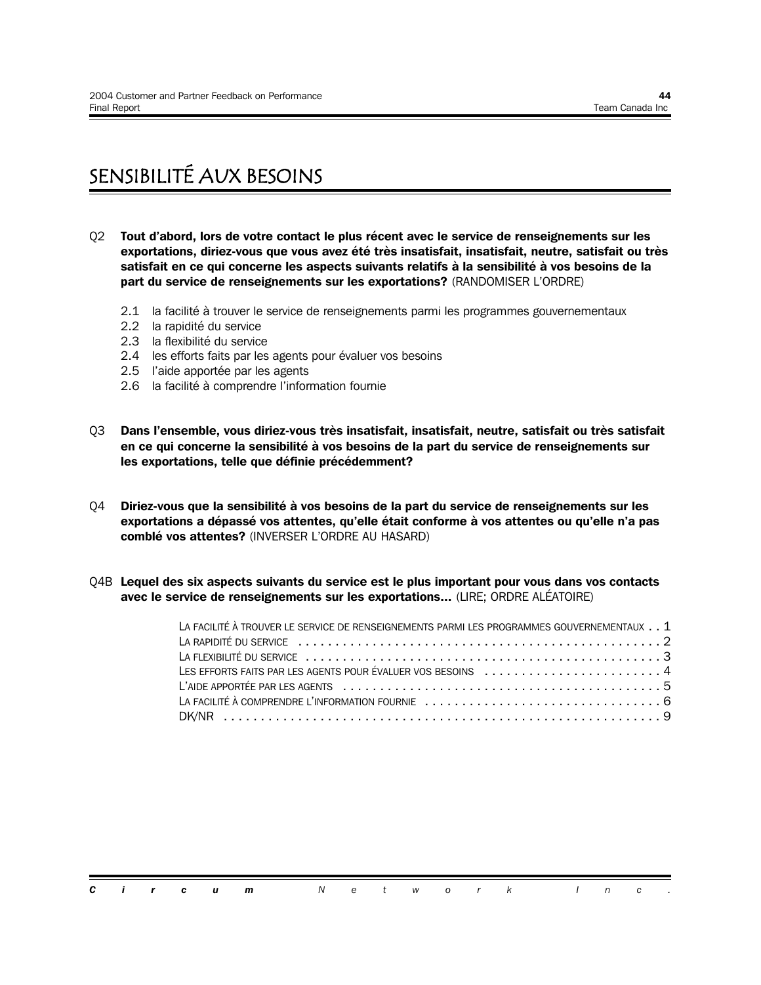### **SENSIBILITÉ AUX BESOINS**

- Q2 **Tout d'abord, lors de votre contact le plus récent avec le service de renseignements sur les exportations, diriez-vous que vous avez été très insatisfait, insatisfait, neutre, satisfait ou très satisfait en ce qui concerne les aspects suivants relatifs à la sensibilité à vos besoins de la part du service de renseignements sur les exportations?** (RANDOMISER L'ORDRE)
	- 2.1 la facilité à trouver le service de renseignements parmi les programmes gouvernementaux
	- 2.2 la rapidité du service
	- 2.3 la flexibilité du service
	- 2.4 les efforts faits par les agents pour évaluer vos besoins
	- 2.5 l'aide apportée par les agents
	- 2.6 la facilité à comprendre l'information fournie
- Q3 **Dans l'ensemble, vous diriez-vous très insatisfait, insatisfait, neutre, satisfait ou très satisfait en ce qui concerne la sensibilité à vos besoins de la part du service de renseignements sur les exportations, telle que définie précédemment?**
- Q4 **Diriez-vous que la sensibilité à vos besoins de la part du service de renseignements sur les exportations a dépassé vos attentes, qu'elle était conforme à vos attentes ou qu'elle n'a pas comblé vos attentes?** (INVERSER L'ORDRE AU HASARD)
- Q4B **Lequel des six aspects suivants du service est le plus important pour vous dans vos contacts avec le service de renseignements sur les exportations...** (LIRE; ORDRE ALÉATOIRE)

| LA FACILITÉ À TROUVER LE SERVICE DE RENSEIGNEMENTS PARMI LES PROGRAMMES GOUVERNEMENTAUX 1 |  |
|-------------------------------------------------------------------------------------------|--|
|                                                                                           |  |
|                                                                                           |  |
| LES EFFORTS FAITS PAR LES AGENTS POUR ÉVALUER VOS BESOINS  4                              |  |
|                                                                                           |  |
|                                                                                           |  |
|                                                                                           |  |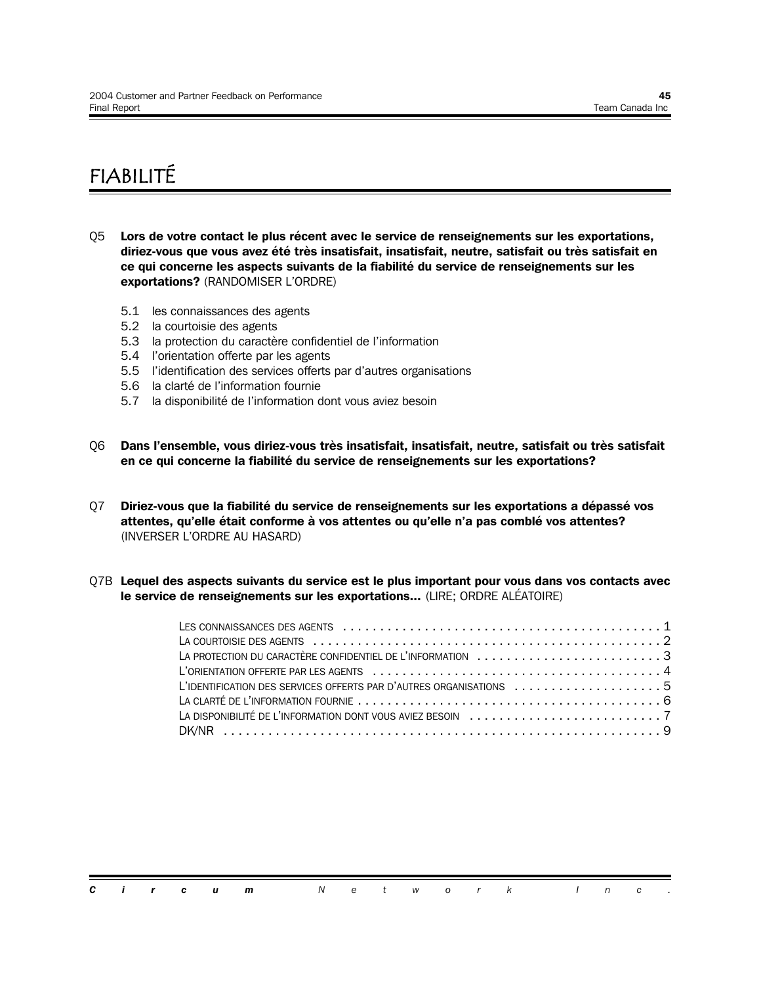### **FIABILITÉ**

- Q5 **Lors de votre contact le plus récent avec le service de renseignements sur les exportations, diriez-vous que vous avez été très insatisfait, insatisfait, neutre, satisfait ou très satisfait en ce qui concerne les aspects suivants de la fiabilité du service de renseignements sur les exportations?** (RANDOMISER L'ORDRE)
	- 5.1 les connaissances des agents
	- 5.2 la courtoisie des agents
	- 5.3 la protection du caractère confidentiel de l'information
	- 5.4 l'orientation offerte par les agents
	- 5.5 l'identification des services offerts par d'autres organisations
	- 5.6 la clarté de l'information fournie
	- 5.7 la disponibilité de l'information dont vous aviez besoin
- Q6 **Dans l'ensemble, vous diriez-vous très insatisfait, insatisfait, neutre, satisfait ou très satisfait en ce qui concerne la fiabilité du service de renseignements sur les exportations?**
- Q7 **Diriez-vous que la fiabilité du service de renseignements sur les exportations a dépassé vos attentes, qu'elle était conforme à vos attentes ou qu'elle n'a pas comblé vos attentes?** (INVERSER L'ORDRE AU HASARD)
- Q7B **Lequel des aspects suivants du service est le plus important pour vous dans vos contacts avec le service de renseignements sur les exportations...** (LIRE; ORDRE ALÉATOIRE)

| LA PROTECTION DU CARACTÈRE CONFIDENTIEL DE L'INFORMATION 3         |  |
|--------------------------------------------------------------------|--|
|                                                                    |  |
| L'IDENTIFICATION DES SERVICES OFFERTS PAR D'AUTRES ORGANISATIONS 5 |  |
|                                                                    |  |
|                                                                    |  |
|                                                                    |  |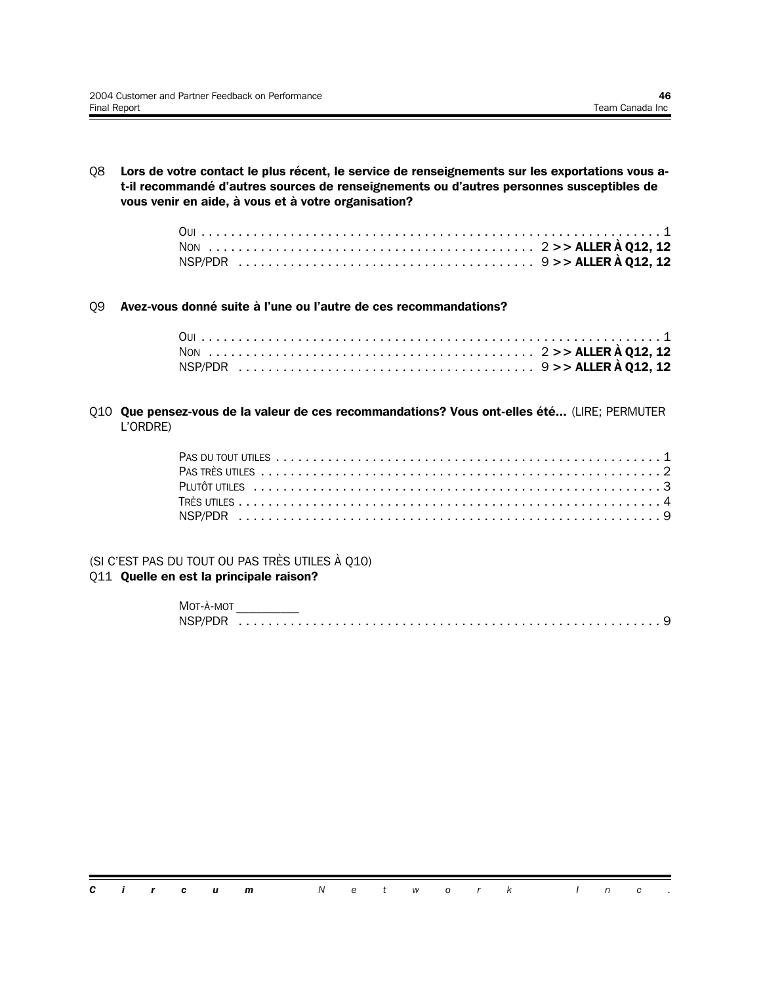Q8 **Lors de votre contact le plus récent, le service de renseignements sur les exportations vous at-il recommandé d'autres sources de renseignements ou d'autres personnes susceptibles de vous venir en aide, à vous et à votre organisation?**

Q9 **Avez-vous donné suite à l'une ou l'autre de ces recommandations?**

Q10 **Que pensez-vous de la valeur de ces recommandations? Vous ont-elles été...** (LIRE; PERMUTER L'ORDRE)

(SI C'EST PAS DU TOUT OU PAS TRÈS UTILES À Q10) Q11 **Quelle en est la principale raison?**

| Мот-А-мот |  |
|-----------|--|
| NSP/PDR   |  |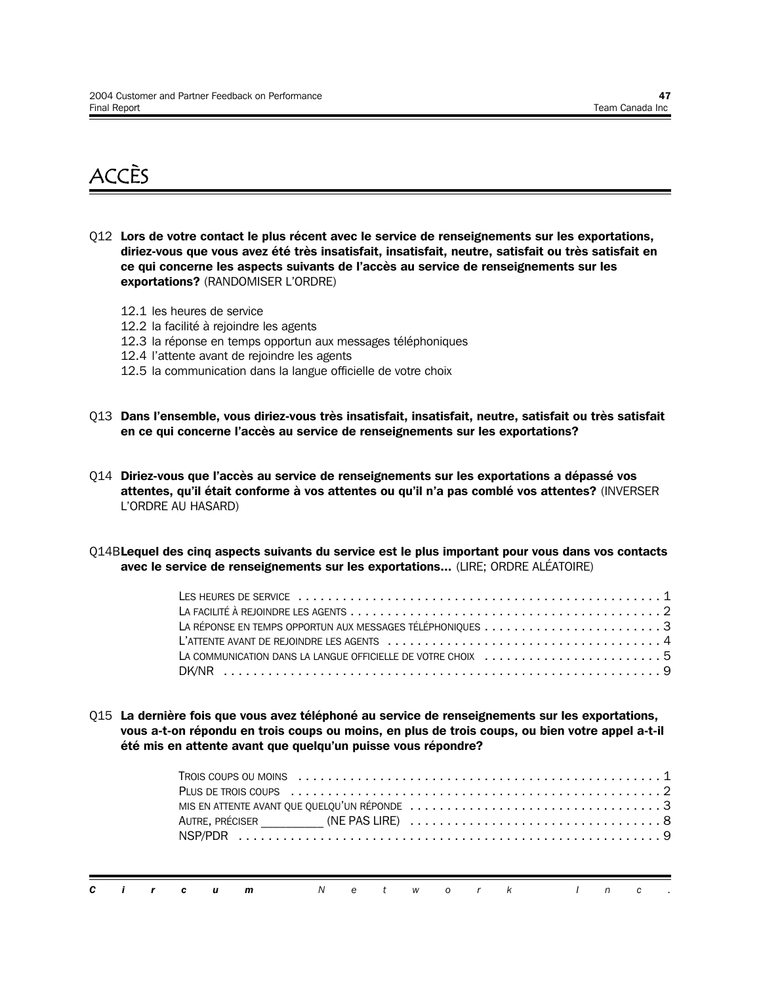### **ACCÈS**

- Q12 **Lors de votre contact le plus récent avec le service de renseignements sur les exportations, diriez-vous que vous avez été très insatisfait, insatisfait, neutre, satisfait ou très satisfait en ce qui concerne les aspects suivants de l'accès au service de renseignements sur les exportations?** (RANDOMISER L'ORDRE)
	- 12.1 les heures de service
	- 12.2 la facilité à rejoindre les agents
	- 12.3 la réponse en temps opportun aux messages téléphoniques
	- 12.4 l'attente avant de rejoindre les agents
	- 12.5 la communication dans la langue officielle de votre choix
- Q13 **Dans l'ensemble, vous diriez-vous très insatisfait, insatisfait, neutre, satisfait ou très satisfait en ce qui concerne l'accès au service de renseignements sur les exportations?**
- Q14 **Diriez-vous que l'accès au service de renseignements sur les exportations a dépassé vos attentes, qu'il était conforme à vos attentes ou qu'il n'a pas comblé vos attentes?** (INVERSER L'ORDRE AU HASARD)
- Q14B**Lequel des cinq aspects suivants du service est le plus important pour vous dans vos contacts avec le service de renseignements sur les exportations...** (LIRE; ORDRE ALÉATOIRE)

| LA RÉPONSE EN TEMPS OPPORTUN AUX MESSAGES TÉLÉPHONIQUES 3                                                                              |
|----------------------------------------------------------------------------------------------------------------------------------------|
| L'ATTENTE AVANT DE REJOINDRE LES AGENTS $\ldots \ldots \ldots \ldots \ldots \ldots \ldots \ldots \ldots \ldots \ldots \ldots \ldots 4$ |
|                                                                                                                                        |
|                                                                                                                                        |

Q15 **La dernière fois que vous avez téléphoné au service de renseignements sur les exportations, vous a-t-on répondu en trois coups ou moins, en plus de trois coups, ou bien votre appel a-t-il été mis en attente avant que quelqu'un puisse vous répondre?**

|  |  | <b>Circum</b> Network Inc. |  |  |  |  |  |  |
|--|--|----------------------------|--|--|--|--|--|--|
|  |  |                            |  |  |  |  |  |  |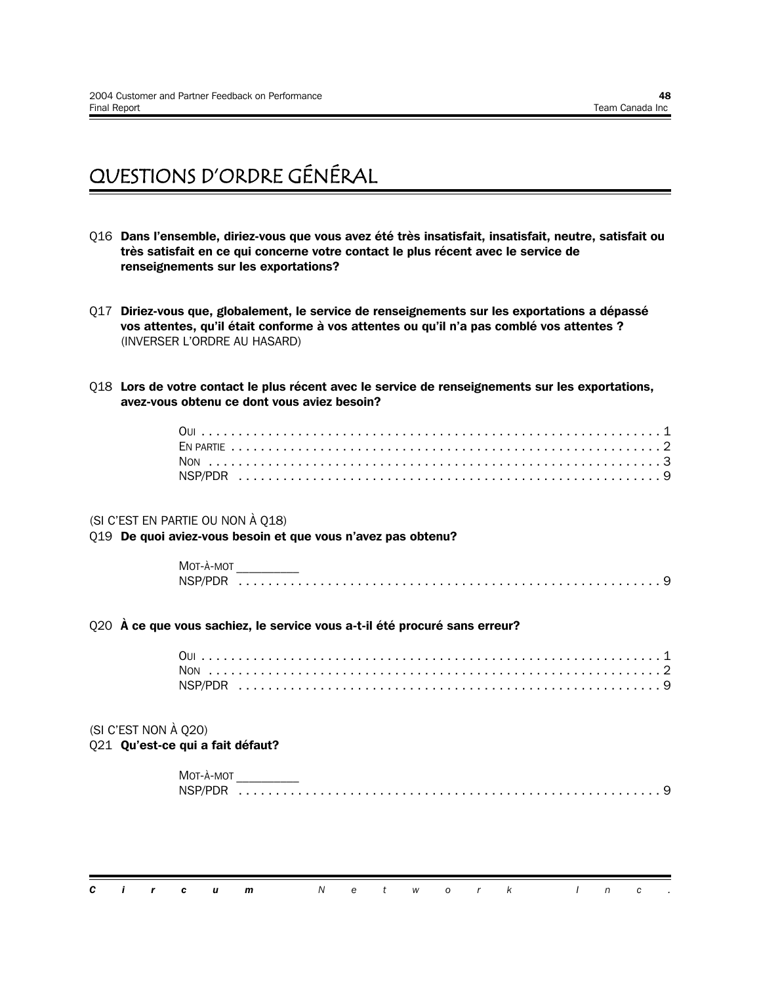### **QUESTIONS D'ORDRE GÉNÉRAL**

- Q16 **Dans l'ensemble, diriez-vous que vous avez été très insatisfait, insatisfait, neutre, satisfait ou très satisfait en ce qui concerne votre contact le plus récent avec le service de renseignements sur les exportations?**
- Q17 **Diriez-vous que, globalement, le service de renseignements sur les exportations a dépassé vos attentes, qu'il était conforme à vos attentes ou qu'il n'a pas comblé vos attentes ?** (INVERSER L'ORDRE AU HASARD)
- Q18 **Lors de votre contact le plus récent avec le service de renseignements sur les exportations, avez-vous obtenu ce dont vous aviez besoin?**

### (SI C'EST EN PARTIE OU NON À Q18)

Q19 **De quoi aviez-vous besoin et que vous n'avez pas obtenu?**

| Мот-А-мот |  |  |  |  |  |  |  |  |  |  |  |  |  |  |  |  |
|-----------|--|--|--|--|--|--|--|--|--|--|--|--|--|--|--|--|
|           |  |  |  |  |  |  |  |  |  |  |  |  |  |  |  |  |

Q20 **À ce que vous sachiez, le service vous a-t-il été procuré sans erreur?**

### (SI C'EST NON À Q20) Q21 **Qu'est-ce qui a fait défaut?**

*C i r cum N e twor k I n c .*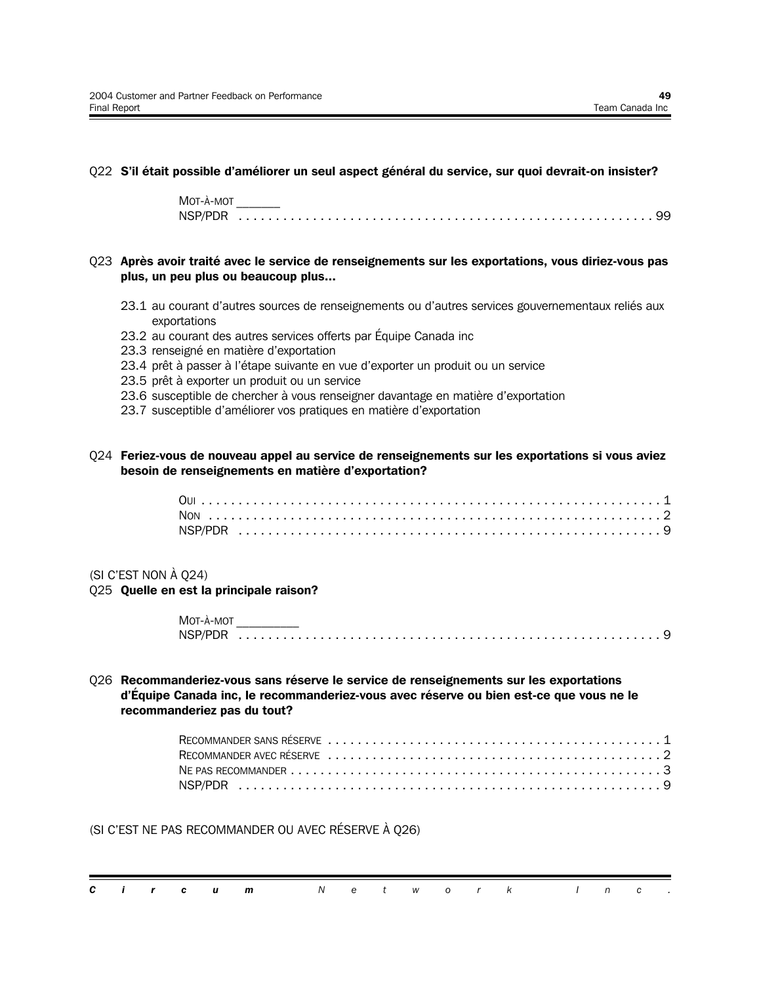#### Q22 **S'il était possible d'améliorer un seul aspect général du service, sur quoi devrait-on insister?**

| MOT-À-MOT |  |  |  |  |  |  |  |  |  |
|-----------|--|--|--|--|--|--|--|--|--|
|           |  |  |  |  |  |  |  |  |  |

### Q23 **Après avoir traité avec le service de renseignements sur les exportations, vous diriez-vous pas plus, un peu plus ou beaucoup plus...**

- 23.1 au courant d'autres sources de renseignements ou d'autres services gouvernementaux reliés aux exportations
- 23.2 au courant des autres services offerts par Équipe Canada inc
- 23.3 renseigné en matière d'exportation
- 23.4 prêt à passer à l'étape suivante en vue d'exporter un produit ou un service
- 23.5 prêt à exporter un produit ou un service
- 23.6 susceptible de chercher à vous renseigner davantage en matière d'exportation
- 23.7 susceptible d'améliorer vos pratiques en matière d'exportation
- Q24 **Feriez-vous de nouveau appel au service de renseignements sur les exportations si vous aviez besoin de renseignements en matière d'exportation?**

#### (SI C'EST NON À Q24)

#### Q25 **Quelle en est la principale raison?**

| Mot-À-MOT |  |
|-----------|--|
|           |  |

### Q26 **Recommanderiez-vous sans réserve le service de renseignements sur les exportations d'Équipe Canada inc, le recommanderiez-vous avec réserve ou bien est-ce que vous ne le recommanderiez pas du tout?**

### (SI C'EST NE PAS RECOMMANDER OU AVEC RÉSERVE À Q26)

|  |  | <b>Circum</b> Network Inc. |  |  |  |  |  |  |
|--|--|----------------------------|--|--|--|--|--|--|
|  |  |                            |  |  |  |  |  |  |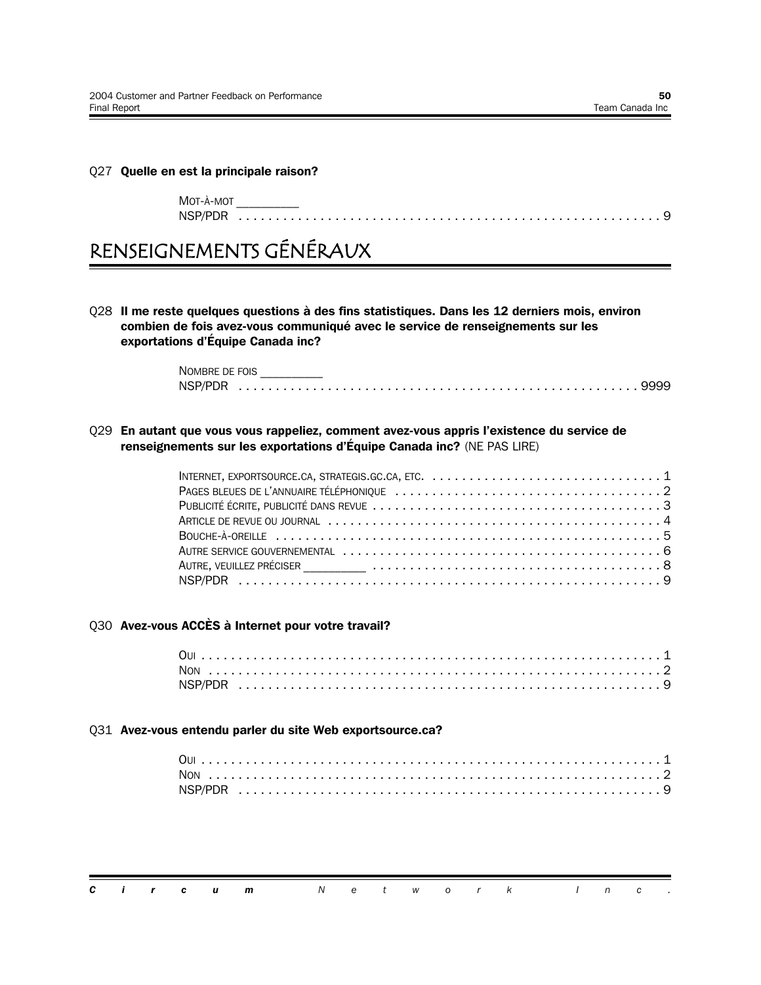Q27 **Quelle en est la principale raison?**

| MOT-À-MOT |  |  |  |
|-----------|--|--|--|
|           |  |  |  |

### **RENSEIGNEMENTS GÉNÉRAUX**

Q28 **Il me reste quelques questions à des fins statistiques. Dans les 12 derniers mois, environ combien de fois avez-vous communiqué avec le service de renseignements sur les exportations d'Équipe Canada inc?**

| NOMBRE DE FOIS |  |  |  |  |  |  |  |  |  |  |  |  |  |  |  |  |  |  |
|----------------|--|--|--|--|--|--|--|--|--|--|--|--|--|--|--|--|--|--|
| NSP/PDR        |  |  |  |  |  |  |  |  |  |  |  |  |  |  |  |  |  |  |

Q29 **En autant que vous vous rappeliez, comment avez-vous appris l'existence du service de renseignements sur les exportations d'Équipe Canada inc?** (NE PAS LIRE)

| INTERNET, EXPORTSOURCE.CA, STRATEGIS.GC.CA, ETC. $\ldots \ldots \ldots \ldots \ldots \ldots \ldots \ldots \ldots \ldots \ldots \ldots$ |
|----------------------------------------------------------------------------------------------------------------------------------------|
|                                                                                                                                        |
|                                                                                                                                        |
|                                                                                                                                        |
|                                                                                                                                        |
|                                                                                                                                        |
|                                                                                                                                        |
|                                                                                                                                        |

### Q30 **Avez-vous ACCÈS à Internet pour votre travail?**

### Q31 **Avez-vous entendu parler du site Web exportsource.ca?**

|  |  |  |  |  | <b>Circum</b> Network Inc. |  |  |  |  |  |  |  |  |  |  |  |
|--|--|--|--|--|----------------------------|--|--|--|--|--|--|--|--|--|--|--|
|--|--|--|--|--|----------------------------|--|--|--|--|--|--|--|--|--|--|--|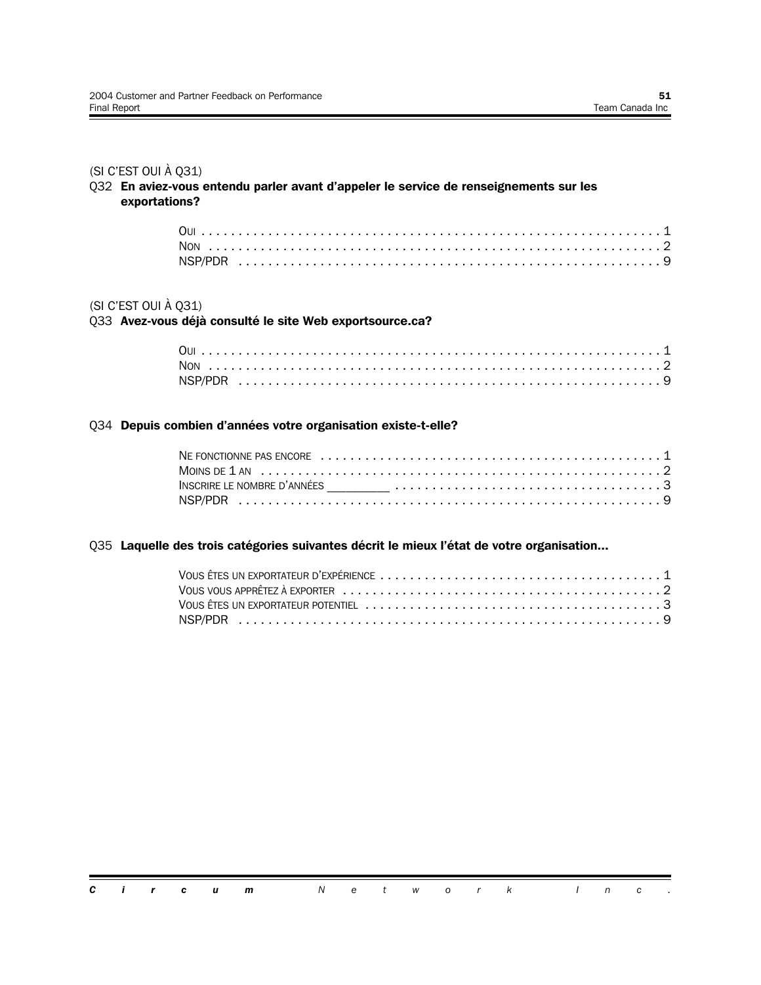### (SI C'EST OUI À Q31)

### Q32 **En aviez-vous entendu parler avant d'appeler le service de renseignements sur les exportations?**

### (SI C'EST OUI À Q31)

Q33 **Avez-vous déjà consulté le site Web exportsource.ca?**

### Q34 **Depuis combien d'années votre organisation existe-t-elle?**

| NE FONCTIONNE PAS ENCORE $\dots\dots\dots\dots\dots\dots\dots\dots\dots\dots\dots\dots\dots\dots\dots\dots$ |  |
|-------------------------------------------------------------------------------------------------------------|--|
| MOINS DE $1$ AN $\dots\dots\dots\dots\dots\dots\dots\dots\dots\dots\dots\dots\dots\dots\dots\dots$          |  |
|                                                                                                             |  |
|                                                                                                             |  |

### Q35 **Laquelle des trois catégories suivantes décrit le mieux l'état de votre organisation...**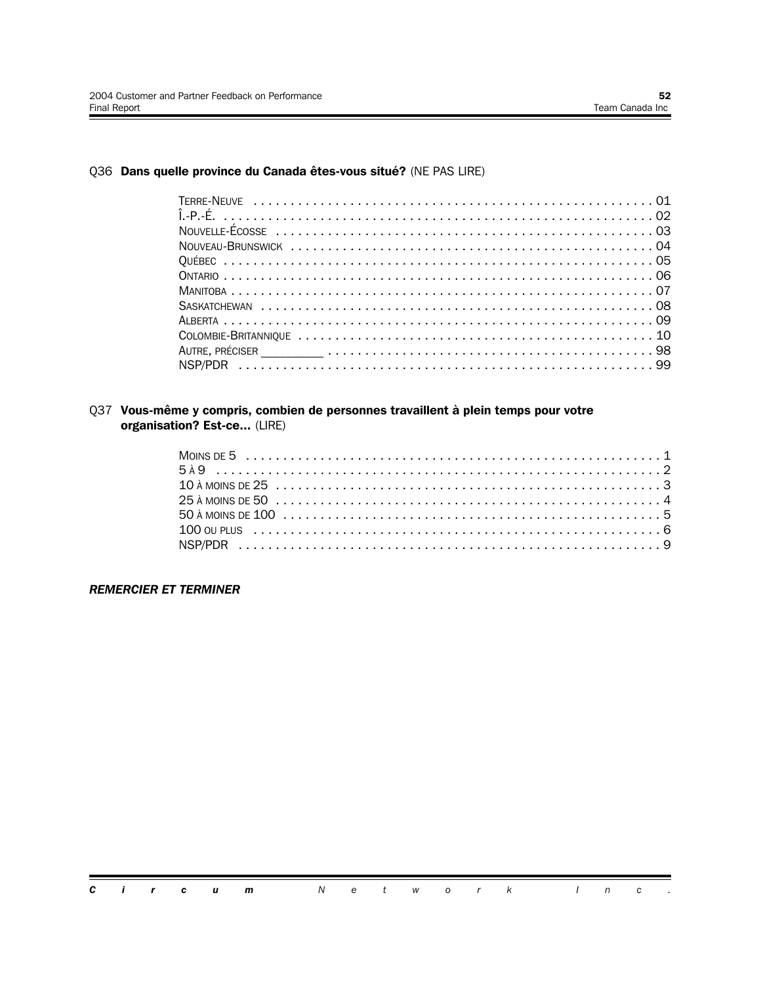### Q36 **Dans quelle province du Canada êtes-vous situé?** (NE PAS LIRE)

### Q37 **Vous-même y compris, combien de personnes travaillent à plein temps pour votre organisation? Est-ce...** (LIRE)

### *REMERCIER ET TERMINER*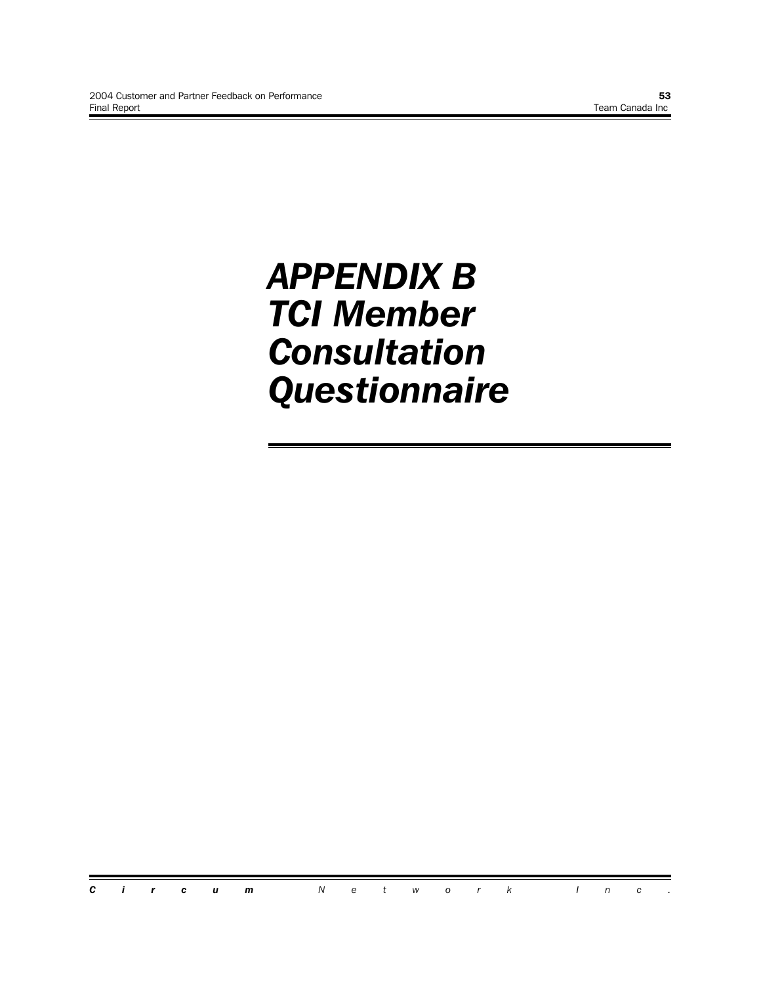## *APPENDIX B TCI Member Consultation Questionnaire*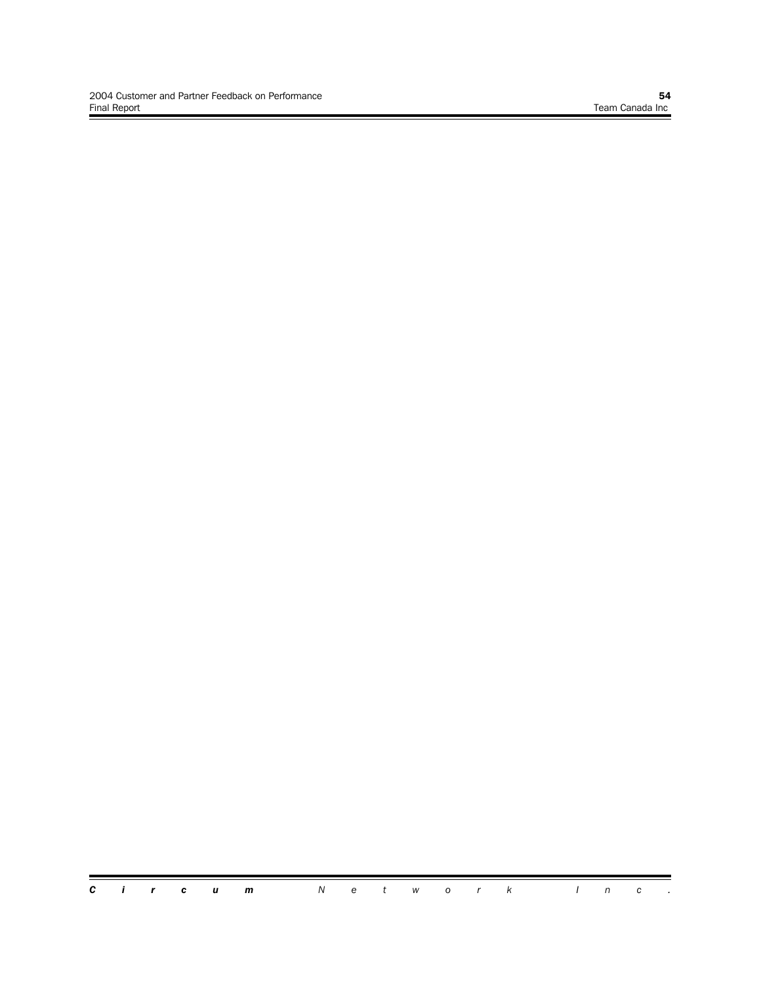Ξ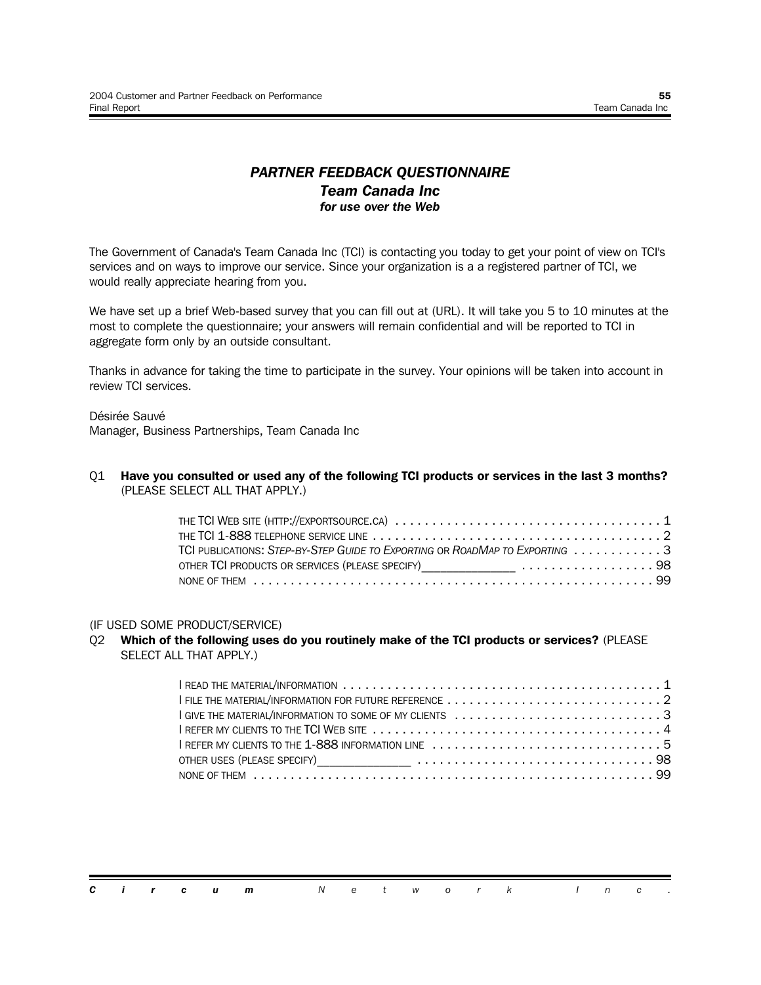### *PARTNER FEEDBACK QUESTIONNAIRE Team Canada Inc for use over the Web*

The Government of Canada's Team Canada Inc (TCI) is contacting you today to get your point of view on TCI's services and on ways to improve our service. Since your organization is a a registered partner of TCI, we would really appreciate hearing from you.

We have set up a brief Web-based survey that you can fill out at (URL). It will take you 5 to 10 minutes at the most to complete the questionnaire; your answers will remain confidential and will be reported to TCI in aggregate form only by an outside consultant.

Thanks in advance for taking the time to participate in the survey. Your opinions will be taken into account in review TCI services.

Désirée Sauvé Manager, Business Partnerships, Team Canada Inc

### Q1 **Have you consulted or used any of the following TCI products or services in the last 3 months?** (PLEASE SELECT ALL THAT APPLY.)

| TCI PUBLICATIONS: STEP-BY-STEP GUIDE TO EXPORTING OR ROADMAP TO EXPORTING 3 |  |
|-----------------------------------------------------------------------------|--|
|                                                                             |  |
|                                                                             |  |

### (IF USED SOME PRODUCT/SERVICE)

### Q2 **Which of the following uses do you routinely make of the TCI products or services?** (PLEASE SELECT ALL THAT APPLY.)

| I REFER MY CLIENTS TO THE 1-888 INFORMATION LINE 5 |  |
|----------------------------------------------------|--|
|                                                    |  |
|                                                    |  |

|  |  |  | <b>Circum</b> Network Inc. |  |  |  |  |  |  |
|--|--|--|----------------------------|--|--|--|--|--|--|
|  |  |  |                            |  |  |  |  |  |  |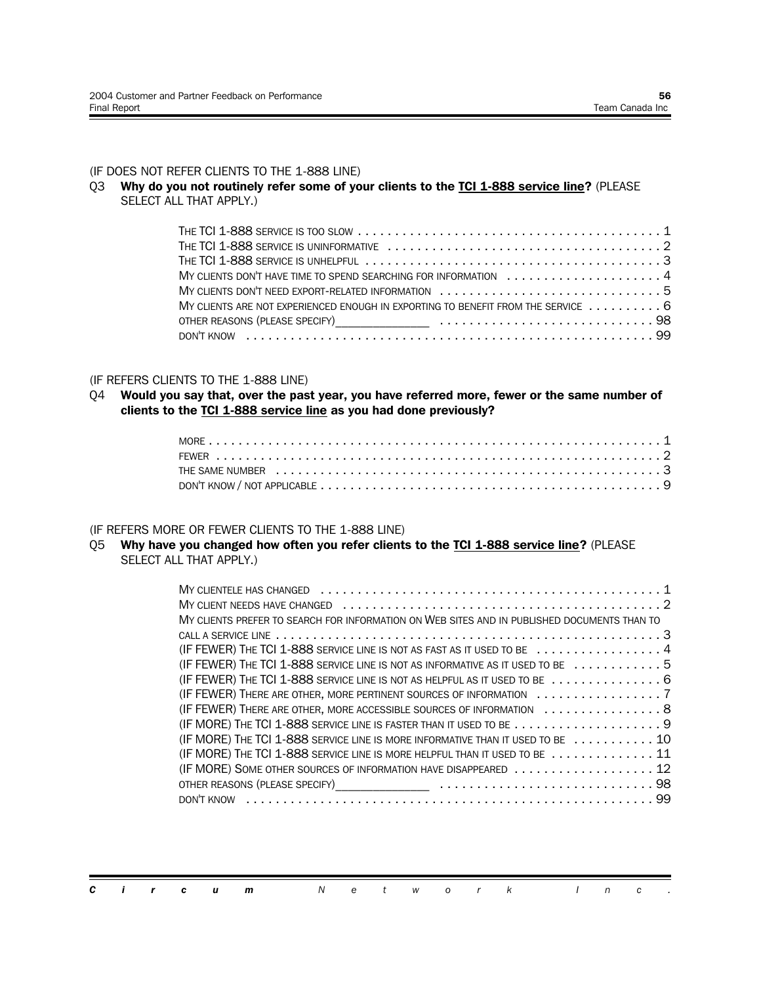#### (IF DOES NOT REFER CLIENTS TO THE 1-888 LINE)

### Q3 **Why do you not routinely refer some of your clients to the TCI 1-888 service line?** (PLEASE SELECT ALL THAT APPLY.)

| My CLIENTS DON'T HAVE TIME TO SPEND SEARCHING FOR INFORMATION 4                                    |  |
|----------------------------------------------------------------------------------------------------|--|
|                                                                                                    |  |
| MY CLIENTS ARE NOT EXPERIENCED ENOUGH IN EXPORTING TO BENEFIT FROM THE SERVICE $\dots \dots \dots$ |  |
|                                                                                                    |  |
|                                                                                                    |  |

### (IF REFERS CLIENTS TO THE 1-888 LINE)

Q4 **Would you say that, over the past year, you have referred more, fewer or the same number of clients to the TCI 1-888 service line as you had done previously?**

### (IF REFERS MORE OR FEWER CLIENTS TO THE 1-888 LINE)

Q5 **Why have you changed how often you refer clients to the TCI 1-888 service line?** (PLEASE SELECT ALL THAT APPLY.)

| MY CLIENTS PREFER TO SEARCH FOR INFORMATION ON WEB SITES AND IN PUBLISHED DOCUMENTS THAN TO              |
|----------------------------------------------------------------------------------------------------------|
|                                                                                                          |
| (IF FEWER) THE TCI 1-888 SERVICE LINE IS NOT AS FAST AS IT USED TO BE $\dots\dots\dots\dots\dots\dots$   |
| (IF FEWER) THE TCI 1-888 SERVICE LINE IS NOT AS INFORMATIVE AS IT USED TO BE $\dots\dots\dots\dots5$     |
| (IF FEWER) THE TCI 1-888 SERVICE LINE IS NOT AS HELPFUL AS IT USED TO BE $\ldots \ldots \ldots \ldots$   |
|                                                                                                          |
| (IF FEWER) THERE ARE OTHER, MORE ACCESSIBLE SOURCES OF INFORMATION  8                                    |
| (IF MORE) THE TCI 1-888 SERVICE LINE IS FASTER THAN IT USED TO BE $\dots\dots\dots\dots\dots\dots\dots$  |
| (IF MORE) THE TCI 1-888 SERVICE LINE IS MORE INFORMATIVE THAN IT USED TO BE 10                           |
| (IF MORE) THE TCI 1-888 SERVICE LINE IS MORE HELPFUL THAN IT USED TO BE $\ldots \ldots \ldots \ldots 11$ |
| (IF MORE) SOME OTHER SOURCES OF INFORMATION HAVE DISAPPEARED $\ldots \ldots \ldots \ldots \ldots \ldots$ |
|                                                                                                          |
|                                                                                                          |

|  |  | <b>Circum</b> Network Inc. |  |  |  |  |  |  |
|--|--|----------------------------|--|--|--|--|--|--|
|  |  |                            |  |  |  |  |  |  |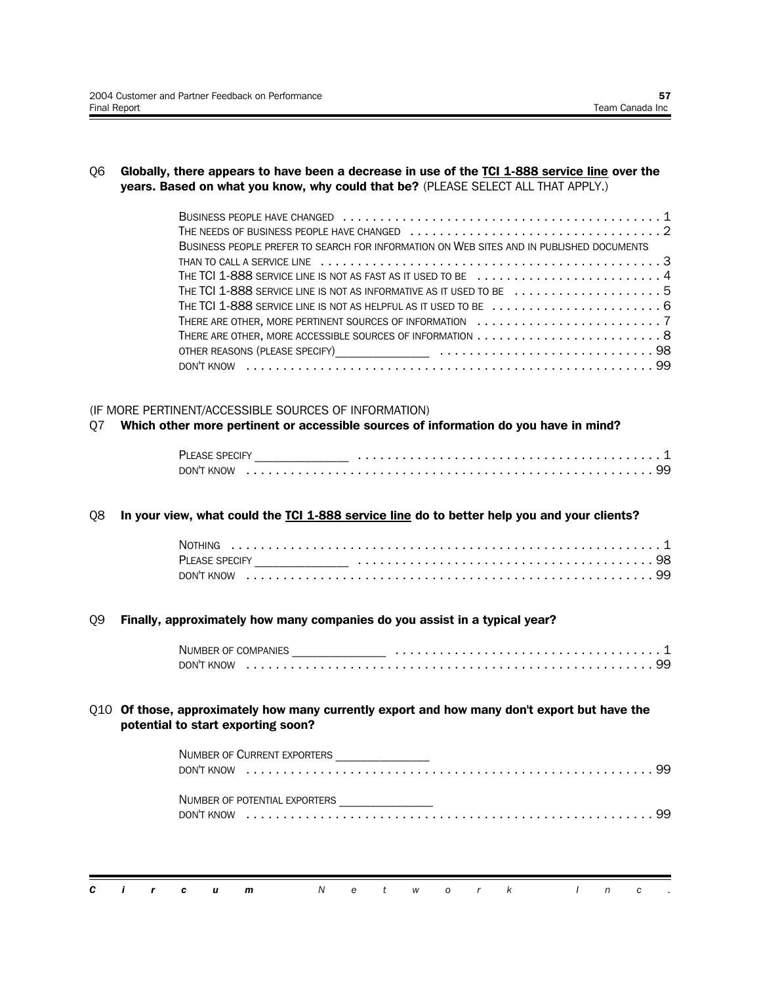| Q6 Globally, there appears to have been a decrease in use of the TCI 1-888 service line over the |
|--------------------------------------------------------------------------------------------------|
| years. Based on what you know, why could that be? (PLEASE SELECT ALL THAT APPLY.)                |

| BUSINESS PEOPLE PREFER TO SEARCH FOR INFORMATION ON WEB SITES AND IN PUBLISHED DOCUMENTS                      |
|---------------------------------------------------------------------------------------------------------------|
|                                                                                                               |
| THE TCI 1-888 SERVICE LINE IS NOT AS FAST AS IT USED TO BE 4                                                  |
| THE TCI 1-888 SERVICE LINE IS NOT AS INFORMATIVE AS IT USED TO BE 5                                           |
| THE TCI 1-888 SERVICE LINE IS NOT AS HELPFUL AS IT USED TO BE quantity and the state of the TCI 1-888 SERVICE |
|                                                                                                               |
|                                                                                                               |
|                                                                                                               |
|                                                                                                               |

### (IF MORE PERTINENT/ACCESSIBLE SOURCES OF INFORMATION)

### Q7 **Which other more pertinent or accessible sources of information do you have in mind?**

| PI FASE SPECIEY      |  |  |
|----------------------|--|--|
| DON'I<br><b>KNOW</b> |  |  |

#### Q8 **In your view, what could the TCI 1-888 service line do to better help you and your clients?**

| PLEASE SPECIFY |  |  |
|----------------|--|--|
|                |  |  |

#### Q9 **Finally, approximately how many companies do you assist in a typical year?**

| NUMBER OF COMPANIES        |  |
|----------------------------|--|
| DON'T<br><sup>-</sup> KNOW |  |

### Q10 **Of those, approximately how many currently export and how many don't export but have the potential to start exporting soon?**

| NUMBER OF CURRENT EXPORTERS   |  |
|-------------------------------|--|
| NUMBER OF POTENTIAL EXPORTERS |  |

|  |  |  | <b>Circum</b> Network Inc. |  |  |  |  |  |  |
|--|--|--|----------------------------|--|--|--|--|--|--|
|  |  |  |                            |  |  |  |  |  |  |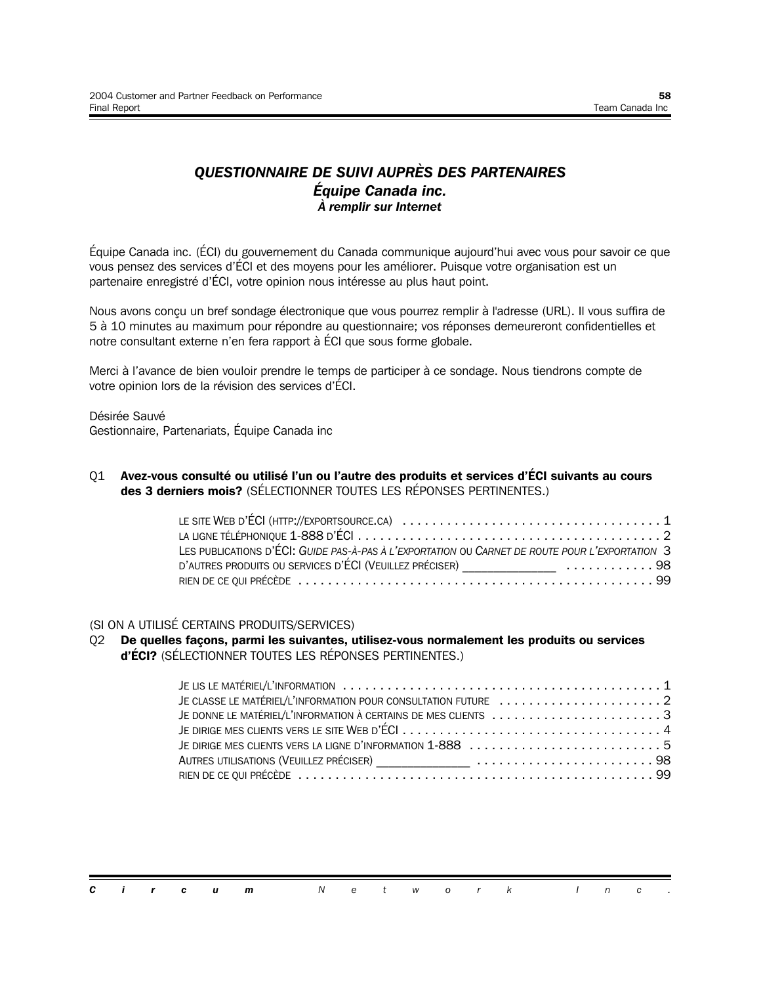### *QUESTIONNAIRE DE SUIVI AUPRÈS DES PARTENAIRES Équipe Canada inc. À remplir sur Internet*

Équipe Canada inc. (ÉCI) du gouvernement du Canada communique aujourd'hui avec vous pour savoir ce que vous pensez des services d'ÉCI et des moyens pour les améliorer. Puisque votre organisation est un partenaire enregistré d'ÉCI, votre opinion nous intéresse au plus haut point.

Nous avons conçu un bref sondage électronique que vous pourrez remplir à l'adresse (URL). Il vous suffira de 5 à 10 minutes au maximum pour répondre au questionnaire; vos réponses demeureront confidentielles et notre consultant externe n'en fera rapport à ÉCI que sous forme globale.

Merci à l'avance de bien vouloir prendre le temps de participer à ce sondage. Nous tiendrons compte de votre opinion lors de la révision des services d'ÉCI.

Désirée Sauvé Gestionnaire, Partenariats, Équipe Canada inc

### Q1 **Avez-vous consulté ou utilisé l'un ou l'autre des produits et services d'ÉCI suivants au cours des 3 derniers mois?** (SÉLECTIONNER TOUTES LES RÉPONSES PERTINENTES.)

| LES PUBLICATIONS D'ÉCI: GUIDE PAS-À-PAS À L'EXPORTATION OU CARNET DE ROUTE POUR L'EXPORTATION 3 |  |
|-------------------------------------------------------------------------------------------------|--|
|                                                                                                 |  |
|                                                                                                 |  |

### (SI ON A UTILISÉ CERTAINS PRODUITS/SERVICES)

### Q2 **De quelles façons, parmi les suivantes, utilisez-vous normalement les produits ou services d'ÉCI?** (SÉLECTIONNER TOUTES LES RÉPONSES PERTINENTES.)

| JE DONNE LE MATÉRIEL/L'INFORMATION À CERTAINS DE MES CLIENTS 3 |  |  |  |  |  |  |  |
|----------------------------------------------------------------|--|--|--|--|--|--|--|
|                                                                |  |  |  |  |  |  |  |
| JE DIRIGE MES CLIENTS VERS LA LIGNE D'INFORMATION 1-888 5      |  |  |  |  |  |  |  |
|                                                                |  |  |  |  |  |  |  |
|                                                                |  |  |  |  |  |  |  |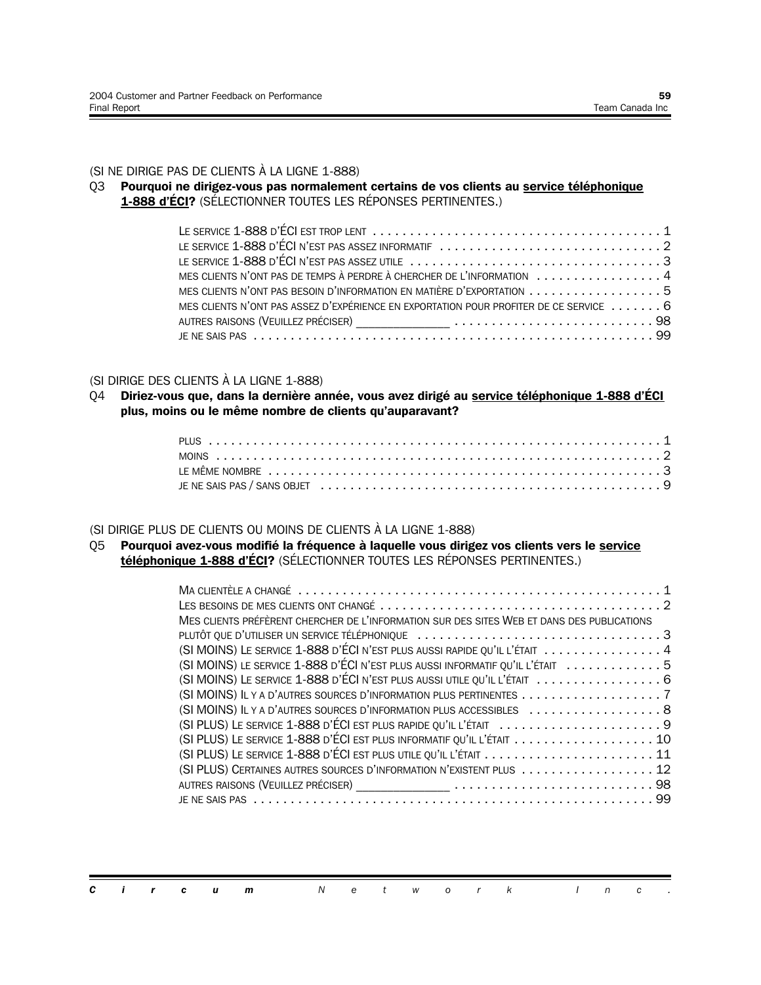### (SI NE DIRIGE PAS DE CLIENTS À LA LIGNE 1-888)

Q3 **Pourquoi ne dirigez-vous pas normalement certains de vos clients au service téléphonique 1-888 d'ÉCI?** (SÉLECTIONNER TOUTES LES RÉPONSES PERTINENTES.)

| MES CLIENTS N'ONT PAS DE TEMPS À PERDRE À CHERCHER DE L'INFORMATION $\ldots \ldots \ldots \ldots$         |
|-----------------------------------------------------------------------------------------------------------|
| MES CLIENTS N'ONT PAS BESOIN D'INFORMATION EN MATIÈRE D'EXPORTATION 5                                     |
| MES CLIENTS N'ONT PAS ASSEZ D'EXPÉRIENCE EN EXPORTATION POUR PROFITER DE CE SERVICE $\dots \dots$         |
| AUTRES RAISONS (VEUILLEZ PRÉCISER) AUTRES EN ENTRAÎTES DE LA CONSTRUCTION DES RAISONS (VEUILLEZ PRÉCISER) |
|                                                                                                           |

### (SI DIRIGE DES CLIENTS À LA LIGNE 1-888)

Q4 **Diriez-vous que, dans la dernière année, vous avez dirigé au service téléphonique 1-888 d'ÉCI plus, moins ou le même nombre de clients qu'auparavant?**

(SI DIRIGE PLUS DE CLIENTS OU MOINS DE CLIENTS À LA LIGNE 1-888)

Q5 **Pourquoi avez-vous modifié la fréquence à laquelle vous dirigez vos clients vers le service téléphonique 1-888 d'ÉCI?** (SÉLECTIONNER TOUTES LES RÉPONSES PERTINENTES.)

| MES CLIENTS PRÉFÈRENT CHERCHER DE L'INFORMATION SUR DES SITES WEB ET DANS DES PUBLICATIONS |
|--------------------------------------------------------------------------------------------|
| PLUTÔT QUE D'UTILISER UN SERVICE TÉLÉPHONIQUE 3                                            |
| (SI MOINS) LE SERVICE 1-888 D'ÉCI N'EST PLUS AUSSI RAPIDE QU'IL L'ÉTAIT 4                  |
| (SI MOINS) LE SERVICE 1-888 D'ECI N'EST PLUS AUSSI INFORMATIF QU'IL L'ÉTAIT 5              |
| (SI MOINS) LE SERVICE 1-888 D'ÉCI N'EST PLUS AUSSI UTILE QU'IL L'ÉTAIT  6                  |
|                                                                                            |
| (SI MOINS) IL Y A D'AUTRES SOURCES D'INFORMATION PLUS ACCESSIBLES  8                       |
|                                                                                            |
| (SI PLUS) LE SERVICE 1-888 D'ÉCI EST PLUS INFORMATIF QU'IL L'ÉTAIT  10                     |
|                                                                                            |
| (SI PLUS) CERTAINES AUTRES SOURCES D'INFORMATION N'EXISTENT PLUS  12                       |
|                                                                                            |
|                                                                                            |

|  |  |  | <b>Circum</b> Network Inc. |  |  |  |  |  |  |
|--|--|--|----------------------------|--|--|--|--|--|--|
|  |  |  |                            |  |  |  |  |  |  |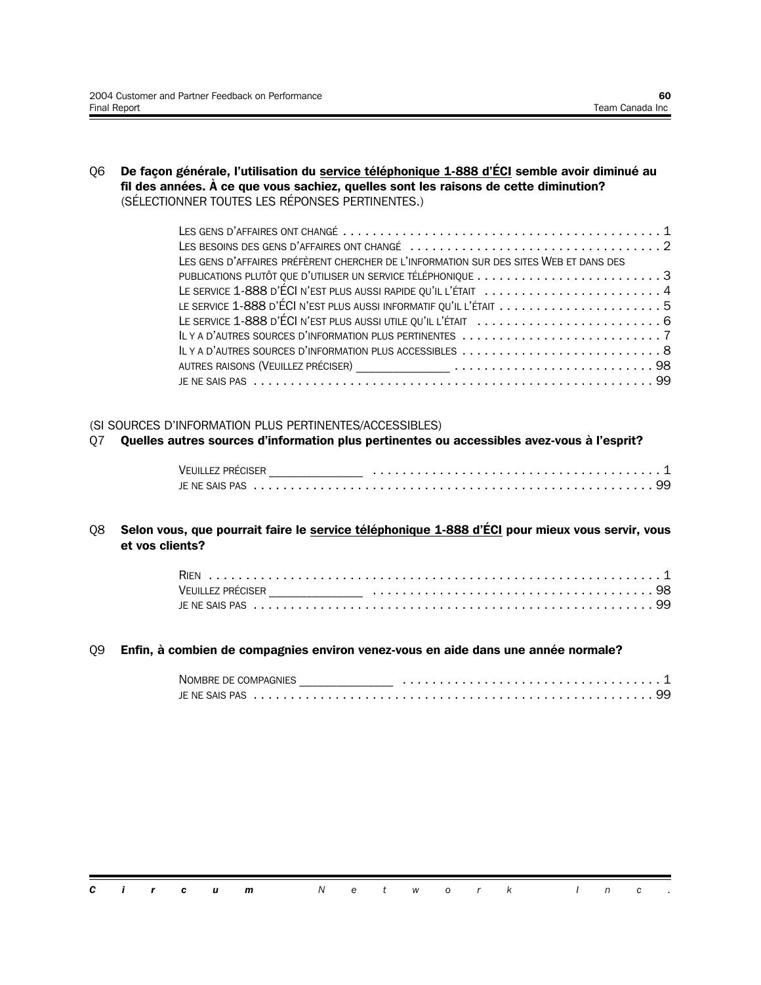Q6 **De façon générale, l'utilisation du service téléphonique 1-888 d'ÉCI semble avoir diminué au fil des années. À ce que vous sachiez, quelles sont les raisons de cette diminution?** (SÉLECTIONNER TOUTES LES RÉPONSES PERTINENTES.)

| LES GENS D'AFFAIRES PRÉFÈRENT CHERCHER DE L'INFORMATION SUR DES SITES WEB ET DANS DES |
|---------------------------------------------------------------------------------------|
|                                                                                       |
| LE SERVICE 1-888 D'ÉCI N'EST PLUS AUSSI RAPIDE QU'IL L'ÉTAIT  4                       |
|                                                                                       |
|                                                                                       |
|                                                                                       |
| ILY A D'AUTRES SOURCES D'INFORMATION PLUS ACCESSIBLES  8                              |
|                                                                                       |
|                                                                                       |

### (SI SOURCES D'INFORMATION PLUS PERTINENTES/ACCESSIBLES)

### Q7 **Quelles autres sources d'information plus pertinentes ou accessibles avez-vous à l'esprit?**

| VEUILLEZ PRÉCISER |  |  |  |  |  |  |  |  |  |  |  |  |  |  |  |
|-------------------|--|--|--|--|--|--|--|--|--|--|--|--|--|--|--|
|                   |  |  |  |  |  |  |  |  |  |  |  |  |  |  |  |

Q8 **Selon vous, que pourrait faire le service téléphonique 1-888 d'ÉCI pour mieux vous servir, vous et vos clients?**

| Veuillez préciser |  |  |  |  |  |  |
|-------------------|--|--|--|--|--|--|
|                   |  |  |  |  |  |  |

### Q9 **Enfin, à combien de compagnies environ venez-vous en aide dans une année normale?**

| DE COMPAGNIE<br><b>NOMRRE</b> |  |    |
|-------------------------------|--|----|
| JE NE SAIS<br><b>PAS</b>      |  | 99 |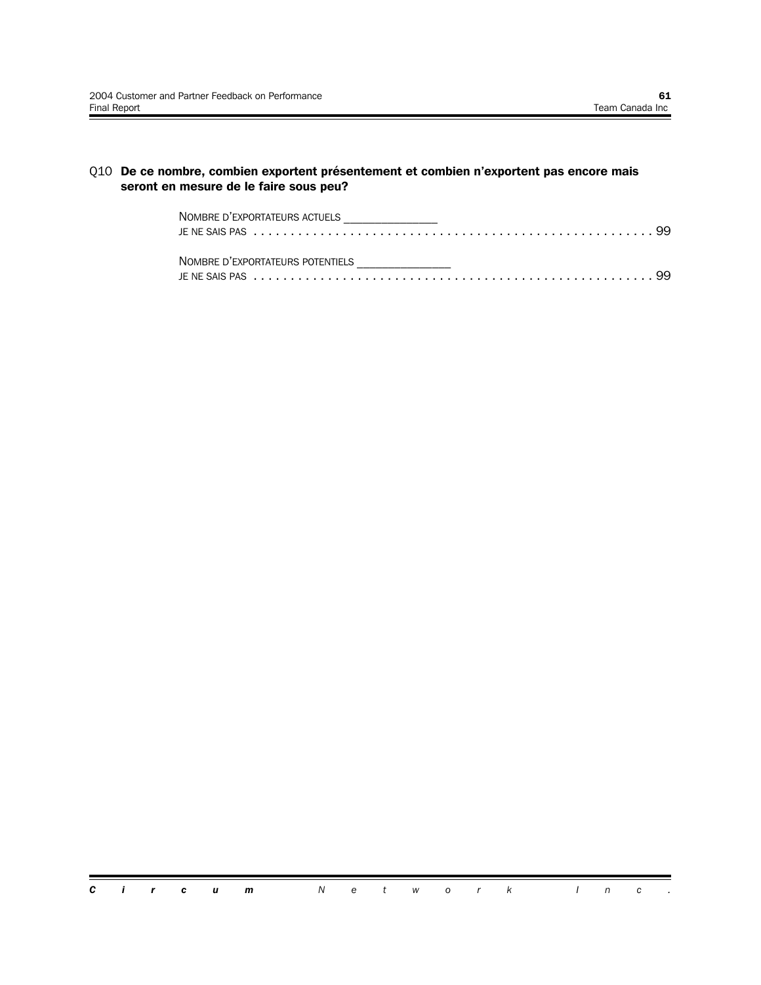## Q10 **De ce nombre, combien exportent présentement et combien n'exportent pas encore mais seront en mesure de le faire sous peu?**

| NOMBRE D'EXPORTATEURS ACTUELS    |  |
|----------------------------------|--|
|                                  |  |
|                                  |  |
| NOMBRE D'EXPORTATEURS POTENTIELS |  |
|                                  |  |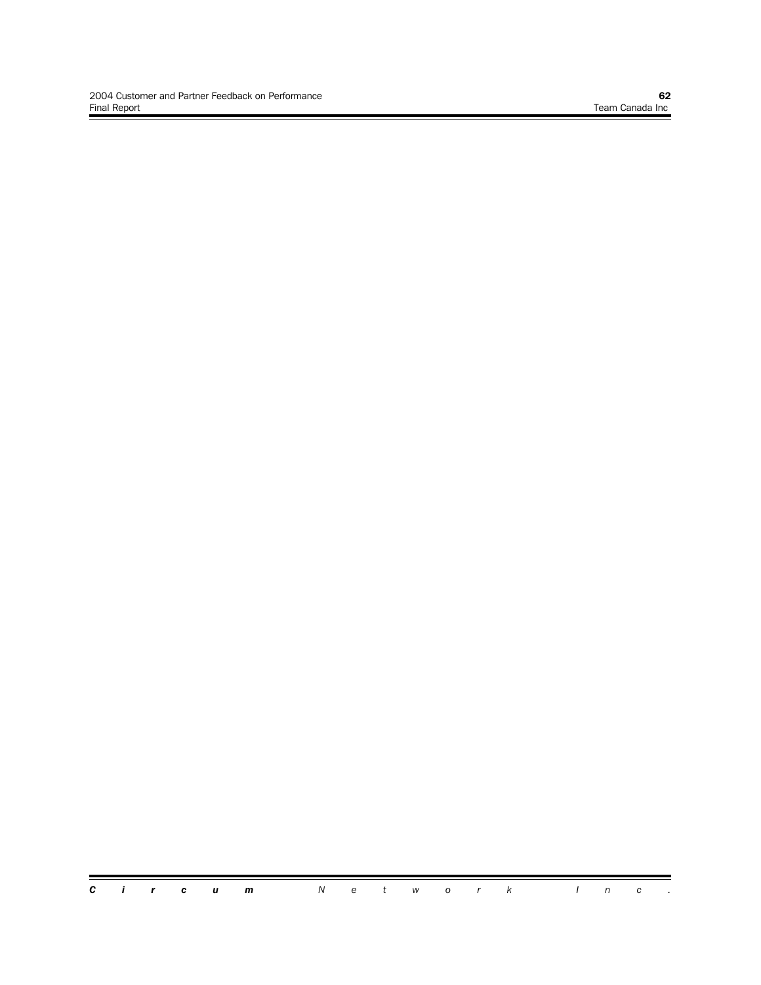Ξ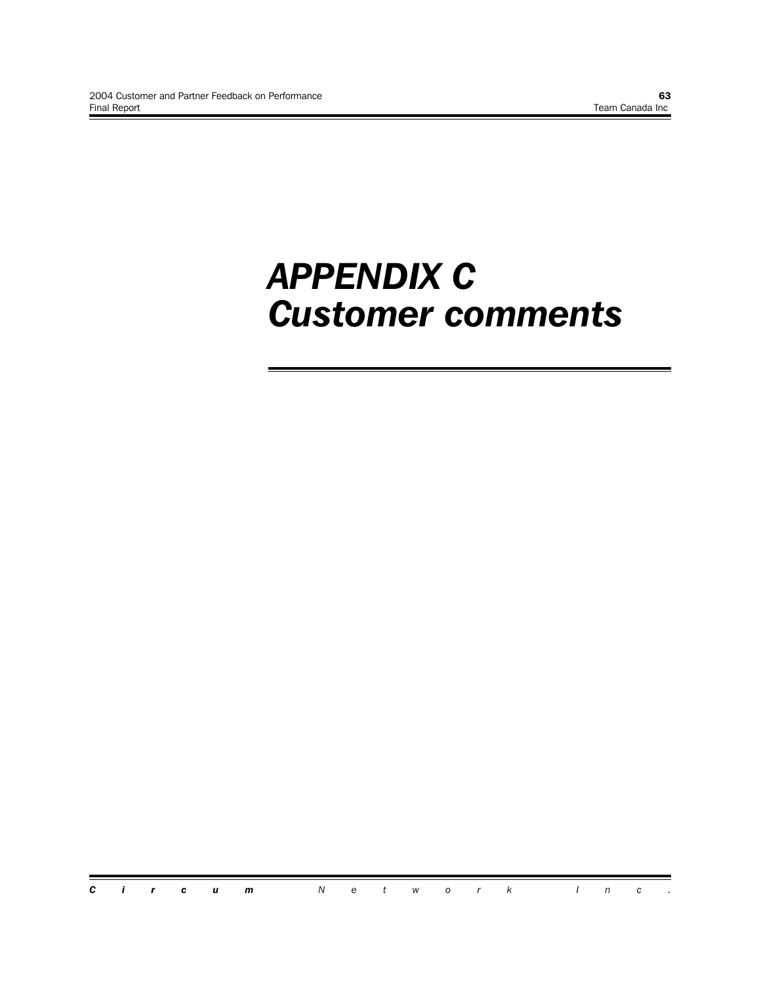# *APPENDIX C Customer comments*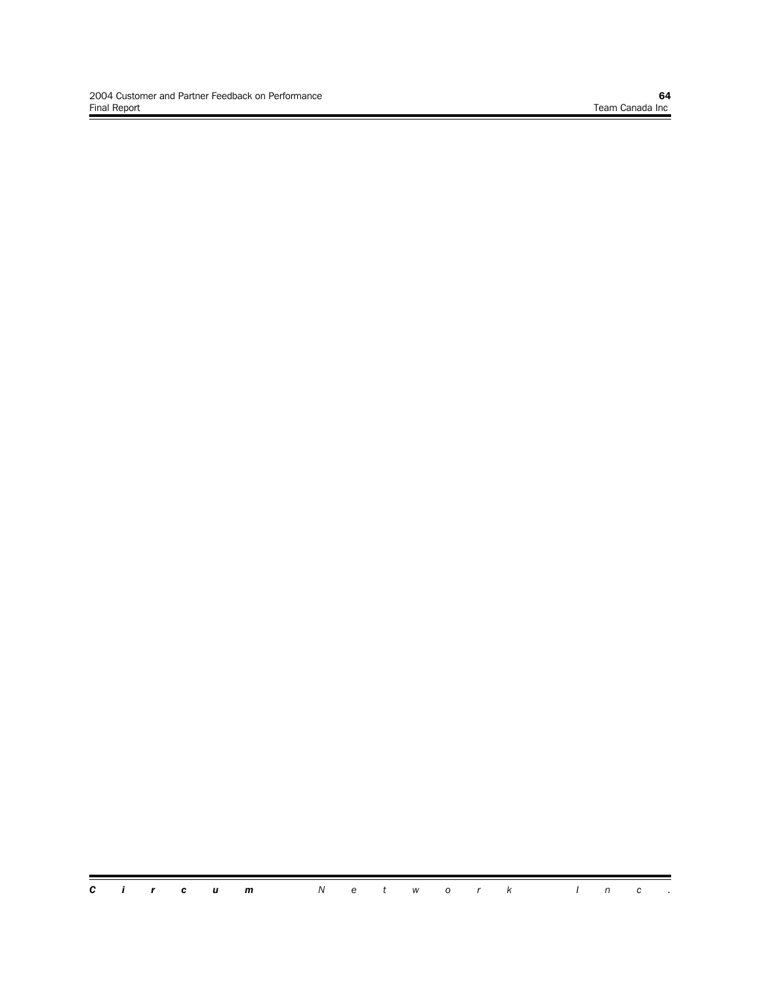Ξ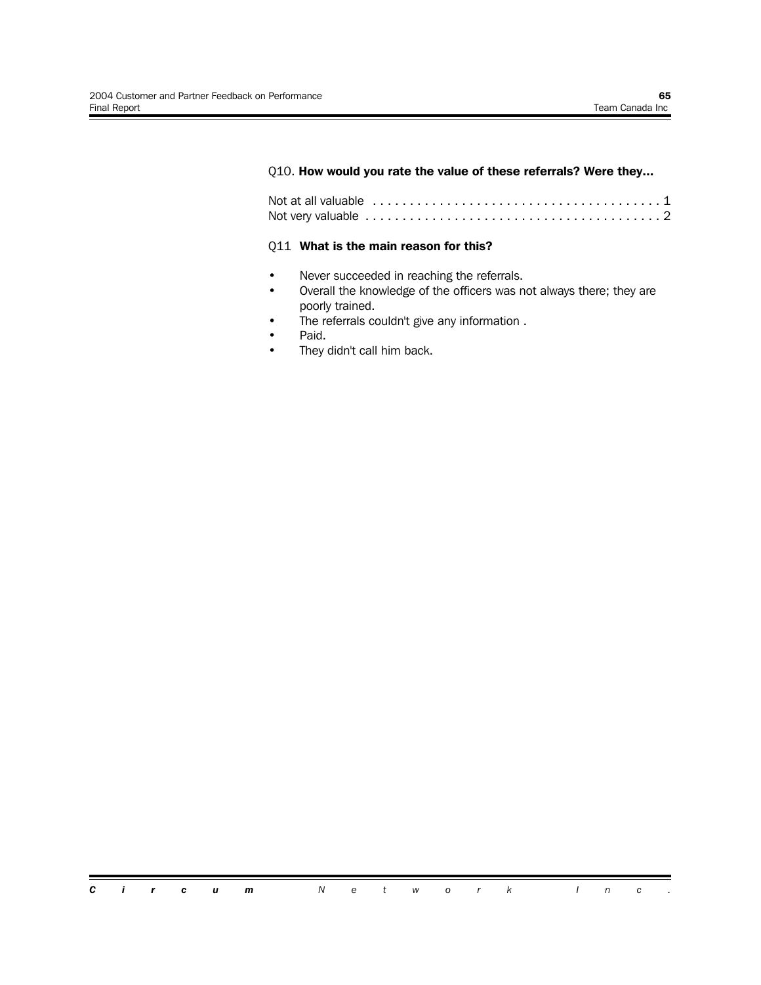#### Q10. **How would you rate the value of these referrals? Were they...**

| Not at all valuable $\dots\dots\dots\dots\dots\dots\dots\dots\dots\dots\dots\dots\dots\dots$     |  |  |  |  |  |  |  |  |  |  |  |  |  |  |  |  |  |  |  |
|--------------------------------------------------------------------------------------------------|--|--|--|--|--|--|--|--|--|--|--|--|--|--|--|--|--|--|--|
| Not very valuable $\ldots \ldots \ldots \ldots \ldots \ldots \ldots \ldots \ldots \ldots \ldots$ |  |  |  |  |  |  |  |  |  |  |  |  |  |  |  |  |  |  |  |

#### Q11 **What is the main reason for this?**

- Never succeeded in reaching the referrals.
- Overall the knowledge of the officers was not always there; they are poorly trained.
- The referrals couldn't give any information.
- Paid.
- They didn't call him back.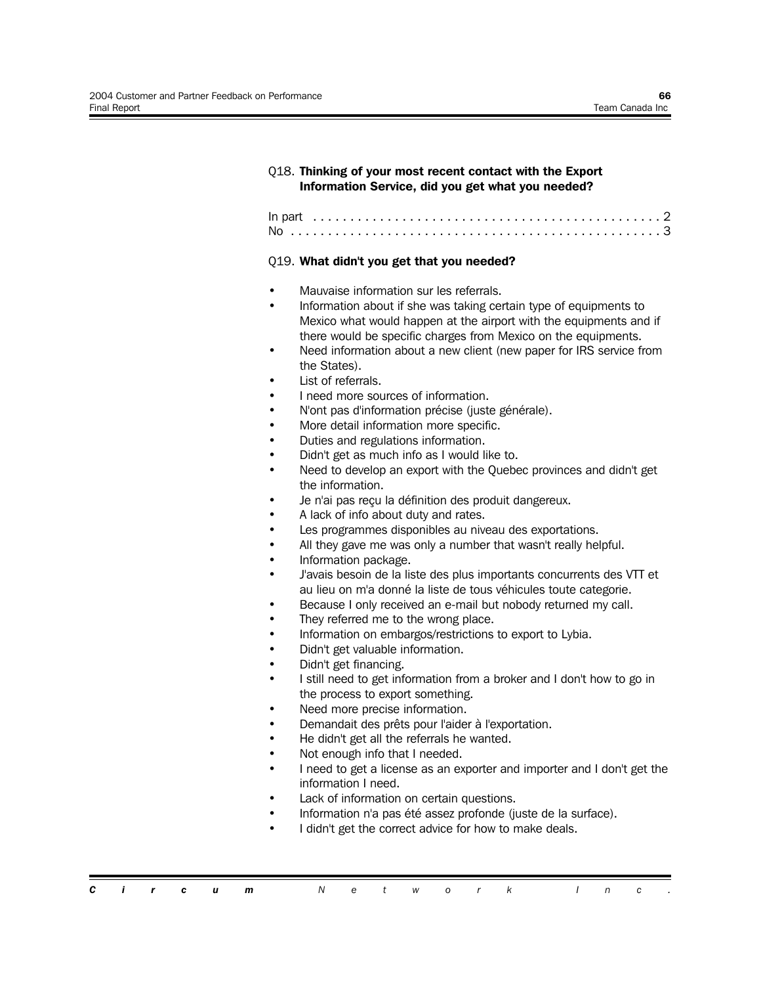## Q18. **Thinking of your most recent contact with the Export Information Service, did you get what you needed?**

#### Q19. **What didn't you get that you needed?**

- Mauvaise information sur les referrals.
- Information about if she was taking certain type of equipments to Mexico what would happen at the airport with the equipments and if there would be specific charges from Mexico on the equipments.
- Need information about a new client (new paper for IRS service from the States).
- List of referrals.
- I need more sources of information.
- N'ont pas d'information précise (juste générale).
- More detail information more specific.
- Duties and regulations information.
- Didn't get as much info as I would like to.
- Need to develop an export with the Quebec provinces and didn't get the information.
- Je n'ai pas reçu la définition des produit dangereux.
- A lack of info about duty and rates.
- Les programmes disponibles au niveau des exportations.
- All they gave me was only a number that wasn't really helpful.
- Information package.
- J'avais besoin de la liste des plus importants concurrents des VTT et au lieu on m'a donné la liste de tous véhicules toute categorie.
- Because I only received an e-mail but nobody returned my call.
- They referred me to the wrong place.
- Information on embargos/restrictions to export to Lybia.
- Didn't get valuable information.
- Didn't get financing.
- I still need to get information from a broker and I don't how to go in the process to export something.
- Need more precise information.
- Demandait des prêts pour l'aider à l'exportation.
- He didn't get all the referrals he wanted.
- Not enough info that I needed.
- I need to get a license as an exporter and importer and I don't get the information I need.
- Lack of information on certain questions.
- Information n'a pas été assez profonde (juste de la surface).
- I didn't get the correct advice for how to make deals.

*C i r cum N e twor k I n c .*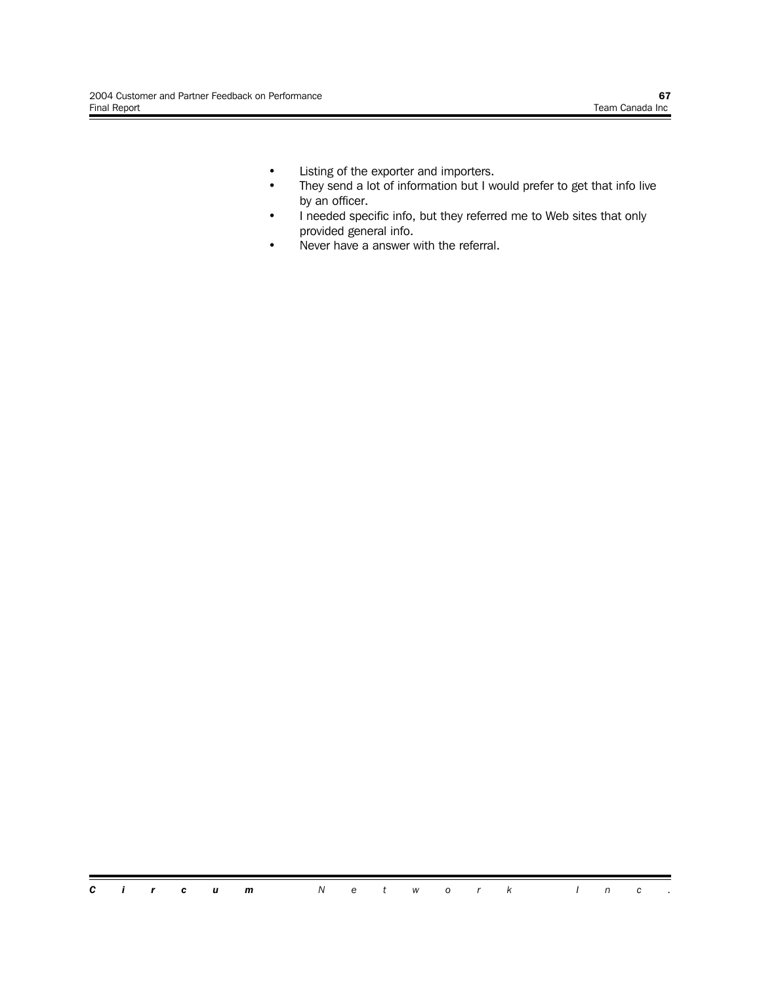- Listing of the exporter and importers.
- They send a lot of information but I would prefer to get that info live by an officer.
- I needed specific info, but they referred me to Web sites that only provided general info.
- Never have a answer with the referral.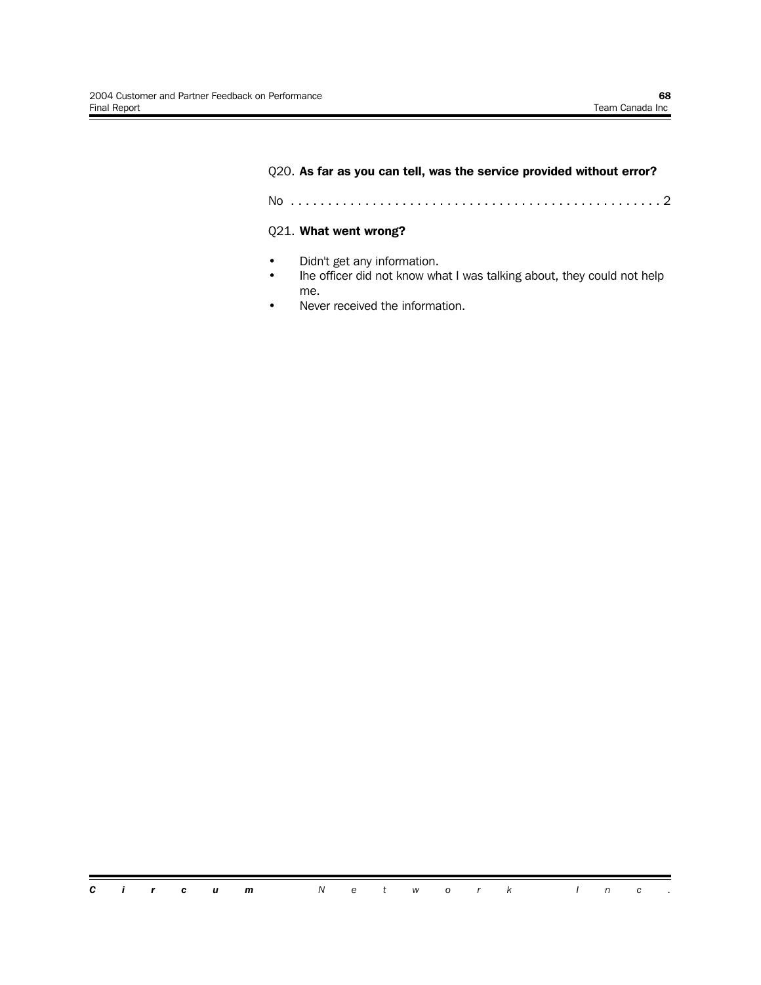#### Q20. **As far as you can tell, was the service provided without error?**

No ..................................................2

#### Q21. **What went wrong?**

- Didn't get any information.
- Ihe officer did not know what I was talking about, they could not help me.
- Never received the information.

*C i r cum N e twor k I n c .*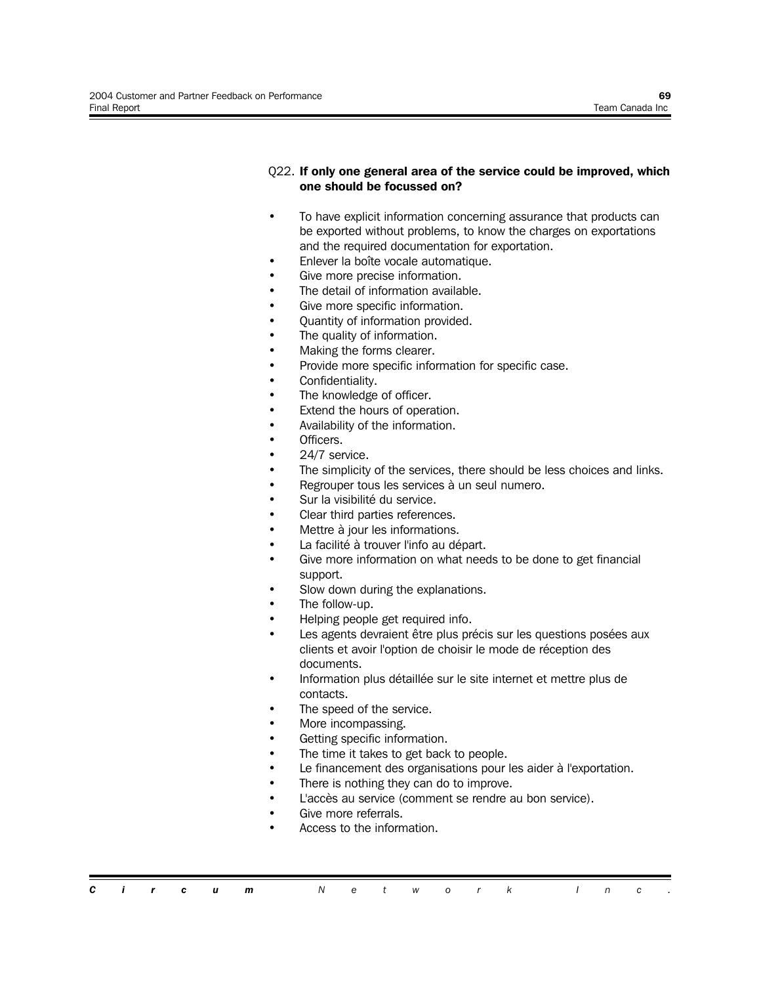## Q22. **If only one general area of the service could be improved, which one should be focussed on?**

- To have explicit information concerning assurance that products can be exported without problems, to know the charges on exportations and the required documentation for exportation.
- Enlever la boîte vocale automatique.
- Give more precise information.
- The detail of information available.
- Give more specific information.
- Quantity of information provided.
- The quality of information.
- Making the forms clearer.
- Provide more specific information for specific case.
- Confidentiality.
- The knowledge of officer.
- Extend the hours of operation.
- Availability of the information.
- Officers.
- 24/7 service.
- The simplicity of the services, there should be less choices and links.
- Regrouper tous les services à un seul numero.
- Sur la visibilité du service.
- Clear third parties references.
- Mettre à jour les informations.
- La facilité à trouver l'info au départ.
- Give more information on what needs to be done to get financial support.
- Slow down during the explanations.
- The follow-up.
- Helping people get required info.
- Les agents devraient être plus précis sur les questions posées aux clients et avoir l'option de choisir le mode de réception des documents.
- Information plus détaillée sur le site internet et mettre plus de contacts.
- The speed of the service.
- More incompassing.
- Getting specific information.
- The time it takes to get back to people.
- Le financement des organisations pour les aider à l'exportation.
- There is nothing they can do to improve.
- L'accès au service (comment se rendre au bon service).
- Give more referrals.
- Access to the information.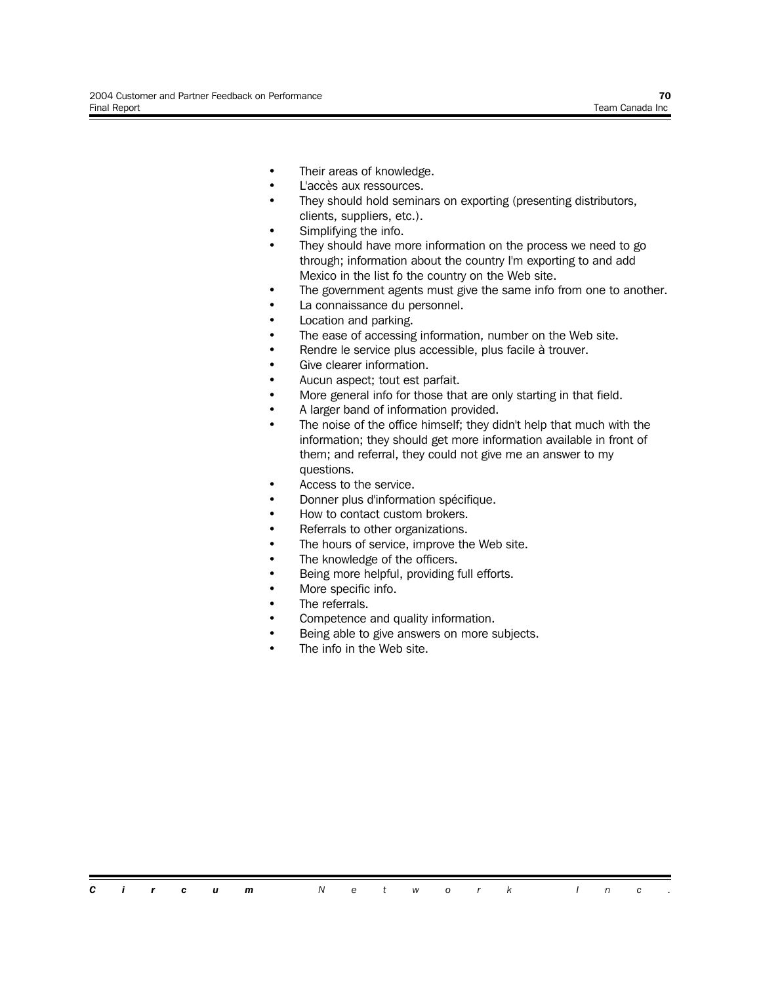- Their areas of knowledge.
- L'accès aux ressources.
- They should hold seminars on exporting (presenting distributors, clients, suppliers, etc.).
- Simplifying the info.
- They should have more information on the process we need to go through; information about the country I'm exporting to and add Mexico in the list fo the country on the Web site.
- The government agents must give the same info from one to another.
- La connaissance du personnel.
- Location and parking.
- The ease of accessing information, number on the Web site.
- Rendre le service plus accessible, plus facile à trouver.
- Give clearer information.
- Aucun aspect; tout est parfait.
- More general info for those that are only starting in that field.
- A larger band of information provided.
- The noise of the office himself; they didn't help that much with the information; they should get more information available in front of them; and referral, they could not give me an answer to my questions.
- Access to the service.
- Donner plus d'information spécifique.
- How to contact custom brokers.
- Referrals to other organizations.
- The hours of service, improve the Web site.
- The knowledge of the officers.
- Being more helpful, providing full efforts.
- More specific info.
- The referrals.
- Competence and quality information.
- Being able to give answers on more subjects.
- The info in the Web site.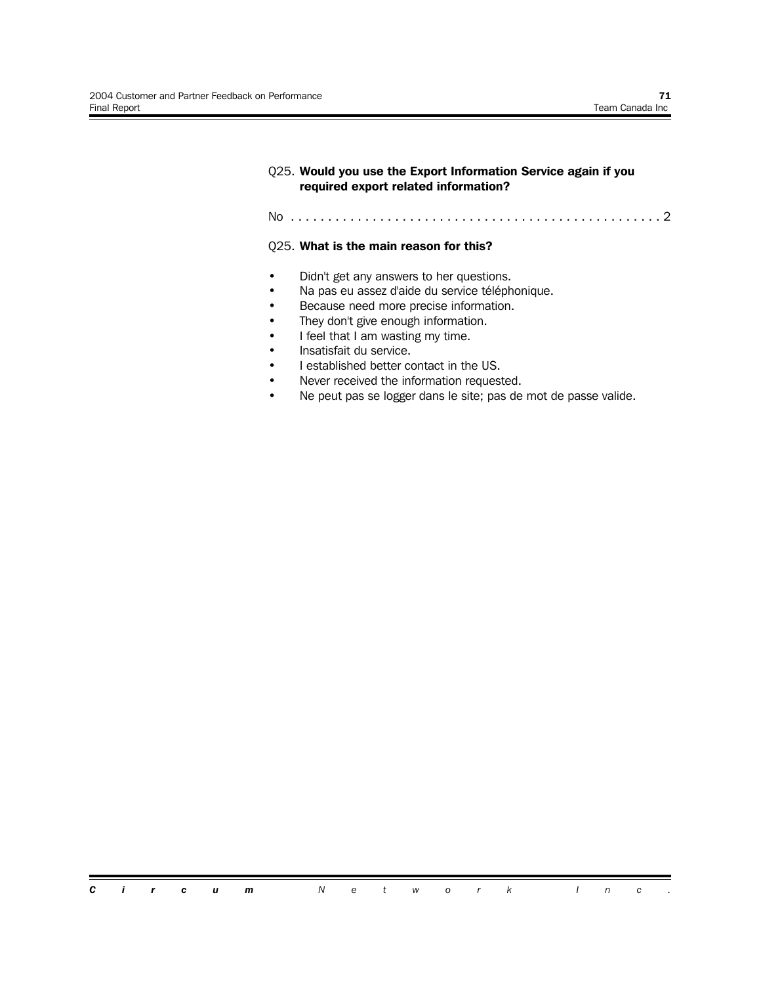## Q25. **Would you use the Export Information Service again if you required export related information?**

No ..................................................2

#### Q25. **What is the main reason for this?**

- Didn't get any answers to her questions.
- Na pas eu assez d'aide du service téléphonique.
- Because need more precise information.
- They don't give enough information.
- I feel that I am wasting my time.
- Insatisfait du service.
- I established better contact in the US.
- Never received the information requested.
- Ne peut pas se logger dans le site; pas de mot de passe valide.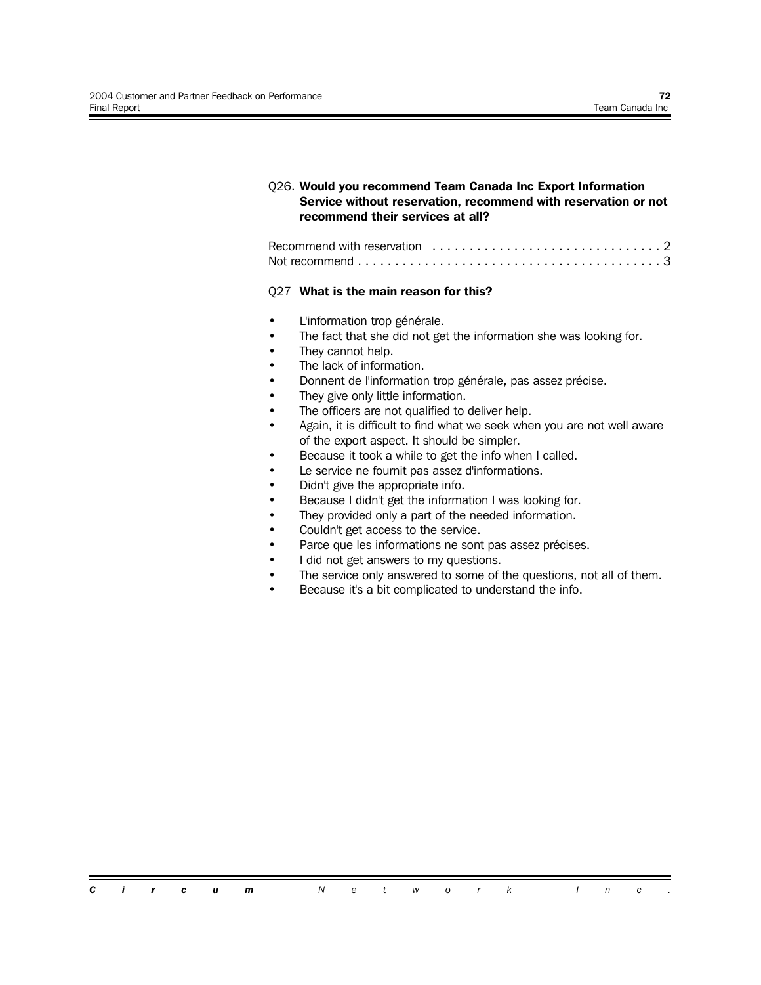## Q26. **Would you recommend Team Canada Inc Export Information Service without reservation, recommend with reservation or not recommend their services at all?**

#### Q27 **What is the main reason for this?**

- L'information trop générale.
- The fact that she did not get the information she was looking for.
- They cannot help.
- The lack of information.
- Donnent de l'information trop générale, pas assez précise.
- They give only little information.
- The officers are not qualified to deliver help.
- Again, it is difficult to find what we seek when you are not well aware of the export aspect. It should be simpler.
- Because it took a while to get the info when I called.
- Le service ne fournit pas assez d'informations.
- Didn't give the appropriate info.
- Because I didn't get the information I was looking for.
- They provided only a part of the needed information.
- Couldn't get access to the service.
- Parce que les informations ne sont pas assez précises.
- I did not get answers to my questions.
- The service only answered to some of the questions, not all of them.
- Because it's a bit complicated to understand the info.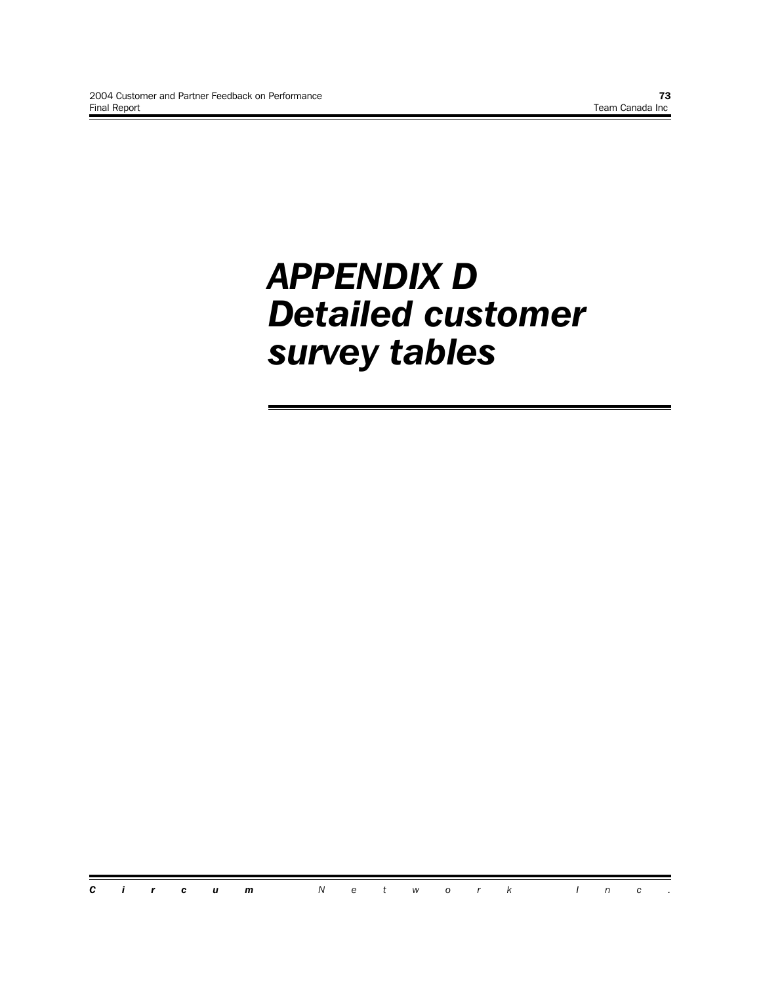## *APPENDIX D Detailed customer survey tables*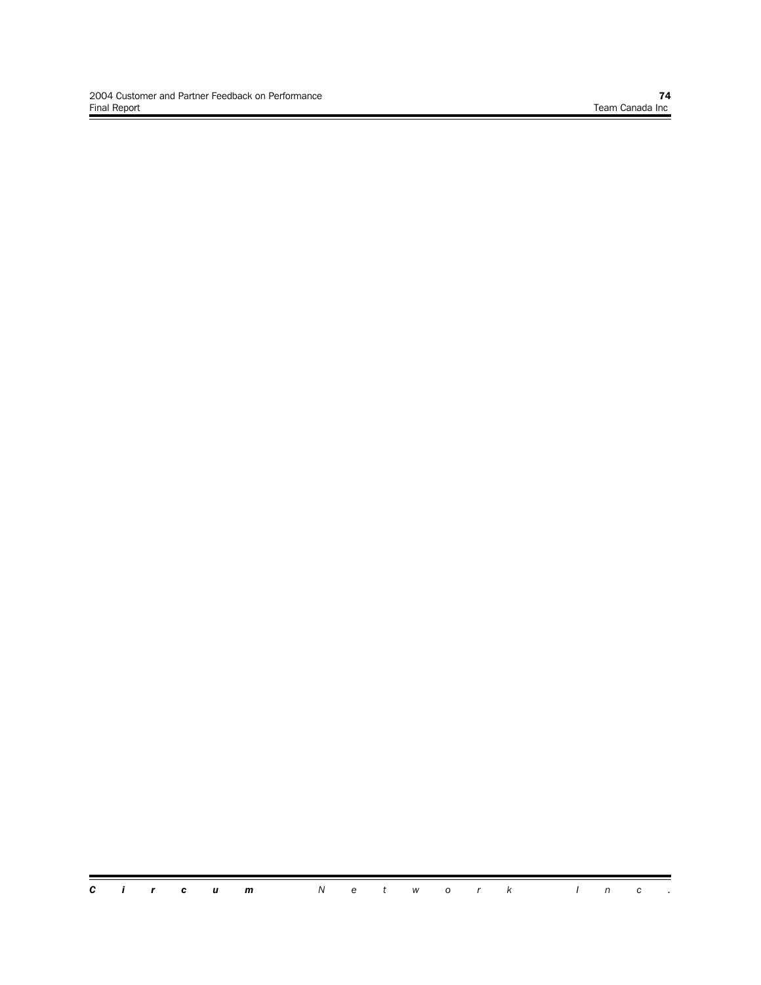Ξ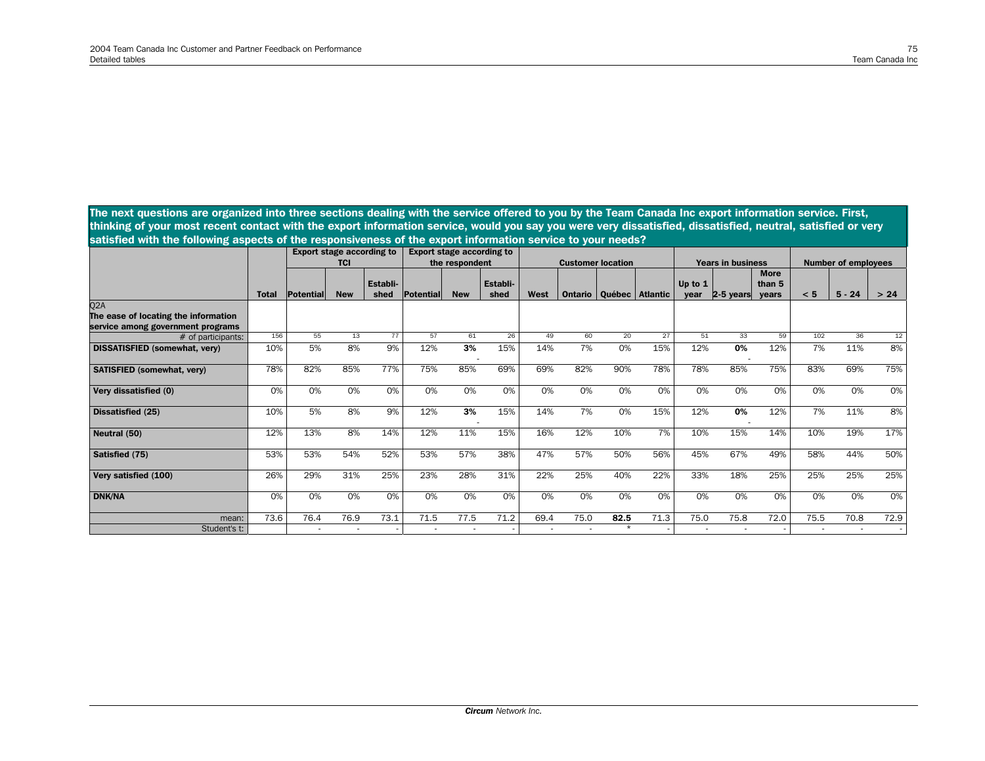| The next questions are organized into three sections dealing with the service offered to you by the Team Canada Inc export information service. First,       |              |                  |            |                                  |                                  |                |          |      |         |                          |                 |         |                          |             |      |                            |      |
|--------------------------------------------------------------------------------------------------------------------------------------------------------------|--------------|------------------|------------|----------------------------------|----------------------------------|----------------|----------|------|---------|--------------------------|-----------------|---------|--------------------------|-------------|------|----------------------------|------|
| thinking of your most recent contact with the export information service, would you say you were very dissatisfied, dissatisfied, neutral, satisfied or very |              |                  |            |                                  |                                  |                |          |      |         |                          |                 |         |                          |             |      |                            |      |
| satisfied with the following aspects of the responsiveness of the export information service to your needs?                                                  |              |                  |            |                                  |                                  |                |          |      |         |                          |                 |         |                          |             |      |                            |      |
|                                                                                                                                                              |              |                  | <b>TCI</b> | <b>Export stage according to</b> | <b>Export stage according to</b> | the respondent |          |      |         | <b>Customer location</b> |                 |         | <b>Years in business</b> |             |      | <b>Number of employees</b> |      |
|                                                                                                                                                              |              |                  |            |                                  |                                  |                |          |      |         |                          |                 |         |                          | <b>More</b> |      |                            |      |
|                                                                                                                                                              |              |                  |            | Establi-                         |                                  |                | Establi- |      |         |                          |                 | Up to 1 |                          | than 5      |      |                            |      |
|                                                                                                                                                              | <b>Total</b> | <b>Potential</b> | <b>New</b> | shed                             | <b>Potential</b>                 | <b>New</b>     | shed     | West | Ontario | Ouébec                   | <b>Atlantic</b> | vear    | 2-5 years                | vears       | < 5  | $5 - 24$                   | > 24 |
| Q <sub>2</sub> A<br>The ease of locating the information                                                                                                     |              |                  |            |                                  |                                  |                |          |      |         |                          |                 |         |                          |             |      |                            |      |
| service among government programs                                                                                                                            |              |                  |            |                                  |                                  |                |          |      |         |                          |                 |         |                          |             |      |                            |      |
| $#$ of participants:                                                                                                                                         | 156          | 55               | 13         | 77                               | 57                               | 61             | 26       | 49   | 60      | 20                       | 27              | 51      | 33                       | 59          | 102  | 36                         | 12   |
| <b>DISSATISFIED (somewhat, very)</b>                                                                                                                         | 10%          | 5%               | 8%         | 9%                               | 12%                              | 3%             | 15%      | 14%  | 7%      | 0%                       | 15%             | 12%     | 0%                       | 12%         | 7%   | 11%                        | 8%   |
| SATISFIED (somewhat, very)                                                                                                                                   | 78%          | 82%              | 85%        | 77%                              | 75%                              | 85%            | 69%      | 69%  | 82%     | 90%                      | 78%             | 78%     | 85%                      | 75%         | 83%  | 69%                        | 75%  |
| Very dissatisfied (0)                                                                                                                                        | 0%           | 0%               | 0%         | 0%                               | 0%                               | 0%             | 0%       | 0%   | 0%      | 0%                       | 0%              | 0%      | 0%                       | 0%          | 0%   | 0%                         | 0%   |
| <b>Dissatisfied (25)</b>                                                                                                                                     | 10%          | 5%               | 8%         | 9%                               | 12%                              | 3%             | 15%      | 14%  | 7%      | 0%                       | 15%             | 12%     | 0%                       | 12%         | 7%   | 11%                        | 8%   |
| Neutral (50)                                                                                                                                                 | 12%          | 13%              | 8%         | 14%                              | 12%                              | 11%            | 15%      | 16%  | 12%     | 10%                      | 7%              | 10%     | 15%                      | 14%         | 10%  | 19%                        | 17%  |
| Satisfied (75)                                                                                                                                               | 53%          | 53%              | 54%        | 52%                              | 53%                              | 57%            | 38%      | 47%  | 57%     | 50%                      | 56%             | 45%     | 67%                      | 49%         | 58%  | 44%                        | 50%  |
| Very satisfied (100)                                                                                                                                         | 26%          | 29%              | 31%        | 25%                              | 23%                              | 28%            | 31%      | 22%  | 25%     | 40%                      | 22%             | 33%     | 18%                      | 25%         | 25%  | 25%                        | 25%  |
| <b>DNK/NA</b>                                                                                                                                                | 0%           | 0%               | 0%         | 0%                               | 0%                               | 0%             | 0%       | 0%   | 0%      | 0%                       | 0%              | 0%      | 0%                       | 0%          | 0%   | 0%                         | 0%   |
| mean:                                                                                                                                                        | 73.6         | 76.4             | 76.9       | 73.1                             | 71.5                             | 77.5           | 71.2     | 69.4 | 75.0    | 82.5                     | 71.3            | 75.0    | 75.8                     | 72.0        | 75.5 | 70.8                       | 72.9 |
| Student's t:                                                                                                                                                 |              |                  |            |                                  |                                  |                |          |      |         | $\star$                  |                 |         |                          |             |      |                            |      |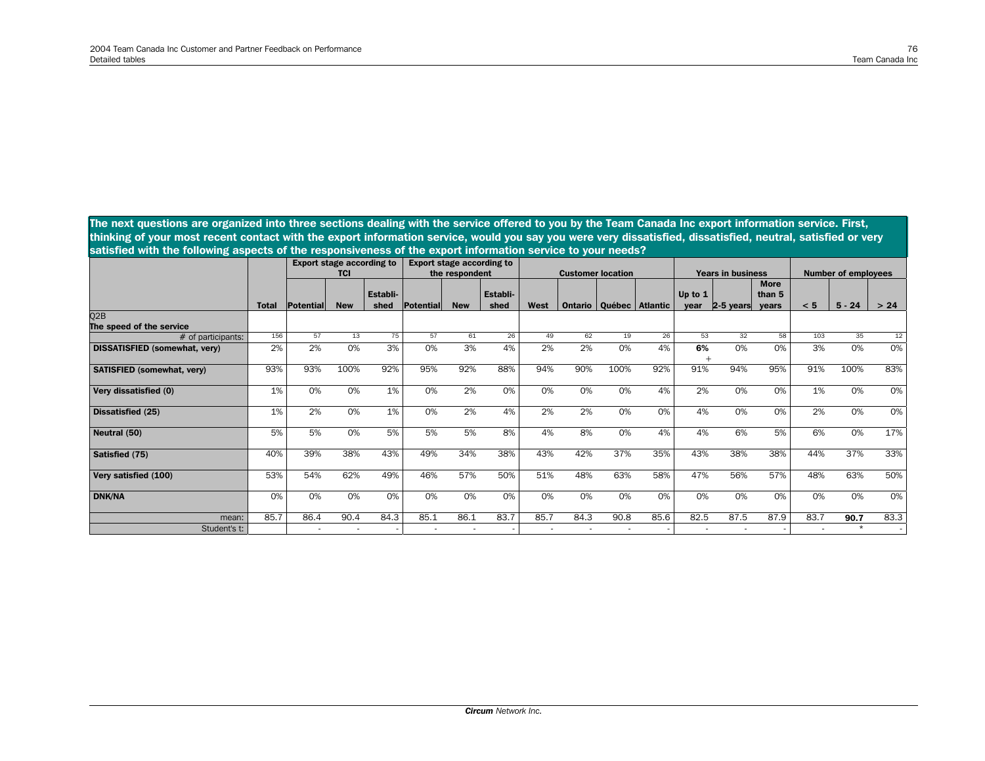|                                      |              |                  | <b>Export stage according to</b><br><b>TCI</b> |          |                  | <b>Export stage according to</b> |          |      |                |                          |                 |           |                          |                       |      |                            |       |
|--------------------------------------|--------------|------------------|------------------------------------------------|----------|------------------|----------------------------------|----------|------|----------------|--------------------------|-----------------|-----------|--------------------------|-----------------------|------|----------------------------|-------|
|                                      |              |                  |                                                |          |                  | the respondent                   |          |      |                | <b>Customer location</b> |                 |           | <b>Years in business</b> |                       |      | <b>Number of employees</b> |       |
|                                      |              |                  |                                                | Establi- |                  |                                  | Establi- |      |                |                          |                 | Up to $1$ |                          | <b>More</b><br>than 5 |      |                            |       |
|                                      | <b>Total</b> | <b>Potential</b> | <b>New</b>                                     | shed     | <b>Potential</b> | <b>New</b>                       | shed     | West | <b>Ontario</b> | Québec                   | <b>Atlantic</b> | vear      | $2-5$ years              | vears                 | < 5  | $5 - 24$                   | $>24$ |
| Q <sub>2</sub> B                     |              |                  |                                                |          |                  |                                  |          |      |                |                          |                 |           |                          |                       |      |                            |       |
| The speed of the service             |              |                  |                                                |          |                  |                                  |          |      |                |                          |                 |           |                          |                       |      |                            |       |
| $#$ of participants:                 | 156          | 57               | 13                                             | 75       | 57               | 61                               | 26       | 49   | 62             | 19                       | 26              | 53        | 32                       | 58                    | 103  | 35                         | 12    |
| <b>DISSATISFIED (somewhat, very)</b> | 2%           | 2%               | 0%                                             | 3%       | 0%               | 3%                               | 4%       | 2%   | 2%             | 0%                       | 4%              | 6%        | 0%                       | 0%                    | 3%   | 0%                         | 0%    |
| SATISFIED (somewhat, very)           | 93%          | 93%              | 100%                                           | 92%      | 95%              | 92%                              | 88%      | 94%  | 90%            | 100%                     | 92%             | 91%       | 94%                      | 95%                   | 91%  | 100%                       | 83%   |
| Very dissatisfied (0)                | 1%           | 0%               | 0%                                             | 1%       | 0%               | 2%                               | 0%       | 0%   | 0%             | 0%                       | 4%              | 2%        | 0%                       | 0%                    | 1%   | 0%                         | 0%    |
| <b>Dissatisfied (25)</b>             | 1%           | 2%               | 0%                                             | 1%       | 0%               | 2%                               | 4%       | 2%   | 2%             | 0%                       | 0%              | 4%        | 0%                       | $0\%$                 | 2%   | 0%                         | 0%    |
| Neutral (50)                         | 5%           | 5%               | 0%                                             | 5%       | 5%               | 5%                               | 8%       | 4%   | 8%             | 0%                       | 4%              | 4%        | 6%                       | 5%                    | 6%   | 0%                         | 17%   |
| Satisfied (75)                       | 40%          | 39%              | 38%                                            | 43%      | 49%              | 34%                              | 38%      | 43%  | 42%            | 37%                      | 35%             | 43%       | 38%                      | 38%                   | 44%  | 37%                        | 33%   |
| Very satisfied (100)                 | 53%          | 54%              | 62%                                            | 49%      | 46%              | 57%                              | 50%      | 51%  | 48%            | 63%                      | 58%             | 47%       | 56%                      | 57%                   | 48%  | 63%                        | 50%   |
| <b>DNK/NA</b>                        | 0%           | 0%               | 0%                                             | $0\%$    | 0%               | 0%                               | 0%       | 0%   | 0%             | 0%                       | 0%              | $0\%$     | 0%                       | $0\%$                 | 0%   | 0%                         | 0%    |
| mean:                                | 85.7         | 86.4             | 90.4                                           | 84.3     | 85.1             | 86.1                             | 83.7     | 85.7 | 84.3           | 90.8                     | 85.6            | 82.5      | 87.5                     | 87.9                  | 83.7 | 90.7                       | 83.3  |
| Student's t:                         |              |                  |                                                |          |                  |                                  |          |      |                |                          |                 |           |                          |                       |      | $\star$                    |       |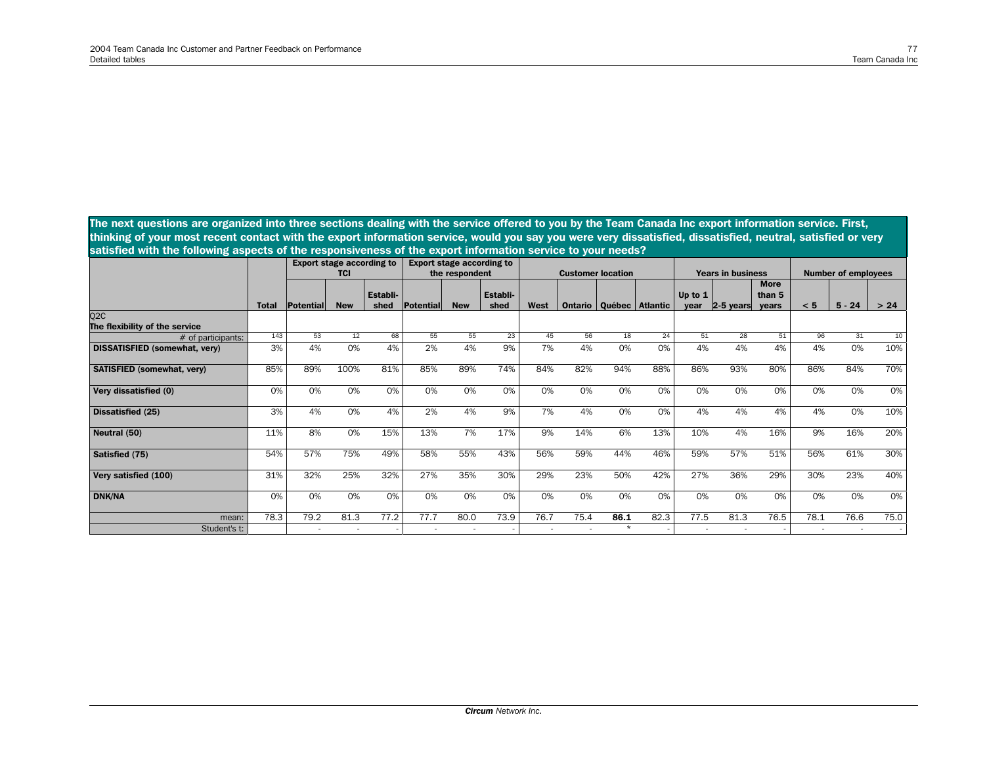|                                      |              |                  | <b>Export stage according to</b><br><b>TCI</b><br>Establi- |      |                  | <b>Export stage according to</b> |          |      |                          |        |                 |           |                          |             |      |                            |      |
|--------------------------------------|--------------|------------------|------------------------------------------------------------|------|------------------|----------------------------------|----------|------|--------------------------|--------|-----------------|-----------|--------------------------|-------------|------|----------------------------|------|
|                                      |              |                  |                                                            |      |                  | the respondent                   |          |      | <b>Customer location</b> |        |                 |           | <b>Years in business</b> |             |      | <b>Number of employees</b> |      |
|                                      |              |                  |                                                            |      |                  |                                  |          |      |                          |        |                 |           |                          | <b>More</b> |      |                            |      |
|                                      |              |                  |                                                            |      |                  |                                  | Establi- |      |                          |        |                 | Up to $1$ |                          | than 5      |      |                            |      |
|                                      | <b>Total</b> | <b>Potential</b> | <b>New</b>                                                 | shed | <b>Potential</b> | <b>New</b>                       | shed     | West | Ontario                  | Québec | <b>Atlantic</b> | year      | $2-5$ years              | vears       | < 5  | $5 - 24$                   | > 24 |
| Q <sub>2</sub> C                     |              |                  |                                                            |      |                  |                                  |          |      |                          |        |                 |           |                          |             |      |                            |      |
| The flexibility of the service       |              |                  |                                                            |      |                  |                                  |          |      |                          |        |                 |           |                          |             |      |                            |      |
| $#$ of participants:                 | 143          | 53               | 12                                                         | 68   | 55               | 55                               | 23       | 45   | 56                       | 18     | 24              | 51        | 28                       | 51          | 96   | 31                         | 10   |
| <b>DISSATISFIED (somewhat, very)</b> | 3%           | 4%               | 0%                                                         | 4%   | 2%               | 4%                               | 9%       | 7%   | 4%                       | 0%     | 0%              | 4%        | 4%                       | 4%          | 4%   | 0%                         | 10%  |
| <b>SATISFIED (somewhat, very)</b>    | 85%          | 89%              | 100%                                                       | 81%  | 85%              | 89%                              | 74%      | 84%  | 82%                      | 94%    | 88%             | 86%       | 93%                      | 80%         | 86%  | 84%                        | 70%  |
| Very dissatisfied (0)                | 0%           | 0%               | 0%                                                         | 0%   | 0%               | 0%                               | 0%       | 0%   | 0%                       | 0%     | 0%              | 0%        | 0%                       | 0%          | 0%   | 0%                         | 0%   |
| <b>Dissatisfied (25)</b>             | 3%           | 4%               | 0%                                                         | 4%   | 2%               | 4%                               | 9%       | 7%   | 4%                       | 0%     | 0%              | 4%        | 4%                       | 4%          | 4%   | 0%                         | 10%  |
| Neutral (50)                         | 11%          | 8%               | 0%                                                         | 15%  | 13%              | 7%                               | 17%      | 9%   | 14%                      | 6%     | 13%             | 10%       | 4%                       | 16%         | 9%   | 16%                        | 20%  |
| Satisfied (75)                       | 54%          | 57%              | 75%                                                        | 49%  | 58%              | 55%                              | 43%      | 56%  | 59%                      | 44%    | 46%             | 59%       | 57%                      | 51%         | 56%  | 61%                        | 30%  |
| Very satisfied (100)                 | 31%          | 32%              | 25%                                                        | 32%  | 27%              | 35%                              | 30%      | 29%  | 23%                      | 50%    | 42%             | 27%       | 36%                      | 29%         | 30%  | 23%                        | 40%  |
| <b>DNK/NA</b>                        | 0%           | 0%               | 0%                                                         | 0%   | 0%               | 0%                               | 0%       | 0%   | 0%                       | 0%     | 0%              | 0%        | 0%                       | 0%          | 0%   | 0%                         | 0%   |
| mean:                                | 78.3         | 79.2             | 81.3                                                       | 77.2 | 77.7             | 80.0                             | 73.9     | 76.7 | 75.4                     | 86.1   | 82.3            | 77.5      | 81.3                     | 76.5        | 78.1 | 76.6                       | 75.0 |
| Student's t:                         |              |                  |                                                            |      |                  |                                  |          |      |                          |        |                 |           |                          |             |      |                            |      |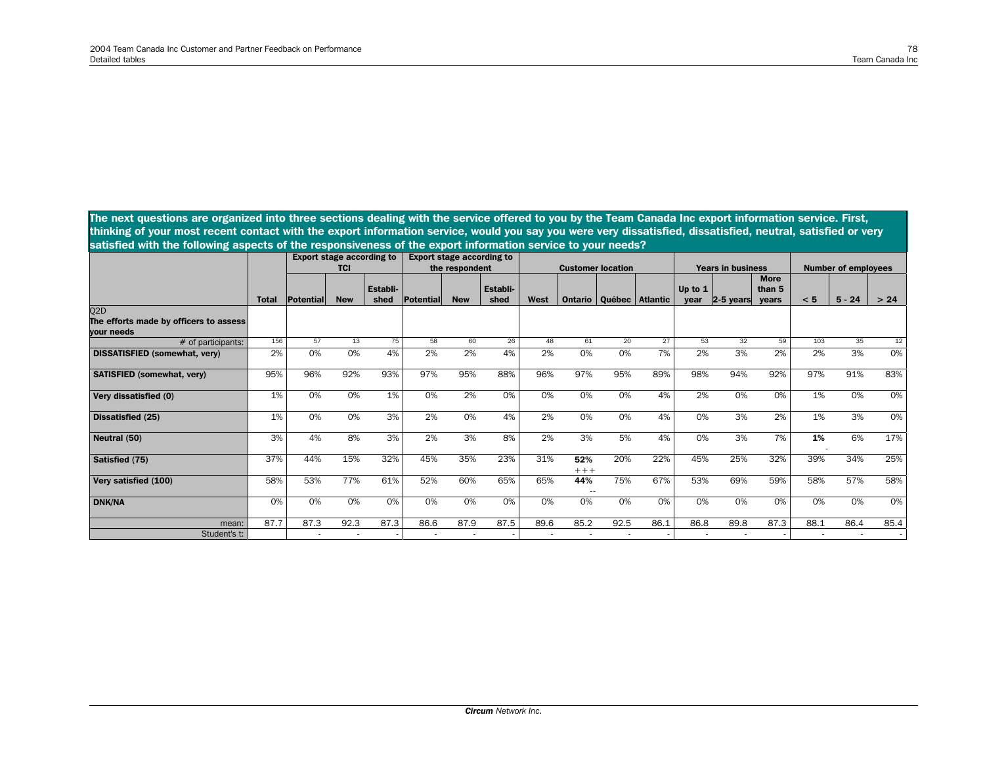|                                        |              |                  | <b>Export stage according to</b><br><b>TCI</b><br>Establi- |      |                  | <b>Export stage according to</b> |                  |      |                |                          |                 |                   |                          |                 |      |                            |       |
|----------------------------------------|--------------|------------------|------------------------------------------------------------|------|------------------|----------------------------------|------------------|------|----------------|--------------------------|-----------------|-------------------|--------------------------|-----------------|------|----------------------------|-------|
|                                        |              |                  |                                                            |      |                  | the respondent                   |                  |      |                | <b>Customer location</b> |                 |                   | <b>Years in business</b> |                 |      | <b>Number of employees</b> |       |
|                                        |              |                  |                                                            |      |                  |                                  |                  |      |                |                          |                 |                   |                          | <b>More</b>     |      |                            |       |
|                                        | <b>Total</b> | <b>Potential</b> | <b>New</b>                                                 | shed | <b>Potential</b> | <b>New</b>                       | Establi-<br>shed | West | <b>Ontario</b> | Québec                   | <b>Atlantic</b> | Up to $1$<br>vear | $2-5$ years              | than 5<br>vears | < 5  | $5 - 24$                   | $>24$ |
| Q <sub>2</sub> D                       |              |                  |                                                            |      |                  |                                  |                  |      |                |                          |                 |                   |                          |                 |      |                            |       |
| The efforts made by officers to assess |              |                  |                                                            |      |                  |                                  |                  |      |                |                          |                 |                   |                          |                 |      |                            |       |
| your needs                             |              |                  |                                                            |      |                  |                                  |                  |      |                |                          |                 |                   |                          |                 |      |                            |       |
| $#$ of participants:                   | 156          | 57               | 13                                                         | 75   | 58               | 60                               | 26               | 48   | 61             | 20                       | 27              | 53                | 32                       | 59              | 103  | 35                         | 12    |
| <b>DISSATISFIED (somewhat, very)</b>   | 2%           | 0%               | 0%                                                         | 4%   | 2%               | 2%                               | 4%               | 2%   | 0%             | 0%                       | 7%              | 2%                | 3%                       | 2%              | 2%   | 3%                         | 0%    |
| SATISFIED (somewhat, very)             | 95%          | 96%              | 92%                                                        | 93%  | 97%              | 95%                              | 88%              | 96%  | 97%            | 95%                      | 89%             | 98%               | 94%                      | 92%             | 97%  | 91%                        | 83%   |
| Very dissatisfied (0)                  | 1%           | 0%               | 0%                                                         | 1%   | 0%               | 2%                               | 0%               | 0%   | 0%             | 0%                       | 4%              | 2%                | 0%                       | 0%              | 1%   | 0%                         | 0%    |
| <b>Dissatisfied (25)</b>               | 1%           | 0%               | 0%                                                         | 3%   | 2%               | 0%                               | 4%               | 2%   | 0%             | 0%                       | 4%              | 0%                | 3%                       | 2%              | 1%   | 3%                         | 0%    |
| Neutral (50)                           | 3%           | 4%               | 8%                                                         | 3%   | 2%               | 3%                               | 8%               | 2%   | 3%             | 5%                       | 4%              | 0%                | 3%                       | 7%              | 1%   | 6%                         | 17%   |
| Satisfied (75)                         | 37%          | 44%              | 15%                                                        | 32%  | 45%              | 35%                              | 23%              | 31%  | 52%<br>$+++$   | 20%                      | 22%             | 45%               | 25%                      | 32%             | 39%  | 34%                        | 25%   |
| Very satisfied (100)                   | 58%          | 53%              | 77%                                                        | 61%  | 52%              | 60%                              | 65%              | 65%  | 44%            | 75%                      | 67%             | 53%               | 69%                      | 59%             | 58%  | 57%                        | 58%   |
| <b>DNK/NA</b>                          | 0%           | 0%               | 0%                                                         | 0%   | 0%               | 0%                               | 0%               | 0%   | 0%             | 0%                       | 0%              | 0%                | 0%                       | 0%              | 0%   | 0%                         | 0%    |
| mean:                                  | 87.7         | 87.3             | 92.3                                                       | 87.3 | 86.6             | 87.9                             | 87.5             | 89.6 | 85.2           | 92.5                     | 86.1            | 86.8              | 89.8                     | 87.3            | 88.1 | 86.4                       | 85.4  |
| Student's t:                           |              |                  |                                                            |      |                  |                                  |                  |      |                |                          |                 |                   |                          |                 |      |                            |       |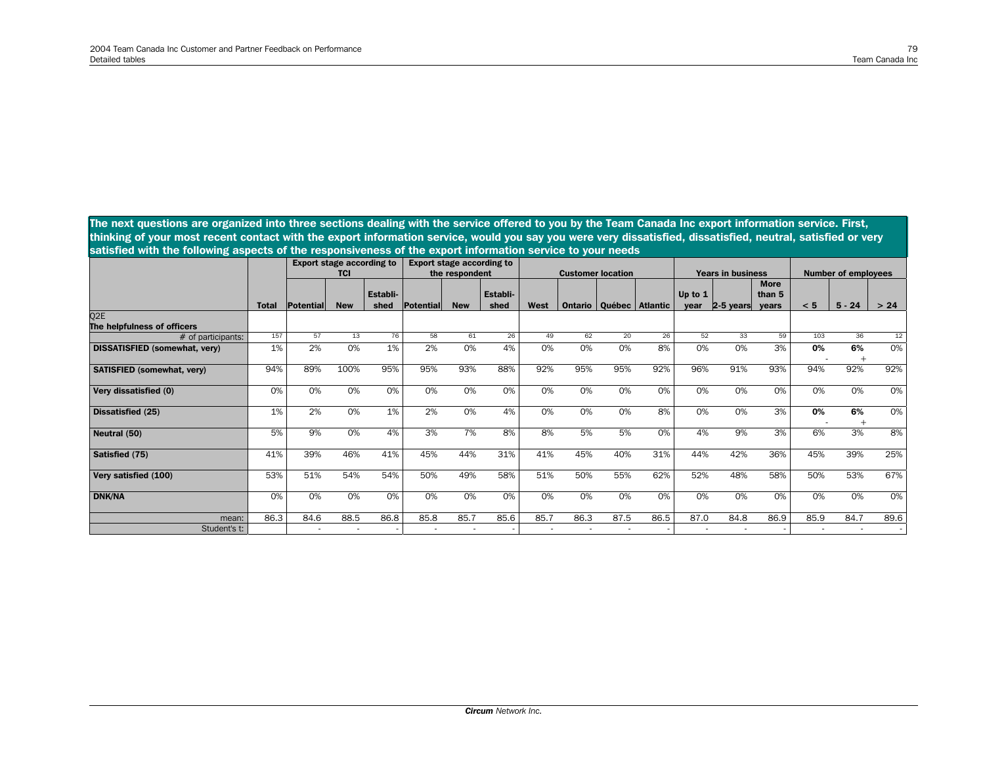|                                      |              |                  | <b>Export stage according to</b><br><b>TCI</b> |          |                  | <b>Export stage according to</b> |          |      |                |                          |                 |           |                          |             |      |                            |      |
|--------------------------------------|--------------|------------------|------------------------------------------------|----------|------------------|----------------------------------|----------|------|----------------|--------------------------|-----------------|-----------|--------------------------|-------------|------|----------------------------|------|
|                                      |              |                  |                                                |          |                  | the respondent                   |          |      |                | <b>Customer location</b> |                 |           | <b>Years in business</b> |             |      | <b>Number of employees</b> |      |
|                                      |              |                  |                                                |          |                  |                                  |          |      |                |                          |                 |           |                          | <b>More</b> |      |                            |      |
|                                      |              |                  |                                                | Establi- |                  |                                  | Establi- |      |                |                          |                 | Up to $1$ |                          | than 5      |      |                            |      |
|                                      | <b>Total</b> | <b>Potential</b> | <b>New</b>                                     | shed     | <b>Potential</b> | <b>New</b>                       | shed     | West | <b>Ontario</b> | Québec                   | <b>Atlantic</b> | year      | $2-5$ years              | years       | < 5  | $5 - 24$                   | > 24 |
| Q2E                                  |              |                  |                                                |          |                  |                                  |          |      |                |                          |                 |           |                          |             |      |                            |      |
| The helpfulness of officers          |              |                  |                                                |          |                  |                                  |          |      |                |                          |                 |           |                          |             |      |                            |      |
| $#$ of participants:                 | 157          | 57               | 13                                             | 76       | 58               | 61                               | 26       | 49   | 62             | 20                       | 26              | 52        | 33                       | 59          | 103  | 36                         | 12   |
| <b>DISSATISFIED (somewhat, very)</b> | 1%           | 2%               | 0%                                             | 1%       | 2%               | 0%                               | 4%       | 0%   | 0%             | 0%                       | 8%              | 0%        | 0%                       | 3%          | 0%   | 6%                         | 0%   |
|                                      |              |                  |                                                |          |                  |                                  |          |      |                |                          |                 |           |                          |             |      |                            |      |
| <b>SATISFIED (somewhat, very)</b>    | 94%          | 89%              | 100%                                           | 95%      | 95%              | 93%                              | 88%      | 92%  | 95%            | 95%                      | 92%             | 96%       | 91%                      | 93%         | 94%  | 92%                        | 92%  |
|                                      |              |                  |                                                |          |                  |                                  |          |      |                |                          |                 |           |                          |             |      |                            |      |
| Very dissatisfied (0)                | 0%           | 0%               | 0%                                             | 0%       | 0%               | 0%                               | 0%       | 0%   | 0%             | 0%                       | 0%              | 0%        | 0%                       | 0%          | 0%   | 0%                         | 0%   |
|                                      |              |                  |                                                |          |                  |                                  |          |      |                |                          |                 |           |                          |             |      |                            |      |
| <b>Dissatisfied (25)</b>             | 1%           | 2%               | 0%                                             | 1%       | 2%               | 0%                               | 4%       | 0%   | 0%             | 0%                       | 8%              | 0%        | 0%                       | 3%          | 0%   | 6%                         | 0%   |
|                                      |              |                  |                                                |          |                  |                                  |          |      |                |                          |                 |           |                          |             |      |                            |      |
| Neutral (50)                         | 5%           | 9%               | 0%                                             | 4%       | 3%               | 7%                               | 8%       | 8%   | 5%             | 5%                       | 0%              | 4%        | 9%                       | 3%          | 6%   | 3%                         | 8%   |
|                                      |              |                  |                                                |          |                  |                                  |          |      |                |                          |                 |           |                          |             |      |                            |      |
| Satisfied (75)                       | 41%          | 39%              | 46%                                            | 41%      | 45%              | 44%                              | 31%      | 41%  | 45%            | 40%                      | 31%             | 44%       | 42%                      | 36%         | 45%  | 39%                        | 25%  |
|                                      |              |                  |                                                |          |                  |                                  |          |      |                |                          |                 |           |                          |             |      |                            |      |
| Very satisfied (100)                 | 53%          | 51%              | 54%                                            | 54%      | 50%              | 49%                              | 58%      | 51%  | 50%            | 55%                      | 62%             | 52%       | 48%                      | 58%         | 50%  | 53%                        | 67%  |
|                                      |              |                  |                                                |          |                  |                                  |          |      |                |                          |                 |           |                          |             |      |                            |      |
| <b>DNK/NA</b>                        | 0%           | 0%               | 0%                                             | 0%       | 0%               | 0%                               | 0%       | 0%   | 0%             | 0%                       | 0%              | 0%        | 0%                       | 0%          | 0%   | 0%                         | 0%   |
|                                      |              |                  |                                                |          |                  |                                  |          |      |                |                          |                 |           |                          |             |      |                            |      |
| mean:                                | 86.3         | 84.6             | 88.5                                           | 86.8     | 85.8             | 85.7                             | 85.6     | 85.7 | 86.3           | 87.5                     | 86.5            | 87.0      | 84.8                     | 86.9        | 85.9 | 84.7                       | 89.6 |
| Student's t:                         |              |                  |                                                |          |                  |                                  |          |      |                |                          |                 |           |                          |             |      |                            |      |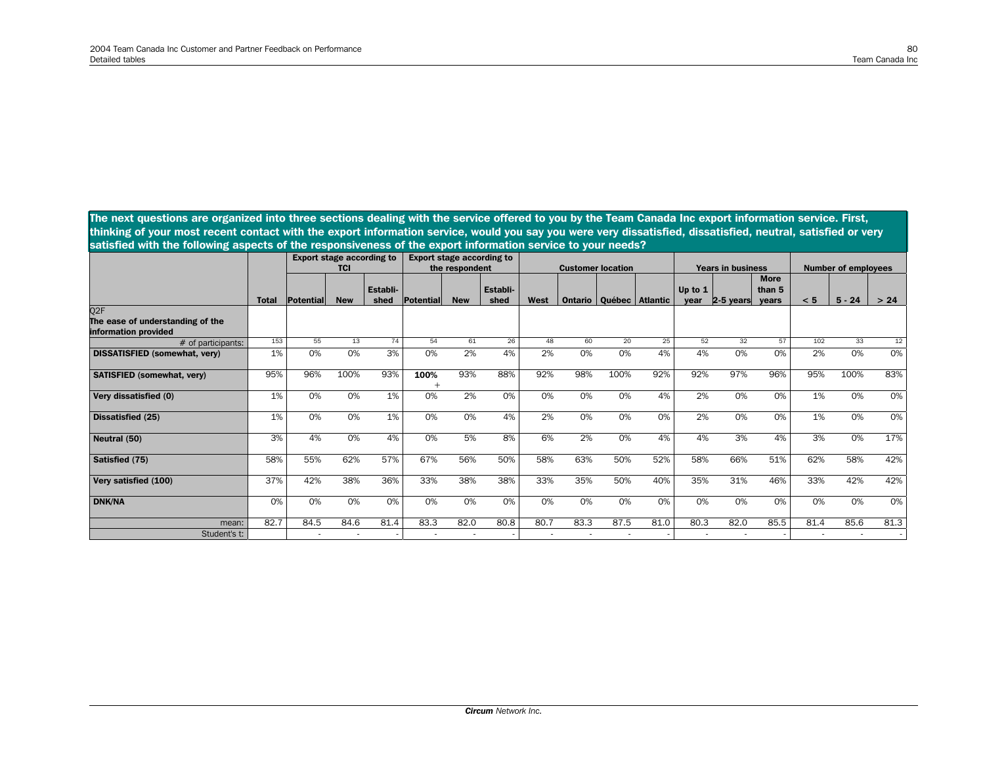|                                                     |              |      | <b>Export stage according to</b><br><b>TCI</b><br>Establi-<br><b>Potential</b><br><b>New</b><br>shed |      |                  | <b>Export stage according to</b> |          |      |                          |        |                 |           |                          |                       |      |                            |      |
|-----------------------------------------------------|--------------|------|------------------------------------------------------------------------------------------------------|------|------------------|----------------------------------|----------|------|--------------------------|--------|-----------------|-----------|--------------------------|-----------------------|------|----------------------------|------|
|                                                     |              |      |                                                                                                      |      |                  | the respondent                   |          |      | <b>Customer location</b> |        |                 |           | <b>Years in business</b> |                       |      | <b>Number of employees</b> |      |
|                                                     |              |      |                                                                                                      |      |                  |                                  | Establi- |      |                          |        |                 | Up to $1$ |                          | <b>More</b><br>than 5 |      |                            |      |
|                                                     | <b>Total</b> |      |                                                                                                      |      | <b>Potential</b> | <b>New</b>                       | shed     | West | <b>Ontario</b>           | Québec | <b>Atlantic</b> | year      | $2-5$ years              | years                 | < 5  | $5 - 24$                   | > 24 |
| Q <sub>2F</sub><br>The ease of understanding of the |              |      |                                                                                                      |      |                  |                                  |          |      |                          |        |                 |           |                          |                       |      |                            |      |
| information provided                                |              |      |                                                                                                      |      |                  |                                  |          |      |                          |        |                 |           |                          |                       |      |                            |      |
| $#$ of participants:                                | 153          | 55   | 13                                                                                                   | 74   | 54               | 61                               | 26       | 48   | 60                       | 20     | 25              | 52        | 32                       | 57                    | 102  | 33                         | 12   |
| <b>DISSATISFIED (somewhat, very)</b>                | 1%           | 0%   | 0%                                                                                                   | 3%   | 0%               | 2%                               | 4%       | 2%   | 0%                       | 0%     | 4%              | 4%        | 0%                       | 0%                    | 2%   | 0%                         | 0%   |
| SATISFIED (somewhat, very)                          | 95%          | 96%  | 100%                                                                                                 | 93%  | 100%             | 93%                              | 88%      | 92%  | 98%                      | 100%   | 92%             | 92%       | 97%                      | 96%                   | 95%  | 100%                       | 83%  |
| Very dissatisfied (0)                               | 1%           | 0%   | 0%                                                                                                   | 1%   | 0%               | 2%                               | 0%       | 0%   | 0%                       | 0%     | 4%              | 2%        | 0%                       | 0%                    | 1%   | 0%                         | 0%   |
| <b>Dissatisfied (25)</b>                            | 1%           | 0%   | 0%                                                                                                   | 1%   | 0%               | 0%                               | 4%       | 2%   | 0%                       | 0%     | 0%              | 2%        | 0%                       | 0%                    | 1%   | 0%                         | 0%   |
| Neutral (50)                                        | 3%           | 4%   | 0%                                                                                                   | 4%   | 0%               | 5%                               | 8%       | 6%   | 2%                       | 0%     | 4%              | 4%        | 3%                       | 4%                    | 3%   | 0%                         | 17%  |
| Satisfied (75)                                      | 58%          | 55%  | 62%                                                                                                  | 57%  | 67%              | 56%                              | 50%      | 58%  | 63%                      | 50%    | 52%             | 58%       | 66%                      | 51%                   | 62%  | 58%                        | 42%  |
| Very satisfied (100)                                | 37%          | 42%  | 38%                                                                                                  | 36%  | 33%              | 38%                              | 38%      | 33%  | 35%                      | 50%    | 40%             | 35%       | 31%                      | 46%                   | 33%  | 42%                        | 42%  |
| <b>DNK/NA</b>                                       | 0%           | 0%   | 0%                                                                                                   | 0%   | 0%               | 0%                               | 0%       | 0%   | 0%                       | 0%     | 0%              | 0%        | 0%                       | 0%                    | 0%   | 0%                         | 0%   |
| mean:                                               | 82.7         | 84.5 | 84.6                                                                                                 | 81.4 | 83.3             | 82.0                             | 80.8     | 80.7 | 83.3                     | 87.5   | 81.0            | 80.3      | 82.0                     | 85.5                  | 81.4 | 85.6                       | 81.3 |
| Student's t:                                        |              |      |                                                                                                      |      |                  |                                  |          |      |                          |        |                 |           |                          |                       |      |                            |      |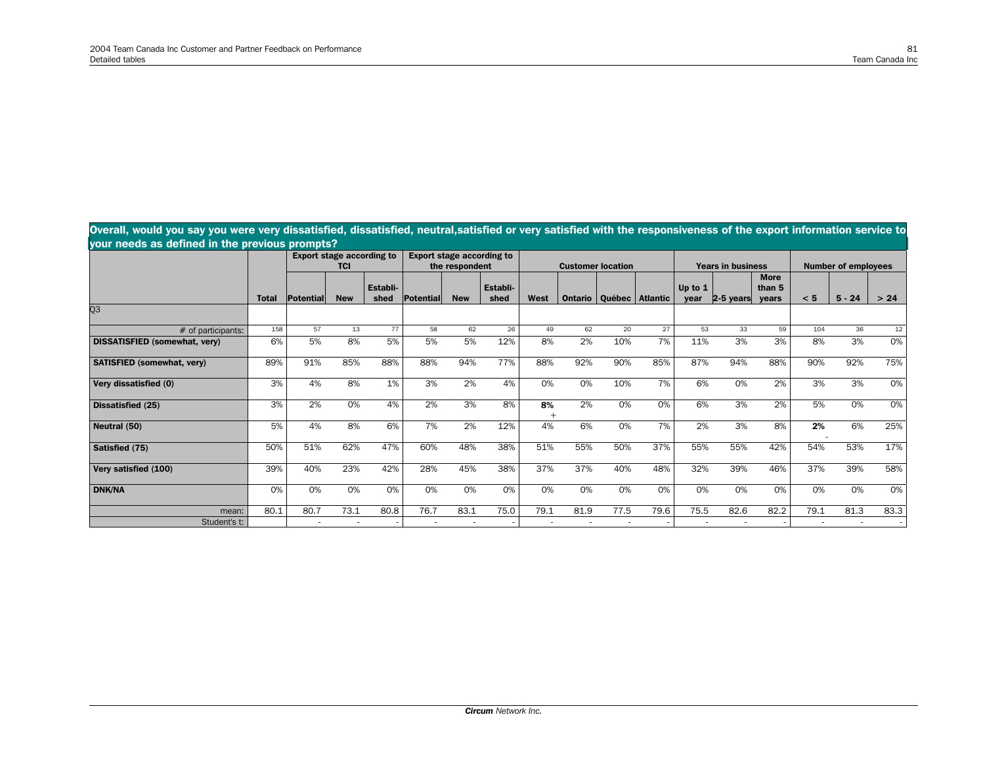| Overall, would you say you were very dissatisfied, dissatisfied, neutral,satisfied or very satisfied with the responsiveness of the export information service to |              |                  |                                  |          |                  |                                  |          |      |                |                          |      |           |                          |             |      |                            |      |
|-------------------------------------------------------------------------------------------------------------------------------------------------------------------|--------------|------------------|----------------------------------|----------|------------------|----------------------------------|----------|------|----------------|--------------------------|------|-----------|--------------------------|-------------|------|----------------------------|------|
| your needs as defined in the previous prompts?                                                                                                                    |              |                  |                                  |          |                  |                                  |          |      |                |                          |      |           |                          |             |      |                            |      |
|                                                                                                                                                                   |              |                  | <b>Export stage according to</b> |          |                  | <b>Export stage according to</b> |          |      |                |                          |      |           |                          |             |      |                            |      |
|                                                                                                                                                                   |              |                  | <b>TCI</b>                       |          |                  | the respondent                   |          |      |                | <b>Customer location</b> |      |           | <b>Years in business</b> | <b>More</b> |      | <b>Number of employees</b> |      |
|                                                                                                                                                                   |              |                  |                                  | Establi- |                  |                                  | Establi- |      |                |                          |      | Up to $1$ |                          | than 5      |      |                            |      |
|                                                                                                                                                                   | <b>Total</b> | <b>Potential</b> | <b>New</b>                       | shed     | <b>Potential</b> | <b>New</b>                       | shed     | West | <b>Ontario</b> | Québec   Atlantic        |      | vear      | 2-5 years                | vears       | < 5  | $5 - 24$                   | > 24 |
| Q <sub>3</sub>                                                                                                                                                    |              |                  |                                  |          |                  |                                  |          |      |                |                          |      |           |                          |             |      |                            |      |
| $#$ of participants:                                                                                                                                              | 158          | 57               | 13                               | 77       | 58               | 62                               | 26       | 49   | 62             | 20                       | 27   | 53        | 33                       | 59          | 104  | 36                         | 12   |
| <b>DISSATISFIED (somewhat, very)</b>                                                                                                                              | 6%           | 5%               | 8%                               | 5%       | 5%               | 5%                               | 12%      | 8%   | 2%             | 10%                      | 7%   | 11%       | 3%                       | 3%          | 8%   | 3%                         | 0%   |
| SATISFIED (somewhat, very)                                                                                                                                        | 89%          | 91%              | 85%                              | 88%      | 88%              | 94%                              | 77%      | 88%  | 92%            | 90%                      | 85%  | 87%       | 94%                      | 88%         | 90%  | 92%                        | 75%  |
| Very dissatisfied (0)                                                                                                                                             | 3%           | 4%               | 8%                               | 1%       | 3%               | 2%                               | 4%       | 0%   | 0%             | 10%                      | 7%   | 6%        | 0%                       | 2%          | 3%   | 3%                         | 0%   |
| <b>Dissatisfied (25)</b>                                                                                                                                          | 3%           | 2%               | 0%                               | 4%       | 2%               | 3%                               | 8%       | 8%   | 2%             | 0%                       | 0%   | 6%        | 3%                       | 2%          | 5%   | 0%                         | 0%   |
| Neutral (50)                                                                                                                                                      | 5%           | 4%               | 8%                               | 6%       | 7%               | 2%                               | 12%      | 4%   | 6%             | 0%                       | 7%   | 2%        | 3%                       | 8%          | 2%   | 6%                         | 25%  |
| Satisfied (75)                                                                                                                                                    | 50%          | 51%              | 62%                              | 47%      | 60%              | 48%                              | 38%      | 51%  | 55%            | 50%                      | 37%  | 55%       | 55%                      | 42%         | 54%  | 53%                        | 17%  |
| Very satisfied (100)                                                                                                                                              | 39%          | 40%              | 23%                              | 42%      | 28%              | 45%                              | 38%      | 37%  | 37%            | 40%                      | 48%  | 32%       | 39%                      | 46%         | 37%  | 39%                        | 58%  |
| <b>DNK/NA</b>                                                                                                                                                     | 0%           | 0%               | 0%                               | 0%       | 0%               | 0%                               | 0%       | 0%   | 0%             | 0%                       | 0%   | 0%        | 0%                       | 0%          | 0%   | 0%                         | 0%   |
| mean:                                                                                                                                                             | 80.1         | 80.7             | 73.1                             | 80.8     | 76.7             | 83.1                             | 75.0     | 79.1 | 81.9           | 77.5                     | 79.6 | 75.5      | 82.6                     | 82.2        | 79.1 | 81.3                       | 83.3 |
| Student's t:                                                                                                                                                      |              |                  |                                  |          |                  |                                  |          |      |                |                          |      |           |                          |             |      |                            |      |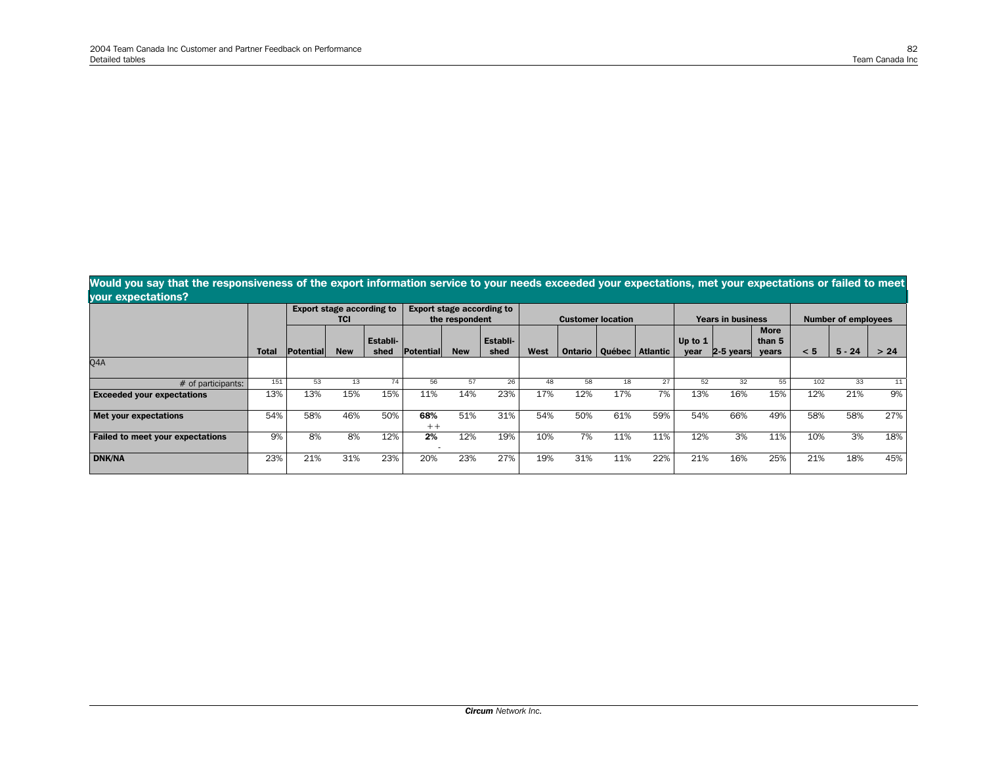**Would you say that the responsiveness of the export information service to your needs exceeded your expectations, met your expectations or failed to meet your expectations?**

|                                         |              |           | <b>Export stage according to</b><br><b>TCI</b> |                  |                  | <b>Export stage according to</b><br>the respondent |                  |      | <b>Customer location</b> |        |          |                   | <b>Years in business</b> |                                |     | <b>Number of employees</b> |      |
|-----------------------------------------|--------------|-----------|------------------------------------------------|------------------|------------------|----------------------------------------------------|------------------|------|--------------------------|--------|----------|-------------------|--------------------------|--------------------------------|-----|----------------------------|------|
|                                         | <b>Total</b> | Potential | <b>New</b>                                     | Establi-<br>shed | <b>Potential</b> | <b>New</b>                                         | Establi-<br>shed | West | <b>Ontario</b>           | Québec | Atlantic | Up to $1$<br>year | 2-5 years                | <b>More</b><br>than 5<br>years | < 5 | $5 - 24$                   | > 24 |
| Q4A                                     |              |           |                                                |                  |                  |                                                    |                  |      |                          |        |          |                   |                          |                                |     |                            |      |
| $#$ of participants:                    | 151          | 53        | 13                                             | 74               | 56               | 57                                                 | 26               | 48   | 58                       | 18     | 27       | 52                | 32                       | 55                             | 102 | 33                         | 11   |
| <b>Exceeded your expectations</b>       | 13%          | 13%       | 15%                                            | 15%              | 11%              | 14%                                                | 23%              | 17%  | 12%                      | 17%    | 7%       | 13%               | 16%                      | 15%                            | 12% | 21%                        | 9%   |
| Met your expectations                   | 54%          | 58%       | 46%                                            | 50%              | 68%<br>$++$      | 51%                                                | 31%              | 54%  | 50%                      | 61%    | 59%      | 54%               | 66%                      | 49%                            | 58% | 58%                        | 27%  |
| <b>Failed to meet your expectations</b> | 9%           | 8%        | 8%                                             | 12%              | 2%               | 12%                                                | 19%              | 10%  | 7%                       | 11%    | 11%      | 12%               | 3%                       | 11%                            | 10% | 3%                         | 18%  |
| <b>DNK/NA</b>                           | 23%          | 21%       | 31%                                            | 23%              | 20%              | 23%                                                | 27%              | 19%  | 31%                      | 11%    | 22%      | 21%               | 16%                      | 25%                            | 21% | 18%                        | 45%  |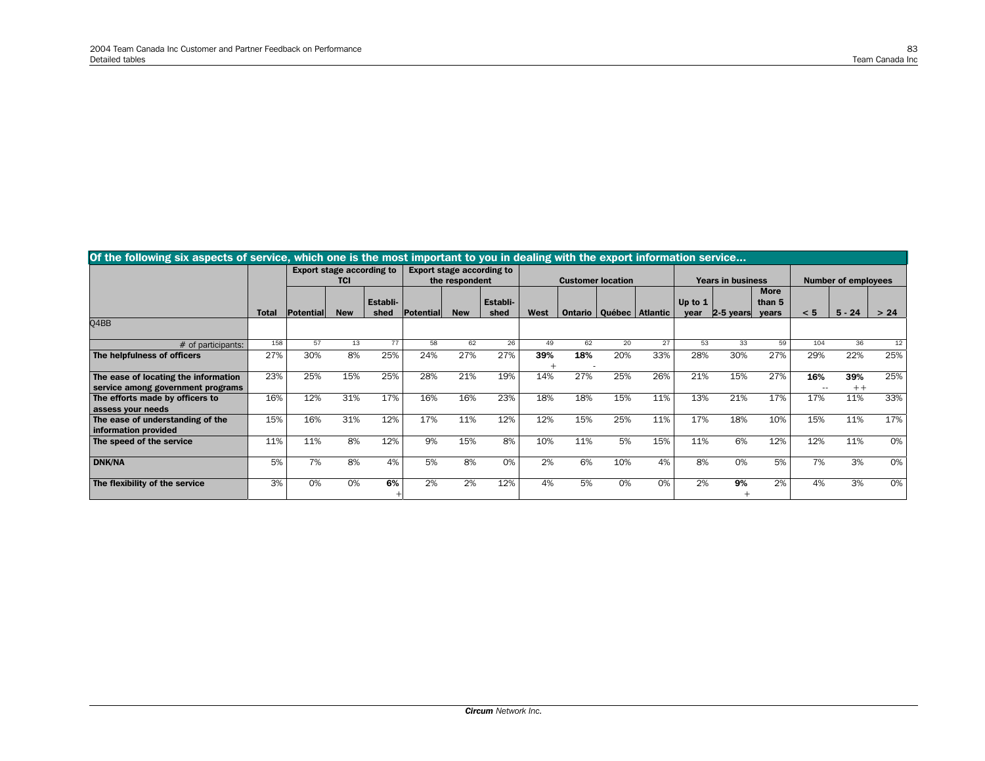| Of the following six aspects of service, which one is the most important to you in dealing with the export information service |              |                  |                                         |                  |                  |                                                    |                  |      |                |                          |     |                   |                          |                                |           |                            |      |
|--------------------------------------------------------------------------------------------------------------------------------|--------------|------------------|-----------------------------------------|------------------|------------------|----------------------------------------------------|------------------|------|----------------|--------------------------|-----|-------------------|--------------------------|--------------------------------|-----------|----------------------------|------|
|                                                                                                                                |              |                  | <b>Export stage according to</b><br>TCI |                  |                  | <b>Export stage according to</b><br>the respondent |                  |      |                | <b>Customer location</b> |     |                   | <b>Years in business</b> |                                |           | <b>Number of employees</b> |      |
|                                                                                                                                | <b>Total</b> | <b>Potential</b> | <b>New</b>                              | Establi-<br>shed | <b>Potential</b> | <b>New</b>                                         | Establi-<br>shed | West | <b>Ontario</b> | Québec   Atlantic        |     | Up to $1$<br>year | $2-5$ years              | <b>More</b><br>than 5<br>vears | < 5       | $5 - 24$                   | > 24 |
| 04BB                                                                                                                           |              |                  |                                         |                  |                  |                                                    |                  |      |                |                          |     |                   |                          |                                |           |                            |      |
| $#$ of participants:                                                                                                           | 158          | 57               | 13                                      | 77               | 58               | 62                                                 | 26               | 49   | 62             | 20                       | 27  | 53                | 33                       | 59                             | 104       | 36                         | 12   |
| The helpfulness of officers                                                                                                    | 27%          | 30%              | 8%                                      | 25%              | 24%              | 27%                                                | 27%              | 39%  | 18%            | 20%                      | 33% | 28%               | 30%                      | 27%                            | 29%       | 22%                        | 25%  |
| The ease of locating the information<br>service among government programs                                                      | 23%          | 25%              | 15%                                     | 25%              | 28%              | 21%                                                | 19%              | 14%  | 27%            | 25%                      | 26% | 21%               | 15%                      | 27%                            | 16%<br>-- | 39%<br>$++$                | 25%  |
| The efforts made by officers to<br>assess your needs                                                                           | 16%          | 12%              | 31%                                     | 17%              | 16%              | 16%                                                | 23%              | 18%  | 18%            | 15%                      | 11% | 13%               | 21%                      | 17%                            | 17%       | 11%                        | 33%  |
| The ease of understanding of the<br>information provided                                                                       | 15%          | 16%              | 31%                                     | 12%              | 17%              | 11%                                                | 12%              | 12%  | 15%            | 25%                      | 11% | 17%               | 18%                      | 10%                            | 15%       | 11%                        | 17%  |
| The speed of the service                                                                                                       | 11%          | 11%              | 8%                                      | 12%              | 9%               | 15%                                                | 8%               | 10%  | 11%            | 5%                       | 15% | 11%               | 6%                       | 12%                            | 12%       | 11%                        | 0%   |
| <b>DNK/NA</b>                                                                                                                  | 5%           | 7%               | 8%                                      | 4%               | 5%               | 8%                                                 | 0%               | 2%   | 6%             | 10%                      | 4%  | 8%                | 0%                       | 5%                             | 7%        | 3%                         | 0%   |
| The flexibility of the service                                                                                                 | 3%           | $0\%$            | 0%                                      | 6%               | 2%               | 2%                                                 | 12%              | 4%   | 5%             | 0%                       | 0%  | 2%                | 9%                       | 2%                             | 4%        | 3%                         | 0%   |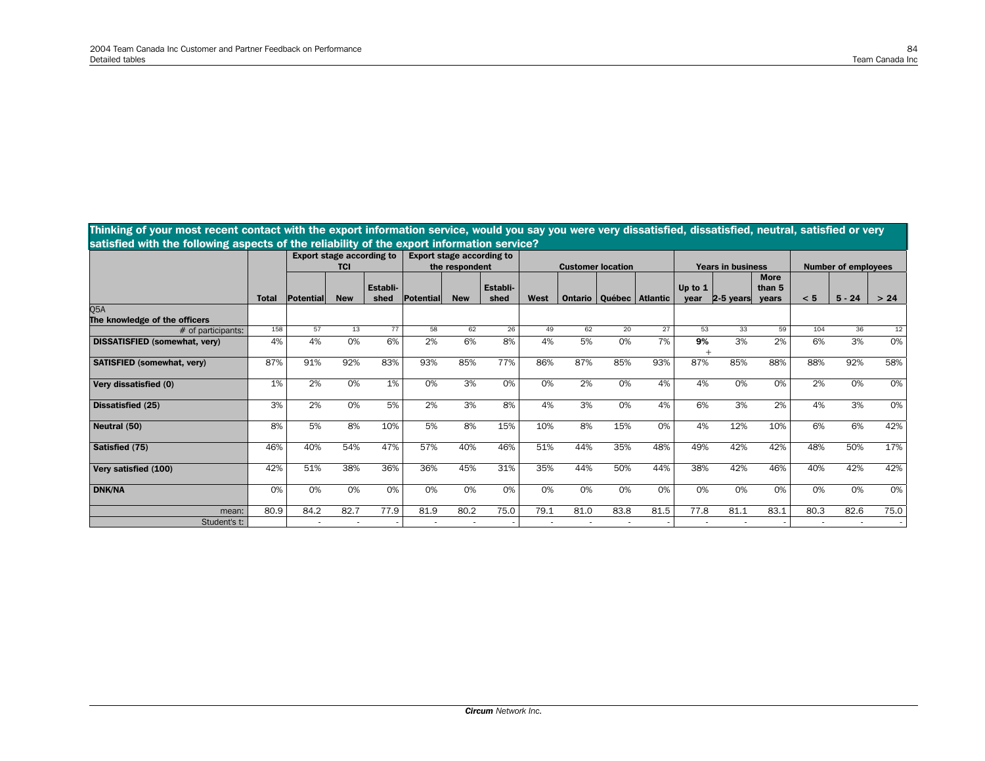| Thinking of your most recent contact with the export information service, would you say you were very dissatisfied, dissatisfied, neutral, satisfied or very<br>satisfied with the following aspects of the reliability of the export information service? |              |                  |                                                |                  |                  |                                                    |                  |       |         |                          |                 |                 |                          |                                |      |                            |      |
|------------------------------------------------------------------------------------------------------------------------------------------------------------------------------------------------------------------------------------------------------------|--------------|------------------|------------------------------------------------|------------------|------------------|----------------------------------------------------|------------------|-------|---------|--------------------------|-----------------|-----------------|--------------------------|--------------------------------|------|----------------------------|------|
|                                                                                                                                                                                                                                                            |              |                  | <b>Export stage according to</b><br><b>TCI</b> |                  |                  | <b>Export stage according to</b><br>the respondent |                  |       |         | <b>Customer location</b> |                 |                 | <b>Years in business</b> |                                |      | <b>Number of employees</b> |      |
|                                                                                                                                                                                                                                                            | <b>Total</b> | <b>Potential</b> | <b>New</b>                                     | Establi-<br>shed | <b>Potential</b> | <b>New</b>                                         | Establi-<br>shed | West  | Ontario | Ouébec                   | <b>Atlantic</b> | Up to 1<br>vear | 2-5 years                | <b>More</b><br>than 5<br>vears | < 5  | $5 - 24$                   | > 24 |
| Q5A<br>The knowledge of the officers                                                                                                                                                                                                                       |              |                  |                                                |                  |                  |                                                    |                  |       |         |                          |                 |                 |                          |                                |      |                            |      |
| $#$ of participants:                                                                                                                                                                                                                                       | 158          | 57               | 13                                             | 77               | 58               | 62                                                 | 26               | 49    | 62      | 20                       | 27              | 53              | 33                       | 59                             | 104  | 36                         | 12   |
| <b>DISSATISFIED (somewhat, very)</b>                                                                                                                                                                                                                       | 4%           | 4%               | 0%                                             | 6%               | 2%               | 6%                                                 | 8%               | 4%    | 5%      | 0%                       | 7%              | 9%              | 3%                       | 2%                             | 6%   | 3%                         | 0%   |
| SATISFIED (somewhat, very)                                                                                                                                                                                                                                 | 87%          | 91%              | 92%                                            | 83%              | 93%              | 85%                                                | 77%              | 86%   | 87%     | 85%                      | 93%             | 87%             | 85%                      | 88%                            | 88%  | 92%                        | 58%  |
| Very dissatisfied (0)                                                                                                                                                                                                                                      | 1%           | 2%               | $0\%$                                          | 1%               | 0%               | 3%                                                 | 0%               | $0\%$ | 2%      | 0%                       | 4%              | 4%              | $0\%$                    | 0%                             | 2%   | 0%                         | 0%   |
| Dissatisfied (25)                                                                                                                                                                                                                                          | 3%           | 2%               | 0%                                             | 5%               | 2%               | 3%                                                 | 8%               | 4%    | 3%      | 0%                       | 4%              | 6%              | 3%                       | 2%                             | 4%   | 3%                         | 0%   |
| Neutral (50)                                                                                                                                                                                                                                               | 8%           | 5%               | 8%                                             | 10%              | 5%               | 8%                                                 | 15%              | 10%   | 8%      | 15%                      | 0%              | 4%              | 12%                      | 10%                            | 6%   | 6%                         | 42%  |
| Satisfied (75)                                                                                                                                                                                                                                             | 46%          | 40%              | 54%                                            | 47%              | 57%              | 40%                                                | 46%              | 51%   | 44%     | 35%                      | 48%             | 49%             | 42%                      | 42%                            | 48%  | 50%                        | 17%  |
| Very satisfied (100)                                                                                                                                                                                                                                       | 42%          | 51%              | 38%                                            | 36%              | 36%              | 45%                                                | 31%              | 35%   | 44%     | 50%                      | 44%             | 38%             | 42%                      | 46%                            | 40%  | 42%                        | 42%  |
| <b>DNK/NA</b>                                                                                                                                                                                                                                              | 0%           | 0%               | 0%                                             | $0\%$            | 0%               | 0%                                                 | 0%               | 0%    | 0%      | 0%                       | 0%              | 0%              | 0%                       | $0\%$                          | O%   | 0%                         | 0%   |
| mean:                                                                                                                                                                                                                                                      | 80.9         | 84.2             | 82.7                                           | 77.9             | 81.9             | 80.2                                               | 75.0             | 79.1  | 81.0    | 83.8                     | 81.5            | 77.8            | 81.1                     | 83.1                           | 80.3 | 82.6                       | 75.0 |
| Student's t:                                                                                                                                                                                                                                               |              |                  |                                                |                  |                  |                                                    |                  |       |         |                          |                 |                 |                          |                                |      |                            |      |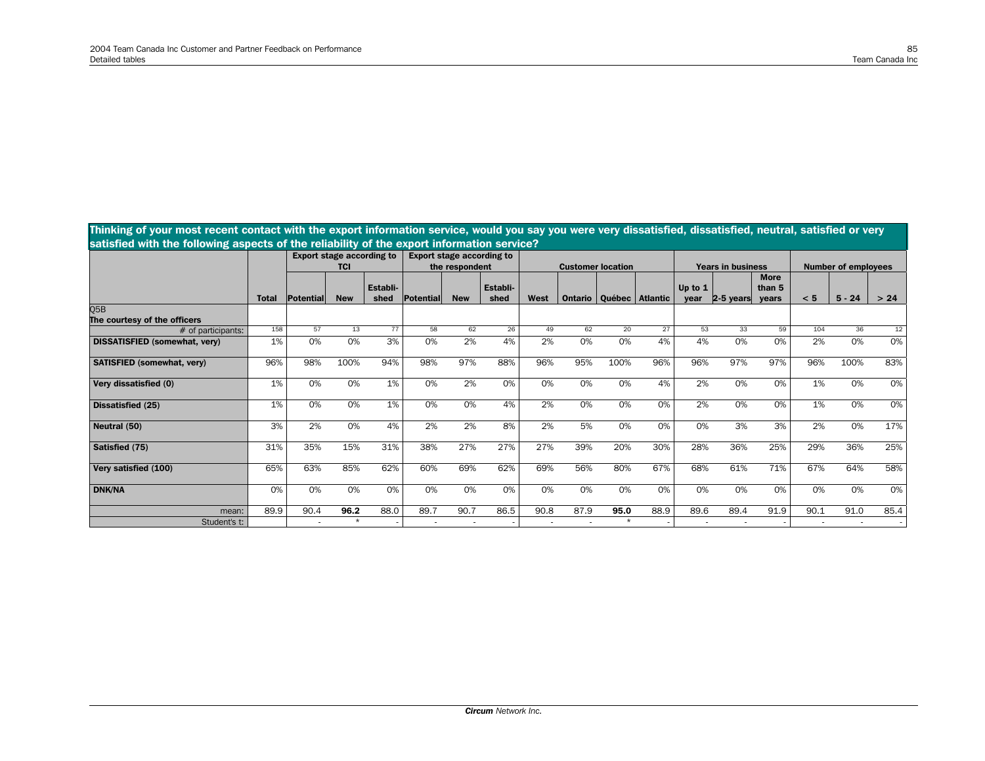| Thinking of your most recent contact with the export information service, would you say you were very dissatisfied, dissatisfied, neutral, satisfied or very<br>satisfied with the following aspects of the reliability of the export information service? |              |                  |                                                |                  |                  |                                                    |                  |      |         |                          |                 |                 |                          |                                |      |                            |      |
|------------------------------------------------------------------------------------------------------------------------------------------------------------------------------------------------------------------------------------------------------------|--------------|------------------|------------------------------------------------|------------------|------------------|----------------------------------------------------|------------------|------|---------|--------------------------|-----------------|-----------------|--------------------------|--------------------------------|------|----------------------------|------|
|                                                                                                                                                                                                                                                            |              |                  | <b>Export stage according to</b><br><b>TCI</b> |                  |                  | <b>Export stage according to</b><br>the respondent |                  |      |         | <b>Customer location</b> |                 |                 | <b>Years in business</b> |                                |      | <b>Number of employees</b> |      |
|                                                                                                                                                                                                                                                            | <b>Total</b> | <b>Potential</b> | <b>New</b>                                     | Establi-<br>shed | <b>Potential</b> | <b>New</b>                                         | Establi-<br>shed | West | Ontario | Ouébec                   | <b>Atlantic</b> | Up to 1<br>vear | 2-5 years                | <b>More</b><br>than 5<br>vears | < 5  | $5 - 24$                   | > 24 |
| Q5B<br>The courtesy of the officers                                                                                                                                                                                                                        |              |                  |                                                |                  |                  |                                                    |                  |      |         |                          |                 |                 |                          |                                |      |                            |      |
| $#$ of participants:                                                                                                                                                                                                                                       | 158          | 57               | 13                                             | 77               | 58               | 62                                                 | 26               | 49   | 62      | 20                       | 27              | 53              | 33                       | 59                             | 104  | 36                         | 12   |
| <b>DISSATISFIED (somewhat, very)</b>                                                                                                                                                                                                                       | 1%           | 0%               | 0%                                             | 3%               | 0%               | 2%                                                 | 4%               | 2%   | 0%      | 0%                       | 4%              | 4%              | 0%                       | 0%                             | 2%   | 0%                         | 0%   |
| SATISFIED (somewhat, very)                                                                                                                                                                                                                                 | 96%          | 98%              | 100%                                           | 94%              | 98%              | 97%                                                | 88%              | 96%  | 95%     | 100%                     | 96%             | 96%             | 97%                      | 97%                            | 96%  | 100%                       | 83%  |
| Very dissatisfied (0)                                                                                                                                                                                                                                      | 1%           | 0%               | 0%                                             | 1%               | 0%               | 2%                                                 | 0%               | 0%   | 0%      | 0%                       | 4%              | 2%              | 0%                       | 0%                             | 1%   | 0%                         | 0%   |
| Dissatisfied (25)                                                                                                                                                                                                                                          | 1%           | 0%               | 0%                                             | 1%               | 0%               | 0%                                                 | 4%               | 2%   | 0%      | 0%                       | 0%              | 2%              | 0%                       | 0%                             | 1%   | 0%                         | 0%   |
| Neutral (50)                                                                                                                                                                                                                                               | 3%           | 2%               | 0%                                             | 4%               | 2%               | 2%                                                 | 8%               | 2%   | 5%      | 0%                       | 0%              | 0%              | 3%                       | 3%                             | 2%   | 0%                         | 17%  |
| Satisfied (75)                                                                                                                                                                                                                                             | 31%          | 35%              | 15%                                            | 31%              | 38%              | 27%                                                | 27%              | 27%  | 39%     | 20%                      | 30%             | 28%             | 36%                      | 25%                            | 29%  | 36%                        | 25%  |
| Very satisfied (100)                                                                                                                                                                                                                                       | 65%          | 63%              | 85%                                            | 62%              | 60%              | 69%                                                | 62%              | 69%  | 56%     | 80%                      | 67%             | 68%             | 61%                      | 71%                            | 67%  | 64%                        | 58%  |
| <b>DNK/NA</b>                                                                                                                                                                                                                                              | 0%           | 0%               | 0%                                             | $0\%$            | 0%               | 0%                                                 | 0%               | 0%   | 0%      | 0%                       | 0%              | 0%              | 0%                       | 0%                             | 0%   | 0%                         | 0%   |
| mean:                                                                                                                                                                                                                                                      | 89.9         | 90.4             | 96.2                                           | 88.0             | 89.7             | 90.7                                               | 86.5             | 90.8 | 87.9    | 95.0                     | 88.9            | 89.6            | 89.4                     | 91.9                           | 90.1 | 91.0                       | 85.4 |
| Student's t:                                                                                                                                                                                                                                               |              |                  | $\star$                                        |                  |                  |                                                    |                  |      |         |                          |                 |                 |                          |                                |      |                            |      |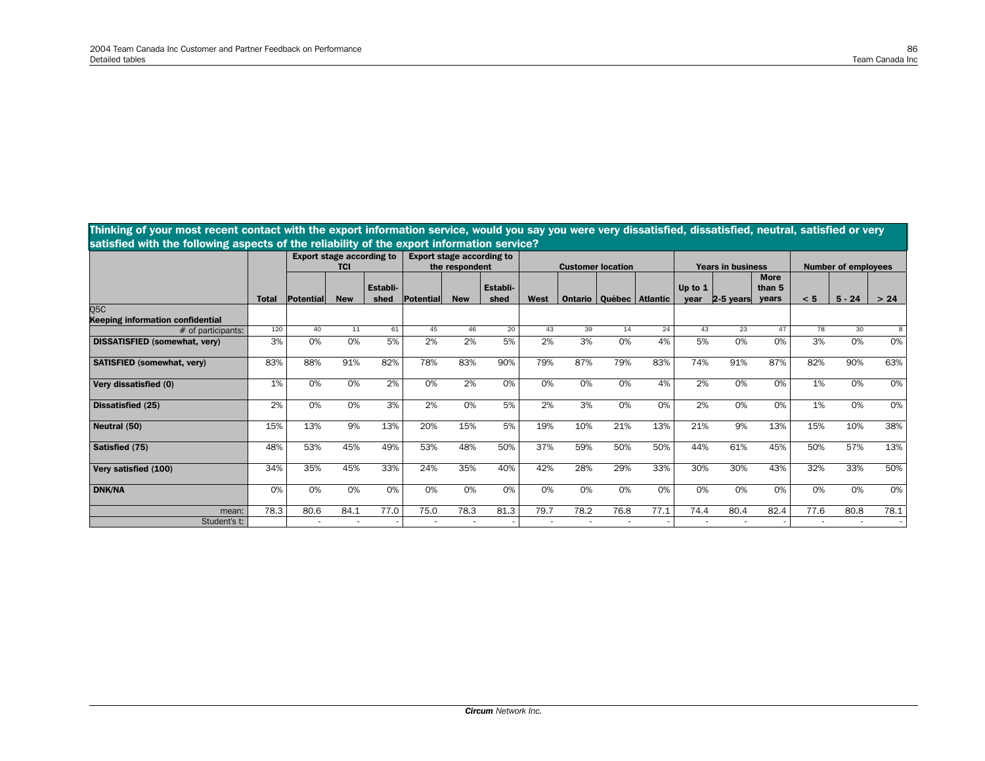| Thinking of your most recent contact with the export information service, would you say you were very dissatisfied, dissatisfied, neutral, satisfied or very<br>satisfied with the following aspects of the reliability of the export information service? |              |                  |                                                |                  |                  |                                                    |                  |          |                          |          |                 |                 |                          |                                |          |                            |         |
|------------------------------------------------------------------------------------------------------------------------------------------------------------------------------------------------------------------------------------------------------------|--------------|------------------|------------------------------------------------|------------------|------------------|----------------------------------------------------|------------------|----------|--------------------------|----------|-----------------|-----------------|--------------------------|--------------------------------|----------|----------------------------|---------|
|                                                                                                                                                                                                                                                            |              |                  | <b>Export stage according to</b><br><b>TCI</b> |                  |                  | <b>Export stage according to</b><br>the respondent |                  |          | <b>Customer location</b> |          |                 |                 | <b>Years in business</b> |                                |          | <b>Number of employees</b> |         |
|                                                                                                                                                                                                                                                            | <b>Total</b> | <b>Potential</b> | <b>New</b>                                     | Establi-<br>shed | <b>Potential</b> | <b>New</b>                                         | Establi-<br>shed | West     | Ontario                  | Ouébec   | <b>Atlantic</b> | Up to 1<br>vear | 2-5 years                | <b>More</b><br>than 5<br>vears | < 5      | $5 - 24$                   | > 24    |
| Q5C<br><b>Keeping information confidential</b>                                                                                                                                                                                                             |              |                  |                                                |                  |                  |                                                    |                  |          |                          |          |                 |                 |                          |                                |          |                            |         |
| $#$ of participants:<br><b>DISSATISFIED (somewhat, very)</b>                                                                                                                                                                                               | 120<br>3%    | 40<br>0%         | 11<br>0%                                       | 61<br>5%         | 45<br>2%         | 46<br>2%                                           | 20<br>5%         | 43<br>2% | 39<br>3%                 | 14<br>0% | 24<br>4%        | 43<br>5%        | 23<br>0%                 | 47<br>0%                       | 78<br>3% | 30<br>0%                   | 8<br>0% |
| SATISFIED (somewhat, very)                                                                                                                                                                                                                                 | 83%          | 88%              | 91%                                            | 82%              | 78%              | 83%                                                | 90%              | 79%      | 87%                      | 79%      | 83%             | 74%             | 91%                      | 87%                            | 82%      | 90%                        | 63%     |
| Very dissatisfied (0)                                                                                                                                                                                                                                      | 1%           | 0%               | 0%                                             | 2%               | 0%               | 2%                                                 | 0%               | 0%       | 0%                       | 0%       | 4%              | 2%              | 0%                       | 0%                             | 1%       | 0%                         | 0%      |
| Dissatisfied (25)                                                                                                                                                                                                                                          | 2%           | 0%               | 0%                                             | 3%               | 2%               | 0%                                                 | 5%               | 2%       | 3%                       | 0%       | 0%              | 2%              | 0%                       | 0%                             | 1%       | 0%                         | 0%      |
| Neutral (50)                                                                                                                                                                                                                                               | 15%          | 13%              | 9%                                             | 13%              | 20%              | 15%                                                | 5%               | 19%      | 10%                      | 21%      | 13%             | 21%             | 9%                       | 13%                            | 15%      | 10%                        | 38%     |
| Satisfied (75)                                                                                                                                                                                                                                             | 48%          | 53%              | 45%                                            | 49%              | 53%              | 48%                                                | 50%              | 37%      | 59%                      | 50%      | 50%             | 44%             | 61%                      | 45%                            | 50%      | 57%                        | 13%     |
| Very satisfied (100)                                                                                                                                                                                                                                       | 34%          | 35%              | 45%                                            | 33%              | 24%              | 35%                                                | 40%              | 42%      | 28%                      | 29%      | 33%             | 30%             | 30%                      | 43%                            | 32%      | 33%                        | 50%     |
| <b>DNK/NA</b>                                                                                                                                                                                                                                              | 0%           | 0%               | 0%                                             | $0\%$            | 0%               | 0%                                                 | 0%               | 0%       | 0%                       | 0%       | 0%              | 0%              | 0%                       | $0\%$                          | O%       | 0%                         | 0%      |
| mean:                                                                                                                                                                                                                                                      | 78.3         | 80.6             | 84.1                                           | 77.0             | 75.0             | 78.3                                               | 81.3             | 79.7     | 78.2                     | 76.8     | 77.1            | 74.4            | 80.4                     | 82.4                           | 77.6     | 80.8                       | 78.1    |
| Student's t:                                                                                                                                                                                                                                               |              |                  |                                                |                  |                  |                                                    |                  |          |                          |          |                 |                 |                          |                                |          |                            |         |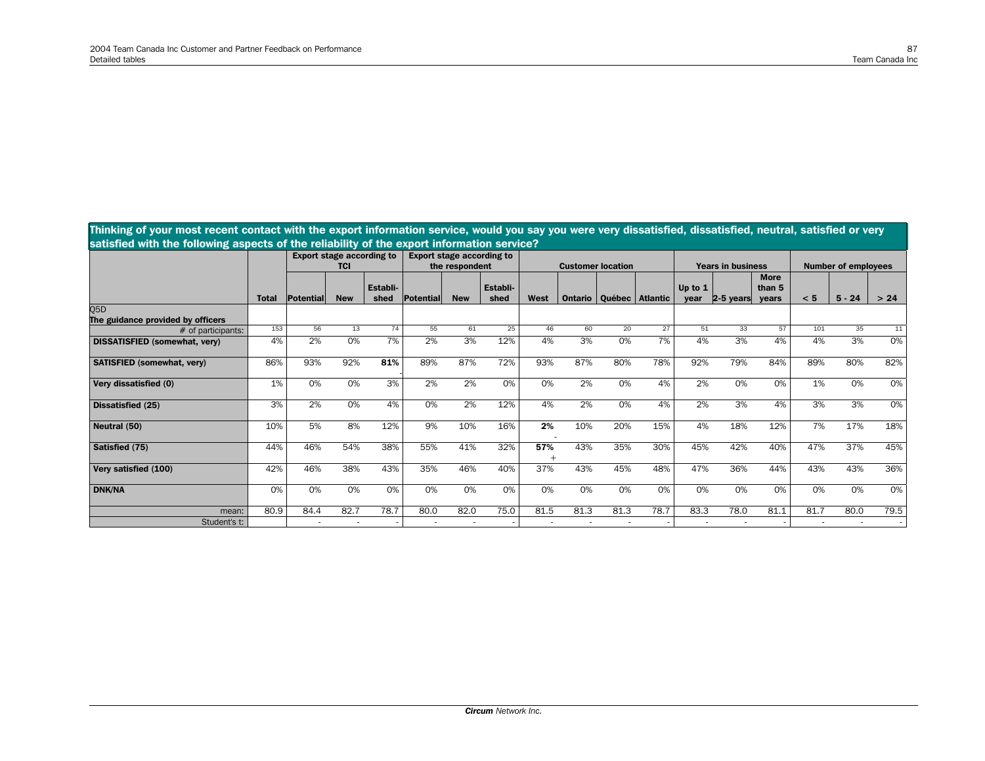| Thinking of your most recent contact with the export information service, would you say you were very dissatisfied, dissatisfied, neutral, satisfied or very<br>satisfied with the following aspects of the reliability of the export information service? |              |                  |                                                |                  |                                  |                |                  |      |                |                          |      |                   |                          |                                |      |                            |      |
|------------------------------------------------------------------------------------------------------------------------------------------------------------------------------------------------------------------------------------------------------------|--------------|------------------|------------------------------------------------|------------------|----------------------------------|----------------|------------------|------|----------------|--------------------------|------|-------------------|--------------------------|--------------------------------|------|----------------------------|------|
|                                                                                                                                                                                                                                                            |              |                  | <b>Export stage according to</b><br><b>TCI</b> |                  | <b>Export stage according to</b> | the respondent |                  |      |                | <b>Customer location</b> |      |                   | <b>Years in business</b> |                                |      | <b>Number of employees</b> |      |
|                                                                                                                                                                                                                                                            | <b>Total</b> | <b>Potential</b> | <b>New</b>                                     | Establi-<br>shed | Potential                        | <b>New</b>     | Establi-<br>shed | West | <b>Ontario</b> | <b>Ouébec</b>   Atlantic |      | Up to $1$<br>vear | 2-5 years                | <b>More</b><br>than 5<br>vears | < 5  | $5 - 24$                   | > 24 |
| Q5D<br>The guidance provided by officers                                                                                                                                                                                                                   |              |                  |                                                |                  |                                  |                |                  |      |                |                          |      |                   |                          |                                |      |                            |      |
| $#$ of participants:                                                                                                                                                                                                                                       | 153          | 56               | 13                                             | 74               | 55                               | 61             | 25               | 46   | 60             | 20                       | 27   | 51                | 33                       | 57                             | 101  | 35                         | 11   |
| <b>DISSATISFIED (somewhat, very)</b>                                                                                                                                                                                                                       | 4%           | 2%               | 0%                                             | 7%               | 2%                               | 3%             | 12%              | 4%   | 3%             | 0%                       | 7%   | 4%                | 3%                       | 4%                             | 4%   | 3%                         | 0%   |
| <b>SATISFIED (somewhat, very)</b>                                                                                                                                                                                                                          | 86%          | 93%              | 92%                                            | 81%              | 89%                              | 87%            | 72%              | 93%  | 87%            | 80%                      | 78%  | 92%               | 79%                      | 84%                            | 89%  | 80%                        | 82%  |
| Very dissatisfied (0)                                                                                                                                                                                                                                      | 1%           | 0%               | 0%                                             | 3%               | 2%                               | 2%             | 0%               | 0%   | 2%             | 0%                       | 4%   | 2%                | 0%                       | $0\%$                          | 1%   | 0%                         | 0%   |
| <b>Dissatisfied (25)</b>                                                                                                                                                                                                                                   | 3%           | 2%               | 0%                                             | 4%               | $0\%$                            | 2%             | 12%              | 4%   | 2%             | 0%                       | 4%   | 2%                | 3%                       | 4%                             | 3%   | 3%                         | 0%   |
| Neutral (50)                                                                                                                                                                                                                                               | 10%          | 5%               | 8%                                             | 12%              | 9%                               | 10%            | 16%              | 2%   | 10%            | 20%                      | 15%  | 4%                | 18%                      | 12%                            | 7%   | 17%                        | 18%  |
| Satisfied (75)                                                                                                                                                                                                                                             | 44%          | 46%              | 54%                                            | 38%              | 55%                              | 41%            | 32%              | 57%  | 43%            | 35%                      | 30%  | 45%               | 42%                      | 40%                            | 47%  | 37%                        | 45%  |
| Very satisfied (100)                                                                                                                                                                                                                                       | 42%          | 46%              | 38%                                            | 43%              | 35%                              | 46%            | 40%              | 37%  | 43%            | 45%                      | 48%  | 47%               | 36%                      | 44%                            | 43%  | 43%                        | 36%  |
| <b>DNK/NA</b>                                                                                                                                                                                                                                              | 0%           | O%               | O%                                             | $0\%$            | $0\%$                            | 0%             | 0%               | 0%   | O%             | 0%                       | 0%   | 0%                | 0%                       | O%                             | O%   | 0%                         | 0%   |
| mean:                                                                                                                                                                                                                                                      | 80.9         | 84.4             | 82.7                                           | 78.7             | 80.0                             | 82.0           | 75.0             | 81.5 | 81.3           | 81.3                     | 78.7 | 83.3              | 78.0                     | 81.1                           | 81.7 | 80.0                       | 79.5 |
| Student's t:                                                                                                                                                                                                                                               |              |                  |                                                |                  |                                  |                |                  |      |                |                          |      |                   |                          |                                |      |                            |      |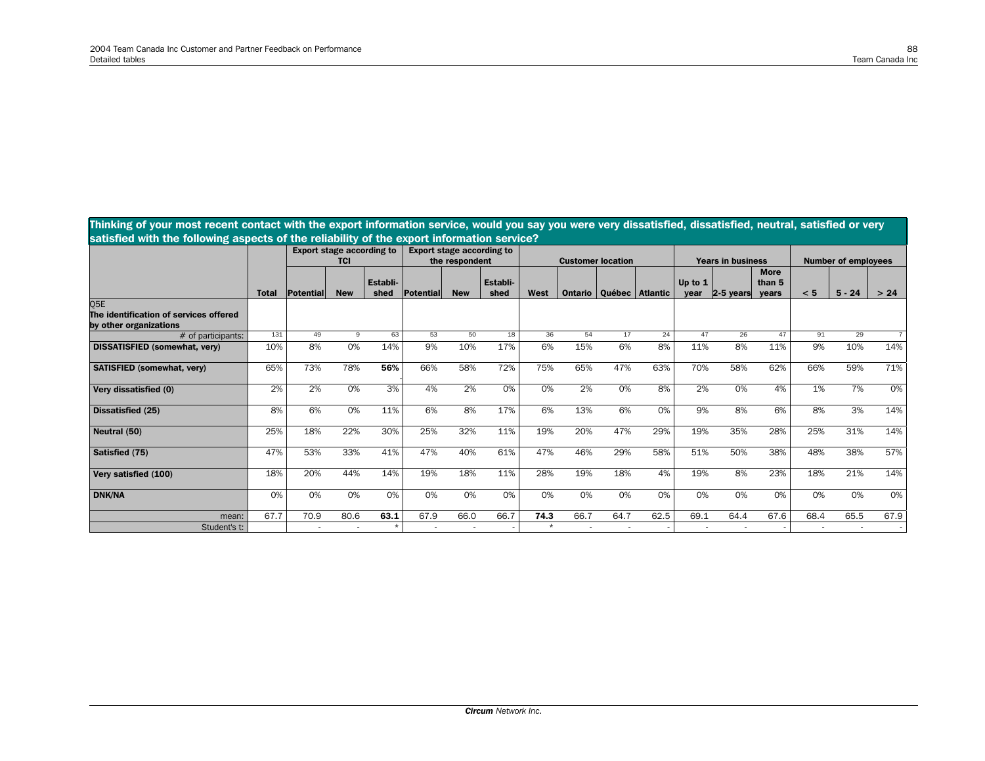| Thinking of your most recent contact with the export information service, would you say you were very dissatisfied, dissatisfied, neutral, satisfied or very |              |                  |                                  |                  |                  |                                  |                  |         |                          |                         |                 |                 |                          |                 |      |                            |      |
|--------------------------------------------------------------------------------------------------------------------------------------------------------------|--------------|------------------|----------------------------------|------------------|------------------|----------------------------------|------------------|---------|--------------------------|-------------------------|-----------------|-----------------|--------------------------|-----------------|------|----------------------------|------|
| satisfied with the following aspects of the reliability of the export information service?                                                                   |              |                  |                                  |                  |                  |                                  |                  |         |                          |                         |                 |                 |                          |                 |      |                            |      |
|                                                                                                                                                              |              |                  | <b>Export stage according to</b> |                  |                  | <b>Export stage according to</b> |                  |         |                          |                         |                 |                 |                          |                 |      |                            |      |
|                                                                                                                                                              |              |                  | <b>TCI</b>                       |                  |                  | the respondent                   |                  |         | <b>Customer location</b> |                         |                 |                 | <b>Years in business</b> |                 |      | <b>Number of employees</b> |      |
|                                                                                                                                                              |              |                  |                                  |                  |                  |                                  |                  |         |                          |                         |                 |                 |                          | <b>More</b>     |      |                            |      |
|                                                                                                                                                              | <b>Total</b> | <b>Potential</b> | <b>New</b>                       | Establi-<br>shed | <b>Potential</b> | <b>New</b>                       | Establi-<br>shed | West    |                          | <b>Ontario</b>   Québec | <b>Atlantic</b> | Up to 1<br>year | $2-5$ years              | than 5<br>vears | < 5  | $5 - 24$                   | > 24 |
| Q5E                                                                                                                                                          |              |                  |                                  |                  |                  |                                  |                  |         |                          |                         |                 |                 |                          |                 |      |                            |      |
| The identification of services offered                                                                                                                       |              |                  |                                  |                  |                  |                                  |                  |         |                          |                         |                 |                 |                          |                 |      |                            |      |
| by other organizations                                                                                                                                       |              |                  |                                  |                  |                  |                                  |                  |         |                          |                         |                 |                 |                          |                 |      |                            |      |
| $#$ of participants:                                                                                                                                         | 131          | 49               | 9                                | 63               | 53               | 50                               | 18               | 36      | 54                       | 17                      | 24              | 47              | 26                       | 47              | 91   | 29                         |      |
| <b>DISSATISFIED (somewhat, very)</b>                                                                                                                         | 10%          | 8%               | 0%                               | 14%              | 9%               | 10%                              | 17%              | 6%      | 15%                      | 6%                      | 8%              | 11%             | 8%                       | 11%             | 9%   | 10%                        | 14%  |
| SATISFIED (somewhat, very)                                                                                                                                   | 65%          | 73%              | 78%                              | 56%              | 66%              | 58%                              | 72%              | 75%     | 65%                      | 47%                     | 63%             | 70%             | 58%                      | 62%             | 66%  | 59%                        | 71%  |
| Very dissatisfied (0)                                                                                                                                        | 2%           | 2%               | 0%                               | 3%               | 4%               | 2%                               | 0%               | 0%      | 2%                       | $0\%$                   | 8%              | 2%              | 0%                       | 4%              | 1%   | 7%                         | 0%   |
| Dissatisfied (25)                                                                                                                                            | 8%           | 6%               | 0%                               | 11%              | 6%               | 8%                               | 17%              | 6%      | 13%                      | 6%                      | 0%              | 9%              | 8%                       | 6%              | 8%   | 3%                         | 14%  |
| Neutral (50)                                                                                                                                                 | 25%          | 18%              | 22%                              | 30%              | 25%              | 32%                              | 11%              | 19%     | 20%                      | 47%                     | 29%             | 19%             | 35%                      | 28%             | 25%  | 31%                        | 14%  |
| Satisfied (75)                                                                                                                                               | 47%          | 53%              | 33%                              | 41%              | 47%              | 40%                              | 61%              | 47%     | 46%                      | 29%                     | 58%             | 51%             | 50%                      | 38%             | 48%  | 38%                        | 57%  |
| Very satisfied (100)                                                                                                                                         | 18%          | 20%              | 44%                              | 14%              | 19%              | 18%                              | 11%              | 28%     | 19%                      | 18%                     | 4%              | 19%             | 8%                       | 23%             | 18%  | 21%                        | 14%  |
| <b>DNK/NA</b>                                                                                                                                                | 0%           | 0%               | 0%                               | $0\%$            | 0%               | 0%                               | 0%               | $0\%$   | $0\%$                    | $0\%$                   | 0%              | 0%              | 0%                       | 0%              | 0%   | 0%                         | 0%   |
| mean:                                                                                                                                                        | 67.7         | 70.9             | 80.6                             | 63.1             | 67.9             | 66.0                             | 66.7             | 74.3    | 66.7                     | 64.7                    | 62.5            | 69.1            | 64.4                     | 67.6            | 68.4 | 65.5                       | 67.9 |
| Student's t:                                                                                                                                                 |              |                  |                                  | $\star$          |                  |                                  |                  | $\star$ |                          |                         |                 |                 |                          |                 |      |                            |      |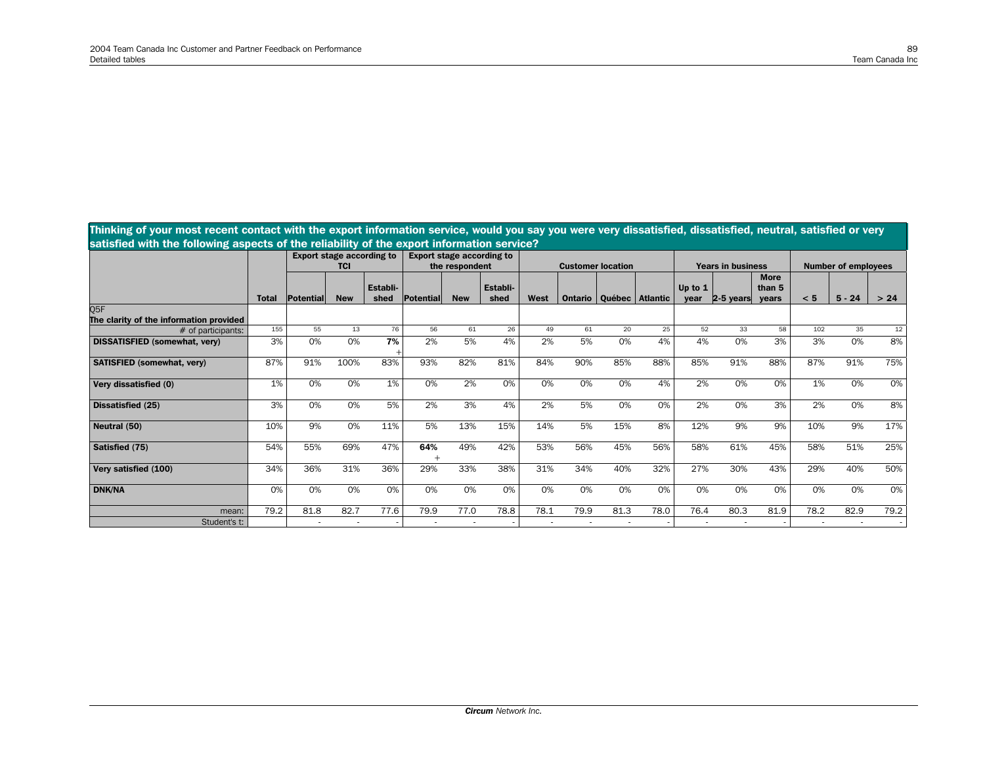| Thinking of your most recent contact with the export information service, would you say you were very dissatisfied, dissatisfied, neutral, satisfied or very<br>satisfied with the following aspects of the reliability of the export information service? |              |                  |                                                |                  |                  |                                                    |                  |      |                          |        |                 |                 |                          |                                |      |                            |      |
|------------------------------------------------------------------------------------------------------------------------------------------------------------------------------------------------------------------------------------------------------------|--------------|------------------|------------------------------------------------|------------------|------------------|----------------------------------------------------|------------------|------|--------------------------|--------|-----------------|-----------------|--------------------------|--------------------------------|------|----------------------------|------|
|                                                                                                                                                                                                                                                            |              |                  | <b>Export stage according to</b><br><b>TCI</b> |                  |                  | <b>Export stage according to</b><br>the respondent |                  |      | <b>Customer location</b> |        |                 |                 | <b>Years in business</b> |                                |      | <b>Number of employees</b> |      |
|                                                                                                                                                                                                                                                            | <b>Total</b> | <b>Potential</b> | <b>New</b>                                     | Establi-<br>shed | <b>Potential</b> | <b>New</b>                                         | Establi-<br>shed | West | <b>Ontario</b>           | Québec | <b>Atlantic</b> | Up to 1<br>vear | 2-5 years                | <b>More</b><br>than 5<br>vears | < 5  | $5 - 24$                   | > 24 |
| Q5F                                                                                                                                                                                                                                                        |              |                  |                                                |                  |                  |                                                    |                  |      |                          |        |                 |                 |                          |                                |      |                            |      |
| The clarity of the information provided<br>$#$ of participants:                                                                                                                                                                                            | 155          | 55               | 13                                             | 76               | 56               | 61                                                 | 26               | 49   | 61                       | 20     | 25              | 52              | 33                       | 58                             | 102  | 35                         | 12   |
| <b>DISSATISFIED (somewhat, very)</b>                                                                                                                                                                                                                       | 3%           | 0%               | 0%                                             | 7%               | 2%               | 5%                                                 | 4%               | 2%   | 5%                       | 0%     | 4%              | 4%              | 0%                       | 3%                             | 3%   | 0%                         | 8%   |
| SATISFIED (somewhat, very)                                                                                                                                                                                                                                 | 87%          | 91%              | 100%                                           | 83%              | 93%              | 82%                                                | 81%              | 84%  | 90%                      | 85%    | 88%             | 85%             | 91%                      | 88%                            | 87%  | 91%                        | 75%  |
| Very dissatisfied (0)                                                                                                                                                                                                                                      | 1%           | 0%               | 0%                                             | 1%               | 0%               | 2%                                                 | 0%               | 0%   | 0%                       | 0%     | 4%              | 2%              | 0%                       | 0%                             | 1%   | 0%                         | 0%   |
| Dissatisfied (25)                                                                                                                                                                                                                                          | 3%           | 0%               | 0%                                             | 5%               | 2%               | 3%                                                 | 4%               | 2%   | 5%                       | 0%     | 0%              | 2%              | 0%                       | 3%                             | 2%   | 0%                         | 8%   |
| Neutral (50)                                                                                                                                                                                                                                               | 10%          | 9%               | 0%                                             | 11%              | 5%               | 13%                                                | 15%              | 14%  | 5%                       | 15%    | 8%              | 12%             | 9%                       | 9%                             | 10%  | 9%                         | 17%  |
| Satisfied (75)                                                                                                                                                                                                                                             | 54%          | 55%              | 69%                                            | 47%              | 64%              | 49%                                                | 42%              | 53%  | 56%                      | 45%    | 56%             | 58%             | 61%                      | 45%                            | 58%  | 51%                        | 25%  |
| Very satisfied (100)                                                                                                                                                                                                                                       | 34%          | 36%              | 31%                                            | 36%              | 29%              | 33%                                                | 38%              | 31%  | 34%                      | 40%    | 32%             | 27%             | 30%                      | 43%                            | 29%  | 40%                        | 50%  |
| <b>DNK/NA</b>                                                                                                                                                                                                                                              | 0%           | 0%               | 0%                                             | 0%               | 0%               | 0%                                                 | 0%               | 0%   | $0\%$                    | 0%     | 0%              | 0%              | 0%                       | $0\%$                          | O%   | 0%                         | 0%   |
| mean:                                                                                                                                                                                                                                                      | 79.2         | 81.8             | 82.7                                           | 77.6             | 79.9             | 77.0                                               | 78.8             | 78.1 | 79.9                     | 81.3   | 78.0            | 76.4            | 80.3                     | 81.9                           | 78.2 | 82.9                       | 79.2 |
| Student's t:                                                                                                                                                                                                                                               |              |                  |                                                |                  |                  |                                                    |                  |      |                          |        |                 |                 |                          |                                |      |                            |      |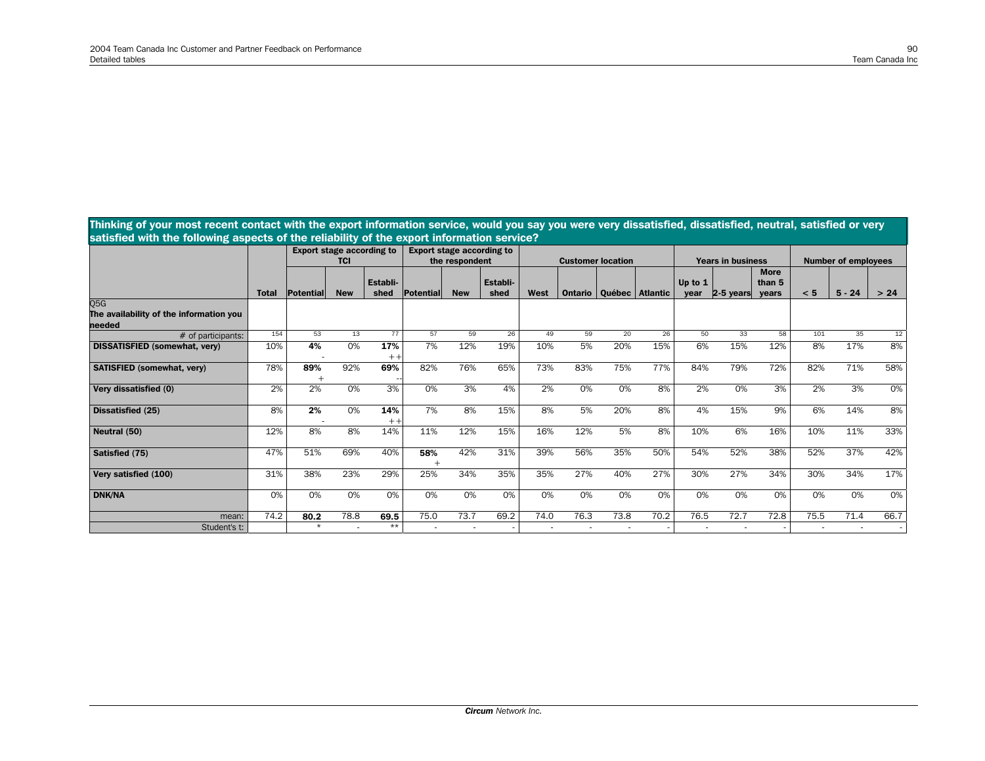| Thinking of your most recent contact with the export information service, would you say you were very dissatisfied, dissatisfied, neutral, satisfied or very |              |                  |            |                                  |                  |                                  |          |      |                          |        |                 |           |                          |             |      |                            |      |
|--------------------------------------------------------------------------------------------------------------------------------------------------------------|--------------|------------------|------------|----------------------------------|------------------|----------------------------------|----------|------|--------------------------|--------|-----------------|-----------|--------------------------|-------------|------|----------------------------|------|
| satisfied with the following aspects of the reliability of the export information service?                                                                   |              |                  |            |                                  |                  |                                  |          |      |                          |        |                 |           |                          |             |      |                            |      |
|                                                                                                                                                              |              |                  |            | <b>Export stage according to</b> |                  | <b>Export stage according to</b> |          |      |                          |        |                 |           |                          |             |      |                            |      |
|                                                                                                                                                              |              |                  | <b>TCI</b> |                                  |                  | the respondent                   |          |      | <b>Customer location</b> |        |                 |           | <b>Years in business</b> |             |      | <b>Number of employees</b> |      |
|                                                                                                                                                              |              |                  |            |                                  |                  |                                  |          |      |                          |        |                 |           |                          | <b>More</b> |      |                            |      |
|                                                                                                                                                              |              |                  |            | Establi-                         |                  |                                  | Establi- |      |                          |        |                 | Up to $1$ |                          | than 5      |      | $5 - 24$                   |      |
| Q5G                                                                                                                                                          | <b>Total</b> | <b>Potential</b> | <b>New</b> | shed                             | <b>Potential</b> | <b>New</b>                       | shed     | West | Ontario                  | Québec | <b>Atlantic</b> | vear      | $2-5$ years              | vears       | < 5  |                            | > 24 |
| The availability of the information you                                                                                                                      |              |                  |            |                                  |                  |                                  |          |      |                          |        |                 |           |                          |             |      |                            |      |
| needed                                                                                                                                                       |              |                  |            |                                  |                  |                                  |          |      |                          |        |                 |           |                          |             |      |                            |      |
| $#$ of participants:                                                                                                                                         | 154          | 53               | 13         | 77                               | 57               | 59                               | 26       | 49   | 59                       | 20     | 26              | 50        | 33                       | 58          | 101  | 35                         | 12   |
| <b>DISSATISFIED (somewhat, very)</b>                                                                                                                         | 10%          | 4%               | 0%         | 17%                              | 7%               | 12%                              | 19%      | 10%  | 5%                       | 20%    | 15%             | 6%        | 15%                      | 12%         | 8%   | 17%                        | 8%   |
|                                                                                                                                                              |              |                  |            | $+ +$                            |                  |                                  |          |      |                          |        |                 |           |                          |             |      |                            |      |
| SATISFIED (somewhat, very)                                                                                                                                   | 78%          | 89%              | 92%        | 69%                              | 82%              | 76%                              | 65%      | 73%  | 83%                      | 75%    | 77%             | 84%       | 79%                      | 72%         | 82%  | 71%                        | 58%  |
|                                                                                                                                                              |              |                  |            |                                  |                  |                                  |          |      |                          |        |                 |           |                          |             |      |                            |      |
| Very dissatisfied (0)                                                                                                                                        | 2%           | 2%               | 0%         | 3%                               | 0%               | 3%                               | 4%       | 2%   | 0%                       | 0%     | 8%              | 2%        | 0%                       | 3%          | 2%   | 3%                         | 0%   |
| Dissatisfied (25)                                                                                                                                            | 8%           | 2%               | 0%         | 14%                              | 7%               | 8%                               | 15%      | 8%   | 5%                       | 20%    | 8%              | 4%        | 15%                      | 9%          | 6%   | 14%                        | 8%   |
|                                                                                                                                                              |              |                  |            | $+ +$                            |                  |                                  |          |      |                          |        |                 |           |                          |             |      |                            |      |
| Neutral (50)                                                                                                                                                 | 12%          | 8%               | 8%         | 14%                              | 11%              | 12%                              | 15%      | 16%  | 12%                      | 5%     | 8%              | 10%       | 6%                       | 16%         | 10%  | 11%                        | 33%  |
|                                                                                                                                                              |              |                  |            |                                  |                  |                                  |          |      |                          |        |                 |           |                          |             |      |                            |      |
| Satisfied (75)                                                                                                                                               | 47%          | 51%              | 69%        | 40%                              | 58%              | 42%                              | 31%      | 39%  | 56%                      | 35%    | 50%             | 54%       | 52%                      | 38%         | 52%  | 37%                        | 42%  |
|                                                                                                                                                              |              |                  |            |                                  |                  |                                  |          |      |                          |        |                 |           |                          |             |      |                            |      |
| Very satisfied (100)                                                                                                                                         | 31%          | 38%              | 23%        | 29%                              | 25%              | 34%                              | 35%      | 35%  | 27%                      | 40%    | 27%             | 30%       | 27%                      | 34%         | 30%  | 34%                        | 17%  |
| <b>DNK/NA</b>                                                                                                                                                | 0%           | 0%               | 0%         | 0%                               | 0%               | 0%                               | 0%       | 0%   | 0%                       | 0%     | 0%              | 0%        | 0%                       | 0%          | 0%   | 0%                         | 0%   |
|                                                                                                                                                              |              |                  |            |                                  |                  |                                  |          |      |                          |        |                 |           |                          |             |      |                            |      |
| mean:                                                                                                                                                        | 74.2         | 80.2             | 78.8       | 69.5                             | 75.0             | 73.7                             | 69.2     | 74.0 | 76.3                     | 73.8   | 70.2            | 76.5      | 72.7                     | 72.8        | 75.5 | 71.4                       | 66.7 |
| Student's t:                                                                                                                                                 |              | $\star$          |            | $***$                            |                  |                                  |          |      |                          |        |                 |           |                          |             |      |                            |      |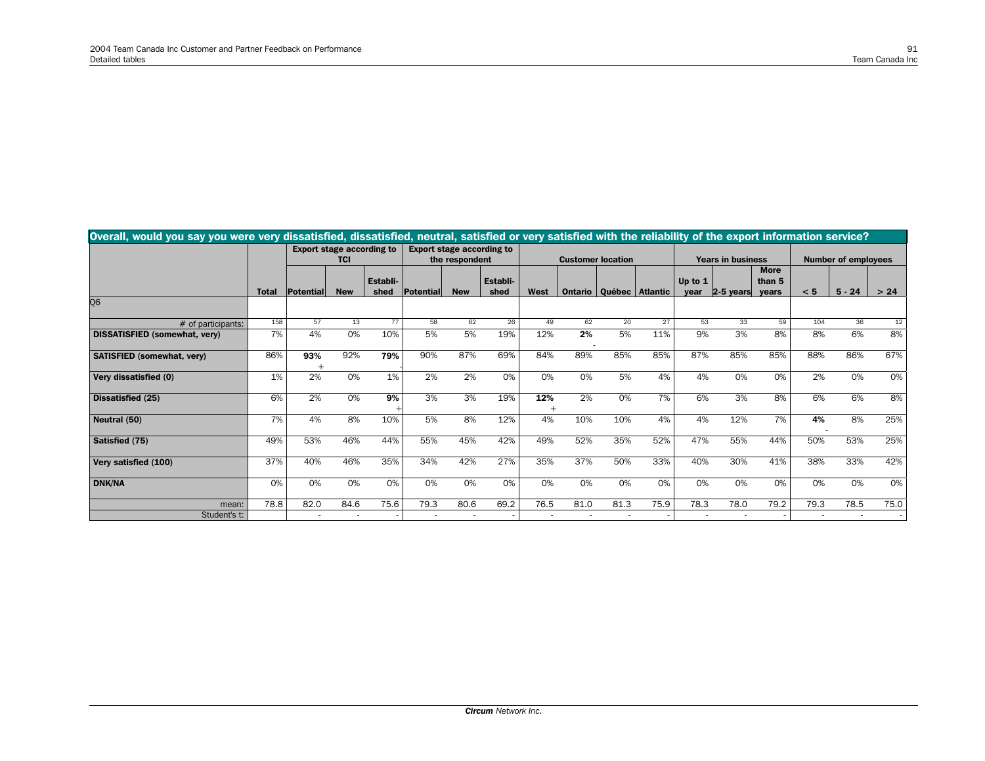| Overall, would you say you were very dissatisfied, dissatisfied, neutral, satisfied or very satisfied with the reliability of the export information service? |              |                  |                                         |          |                  |                                                    |          |      |                |                          |                 |         |                          |                       |      |                            |      |
|---------------------------------------------------------------------------------------------------------------------------------------------------------------|--------------|------------------|-----------------------------------------|----------|------------------|----------------------------------------------------|----------|------|----------------|--------------------------|-----------------|---------|--------------------------|-----------------------|------|----------------------------|------|
|                                                                                                                                                               |              |                  | <b>Export stage according to</b><br>TCI |          |                  | <b>Export stage according to</b><br>the respondent |          |      |                | <b>Customer location</b> |                 |         | <b>Years in business</b> |                       |      | <b>Number of employees</b> |      |
|                                                                                                                                                               |              |                  |                                         | Establi- |                  |                                                    | Establi- |      |                |                          |                 | Up to 1 |                          | <b>More</b><br>than 5 |      |                            |      |
|                                                                                                                                                               | <b>Total</b> | <b>Potential</b> | <b>New</b>                              | shed     | <b>Potential</b> | <b>New</b>                                         | shed     | West | <b>Ontario</b> | Québec                   | <b>Atlantic</b> | vear    | 2-5 years                | vears                 | < 5  | $5 - 24$                   | >24  |
| 06                                                                                                                                                            |              |                  |                                         |          |                  |                                                    |          |      |                |                          |                 |         |                          |                       |      |                            |      |
| $#$ of participants:                                                                                                                                          | 158          | 57               | 13                                      | 77       | 58               | 62                                                 | 26       | 49   | 62             | 20                       | 27              | 53      | 33                       | 59                    | 104  | 36                         | 12   |
| <b>DISSATISFIED (somewhat, very)</b>                                                                                                                          | 7%           | 4%               | 0%                                      | 10%      | 5%               | 5%                                                 | 19%      | 12%  | 2%             | 5%                       | 11%             | 9%      | 3%                       | 8%                    | 8%   | 6%                         | 8%   |
| <b>SATISFIED (somewhat, very)</b>                                                                                                                             | 86%          | 93%              | 92%                                     | 79%      | 90%              | 87%                                                | 69%      | 84%  | 89%            | 85%                      | 85%             | 87%     | 85%                      | 85%                   | 88%  | 86%                        | 67%  |
| Very dissatisfied (0)                                                                                                                                         | 1%           | 2%               | 0%                                      | 1%       | 2%               | 2%                                                 | 0%       | 0%   | 0%             | 5%                       | 4%              | 4%      | 0%                       | 0%                    | 2%   | 0%                         | 0%   |
| <b>Dissatisfied (25)</b>                                                                                                                                      | 6%           | 2%               | 0%                                      | 9%       | 3%               | 3%                                                 | 19%      | 12%  | 2%             | 0%                       | 7%              | 6%      | 3%                       | 8%                    | 6%   | 6%                         | 8%   |
| Neutral (50)                                                                                                                                                  | 7%           | 4%               | 8%                                      | 10%      | 5%               | 8%                                                 | 12%      | 4%   | 10%            | 10%                      | 4%              | 4%      | 12%                      | 7%                    | 4%   | 8%                         | 25%  |
| Satisfied (75)                                                                                                                                                | 49%          | 53%              | 46%                                     | 44%      | 55%              | 45%                                                | 42%      | 49%  | 52%            | 35%                      | 52%             | 47%     | 55%                      | 44%                   | 50%  | 53%                        | 25%  |
| Very satisfied (100)                                                                                                                                          | 37%          | 40%              | 46%                                     | 35%      | 34%              | 42%                                                | 27%      | 35%  | 37%            | 50%                      | 33%             | 40%     | 30%                      | 41%                   | 38%  | 33%                        | 42%  |
| <b>DNK/NA</b>                                                                                                                                                 | 0%           | 0%               | 0%                                      | 0%       | 0%               | 0%                                                 | 0%       | 0%   | 0%             | 0%                       | 0%              | 0%      | 0%                       | 0%                    | 0%   | 0%                         | 0%   |
| mean:                                                                                                                                                         | 78.8         | 82.0             | 84.6                                    | 75.6     | 79.3             | 80.6                                               | 69.2     | 76.5 | 81.0           | 81.3                     | 75.9            | 78.3    | 78.0                     | 79.2                  | 79.3 | 78.5                       | 75.0 |
| Student's t:                                                                                                                                                  |              |                  |                                         |          |                  |                                                    |          |      |                |                          |                 |         |                          |                       |      |                            |      |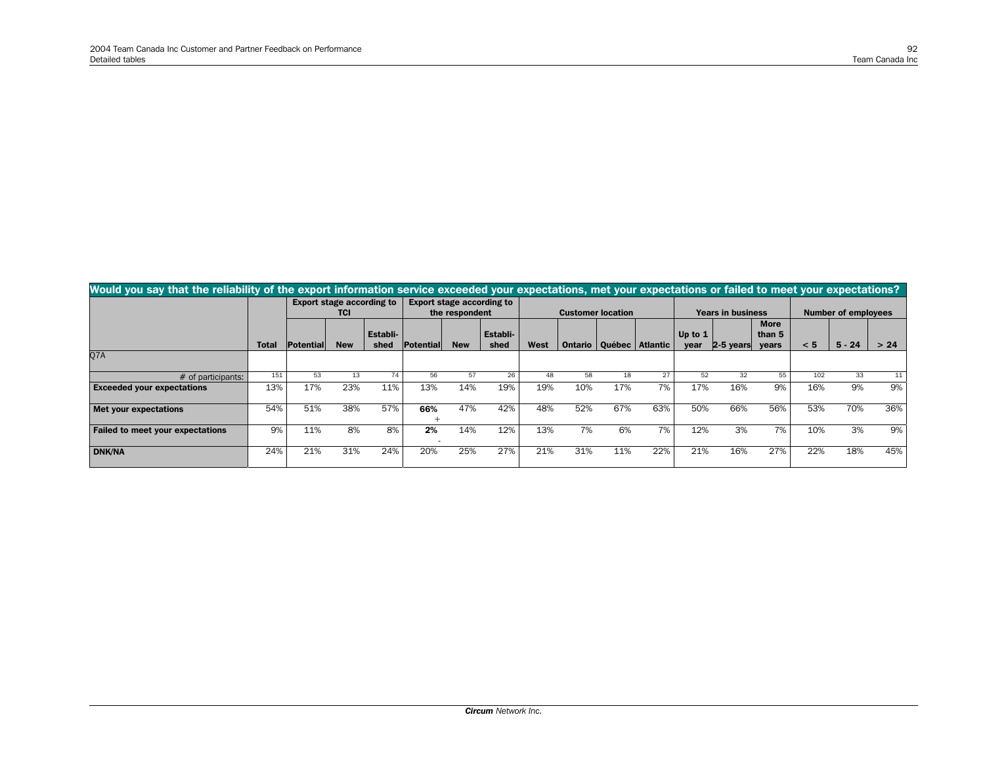| Would you say that the reliability of the export information service exceeded your expectations, met your expectations or failed to meet your expectations? |       |                                  |            |                  |                                  |                |                  |      |                          |                   |     |                   |                          |                         |     |                            |      |
|-------------------------------------------------------------------------------------------------------------------------------------------------------------|-------|----------------------------------|------------|------------------|----------------------------------|----------------|------------------|------|--------------------------|-------------------|-----|-------------------|--------------------------|-------------------------|-----|----------------------------|------|
|                                                                                                                                                             |       | <b>Export stage according to</b> | <b>TCI</b> |                  | <b>Export stage according to</b> | the respondent |                  |      | <b>Customer location</b> |                   |     |                   | <b>Years in business</b> |                         |     | <b>Number of employees</b> |      |
|                                                                                                                                                             | Total | <b>Potential</b>                 | <b>New</b> | Establi-<br>shed | <b>Potential</b>                 | <b>New</b>     | Establi-<br>shed | West | <b>Ontario</b>           | Québec   Atlantic |     | Up to $1$<br>year | 2-5 years                | More<br>than 5<br>years | < 5 | $5 - 24$                   | > 24 |
| O <sub>7</sub> A                                                                                                                                            |       |                                  |            |                  |                                  |                |                  |      |                          |                   |     |                   |                          |                         |     |                            |      |
| $#$ of participants:                                                                                                                                        | 151   | 53                               | 13         | 74               | 56                               | 57             | 26               | 48   | 58                       | 18                | 27  | 52                | 32                       | 55                      | 102 | 33                         | 11   |
| <b>Exceeded your expectations</b>                                                                                                                           | 13%   | 17%                              | 23%        | 11%              | 13%                              | 14%            | 19%              | 19%  | 10%                      | 17%               | 7%  | 17%               | 16%                      | 9%                      | 16% | 9%                         | 9%   |
| Met your expectations                                                                                                                                       | 54%   | 51%                              | 38%        | 57%              | 66%                              | 47%            | 42%              | 48%  | 52%                      | 67%               | 63% | 50%               | 66%                      | 56%                     | 53% | 70%                        | 36%  |
| Failed to meet your expectations                                                                                                                            | 9%    | 11%                              | 8%         | 8%               | 2%                               | 14%            | 12%              | 13%  | 7%                       | 6%                | 7%  | 12%               | 3%                       | 7%                      | 10% | 3%                         | 9%   |
| <b>DNK/NA</b>                                                                                                                                               | 24%   | 21%                              | 31%        | 24%              | 20%                              | 25%            | 27%              | 21%  | 31%                      | 11%               | 22% | 21%               | 16%                      | 27%                     | 22% | 18%                        | 45%  |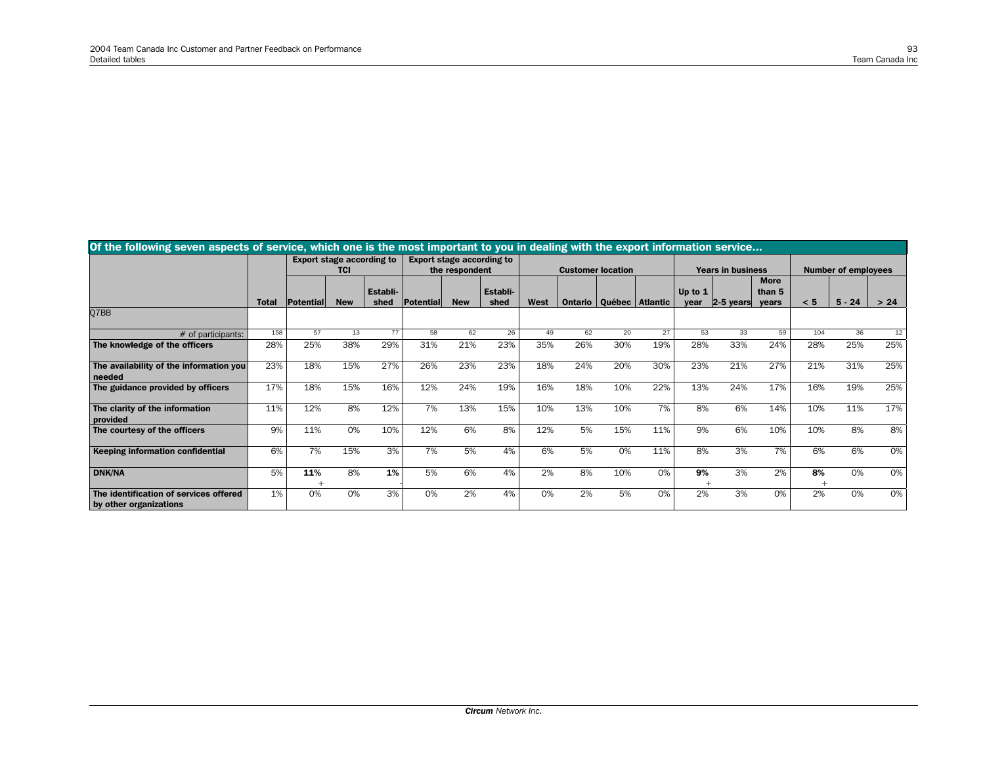| Of the following seven aspects of service, which one is the most important to you in dealing with the export information service |              |                  |            |                                  |                                  |                |                  |      |                |                          |     |                   |                          |                                |     |                            |      |
|----------------------------------------------------------------------------------------------------------------------------------|--------------|------------------|------------|----------------------------------|----------------------------------|----------------|------------------|------|----------------|--------------------------|-----|-------------------|--------------------------|--------------------------------|-----|----------------------------|------|
|                                                                                                                                  |              |                  | <b>TCI</b> | <b>Export stage according to</b> | <b>Export stage according to</b> | the respondent |                  |      |                | <b>Customer location</b> |     |                   | <b>Years in business</b> |                                |     | <b>Number of employees</b> |      |
|                                                                                                                                  | <b>Total</b> | <b>Potential</b> | <b>New</b> | Establi-<br>shed                 | <b>Potential</b>                 | <b>New</b>     | Establi-<br>shed | West | <b>Ontario</b> | Québec Atlantic          |     | Up to $1$<br>vear | $2-5$ years              | <b>More</b><br>than 5<br>vears | < 5 | $5 - 24$                   | > 24 |
| Q7BB                                                                                                                             |              |                  |            |                                  |                                  |                |                  |      |                |                          |     |                   |                          |                                |     |                            |      |
| $#$ of participants:                                                                                                             | 158          | 57               | 13         | 77                               | 58                               | 62             | 26               | 49   | 62             | 20                       | 27  | 53                | 33                       | 59                             | 104 | 36                         | 12   |
| The knowledge of the officers                                                                                                    | 28%          | 25%              | 38%        | 29%                              | 31%                              | 21%            | 23%              | 35%  | 26%            | 30%                      | 19% | 28%               | 33%                      | 24%                            | 28% | 25%                        | 25%  |
| The availability of the information you<br>needed                                                                                | 23%          | 18%              | 15%        | 27%                              | 26%                              | 23%            | 23%              | 18%  | 24%            | 20%                      | 30% | 23%               | 21%                      | 27%                            | 21% | 31%                        | 25%  |
| The guidance provided by officers                                                                                                | 17%          | 18%              | 15%        | 16%                              | 12%                              | 24%            | 19%              | 16%  | 18%            | 10%                      | 22% | 13%               | 24%                      | 17%                            | 16% | 19%                        | 25%  |
| The clarity of the information<br>provided                                                                                       | 11%          | 12%              | 8%         | 12%                              | 7%                               | 13%            | 15%              | 10%  | 13%            | 10%                      | 7%  | 8%                | 6%                       | 14%                            | 10% | 11%                        | 17%  |
| The courtesy of the officers                                                                                                     | 9%           | 11%              | 0%         | 10%                              | 12%                              | 6%             | 8%               | 12%  | 5%             | 15%                      | 11% | 9%                | 6%                       | 10%                            | 10% | 8%                         | 8%   |
| Keeping information confidential                                                                                                 | 6%           | 7%               | 15%        | 3%                               | 7%                               | 5%             | 4%               | 6%   | 5%             | 0%                       | 11% | 8%                | 3%                       | 7%                             | 6%  | 6%                         | 0%   |
| <b>DNK/NA</b>                                                                                                                    | 5%           | 11%              | 8%         | 1%                               | 5%                               | 6%             | 4%               | 2%   | 8%             | 10%                      | 0%  | 9%                | 3%                       | 2%                             | 8%  | 0%                         | 0%   |
| The identification of services offered<br>by other organizations                                                                 | 1%           | $0\%$            | 0%         | 3%                               | 0%                               | 2%             | 4%               | 0%   | 2%             | 5%                       | 0%  | 2%                | 3%                       | 0%                             | 2%  | 0%                         | 0%   |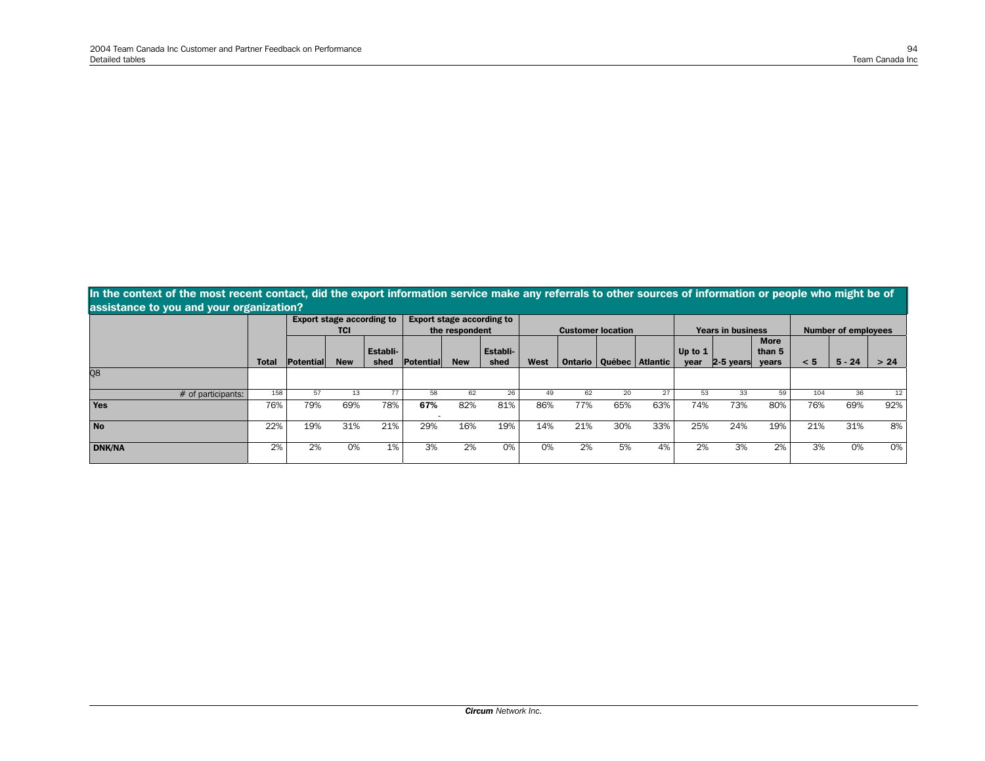**In the context of the most recent contact, did the export information service make any referrals to other sources of information or people who might be of assistance to you and your organization?**

| $\alpha$ assistance to you and your organization: |              |                                  |            |                  |                  |                |                                  |      |                |                          |     |                   |                          |                                |     |                            |      |
|---------------------------------------------------|--------------|----------------------------------|------------|------------------|------------------|----------------|----------------------------------|------|----------------|--------------------------|-----|-------------------|--------------------------|--------------------------------|-----|----------------------------|------|
|                                                   |              | <b>Export stage according to</b> | <b>TCI</b> |                  |                  | the respondent | <b>Export stage according to</b> |      |                | <b>Customer location</b> |     |                   | <b>Years in business</b> |                                |     | <b>Number of employees</b> |      |
|                                                   | <b>Total</b> | <b>Potential</b>                 | <b>New</b> | Establi-<br>shed | <b>Potential</b> | <b>New</b>     | Establi-<br>shed                 | West | <b>Ontario</b> | Québec   Atlantic        |     | Up to $1$<br>year | $2-5$ years              | <b>More</b><br>than 5<br>years | < 5 | $5 - 24$                   | > 24 |
| Q <sub>8</sub>                                    |              |                                  |            |                  |                  |                |                                  |      |                |                          |     |                   |                          |                                |     |                            |      |
| $#$ of participants:                              | 158          | 57                               | 13         | 77               | 58               | 62             | 26                               | 49   | 62             | 20                       | 27  | 53                | 33                       | 59                             | 104 | 36                         | 12   |
| Yes                                               | 76%          | 79%                              | 69%        | 78%              | 67%              | 82%            | 81%                              | 86%  | 77%            | 65%                      | 63% | 74%               | 73%                      | 80%                            | 76% | 69%                        | 92%  |
| <b>No</b>                                         | 22%          | 19%                              | 31%        | 21%              | 29%              | 16%            | 19%                              | 14%  | 21%            | 30%                      | 33% | 25%               | 24%                      | 19%                            | 21% | 31%                        | 8%   |
| <b>DNK/NA</b>                                     | 2%           | 2%                               | 0%         | 1%               | 3%               | 2%             | 0%                               | 0%   | 2%             | 5%                       | 4%  | 2%                | 3%                       | 2%                             | 3%  | 0%                         | 0%   |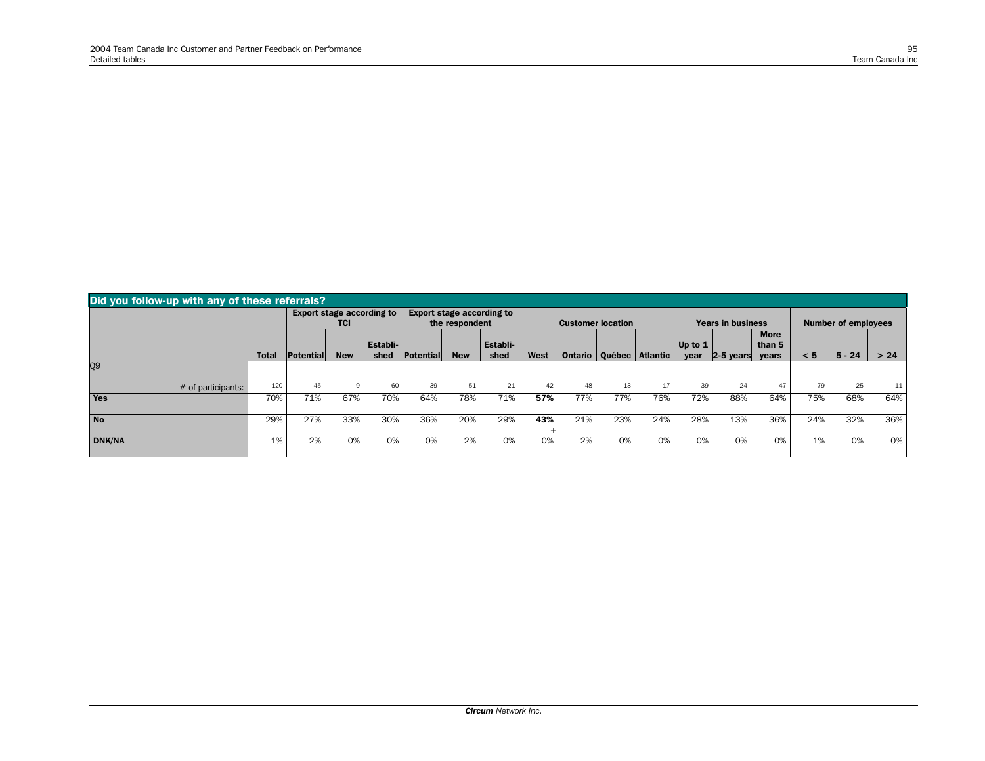| Did you follow-up with any of these referrals? |              |                                  |            |          |                                  |            |          |                          |                |        |                 |           |                          |             |                            |          |      |  |
|------------------------------------------------|--------------|----------------------------------|------------|----------|----------------------------------|------------|----------|--------------------------|----------------|--------|-----------------|-----------|--------------------------|-------------|----------------------------|----------|------|--|
|                                                |              | <b>Export stage according to</b> |            |          | <b>Export stage according to</b> |            |          |                          |                |        |                 |           |                          |             |                            |          |      |  |
|                                                |              | <b>TCI</b>                       |            |          | the respondent                   |            |          | <b>Customer location</b> |                |        |                 |           | <b>Years in business</b> |             | <b>Number of employees</b> |          |      |  |
|                                                |              |                                  |            |          |                                  |            |          |                          |                |        |                 |           |                          | <b>More</b> |                            |          |      |  |
|                                                |              |                                  |            | Establi- |                                  |            | Establi- |                          |                |        |                 | Up to $1$ |                          | than 5      |                            |          |      |  |
|                                                | <b>Total</b> | <b>Potential</b>                 | <b>New</b> | shed     | <b>Potential</b>                 | <b>New</b> | shed     | West                     | <b>Ontario</b> | Québec | <b>Atlantic</b> | year      | $2-5$ years              | years       | < 5                        | $5 - 24$ | > 24 |  |
| Q9                                             |              |                                  |            |          |                                  |            |          |                          |                |        |                 |           |                          |             |                            |          |      |  |
| $#$ of participants:                           | 120          | 45                               | q          | 60       | 39                               | 51         | 21       | 42                       | 48             | 13     |                 | 39        | 24                       | 47          | 79                         | 25       | 11   |  |
| Yes                                            | 70%          | 71%                              | 67%        | 70%      | 64%                              | 78%        | 71%      | 57%                      | 77%            | 77%    | 76%             | 72%       | 88%                      | 64%         | 75%                        | 68%      | 64%  |  |
| No                                             | 29%          | 27%                              | 33%        | 30%      | 36%                              | 20%        | 29%      | 43%                      | 21%            | 23%    | 24%             | 28%       | 13%                      | 36%         | 24%                        | 32%      | 36%  |  |
| <b>DNK/NA</b>                                  | 1%           | 2%                               | 0%         | 0%       | 0%                               | 2%         | 0%       | $0\%$                    | 2%             | 0%     | 0%              | 0%        | 0%                       | $0\%$       | 1%                         | 0%       | 0%   |  |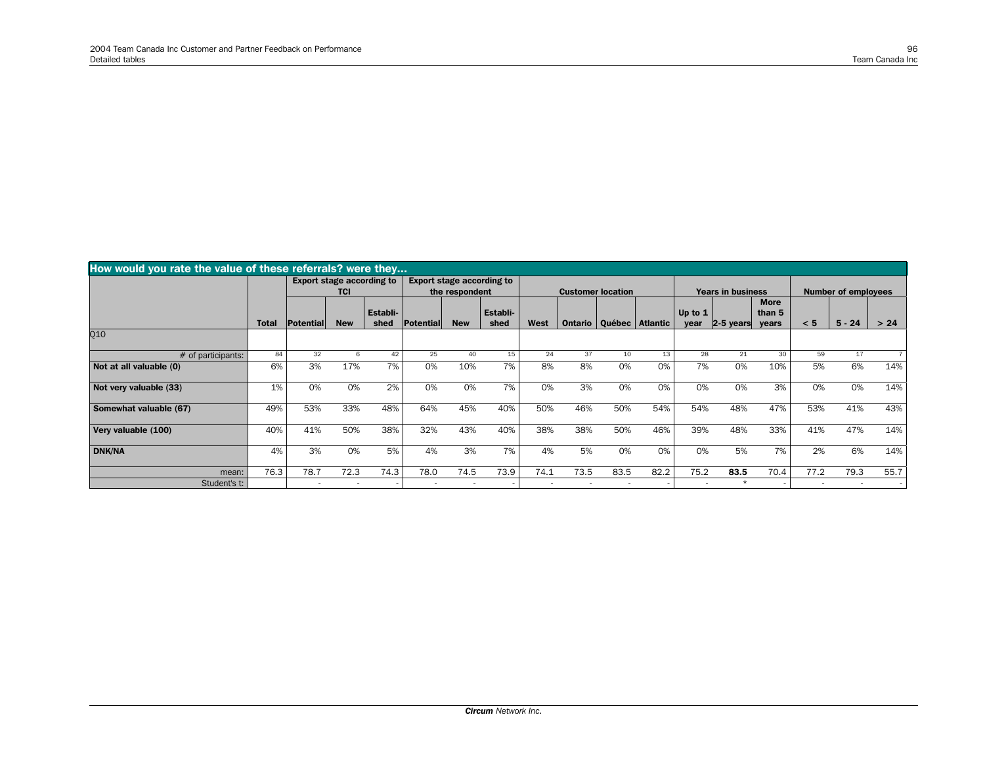| How would you rate the value of these referrals? were they |              |                                  |            |          |                                  |            |          |                          |                |        |                 |                          |             |                       |                            |          |      |
|------------------------------------------------------------|--------------|----------------------------------|------------|----------|----------------------------------|------------|----------|--------------------------|----------------|--------|-----------------|--------------------------|-------------|-----------------------|----------------------------|----------|------|
|                                                            |              | <b>Export stage according to</b> |            |          | <b>Export stage according to</b> |            |          |                          |                |        |                 |                          |             |                       |                            |          |      |
|                                                            |              | <b>TCI</b>                       |            |          | the respondent                   |            |          | <b>Customer location</b> |                |        |                 | <b>Years in business</b> |             |                       | <b>Number of employees</b> |          |      |
|                                                            |              |                                  |            | Establi- |                                  |            | Establi- |                          |                |        |                 | Up to $1$                |             | <b>More</b><br>than 5 |                            |          |      |
|                                                            | <b>Total</b> | <b>Potential</b>                 | <b>New</b> | shed     | <b>Potential</b>                 | <b>New</b> | shed     | West                     | <b>Ontario</b> | Québec | <b>Atlantic</b> | year                     | $2-5$ years | years                 | < 5                        | $5 - 24$ | > 24 |
| Q10                                                        |              |                                  |            |          |                                  |            |          |                          |                |        |                 |                          |             |                       |                            |          |      |
| $#$ of participants:                                       | 84           | 32                               | 6          | 42       | 25                               | 40         | 15       | 24                       | 37             | 10     | 13              | 28                       | 21          | 30                    | 59                         | 17       |      |
| Not at all valuable (0)                                    | 6%           | 3%                               | 17%        | 7%       | 0%                               | 10%        | 7%       | 8%                       | 8%             | 0%     | 0%              | 7%                       | 0%          | 10%                   | 5%                         | 6%       | 14%  |
| Not very valuable (33)                                     | 1%           | 0%                               | 0%         | 2%       | 0%                               | 0%         | 7%       | 0%                       | 3%             | 0%     | 0%              | 0%                       | 0%          | 3%                    | 0%                         | 0%       | 14%  |
| Somewhat valuable (67)                                     | 49%          | 53%                              | 33%        | 48%      | 64%                              | 45%        | 40%      | 50%                      | 46%            | 50%    | 54%             | 54%                      | 48%         | 47%                   | 53%                        | 41%      | 43%  |
| Very valuable (100)                                        | 40%          | 41%                              | 50%        | 38%      | 32%                              | 43%        | 40%      | 38%                      | 38%            | 50%    | 46%             | 39%                      | 48%         | 33%                   | 41%                        | 47%      | 14%  |
| <b>DNK/NA</b>                                              | 4%           | 3%                               | 0%         | 5%       | 4%                               | 3%         | 7%       | 4%                       | 5%             | 0%     | 0%              | 0%                       | 5%          | 7%                    | 2%                         | 6%       | 14%  |
| mean:                                                      | 76.3         | 78.7                             | 72.3       | 74.3     | 78.0                             | 74.5       | 73.9     | 74.1                     | 73.5           | 83.5   | 82.2            | 75.2                     | 83.5        | 70.4                  | 77.2                       | 79.3     | 55.7 |
| Student's t:                                               |              |                                  |            |          |                                  |            |          |                          |                |        |                 |                          |             |                       |                            |          |      |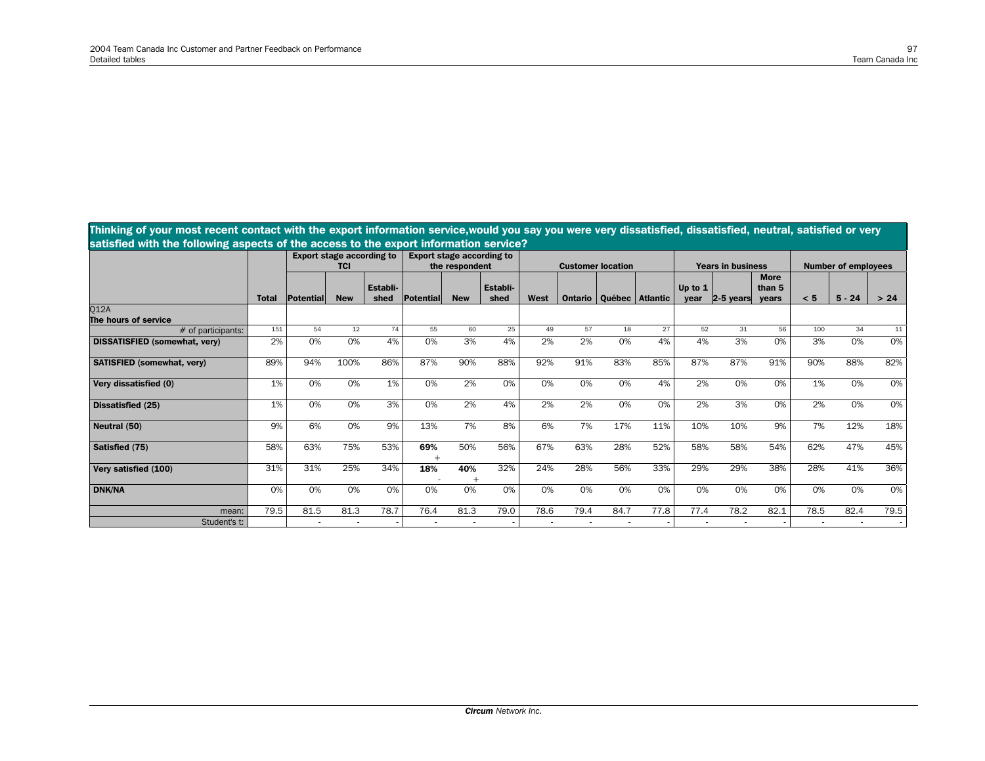| Thinking of your most recent contact with the export information service,would you say you were very dissatisfied, dissatisfied, neutral, satisfied or very |              |                  |                                  |          |                  |                                  |          |      |                |                          |      |           |                          |             |      |                            |       |
|-------------------------------------------------------------------------------------------------------------------------------------------------------------|--------------|------------------|----------------------------------|----------|------------------|----------------------------------|----------|------|----------------|--------------------------|------|-----------|--------------------------|-------------|------|----------------------------|-------|
| satisfied with the following aspects of the access to the export information service?                                                                       |              |                  |                                  |          |                  |                                  |          |      |                |                          |      |           |                          |             |      |                            |       |
|                                                                                                                                                             |              |                  | <b>Export stage according to</b> |          |                  | <b>Export stage according to</b> |          |      |                |                          |      |           |                          |             |      |                            |       |
|                                                                                                                                                             |              |                  | <b>TCI</b>                       |          |                  | the respondent                   |          |      |                | <b>Customer location</b> |      |           | <b>Years in business</b> | <b>More</b> |      | <b>Number of employees</b> |       |
|                                                                                                                                                             |              |                  |                                  | Establi- |                  |                                  | Establi- |      |                |                          |      | Up to $1$ |                          | than 5      |      |                            |       |
|                                                                                                                                                             | <b>Total</b> | <b>Potential</b> | <b>New</b>                       | shed     | <b>Potential</b> | <b>New</b>                       | shed     | West | <b>Ontario</b> | Québec   Atlantic        |      | vear      | $2-5$ years              | vears       | < 5  | $5 - 24$                   | $>24$ |
| Q12A                                                                                                                                                        |              |                  |                                  |          |                  |                                  |          |      |                |                          |      |           |                          |             |      |                            |       |
| The hours of service                                                                                                                                        | 151          | 54               | 12                               | 74       | 55               | 60                               | 25       | 49   | 57             | 18                       | 27   | 52        | 31                       | 56          | 100  | 34                         | 11    |
| $#$ of participants:                                                                                                                                        |              |                  |                                  |          |                  |                                  |          |      |                |                          |      |           |                          |             |      |                            |       |
| <b>DISSATISFIED (somewhat, very)</b>                                                                                                                        | 2%           | 0%               | 0%                               | 4%       | 0%               | 3%                               | 4%       | 2%   | 2%             | 0%                       | 4%   | 4%        | 3%                       | 0%          | 3%   | 0%                         | 0%    |
| SATISFIED (somewhat, very)                                                                                                                                  | 89%          | 94%              | 100%                             | 86%      | 87%              | 90%                              | 88%      | 92%  | 91%            | 83%                      | 85%  | 87%       | 87%                      | 91%         | 90%  | 88%                        | 82%   |
| Very dissatisfied (0)                                                                                                                                       | 1%           | 0%               | 0%                               | 1%       | $0\%$            | 2%                               | $0\%$    | 0%   | 0%             | 0%                       | 4%   | 2%        | 0%                       | 0%          | 1%   | 0%                         | 0%    |
| Dissatisfied (25)                                                                                                                                           | 1%           | 0%               | 0%                               | 3%       | 0%               | 2%                               | 4%       | 2%   | 2%             | 0%                       | 0%   | 2%        | 3%                       | 0%          | 2%   | 0%                         | 0%    |
| Neutral (50)                                                                                                                                                | 9%           | 6%               | 0%                               | 9%       | 13%              | 7%                               | 8%       | 6%   | 7%             | 17%                      | 11%  | 10%       | 10%                      | 9%          | 7%   | 12%                        | 18%   |
| Satisfied (75)                                                                                                                                              | 58%          | 63%              | 75%                              | 53%      | 69%              | 50%                              | 56%      | 67%  | 63%            | 28%                      | 52%  | 58%       | 58%                      | 54%         | 62%  | 47%                        | 45%   |
| Very satisfied (100)                                                                                                                                        | 31%          | 31%              | 25%                              | 34%      | 18%              | 40%                              | 32%      | 24%  | 28%            | 56%                      | 33%  | 29%       | 29%                      | 38%         | 28%  | 41%                        | 36%   |
| <b>DNK/NA</b>                                                                                                                                               | 0%           | 0%               | 0%                               | 0%       | 0%               | 0%                               | 0%       | 0%   | 0%             | 0%                       | 0%   | 0%        | 0%                       | 0%          | O%   | 0%                         | 0%    |
| mean:                                                                                                                                                       | 79.5         | 81.5             | 81.3                             | 78.7     | 76.4             | 81.3                             | 79.0     | 78.6 | 79.4           | 84.7                     | 77.8 | 77.4      | 78.2                     | 82.1        | 78.5 | 82.4                       | 79.5  |
| Student's t:                                                                                                                                                |              |                  |                                  |          |                  |                                  |          |      |                |                          |      |           |                          |             |      |                            |       |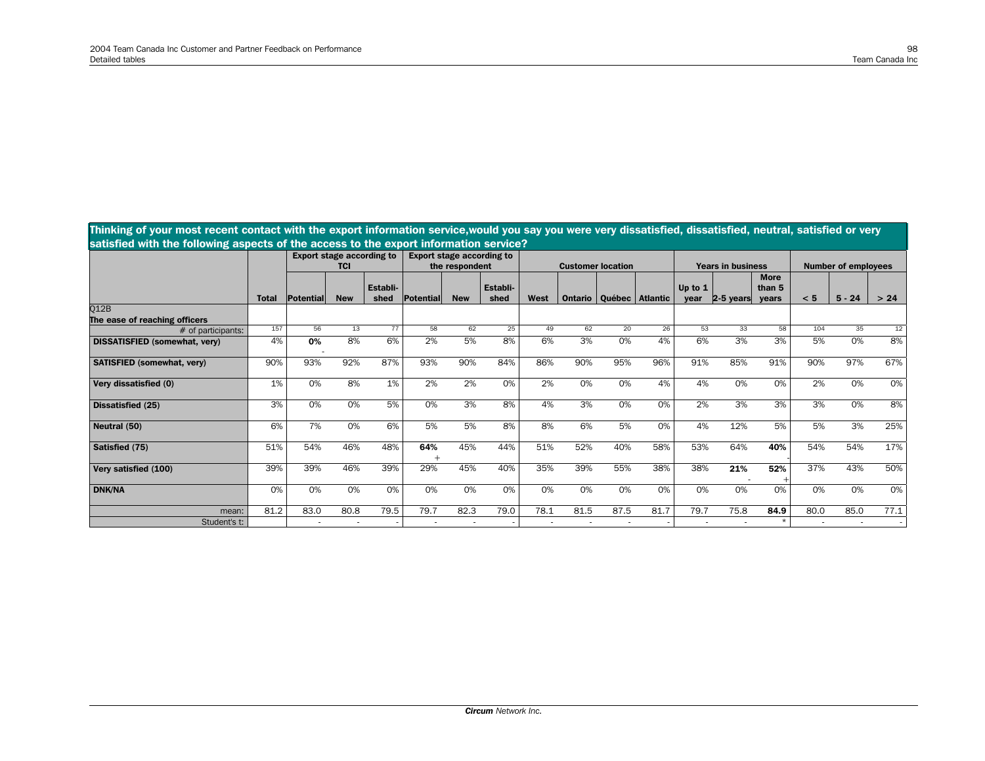| Thinking of your most recent contact with the export information service, would you say you were very dissatisfied, dissatisfied, neutral, satisfied or very<br>satisfied with the following aspects of the access to the export information service? |              |                  |                                                |                  |                  |                                                    |                  |      |                |                          |                 |                 |                          |                                |      |                            |      |
|-------------------------------------------------------------------------------------------------------------------------------------------------------------------------------------------------------------------------------------------------------|--------------|------------------|------------------------------------------------|------------------|------------------|----------------------------------------------------|------------------|------|----------------|--------------------------|-----------------|-----------------|--------------------------|--------------------------------|------|----------------------------|------|
|                                                                                                                                                                                                                                                       |              |                  | <b>Export stage according to</b><br><b>TCI</b> |                  |                  | <b>Export stage according to</b><br>the respondent |                  |      |                | <b>Customer location</b> |                 |                 | <b>Years in business</b> |                                |      | <b>Number of employees</b> |      |
|                                                                                                                                                                                                                                                       | <b>Total</b> | <b>Potential</b> | <b>New</b>                                     | Establi-<br>shed | <b>Potential</b> | <b>New</b>                                         | Establi-<br>shed | West | <b>Ontario</b> | <b>Québec</b>            | <b>Atlantic</b> | Up to 1<br>vear | $2-5$ years              | <b>More</b><br>than 5<br>vears | < 5  | $5 - 24$                   | > 24 |
| Q12B<br>The ease of reaching officers                                                                                                                                                                                                                 |              |                  |                                                |                  |                  |                                                    |                  |      |                |                          |                 |                 |                          |                                |      |                            |      |
| $#$ of participants:                                                                                                                                                                                                                                  | 157          | 56               | 13                                             | 77               | 58               | 62                                                 | 25               | 49   | 62             | 20                       | 26              | 53              | 33                       | 58                             | 104  | 35                         | 12   |
| <b>DISSATISFIED (somewhat, very)</b>                                                                                                                                                                                                                  | 4%           | 0%               | 8%                                             | 6%               | 2%               | 5%                                                 | 8%               | 6%   | 3%             | 0%                       | 4%              | 6%              | 3%                       | 3%                             | 5%   | 0%                         | 8%   |
| <b>SATISFIED (somewhat, very)</b>                                                                                                                                                                                                                     | 90%          | 93%              | 92%                                            | 87%              | 93%              | 90%                                                | 84%              | 86%  | 90%            | 95%                      | 96%             | 91%             | 85%                      | 91%                            | 90%  | 97%                        | 67%  |
| Very dissatisfied (0)                                                                                                                                                                                                                                 | 1%           | 0%               | 8%                                             | 1%               | 2%               | 2%                                                 | 0%               | 2%   | 0%             | 0%                       | 4%              | 4%              | 0%                       | 0%                             | 2%   | 0%                         | 0%   |
| Dissatisfied (25)                                                                                                                                                                                                                                     | 3%           | 0%               | 0%                                             | 5%               | 0%               | 3%                                                 | 8%               | 4%   | 3%             | 0%                       | 0%              | 2%              | 3%                       | 3%                             | 3%   | 0%                         | 8%   |
| Neutral (50)                                                                                                                                                                                                                                          | 6%           | 7%               | 0%                                             | 6%               | 5%               | 5%                                                 | 8%               | 8%   | 6%             | 5%                       | 0%              | 4%              | 12%                      | 5%                             | 5%   | 3%                         | 25%  |
| Satisfied (75)                                                                                                                                                                                                                                        | 51%          | 54%              | 46%                                            | 48%              | 64%              | 45%                                                | 44%              | 51%  | 52%            | 40%                      | 58%             | 53%             | 64%                      | 40%                            | 54%  | 54%                        | 17%  |
| Very satisfied (100)                                                                                                                                                                                                                                  | 39%          | 39%              | 46%                                            | 39%              | 29%              | 45%                                                | 40%              | 35%  | 39%            | 55%                      | 38%             | 38%             | 21%                      | 52%                            | 37%  | 43%                        | 50%  |
| <b>DNK/NA</b>                                                                                                                                                                                                                                         | 0%           | 0%               | 0%                                             | 0%               | 0%               | 0%                                                 | 0%               | 0%   | $0\%$          | 0%                       | 0%              | 0%              | 0%                       | 0%                             | 0%   | 0%                         | 0%   |
| mean:                                                                                                                                                                                                                                                 | 81.2         | 83.0             | 80.8                                           | 79.5             | 79.7             | 82.3                                               | 79.0             | 78.1 | 81.5           | 87.5                     | 81.7            | 79.7            | 75.8                     | 84.9                           | 80.0 | 85.0                       | 77.1 |
| Student's t:                                                                                                                                                                                                                                          |              |                  |                                                |                  |                  |                                                    |                  |      |                |                          |                 |                 |                          |                                |      |                            |      |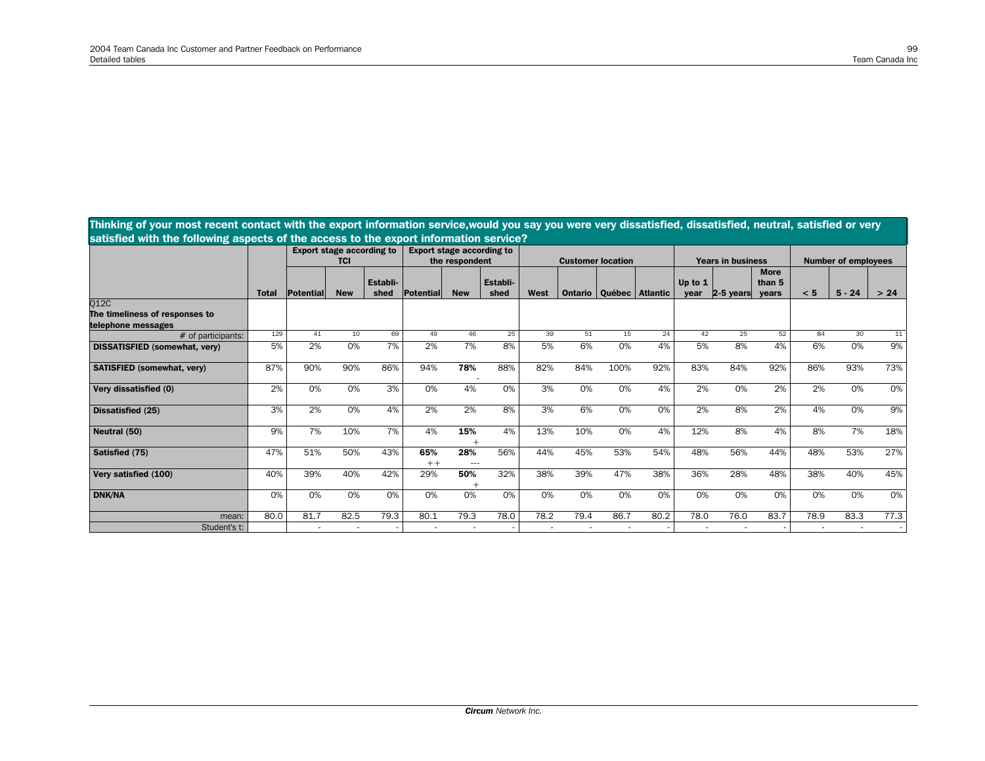**Very satisfied (100)** 40% 39% 40% 42%

0%

| Thinking of your most recent contact with the export information service,would you say you were very dissatisfied, dissatisfied, neutral, satisfied or very |              |                                  |            |                  |                  |                                                    |                  |      |         |                          |                   |                   |                          |                                |     |                            |      |
|-------------------------------------------------------------------------------------------------------------------------------------------------------------|--------------|----------------------------------|------------|------------------|------------------|----------------------------------------------------|------------------|------|---------|--------------------------|-------------------|-------------------|--------------------------|--------------------------------|-----|----------------------------|------|
| satisfied with the following aspects of the access to the export information service?                                                                       |              |                                  |            |                  |                  |                                                    |                  |      |         |                          |                   |                   |                          |                                |     |                            |      |
|                                                                                                                                                             |              | <b>Export stage according to</b> | TCI        |                  |                  | <b>Export stage according to</b><br>the respondent |                  |      |         | <b>Customer location</b> |                   |                   | <b>Years in business</b> |                                |     | <b>Number of employees</b> |      |
|                                                                                                                                                             | <b>Total</b> | <b>Potential</b>                 | <b>New</b> | Establi-<br>shed | <b>Potential</b> | <b>New</b>                                         | Establi-<br>shed | West | Ontario |                          | Québec   Atlantic | Up to $1$<br>year | 2-5 years                | <b>More</b><br>than 5<br>vears | < 5 | $5 - 24$                   | > 24 |
| <b>Q12C</b><br>The timeliness of responses to                                                                                                               |              |                                  |            |                  |                  |                                                    |                  |      |         |                          |                   |                   |                          |                                |     |                            |      |
| telephone messages<br>$#$ of participants:                                                                                                                  | 129          | 41                               | 10         | 69               | 49               | 46                                                 | 25               | 39   | 51      | 15                       | 24                | 42                | 25                       | 52                             | 84  | 30                         | 11   |
| <b>DISSATISFIED (somewhat, very)</b>                                                                                                                        | 5%           | 2%                               | 0%         | 7%               | 2%               | 7%                                                 | 8%               | 5%   | 6%      | 0%                       | 4%                | 5%                | 8%                       | 4%                             | 6%  | 0%                         | 9%   |
| <b>SATISFIED (somewhat, very)</b>                                                                                                                           | 87%          | 90%                              | 90%        | 86%              | 94%              | 78%                                                | 88%              | 82%  | 84%     | 100%                     | 92%               | 83%               | 84%                      | 92%                            | 86% | 93%                        | 73%  |
| Very dissatisfied (0)                                                                                                                                       | 2%           | 0%                               | 0%         | 3%               | O%               | 4%                                                 | 0%               | 3%   | 0%      | 0%                       | 4%                | 2%                | 0%                       | 2%                             | 2%  | 0%                         | 0%   |
| <b>Dissatisfied (25)</b>                                                                                                                                    | 3%           | 2%                               | 0%         | 4%               | 2%               | 2%                                                 | 8%               | 3%   | 6%      | 0%                       | 0%                | 2%                | 8%                       | 2%                             | 4%  | 0%                         | 9%   |
| Neutral (50)                                                                                                                                                | 9%           | 7%                               | 10%        | 7%               | 4%               | 15%                                                | 4%               | 13%  | 10%     | 0%                       | 4%                | 12%               | 8%                       | 4%                             | 8%  | 7%                         | 18%  |
| Satisfied (75)                                                                                                                                              | 47%          | 51%                              | 50%        | 43%              | 65%<br>$+ +$     | 28%<br>---                                         | 56%              | 44%  | 45%     | 53%                      | 54%               | 48%               | 56%                      | 44%                            | 48% | 53%                        | 27%  |

29%

50%

+0%

**DNK/NA** 0% 0% 0% 0% 0% 0% 0% 0% 0% 0% 0% 0% 0% 0% 0% 0% 0%

mean: 80.0 81.7 82.5 79.3 80.1 79.3 78.0 78.2 79.4 86.7 80.2 78.0 76.0 83.7 78.9 83.3 77.3Student's t: - - - - - - - - - - - - - - - -

32% 38% 39% 47% 38% 36% 28% 48% 38% 40% 45%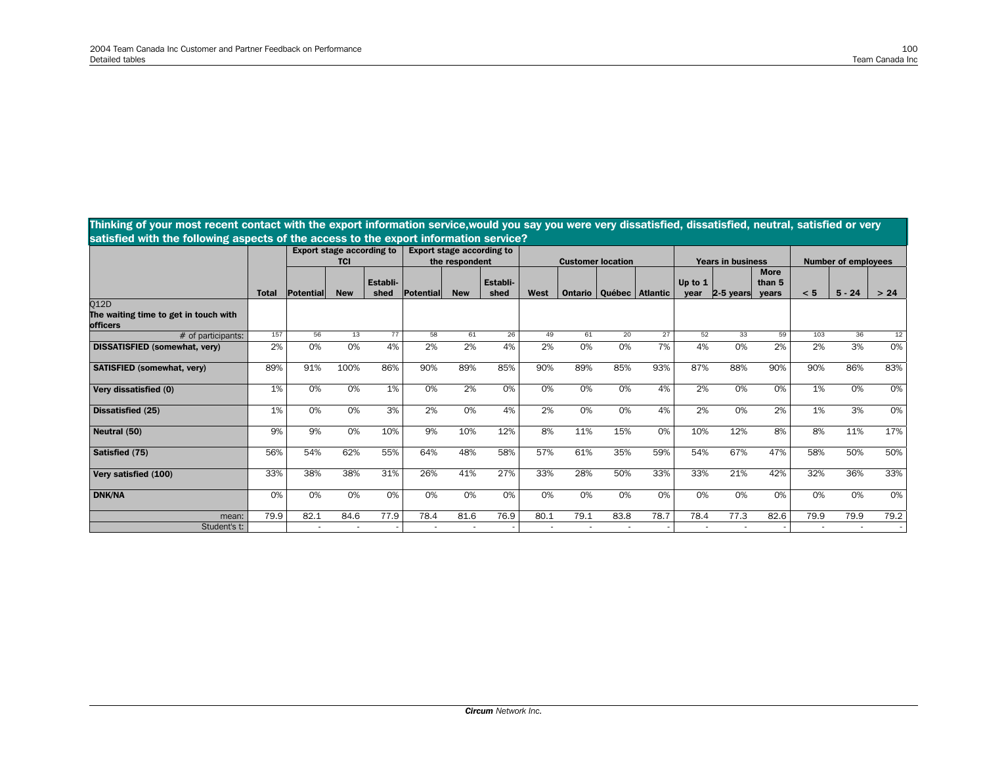| Thinking of your most recent contact with the export information service,would you say you were very dissatisfied, dissatisfied, neutral, satisfied or very |              |                  |            |                                  |                                  |                |                  |      |                          |                   |      |           |                          |             |       |                            |      |
|-------------------------------------------------------------------------------------------------------------------------------------------------------------|--------------|------------------|------------|----------------------------------|----------------------------------|----------------|------------------|------|--------------------------|-------------------|------|-----------|--------------------------|-------------|-------|----------------------------|------|
| satisfied with the following aspects of the access to the export information service?                                                                       |              |                  |            |                                  |                                  |                |                  |      |                          |                   |      |           |                          |             |       |                            |      |
|                                                                                                                                                             |              |                  |            | <b>Export stage according to</b> | <b>Export stage according to</b> |                |                  |      |                          |                   |      |           |                          |             |       |                            |      |
|                                                                                                                                                             |              |                  | <b>TCI</b> |                                  |                                  | the respondent |                  |      | <b>Customer location</b> |                   |      |           | <b>Years in business</b> |             |       | <b>Number of employees</b> |      |
|                                                                                                                                                             |              |                  |            |                                  |                                  |                |                  |      |                          |                   |      |           |                          | <b>More</b> |       |                            |      |
|                                                                                                                                                             | <b>Total</b> | <b>Potential</b> | <b>New</b> | Establi-<br>shed                 | <b>Potential</b>                 | <b>New</b>     | Establi-<br>shed | West | <b>Ontario</b>           | Québec   Atlantic |      | Up to $1$ | 2-5 years                | than 5      | < 5   | $5 - 24$                   | > 24 |
| Q12D                                                                                                                                                        |              |                  |            |                                  |                                  |                |                  |      |                          |                   |      | year      |                          | years       |       |                            |      |
| The waiting time to get in touch with                                                                                                                       |              |                  |            |                                  |                                  |                |                  |      |                          |                   |      |           |                          |             |       |                            |      |
| officers                                                                                                                                                    |              |                  |            |                                  |                                  |                |                  |      |                          |                   |      |           |                          |             |       |                            |      |
| $#$ of participants:                                                                                                                                        | 157          | 56               | 13         | 77                               | 58                               | 61             | 26               | 49   | 61                       | 20                | 27   | 52        | 33                       | 59          | 103   | 36                         | 12   |
| <b>DISSATISFIED (somewhat, very)</b>                                                                                                                        | 2%           | 0%               | 0%         | 4%                               | 2%                               | 2%             | 4%               | 2%   | 0%                       | 0%                | 7%   | 4%        | 0%                       | 2%          | 2%    | 3%                         | 0%   |
|                                                                                                                                                             |              |                  |            |                                  |                                  |                |                  |      |                          |                   |      |           |                          |             |       |                            |      |
| SATISFIED (somewhat, very)                                                                                                                                  | 89%          | 91%              | 100%       | 86%                              | 90%                              | 89%            | 85%              | 90%  | 89%                      | 85%               | 93%  | 87%       | 88%                      | 90%         | 90%   | 86%                        | 83%  |
| Very dissatisfied (0)                                                                                                                                       | 1%           | 0%               | 0%         | 1%                               | 0%                               | 2%             | 0%               | 0%   | 0%                       | 0%                | 4%   | 2%        | 0%                       | 0%          | 1%    | 0%                         | 0%   |
| <b>Dissatisfied (25)</b>                                                                                                                                    | 1%           | 0%               | 0%         | 3%                               | 2%                               | $0\%$          | 4%               | 2%   | 0%                       | 0%                | 4%   | 2%        | 0%                       | 2%          | 1%    | 3%                         | 0%   |
| Neutral (50)                                                                                                                                                | 9%           | 9%               | 0%         | 10%                              | 9%                               | 10%            | 12%              | 8%   | 11%                      | 15%               | 0%   | 10%       | 12%                      | 8%          | 8%    | 11%                        | 17%  |
| Satisfied (75)                                                                                                                                              | 56%          | 54%              | 62%        | 55%                              | 64%                              | 48%            | 58%              | 57%  | 61%                      | 35%               | 59%  | 54%       | 67%                      | 47%         | 58%   | 50%                        | 50%  |
| Very satisfied (100)                                                                                                                                        | 33%          | 38%              | 38%        | 31%                              | 26%                              | 41%            | 27%              | 33%  | 28%                      | 50%               | 33%  | 33%       | 21%                      | 42%         | 32%   | 36%                        | 33%  |
| <b>DNK/NA</b>                                                                                                                                               | 0%           | 0%               | 0%         | 0%                               | 0%                               | 0%             | 0%               | 0%   | 0%                       | 0%                | 0%   | 0%        | 0%                       | 0%          | $0\%$ | 0%                         | 0%   |
| mean:                                                                                                                                                       | 79.9         | 82.1             | 84.6       | 77.9                             | 78.4                             | 81.6           | 76.9             | 80.1 | 79.1                     | 83.8              | 78.7 | 78.4      | 77.3                     | 82.6        | 79.9  | 79.9                       | 79.2 |
| Student's t:                                                                                                                                                |              |                  |            |                                  |                                  |                |                  |      |                          |                   |      |           |                          |             |       |                            |      |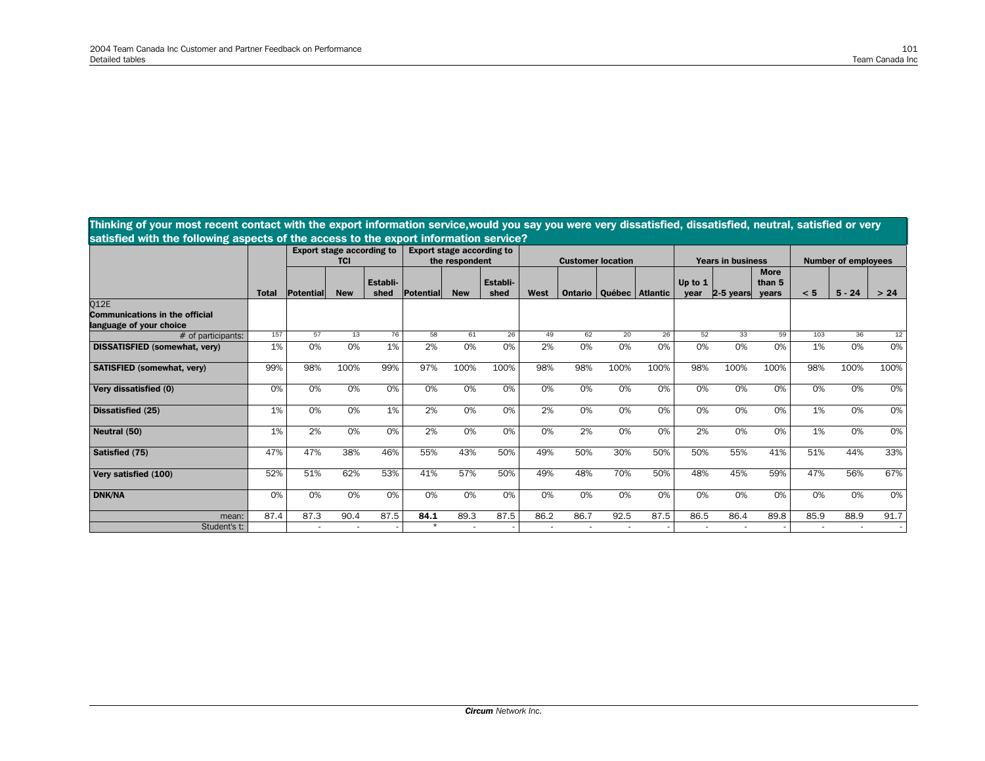| Thinking of your most recent contact with the export information service, would you say you were very dissatisfied, dissatisfied, neutral, satisfied or very |              |                  |                                  |          |                  |                                  |          |       |                          |        |                 |         |                          |                       |       |                            |      |
|--------------------------------------------------------------------------------------------------------------------------------------------------------------|--------------|------------------|----------------------------------|----------|------------------|----------------------------------|----------|-------|--------------------------|--------|-----------------|---------|--------------------------|-----------------------|-------|----------------------------|------|
| satisfied with the following aspects of the access to the export information service?                                                                        |              |                  |                                  |          |                  |                                  |          |       |                          |        |                 |         |                          |                       |       |                            |      |
|                                                                                                                                                              |              |                  | <b>Export stage according to</b> |          |                  | <b>Export stage according to</b> |          |       |                          |        |                 |         |                          |                       |       |                            |      |
|                                                                                                                                                              |              |                  | <b>TCI</b>                       |          |                  | the respondent                   |          |       | <b>Customer location</b> |        |                 |         | <b>Years in business</b> |                       |       | <b>Number of employees</b> |      |
|                                                                                                                                                              |              |                  |                                  | Establi- |                  |                                  | Establi- |       |                          |        |                 | Up to 1 |                          | <b>More</b><br>than 5 |       |                            |      |
|                                                                                                                                                              | <b>Total</b> | <b>Potential</b> | <b>New</b>                       | shed     | <b>Potential</b> | <b>New</b>                       | shed     | West  | Ontario                  | Ouébec | <b>Atlantic</b> | vear    | $2-5$ years              | years                 | < 5   | $5 - 24$                   | > 24 |
| Q12E                                                                                                                                                         |              |                  |                                  |          |                  |                                  |          |       |                          |        |                 |         |                          |                       |       |                            |      |
| <b>Communications in the official</b>                                                                                                                        |              |                  |                                  |          |                  |                                  |          |       |                          |        |                 |         |                          |                       |       |                            |      |
| language of your choice                                                                                                                                      |              |                  |                                  |          |                  |                                  |          |       |                          |        |                 |         |                          |                       |       |                            |      |
| $#$ of participants:                                                                                                                                         | 157          | 57               | 13                               | 76       | 58               | 61                               | 26       | 49    | 62                       | 20     | 26              | 52      | 33                       | 59                    | 103   | 36                         | 12   |
| <b>DISSATISFIED (somewhat, very)</b>                                                                                                                         | 1%           | 0%               | 0%                               | 1%       | 2%               | 0%                               | 0%       | 2%    | 0%                       | 0%     | 0%              | 0%      | 0%                       | 0%                    | 1%    | 0%                         | 0%   |
| <b>SATISFIED (somewhat, very)</b>                                                                                                                            | 99%          | 98%              | 100%                             | 99%      | 97%              | 100%                             | 100%     | 98%   | 98%                      | 100%   | 100%            | 98%     | 100%                     | 100%                  | 98%   | 100%                       | 100% |
| Very dissatisfied (0)                                                                                                                                        | 0%           | 0%               | 0%                               | 0%       | 0%               | 0%                               | 0%       | 0%    | 0%                       | 0%     | 0%              | 0%      | 0%                       | 0%                    | 0%    | 0%                         | 0%   |
| Dissatisfied (25)                                                                                                                                            | 1%           | 0%               | 0%                               | 1%       | 2%               | 0%                               | 0%       | 2%    | 0%                       | 0%     | 0%              | 0%      | 0%                       | $0\%$                 | 1%    | 0%                         | 0%   |
| Neutral (50)                                                                                                                                                 | 1%           | 2%               | 0%                               | O%       | 2%               | 0%                               | 0%       | $0\%$ | 2%                       | 0%     | 0%              | 2%      | 0%                       | $0\%$                 | 1%    | 0%                         | 0%   |
| Satisfied (75)                                                                                                                                               | 47%          | 47%              | 38%                              | 46%      | 55%              | 43%                              | 50%      | 49%   | 50%                      | 30%    | 50%             | 50%     | 55%                      | 41%                   | 51%   | 44%                        | 33%  |
| Very satisfied (100)                                                                                                                                         | 52%          | 51%              | 62%                              | 53%      | 41%              | 57%                              | 50%      | 49%   | 48%                      | 70%    | 50%             | 48%     | 45%                      | 59%                   | 47%   | 56%                        | 67%  |
| <b>DNK/NA</b>                                                                                                                                                | 0%           | 0%               | 0%                               | $0\%$    | 0%               | 0%                               | 0%       | 0%    | 0%                       | 0%     | 0%              | 0%      | 0%                       | 0%                    | $0\%$ | 0%                         | 0%   |
| mean:                                                                                                                                                        | 87.4         | 87.3             | 90.4                             | 87.5     | 84.1             | 89.3                             | 87.5     | 86.2  | 86.7                     | 92.5   | 87.5            | 86.5    | 86.4                     | 89.8                  | 85.9  | 88.9                       | 91.7 |
| Student's t:                                                                                                                                                 |              |                  |                                  |          | $\star$          |                                  |          |       |                          |        |                 |         |                          |                       |       |                            |      |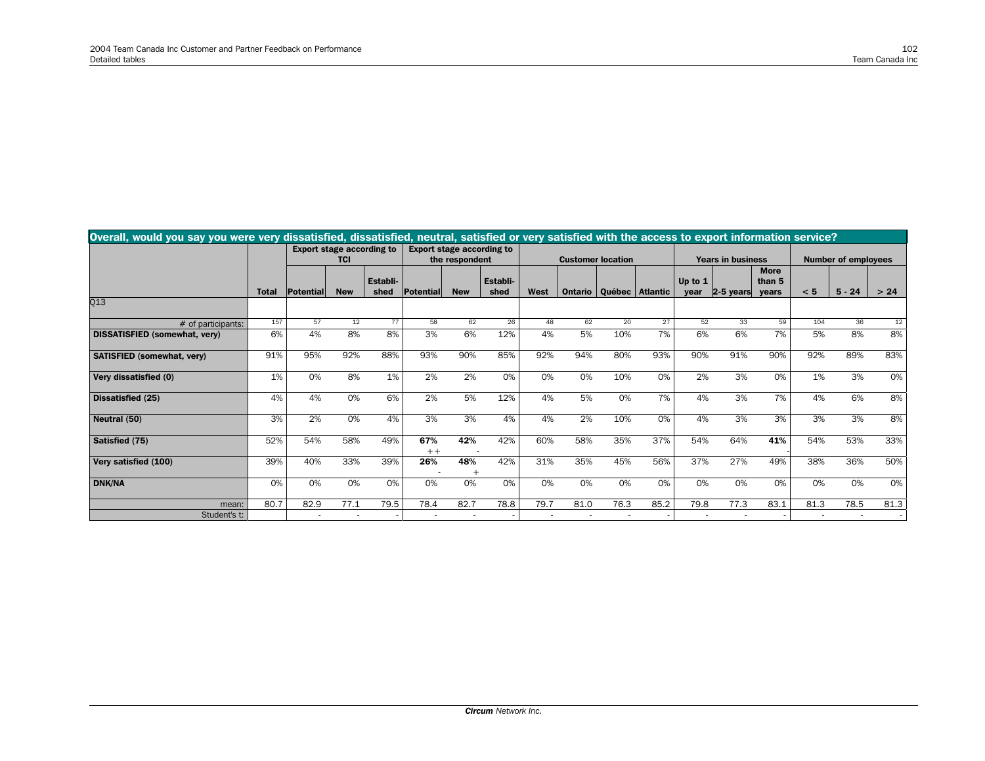| Overall, would you say you were very dissatisfied, dissatisfied, neutral, satisfied or very satisfied with the access to export information service? |              |                  |                                  |          |                  |                                  |          |      |         |                          |      |           |                          |             |      |                            |       |
|------------------------------------------------------------------------------------------------------------------------------------------------------|--------------|------------------|----------------------------------|----------|------------------|----------------------------------|----------|------|---------|--------------------------|------|-----------|--------------------------|-------------|------|----------------------------|-------|
|                                                                                                                                                      |              |                  | <b>Export stage according to</b> |          |                  | <b>Export stage according to</b> |          |      |         |                          |      |           |                          |             |      |                            |       |
|                                                                                                                                                      |              |                  | <b>TCI</b>                       |          |                  | the respondent                   |          |      |         | <b>Customer location</b> |      |           | <b>Years in business</b> |             |      | <b>Number of employees</b> |       |
|                                                                                                                                                      |              |                  |                                  |          |                  |                                  |          |      |         |                          |      |           |                          | <b>More</b> |      |                            |       |
|                                                                                                                                                      |              |                  |                                  | Establi- |                  |                                  | Establi- |      |         |                          |      | Up to $1$ |                          | than 5      |      |                            |       |
|                                                                                                                                                      | <b>Total</b> | <b>Potential</b> | <b>New</b>                       | shed     | <b>Potential</b> | <b>New</b>                       | shed     | West | Ontario | Québec   Atlantic        |      | year      | 2-5 years                | years       | < 5  | $5 - 24$                   | $>24$ |
| Q13                                                                                                                                                  |              |                  |                                  |          |                  |                                  |          |      |         |                          |      |           |                          |             |      |                            |       |
| $#$ of participants:                                                                                                                                 | 157          | 57               | 12                               | 77       | 58               | 62                               | 26       | 48   | 62      | 20                       | 27   | 52        | 33                       | 59          | 104  | 36                         | 12    |
| <b>DISSATISFIED (somewhat, very)</b>                                                                                                                 | 6%           | 4%               | 8%                               | 8%       | 3%               | 6%                               | 12%      | 4%   | 5%      | 10%                      | 7%   | 6%        | 6%                       | 7%          | 5%   | 8%                         | 8%    |
| <b>SATISFIED (somewhat, very)</b>                                                                                                                    | 91%          | 95%              | 92%                              | 88%      | 93%              | 90%                              | 85%      | 92%  | 94%     | 80%                      | 93%  | 90%       | 91%                      | 90%         | 92%  | 89%                        | 83%   |
| Very dissatisfied (0)                                                                                                                                | 1%           | 0%               | 8%                               | 1%       | 2%               | 2%                               | 0%       | 0%   | 0%      | 10%                      | 0%   | 2%        | 3%                       | 0%          | 1%   | 3%                         | 0%    |
| <b>Dissatisfied (25)</b>                                                                                                                             | 4%           | 4%               | 0%                               | 6%       | 2%               | 5%                               | 12%      | 4%   | 5%      | 0%                       | 7%   | 4%        | 3%                       | 7%          | 4%   | 6%                         | 8%    |
| Neutral (50)                                                                                                                                         | 3%           | 2%               | 0%                               | 4%       | 3%               | 3%                               | 4%       | 4%   | 2%      | 10%                      | 0%   | 4%        | 3%                       | 3%          | 3%   | 3%                         | 8%    |
| Satisfied (75)                                                                                                                                       | 52%          | 54%              | 58%                              | 49%      | 67%<br>$+ +$     | 42%                              | 42%      | 60%  | 58%     | 35%                      | 37%  | 54%       | 64%                      | 41%         | 54%  | 53%                        | 33%   |
| Very satisfied (100)                                                                                                                                 | 39%          | 40%              | 33%                              | 39%      | 26%              | 48%                              | 42%      | 31%  | 35%     | 45%                      | 56%  | 37%       | 27%                      | 49%         | 38%  | 36%                        | 50%   |
| <b>DNK/NA</b>                                                                                                                                        | 0%           | 0%               | 0%                               | 0%       | 0%               | 0%                               | 0%       | 0%   | 0%      | 0%                       | 0%   | 0%        | 0%                       | 0%          | 0%   | 0%                         | 0%    |
| mean:                                                                                                                                                | 80.7         | 82.9             | 77.1                             | 79.5     | 78.4             | 82.7                             | 78.8     | 79.7 | 81.0    | 76.3                     | 85.2 | 79.8      | 77.3                     | 83.1        | 81.3 | 78.5                       | 81.3  |
| Student's t:                                                                                                                                         |              |                  |                                  |          |                  |                                  |          |      |         |                          |      |           |                          |             |      |                            |       |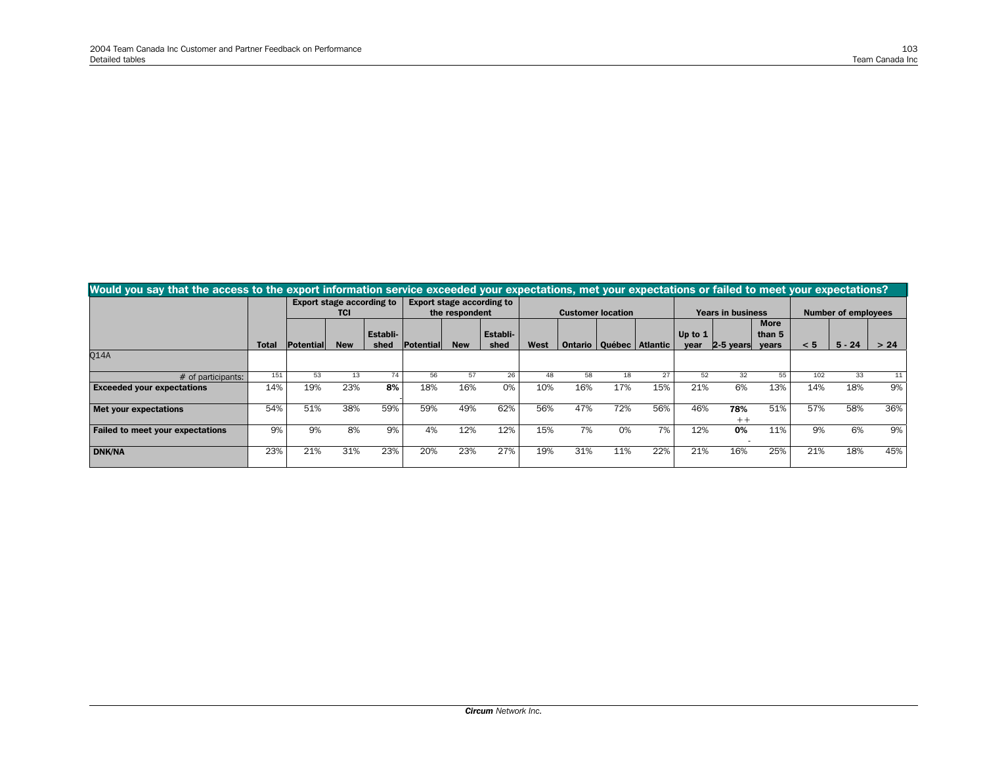| Would you say that the access to the export information service exceeded your expectations, met your expectations or failed to meet your expectations? |              |                  |            |                                  |                  |                                  |          |      |     |                             |     |           |                          |        |          |                            |      |
|--------------------------------------------------------------------------------------------------------------------------------------------------------|--------------|------------------|------------|----------------------------------|------------------|----------------------------------|----------|------|-----|-----------------------------|-----|-----------|--------------------------|--------|----------|----------------------------|------|
|                                                                                                                                                        |              |                  |            | <b>Export stage according to</b> |                  | <b>Export stage according to</b> |          |      |     |                             |     |           |                          |        |          |                            |      |
|                                                                                                                                                        |              |                  | <b>TCI</b> |                                  |                  | the respondent                   |          |      |     | <b>Customer location</b>    |     |           | <b>Years in business</b> |        |          | <b>Number of employees</b> |      |
|                                                                                                                                                        |              |                  |            |                                  |                  |                                  |          |      |     |                             |     |           |                          | More   |          |                            |      |
|                                                                                                                                                        |              |                  |            | Establi-                         |                  |                                  | Establi- |      |     |                             |     | Up to $1$ |                          | than 5 |          |                            |      |
|                                                                                                                                                        | <b>Total</b> | <b>Potential</b> | <b>New</b> | shed                             | <b>Potential</b> | <b>New</b>                       | shed     | West |     | Ontario   Québec   Atlantic |     | year      | $2-5$ years              | years  | $\leq 5$ | $5 - 24$                   | > 24 |
| <b>Q14A</b>                                                                                                                                            |              |                  |            |                                  |                  |                                  |          |      |     |                             |     |           |                          |        |          |                            |      |
| $#$ of participants:                                                                                                                                   | 151          | 53               | 13         | 74                               | 56               | 57                               | 26       | 48   | 58  | 18                          | 27  | 52        | 32                       | 55     | 102      | 33                         | 11   |
| <b>Exceeded your expectations</b>                                                                                                                      | 14%          | 19%              | 23%        | 8%                               | 18%              | 16%                              | O%       | 10%  | 16% | 17%                         | 15% | 21%       | 6%                       | 13%    | 14%      | 18%                        | 9%   |
| Met your expectations                                                                                                                                  | 54%          | 51%              | 38%        | 59%                              | 59%              | 49%                              | 62%      | 56%  | 47% | 72%                         | 56% | 46%       | 78%<br>$++$              | 51%    | 57%      | 58%                        | 36%  |
| Failed to meet your expectations                                                                                                                       | 9%           | 9%               | 8%         | 9%                               | 4%               | 12%                              | 12%      | 15%  | 7%  | O%                          | 7%  | 12%       | 0%                       | 11%    | 9%       | 6%                         | 9%   |
| <b>DNK/NA</b>                                                                                                                                          | 23%          | 21%              | 31%        | 23%                              | 20%              | 23%                              | 27%      | 19%  | 31% | 11%                         | 22% | 21%       | 16%                      | 25%    | 21%      | 18%                        | 45%  |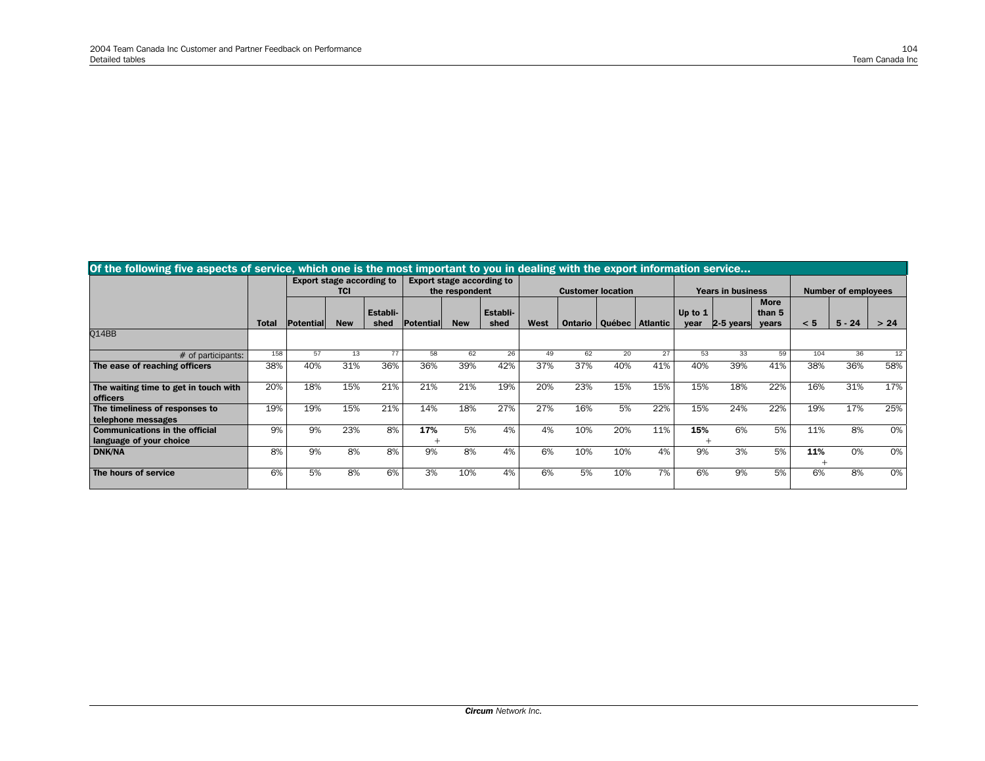| Of the following five aspects of service, which one is the most important to you in dealing with the export information service |              |                  |            |                                  |                                  |                |                  |      |                          |                   |     |                   |                          |                                |     |                            |      |
|---------------------------------------------------------------------------------------------------------------------------------|--------------|------------------|------------|----------------------------------|----------------------------------|----------------|------------------|------|--------------------------|-------------------|-----|-------------------|--------------------------|--------------------------------|-----|----------------------------|------|
|                                                                                                                                 |              |                  | <b>TCI</b> | <b>Export stage according to</b> | <b>Export stage according to</b> | the respondent |                  |      | <b>Customer location</b> |                   |     |                   | <b>Years in business</b> |                                |     | <b>Number of employees</b> |      |
|                                                                                                                                 | <b>Total</b> | <b>Potential</b> | <b>New</b> | Establi-<br>shed                 | <b>Potential</b>                 | <b>New</b>     | Establi-<br>shed | West | <b>Ontario</b>           | Québec   Atlantic |     | Up to $1$<br>year | $2-5$ years              | <b>More</b><br>than 5<br>years | < 5 | $5 - 24$                   | > 24 |
| Q14BB                                                                                                                           |              |                  |            |                                  |                                  |                |                  |      |                          |                   |     |                   |                          |                                |     |                            |      |
| $#$ of participants:                                                                                                            | 158          | 57               | 13         | 77                               | 58                               | 62             | 26               | 49   | 62                       | 20                | 27  | 53                | 33                       | 59                             | 104 | 36                         | 12   |
| The ease of reaching officers                                                                                                   | 38%          | 40%              | 31%        | 36%                              | 36%                              | 39%            | 42%              | 37%  | 37%                      | 40%               | 41% | 40%               | 39%                      | 41%                            | 38% | 36%                        | 58%  |
| The waiting time to get in touch with<br><b>officers</b>                                                                        | 20%          | 18%              | 15%        | 21%                              | 21%                              | 21%            | 19%              | 20%  | 23%                      | 15%               | 15% | 15%               | 18%                      | 22%                            | 16% | 31%                        | 17%  |
| The timeliness of responses to<br>telephone messages                                                                            | 19%          | 19%              | 15%        | 21%                              | 14%                              | 18%            | 27%              | 27%  | 16%                      | 5%                | 22% | 15%               | 24%                      | 22%                            | 19% | 17%                        | 25%  |
| <b>Communications in the official</b><br>language of your choice                                                                | 9%           | 9%               | 23%        | 8%                               | 17%                              | 5%             | 4%               | 4%   | 10%                      | 20%               | 11% | 15%               | 6%                       | 5%                             | 11% | 8%                         | 0%   |
| <b>DNK/NA</b>                                                                                                                   | 8%           | 9%               | 8%         | 8%                               | 9%                               | 8%             | 4%               | 6%   | 10%                      | 10%               | 4%  | 9%                | 3%                       | 5%                             | 11% | 0%                         | 0%   |
| The hours of service                                                                                                            | 6%           | 5%               | 8%         | 6%                               | 3%                               | 10%            | 4%               | 6%   | 5%                       | 10%               | 7%  | 6%                | 9%                       | 5%                             | 6%  | 8%                         | 0%   |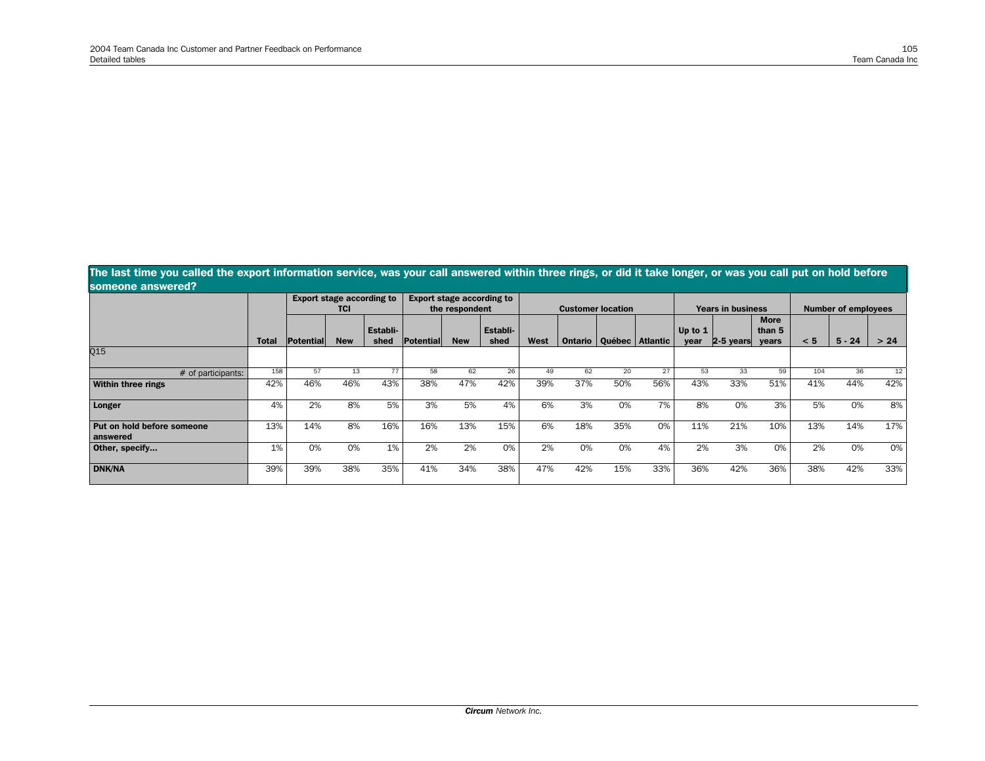## **The last time you called the export information service, was your call answered within three rings, or did it take longer, or was you call put on hold before someone answered?Export stage according to Export stage according to TCI the respondent Customer location Years in business Number of employees Total Potential NewEstablished Potential New Establi- shed West Ontario Québec Atlantic Up to 1 year 2-5 years More than 5years < 5 5 - 24 > 24**

|                            |              |                  |            | ESLAVII- |                  |            | ESLAVII- |      |     |                             |     | UP W T |             | ulali ə |     |          |      |
|----------------------------|--------------|------------------|------------|----------|------------------|------------|----------|------|-----|-----------------------------|-----|--------|-------------|---------|-----|----------|------|
|                            | <b>Total</b> | <b>Potential</b> | <b>New</b> | shed     | <b>Potential</b> | <b>New</b> | shed     | West |     | Ontario   Québec   Atlantic |     | year   | $2-5$ years | years   | < 5 | $5 - 24$ | > 24 |
| 015                        |              |                  |            |          |                  |            |          |      |     |                             |     |        |             |         |     |          |      |
|                            |              |                  |            |          |                  |            |          |      |     |                             |     |        |             |         |     |          |      |
| # of participants:         | 158          | 57               | 13         | 77       | 58               | 62         | 26       | 49   | 62  | 20                          | 27  | 53     | 33          | 59      | 104 | 36       | 12   |
| <b>Within three rings</b>  | 42%          | 46%              | 46%        | 43%      | 38%              | 47%        | 42%      | 39%  | 37% | 50%                         | 56% | 43%    | 33%         | 51%     | 41% | 44%      | 42%  |
|                            |              |                  |            |          |                  |            |          |      |     |                             |     |        |             |         |     |          |      |
| Longer                     | 4%           | 2%               | 8%         | 5%       | 3%               | 5%         | 4%       | 6%   | 3%  | 0%                          | 7%  | 8%     | 0%          | 3%      | 5%  | 0%       | 8%   |
|                            |              |                  |            |          |                  |            |          |      |     |                             |     |        |             |         |     |          |      |
| Put on hold before someone | 13%          | 14%              | 8%         | 16%      | 16%              | 13%        | 15%      | 6%   | 18% | 35%                         | 0%  | 11%    | 21%         | 10%     | 13% | 14%      | 17%  |
| answered                   |              |                  |            |          |                  |            |          |      |     |                             |     |        |             |         |     |          |      |
| Other, specify             | 1%           | 0%               | 0%         | 1%       | 2%               | 2%         | 0%       | 2%   | 0%  | 0%                          | 4%  | 2%     | 3%          | $0\%$   | 2%  | 0%       | 0%   |
|                            |              |                  |            |          |                  |            |          |      |     |                             |     |        |             |         |     |          |      |
| <b>DNK/NA</b>              | 39%          | 39%              | 38%        | 35%      | 41%              | 34%        | 38%      | 47%  | 42% | 15%                         | 33% | 36%    | 42%         | 36%     | 38% | 42%      | 33%  |
|                            |              |                  |            |          |                  |            |          |      |     |                             |     |        |             |         |     |          |      |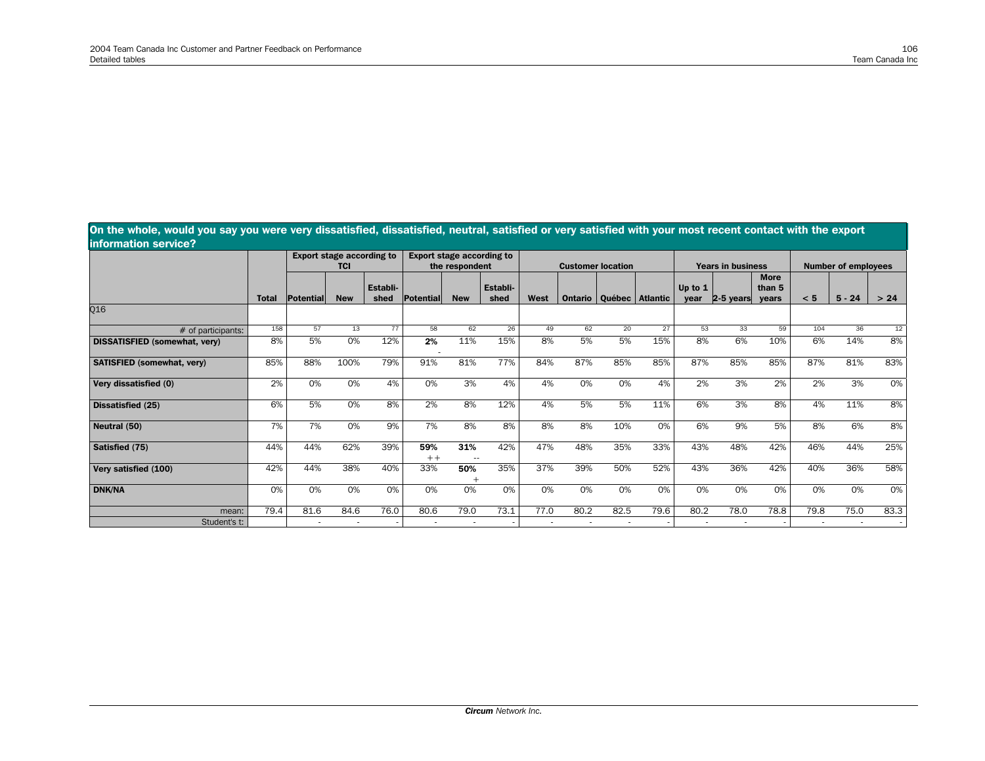| On the whole, would you say you were very dissatisfied, dissatisfied, neutral, satisfied or very satisfied with your most recent contact with the export |              |                  |                                                |                  |                                  |                |                  |      |                |                          |                 |                   |                          |                                |      |                            |      |
|----------------------------------------------------------------------------------------------------------------------------------------------------------|--------------|------------------|------------------------------------------------|------------------|----------------------------------|----------------|------------------|------|----------------|--------------------------|-----------------|-------------------|--------------------------|--------------------------------|------|----------------------------|------|
| <b>Information service?</b>                                                                                                                              |              |                  |                                                |                  |                                  |                |                  |      |                |                          |                 |                   |                          |                                |      |                            |      |
|                                                                                                                                                          |              |                  | <b>Export stage according to</b><br><b>TCI</b> |                  | <b>Export stage according to</b> | the respondent |                  |      |                | <b>Customer location</b> |                 |                   | <b>Years in business</b> |                                |      | <b>Number of employees</b> |      |
|                                                                                                                                                          | <b>Total</b> | <b>Potential</b> | <b>New</b>                                     | Establi-<br>shed | <b>Potential</b>                 | <b>New</b>     | Establi-<br>shed | West | <b>Ontario</b> | <b>Québec</b>            | <b>Atlantic</b> | Up to $1$<br>vear | $2-5$ years              | <b>More</b><br>than 5<br>vears | < 5  | $5 - 24$                   | > 24 |
| Q16                                                                                                                                                      |              |                  |                                                |                  |                                  |                |                  |      |                |                          |                 |                   |                          |                                |      |                            |      |
| $#$ of participants:                                                                                                                                     | 158          | 57               | 13                                             | 77               | 58                               | 62             | 26               | 49   | 62             | 20                       | 27              | 53                | 33                       | 59                             | 104  | 36                         | 12   |
| <b>DISSATISFIED (somewhat, very)</b>                                                                                                                     | 8%           | 5%               | 0%                                             | 12%              | 2%                               | 11%            | 15%              | 8%   | 5%             | 5%                       | 15%             | 8%                | 6%                       | 10%                            | 6%   | 14%                        | 8%   |
| SATISFIED (somewhat, very)                                                                                                                               | 85%          | 88%              | 100%                                           | 79%              | 91%                              | 81%            | 77%              | 84%  | 87%            | 85%                      | 85%             | 87%               | 85%                      | 85%                            | 87%  | 81%                        | 83%  |
| Very dissatisfied (0)                                                                                                                                    | 2%           | 0%               | 0%                                             | 4%               | 0%                               | 3%             | 4%               | 4%   | 0%             | 0%                       | 4%              | 2%                | 3%                       | 2%                             | 2%   | 3%                         | 0%   |
| Dissatisfied (25)                                                                                                                                        | 6%           | 5%               | 0%                                             | 8%               | 2%                               | 8%             | 12%              | 4%   | 5%             | 5%                       | 11%             | 6%                | 3%                       | 8%                             | 4%   | 11%                        | 8%   |
| Neutral (50)                                                                                                                                             | 7%           | 7%               | 0%                                             | 9%               | 7%                               | 8%             | 8%               | 8%   | 8%             | 10%                      | 0%              | 6%                | 9%                       | 5%                             | 8%   | 6%                         | 8%   |
| Satisfied (75)                                                                                                                                           | 44%          | 44%              | 62%                                            | 39%              | 59%<br>$+ +$                     | 31%            | 42%              | 47%  | 48%            | 35%                      | 33%             | 43%               | 48%                      | 42%                            | 46%  | 44%                        | 25%  |
| Very satisfied (100)                                                                                                                                     | 42%          | 44%              | 38%                                            | 40%              | 33%                              | 50%            | 35%              | 37%  | 39%            | 50%                      | 52%             | 43%               | 36%                      | 42%                            | 40%  | 36%                        | 58%  |
| <b>DNK/NA</b>                                                                                                                                            | 0%           | 0%               | 0%                                             | 0%               | 0%                               | 0%             | 0%               | 0%   | 0%             | 0%                       | 0%              | 0%                | 0%                       | 0%                             | 0%   | 0%                         | 0%   |
| mean:                                                                                                                                                    | 79.4         | 81.6             | 84.6                                           | 76.0             | 80.6                             | 79.0           | 73.1             | 77.0 | 80.2           | 82.5                     | 79.6            | 80.2              | 78.0                     | 78.8                           | 79.8 | 75.0                       | 83.3 |
| Student's t:                                                                                                                                             |              |                  |                                                |                  |                                  |                |                  |      |                |                          |                 |                   |                          |                                |      |                            |      |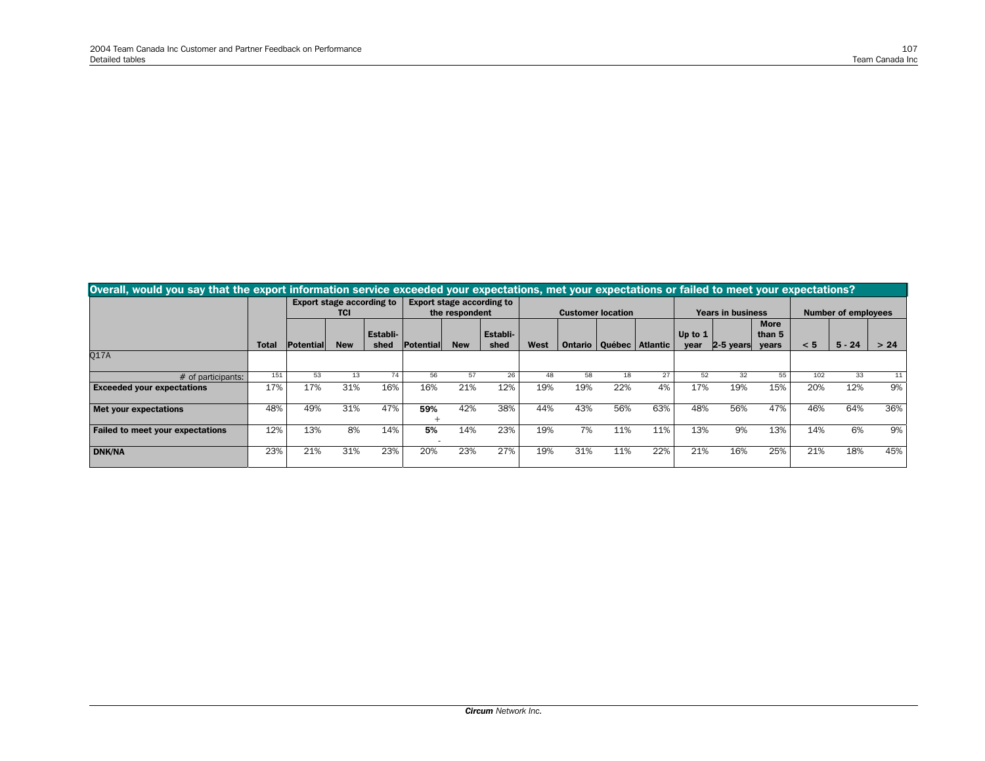| Overall, would you say that the export information service exceeded your expectations, met your expectations or failed to meet your expectations? |              |                  |            |                                  |                                  |                |          |      |                |                          |     |           |                          |             |     |                            |      |
|---------------------------------------------------------------------------------------------------------------------------------------------------|--------------|------------------|------------|----------------------------------|----------------------------------|----------------|----------|------|----------------|--------------------------|-----|-----------|--------------------------|-------------|-----|----------------------------|------|
|                                                                                                                                                   |              |                  |            | <b>Export stage according to</b> | <b>Export stage according to</b> |                |          |      |                |                          |     |           |                          |             |     |                            |      |
|                                                                                                                                                   |              |                  | <b>TCI</b> |                                  |                                  | the respondent |          |      |                | <b>Customer location</b> |     |           | <b>Years in business</b> |             |     | <b>Number of employees</b> |      |
|                                                                                                                                                   |              |                  |            |                                  |                                  |                |          |      |                |                          |     |           |                          | <b>More</b> |     |                            |      |
|                                                                                                                                                   |              |                  |            | Establi-                         |                                  |                | Establi- |      |                |                          |     | Up to $1$ |                          | than 5      |     |                            |      |
|                                                                                                                                                   | <b>Total</b> | <b>Potential</b> | <b>New</b> | shed                             | <b>Potential</b>                 | <b>New</b>     | shed     | West | <b>Ontario</b> | Québec   Atlantic        |     | year      | $2-5$ years              | years       | < 5 | $5 - 24$                   | > 24 |
| 017A                                                                                                                                              |              |                  |            |                                  |                                  |                |          |      |                |                          |     |           |                          |             |     |                            |      |
| $#$ of participants:                                                                                                                              | 151          | 53               | 13         | 74                               | 56                               | 57             | 26       | 48   | 58             | 18                       | 27  | 52        | 32                       | 55          | 102 | 33                         | 11   |
| <b>Exceeded your expectations</b>                                                                                                                 | 17%          | 17%              | 31%        | 16%                              | 16%                              | 21%            | 12%      | 19%  | 19%            | 22%                      | 4%  | 17%       | 19%                      | 15%         | 20% | 12%                        | 9%   |
| Met your expectations                                                                                                                             | 48%          | 49%              | 31%        | 47%                              | 59%                              | 42%            | 38%      | 44%  | 43%            | 56%                      | 63% | 48%       | 56%                      | 47%         | 46% | 64%                        | 36%  |
| <b>Failed to meet your expectations</b>                                                                                                           | 12%          | 13%              | 8%         | 14%                              | 5%                               | 14%            | 23%      | 19%  | 7%             | 11%                      | 11% | 13%       | 9%                       | 13%         | 14% | 6%                         | 9%   |
| <b>DNK/NA</b>                                                                                                                                     | 23%          | 21%              | 31%        | 23%                              | 20%                              | 23%            | 27%      | 19%  | 31%            | 11%                      | 22% | 21%       | 16%                      | 25%         | 21% | 18%                        | 45%  |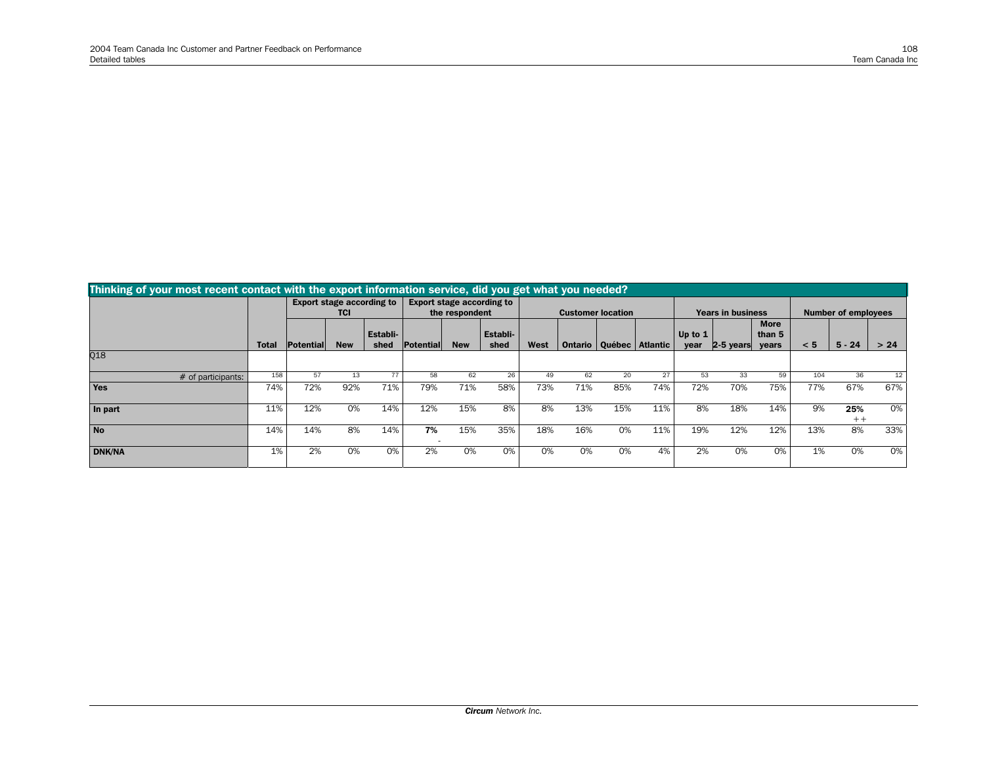| Thinking of your most recent contact with the export information service, did you get what you needed? |              |                                  |            |          |                  |                                  |          |      |                |                          |     |           |                          |             |     |                            |      |
|--------------------------------------------------------------------------------------------------------|--------------|----------------------------------|------------|----------|------------------|----------------------------------|----------|------|----------------|--------------------------|-----|-----------|--------------------------|-------------|-----|----------------------------|------|
|                                                                                                        |              | <b>Export stage according to</b> |            |          |                  | <b>Export stage according to</b> |          |      |                |                          |     |           |                          |             |     |                            |      |
|                                                                                                        |              |                                  | <b>TCI</b> |          |                  | the respondent                   |          |      |                | <b>Customer location</b> |     |           | <b>Years in business</b> |             |     | <b>Number of employees</b> |      |
|                                                                                                        |              |                                  |            |          |                  |                                  |          |      |                |                          |     |           |                          | <b>More</b> |     |                            |      |
|                                                                                                        |              |                                  |            | Establi- |                  |                                  | Establi- |      |                |                          |     | Up to $1$ |                          | than 5      |     |                            |      |
|                                                                                                        | <b>Total</b> | Potential                        | <b>New</b> | shed     | <b>Potential</b> | <b>New</b>                       | shed     | West | <b>Ontario</b> | Québec   Atlantic        |     | year      | $2-5$ years              | years       | < 5 | $5 - 24$                   | > 24 |
| 018                                                                                                    |              |                                  |            |          |                  |                                  |          |      |                |                          |     |           |                          |             |     |                            |      |
| $#$ of participants:                                                                                   | 158          | 57                               | 13         | 77       | 58               | 62                               | 26       | 49   | 62             | 20                       | 27  | 53        | 33                       | 59          | 104 | 36                         | 12   |
| <b>Yes</b>                                                                                             | 74%          | 72%                              | 92%        | 71%      | 79%              | 71%                              | 58%      | 73%  | 71%            | 85%                      | 74% | 72%       | 70%                      | 75%         | 77% | 67%                        | 67%  |
| In part                                                                                                | 11%          | 12%                              | 0%         | 14%      | 12%              | 15%                              | 8%       | 8%   | 13%            | 15%                      | 11% | 8%        | 18%                      | 14%         | 9%  | 25%                        | 0%   |
|                                                                                                        |              |                                  |            |          |                  |                                  |          |      |                |                          |     |           |                          |             |     | $++$                       |      |
| <b>No</b>                                                                                              | 14%          | 14%                              | 8%         | 14%      | 7%               | 15%                              | 35%      | 18%  | 16%            | 0%                       | 11% | 19%       | 12%                      | 12%         | 13% | 8%                         | 33%  |
|                                                                                                        |              |                                  |            |          |                  |                                  |          |      |                |                          |     |           |                          |             |     |                            |      |
| <b>DNK/NA</b>                                                                                          | 1%           | 2%                               | 0%         | 0%       | 2%               | 0%                               | 0%       | 0%   | $0\%$          | 0%                       | 4%  | 2%        | 0%                       | 0%          | 1%  | 0%                         | 0%   |
|                                                                                                        |              |                                  |            |          |                  |                                  |          |      |                |                          |     |           |                          |             |     |                            |      |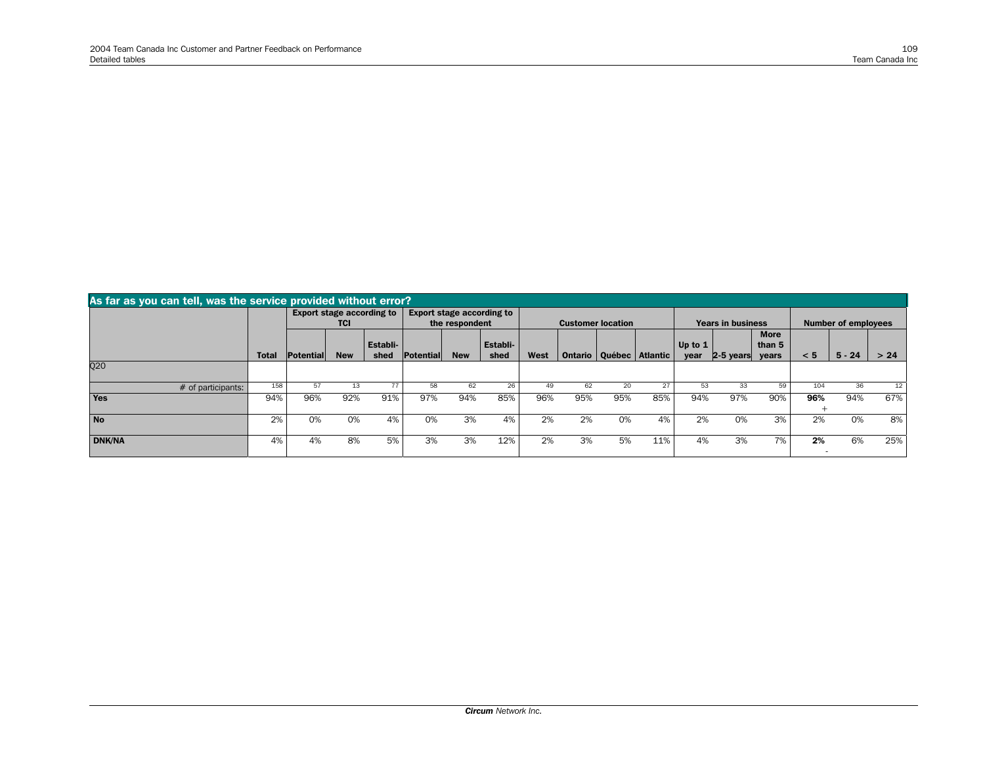| As far as you can tell, was the service provided without error? |              |                                  |            |          |                                  |                |          |      |     |                             |     |           |                          |             |     |                            |                 |
|-----------------------------------------------------------------|--------------|----------------------------------|------------|----------|----------------------------------|----------------|----------|------|-----|-----------------------------|-----|-----------|--------------------------|-------------|-----|----------------------------|-----------------|
|                                                                 |              | <b>Export stage according to</b> |            |          | <b>Export stage according to</b> |                |          |      |     |                             |     |           |                          |             |     |                            |                 |
|                                                                 |              |                                  | <b>TCI</b> |          |                                  | the respondent |          |      |     | <b>Customer location</b>    |     |           | <b>Years in business</b> |             |     | <b>Number of employees</b> |                 |
|                                                                 |              |                                  |            |          |                                  |                |          |      |     |                             |     |           |                          | <b>More</b> |     |                            |                 |
|                                                                 |              |                                  |            | Establi- |                                  |                | Establi- |      |     |                             |     | Up to $1$ |                          | than 5      |     |                            |                 |
|                                                                 | <b>Total</b> | <b>Potential</b>                 | <b>New</b> | shed     | <b>Potential</b>                 | <b>New</b>     | shed     | West |     | Ontario   Québec   Atlantic |     | year      | $2-5$ years              | years       | < 5 | $5 - 24$                   | > 24            |
| 020                                                             |              |                                  |            |          |                                  |                |          |      |     |                             |     |           |                          |             |     |                            |                 |
| $#$ of participants:                                            | 158          | 57                               | 13         | 77       | 58                               | 62             | 26       | 49   | 62  | 20                          | 27  | 53        | 33                       | 59          | 104 | 36                         | 12 <sup>1</sup> |
| Yes                                                             | 94%          | 96%                              | 92%        | 91%      | 97%                              | 94%            | 85%      | 96%  | 95% | 95%                         | 85% | 94%       | 97%                      | 90%         | 96% | 94%                        | 67%             |
|                                                                 |              |                                  |            |          |                                  |                |          |      |     |                             |     |           |                          |             |     |                            |                 |
| <b>No</b>                                                       | 2%           | O%                               | 0%         | 4%       | 0%                               | 3%             | 4%       | 2%   | 2%  | O%                          | 4%  | 2%        | O%                       | 3%          | 2%  | 0%                         | 8%              |
|                                                                 |              |                                  |            |          |                                  |                |          |      |     |                             |     |           |                          |             |     |                            |                 |
| <b>DNK/NA</b>                                                   | 4%           | 4%                               | 8%         | 5%       | 3%                               | 3%             | 12%      | 2%   | 3%  | 5%                          | 11% | 4%        | 3%                       | 7%          | 2%  | 6%                         | 25%             |
|                                                                 |              |                                  |            |          |                                  |                |          |      |     |                             |     |           |                          |             |     |                            |                 |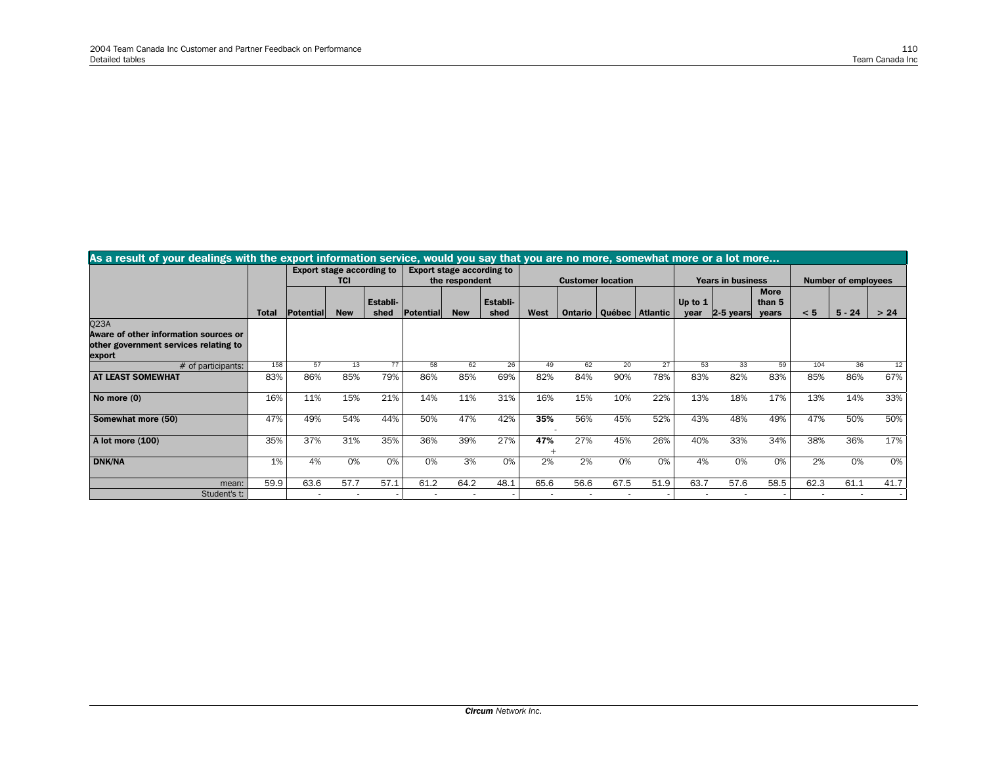| As a result of your dealings with the export information service, would you say that you are no more, somewhat more or a lot more |              |                  |            |                                  |                                  |                |                  |      |                |                          |                 |                   |                          |                                |      |                            |      |
|-----------------------------------------------------------------------------------------------------------------------------------|--------------|------------------|------------|----------------------------------|----------------------------------|----------------|------------------|------|----------------|--------------------------|-----------------|-------------------|--------------------------|--------------------------------|------|----------------------------|------|
|                                                                                                                                   |              |                  | <b>TCI</b> | <b>Export stage according to</b> | <b>Export stage according to</b> | the respondent |                  |      |                | <b>Customer location</b> |                 |                   | <b>Years in business</b> |                                |      | <b>Number of employees</b> |      |
|                                                                                                                                   | <b>Total</b> | <b>Potential</b> | <b>New</b> | Establi-<br>shed                 | <b>Potential</b>                 | <b>New</b>     | Establi-<br>shed | West | <b>Ontario</b> | Québec                   | <b>Atlantic</b> | Up to $1$<br>year | $2-5$ years              | <b>More</b><br>than 5<br>years | < 5  | $5 - 24$                   | > 24 |
| Q23A                                                                                                                              |              |                  |            |                                  |                                  |                |                  |      |                |                          |                 |                   |                          |                                |      |                            |      |
| Aware of other information sources or                                                                                             |              |                  |            |                                  |                                  |                |                  |      |                |                          |                 |                   |                          |                                |      |                            |      |
| other government services relating to                                                                                             |              |                  |            |                                  |                                  |                |                  |      |                |                          |                 |                   |                          |                                |      |                            |      |
| export                                                                                                                            |              |                  |            |                                  |                                  |                |                  |      |                |                          |                 |                   |                          |                                |      |                            |      |
| $#$ of participants:                                                                                                              | 158          | 57               | 13         | 77                               | 58                               | 62             | 26               | 49   | 62             | 20                       | 27              | 53                | 33                       | 59                             | 104  | 36                         | 12   |
| AT LEAST SOMEWHAT                                                                                                                 | 83%          | 86%              | 85%        | 79%                              | 86%                              | 85%            | 69%              | 82%  | 84%            | 90%                      | 78%             | 83%               | 82%                      | 83%                            | 85%  | 86%                        | 67%  |
| No more $(0)$                                                                                                                     | 16%          | 11%              | 15%        | 21%                              | 14%                              | 11%            | 31%              | 16%  | 15%            | 10%                      | 22%             | 13%               | 18%                      | 17%                            | 13%  | 14%                        | 33%  |
| Somewhat more (50)                                                                                                                | 47%          | 49%              | 54%        | 44%                              | 50%                              | 47%            | 42%              | 35%  | 56%            | 45%                      | 52%             | 43%               | 48%                      | 49%                            | 47%  | 50%                        | 50%  |
| A lot more (100)                                                                                                                  | 35%          | 37%              | 31%        | 35%                              | 36%                              | 39%            | 27%              | 47%  | 27%            | 45%                      | 26%             | 40%               | 33%                      | 34%                            | 38%  | 36%                        | 17%  |
| <b>DNK/NA</b>                                                                                                                     | 1%           | 4%               | 0%         | $0\%$                            | 0%                               | 3%             | 0%               | 2%   | 2%             | 0%                       | 0%              | 4%                | 0%                       | 0%                             | 2%   | 0%                         | 0%   |
| mean:                                                                                                                             | 59.9         | 63.6             | 57.7       | 57.1                             | 61.2                             | 64.2           | 48.1             | 65.6 | 56.6           | 67.5                     | 51.9            | 63.7              | 57.6                     | 58.5                           | 62.3 | 61.1                       | 41.7 |
| Student's t:                                                                                                                      |              |                  |            |                                  |                                  |                |                  |      |                |                          |                 |                   |                          |                                |      |                            |      |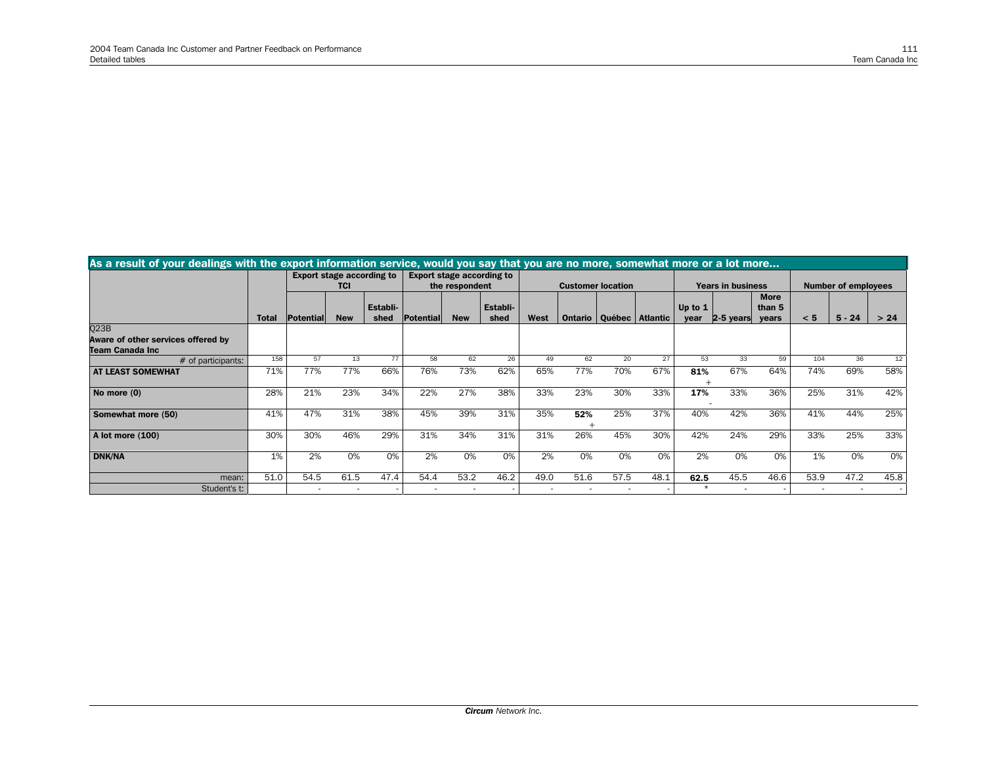| As a result of your dealings with the export information service, would you say that you are no more, somewhat more or a lot more |              |                  |                                                |                  |                  |                                                    |                  |      |                |                          |                   |                   |                          |                                |      |                            |      |
|-----------------------------------------------------------------------------------------------------------------------------------|--------------|------------------|------------------------------------------------|------------------|------------------|----------------------------------------------------|------------------|------|----------------|--------------------------|-------------------|-------------------|--------------------------|--------------------------------|------|----------------------------|------|
|                                                                                                                                   |              |                  | <b>Export stage according to</b><br><b>TCI</b> |                  |                  | <b>Export stage according to</b><br>the respondent |                  |      |                | <b>Customer location</b> |                   |                   | <b>Years in business</b> |                                |      | <b>Number of employees</b> |      |
|                                                                                                                                   | <b>Total</b> | <b>Potential</b> | <b>New</b>                                     | Establi-<br>shed | <b>Potential</b> | <b>New</b>                                         | Establi-<br>shed | West | <b>Ontario</b> |                          | Québec   Atlantic | Up to $1$<br>year | 2-5 years                | <b>More</b><br>than 5<br>years | < 5  | $5 - 24$                   | > 24 |
| Q23B                                                                                                                              |              |                  |                                                |                  |                  |                                                    |                  |      |                |                          |                   |                   |                          |                                |      |                            |      |
| Aware of other services offered by                                                                                                |              |                  |                                                |                  |                  |                                                    |                  |      |                |                          |                   |                   |                          |                                |      |                            |      |
| <b>Team Canada Inc</b>                                                                                                            |              |                  |                                                |                  |                  |                                                    |                  |      |                |                          |                   |                   |                          |                                |      |                            |      |
| $#$ of participants:                                                                                                              | 158          | 57               | 13                                             | 77               | 58               | 62                                                 | 26               | 49   | 62             | 20                       | 27                | 53                | 33                       | 59                             | 104  | 36                         | 12   |
| AT LEAST SOMEWHAT                                                                                                                 | 71%          | 77%              | 77%                                            | 66%              | 76%              | 73%                                                | 62%              | 65%  | 77%            | 70%                      | 67%               | 81%               | 67%                      | 64%                            | 74%  | 69%                        | 58%  |
| No more $(0)$                                                                                                                     | 28%          | 21%              | 23%                                            | 34%              | 22%              | 27%                                                | 38%              | 33%  | 23%            | 30%                      | 33%               | 17%               | 33%                      | 36%                            | 25%  | 31%                        | 42%  |
| Somewhat more (50)                                                                                                                | 41%          | 47%              | 31%                                            | 38%              | 45%              | 39%                                                | 31%              | 35%  | 52%            | 25%                      | 37%               | 40%               | 42%                      | 36%                            | 41%  | 44%                        | 25%  |
| A lot more (100)                                                                                                                  | 30%          | 30%              | 46%                                            | 29%              | 31%              | 34%                                                | 31%              | 31%  | 26%            | 45%                      | 30%               | 42%               | 24%                      | 29%                            | 33%  | 25%                        | 33%  |
| <b>DNK/NA</b>                                                                                                                     | 1%           | 2%               | 0%                                             | 0%               | 2%               | 0%                                                 | 0%               | 2%   | O%             | 0%                       | 0%                | 2%                | 0%                       | $0\%$                          | 1%   | 0%                         | 0%   |
| mean:                                                                                                                             | 51.0         | 54.5             | 61.5                                           | 47.4             | 54.4             | 53.2                                               | 46.2             | 49.0 | 51.6           | 57.5                     | 48.1              | 62.5              | 45.5                     | 46.6                           | 53.9 | 47.2                       | 45.8 |
| Student's t:                                                                                                                      |              |                  |                                                |                  |                  |                                                    |                  |      |                |                          |                   | $\star$           |                          |                                |      |                            |      |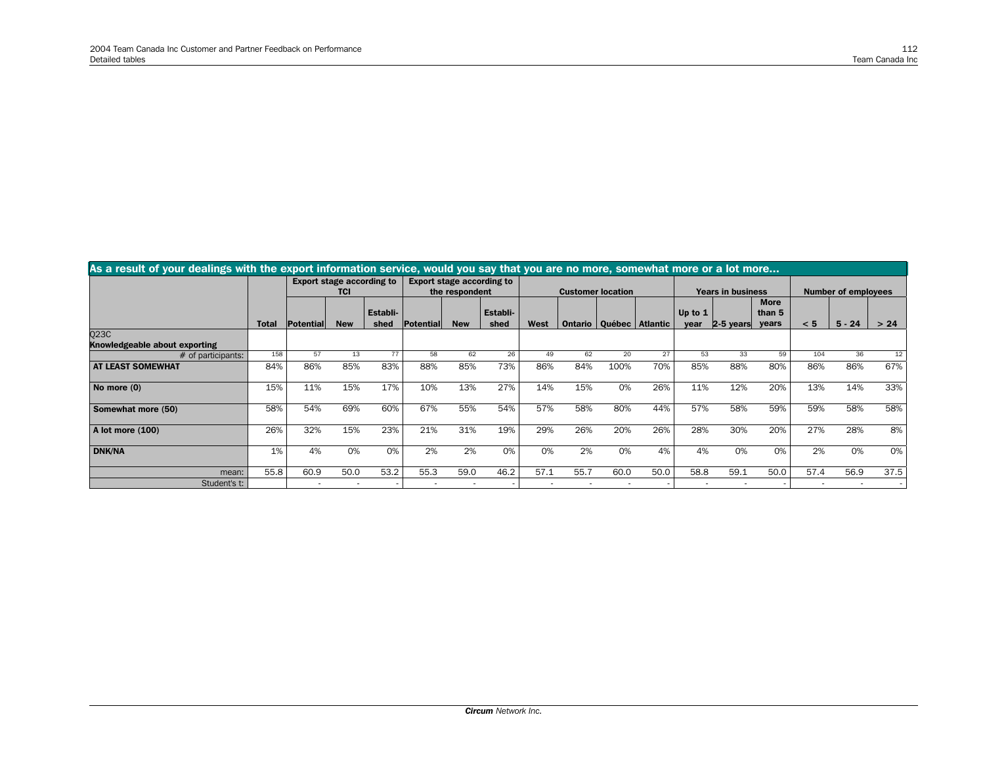| As a result of your dealings with the export information service, would you say that you are no more, somewhat more or a lot more |              |                  |                                         |                  |                                  |                |                  |      |                |                          |                 |                   |                          |                                |      |                            |      |
|-----------------------------------------------------------------------------------------------------------------------------------|--------------|------------------|-----------------------------------------|------------------|----------------------------------|----------------|------------------|------|----------------|--------------------------|-----------------|-------------------|--------------------------|--------------------------------|------|----------------------------|------|
|                                                                                                                                   |              |                  | <b>Export stage according to</b><br>TCI |                  | <b>Export stage according to</b> | the respondent |                  |      |                | <b>Customer location</b> |                 |                   | <b>Years in business</b> |                                |      | <b>Number of employees</b> |      |
|                                                                                                                                   | <b>Total</b> | <b>Potential</b> | <b>New</b>                              | Establi-<br>shed | <b>Potential</b>                 | <b>New</b>     | Establi-<br>shed | West | <b>Ontario</b> | Québec                   | <b>Atlantic</b> | Up to $1$<br>year | $2-5$ years              | <b>More</b><br>than 5<br>years | < 5  | $5 - 24$                   | > 24 |
| Q23C                                                                                                                              |              |                  |                                         |                  |                                  |                |                  |      |                |                          |                 |                   |                          |                                |      |                            |      |
| Knowledgeable about exporting                                                                                                     |              |                  |                                         |                  |                                  |                |                  |      |                |                          |                 |                   |                          |                                |      |                            |      |
| $#$ of participants:                                                                                                              | 158          | 57               | 13                                      | 77               | 58                               | 62             | 26               | 49   | 62             | 20                       | 27              | 53                | 33                       | 59                             | 104  | 36                         | 12   |
| AT LEAST SOMEWHAT                                                                                                                 | 84%          | 86%              | 85%                                     | 83%              | 88%                              | 85%            | 73%              | 86%  | 84%            | 100%                     | 70%             | 85%               | 88%                      | 80%                            | 86%  | 86%                        | 67%  |
| No more (0)                                                                                                                       | 15%          | 11%              | 15%                                     | 17%              | 10%                              | 13%            | 27%              | 14%  | 15%            | 0%                       | 26%             | 11%               | 12%                      | 20%                            | 13%  | 14%                        | 33%  |
| Somewhat more (50)                                                                                                                | 58%          | 54%              | 69%                                     | 60%              | 67%                              | 55%            | 54%              | 57%  | 58%            | 80%                      | 44%             | 57%               | 58%                      | 59%                            | 59%  | 58%                        | 58%  |
| A lot more (100)                                                                                                                  | 26%          | 32%              | 15%                                     | 23%              | 21%                              | 31%            | 19%              | 29%  | 26%            | 20%                      | 26%             | 28%               | 30%                      | 20%                            | 27%  | 28%                        | 8%   |
| <b>DNK/NA</b>                                                                                                                     | 1%           | 4%               | 0%                                      | $0\%$            | 2%                               | 2%             | 0%               | 0%   | 2%             | 0%                       | 4%              | 4%                | O%                       | 0%                             | 2%   | 0%                         | 0%   |
| mean:                                                                                                                             | 55.8         | 60.9             | 50.0                                    | 53.2             | 55.3                             | 59.0           | 46.2             | 57.1 | 55.7           | 60.0                     | 50.0            | 58.8              | 59.1                     | 50.0                           | 57.4 | 56.9                       | 37.5 |
| Student's t:                                                                                                                      |              |                  |                                         |                  |                                  |                |                  |      |                |                          |                 |                   |                          |                                |      |                            |      |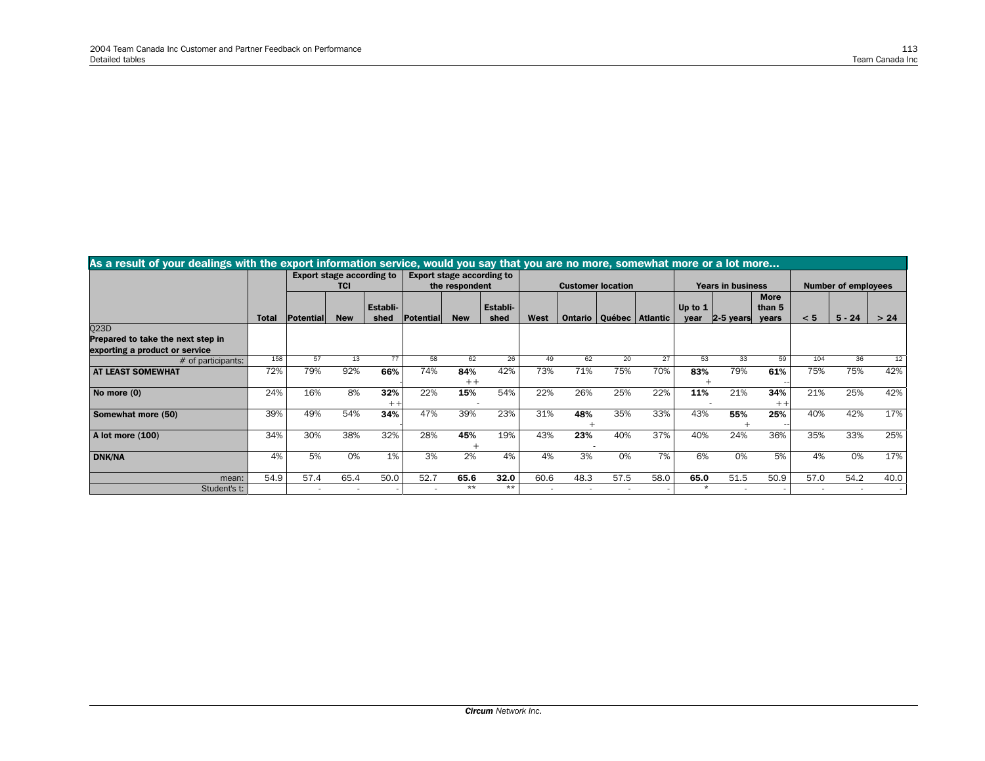| As a result of your dealings with the export information service, would you say that you are no more, somewhat more or a lot more |              |                  |                                  |          |                  |                                  |          |      |                |                          |                          |           |                          |             |      |                            |      |
|-----------------------------------------------------------------------------------------------------------------------------------|--------------|------------------|----------------------------------|----------|------------------|----------------------------------|----------|------|----------------|--------------------------|--------------------------|-----------|--------------------------|-------------|------|----------------------------|------|
|                                                                                                                                   |              |                  | <b>Export stage according to</b> |          |                  | <b>Export stage according to</b> |          |      |                |                          |                          |           |                          |             |      |                            |      |
|                                                                                                                                   |              |                  | <b>TCI</b>                       |          |                  | the respondent                   |          |      |                | <b>Customer location</b> |                          |           | <b>Years in business</b> |             |      | <b>Number of employees</b> |      |
|                                                                                                                                   |              |                  |                                  |          |                  |                                  |          |      |                |                          |                          |           |                          | <b>More</b> |      |                            |      |
|                                                                                                                                   |              |                  |                                  | Establi- |                  |                                  | Establi- |      |                |                          |                          | Up to $1$ |                          | than 5      |      |                            |      |
|                                                                                                                                   | <b>Total</b> | <b>Potential</b> | <b>New</b>                       | shed     | <b>Potential</b> | <b>New</b>                       | shed     | West | <b>Ontario</b> |                          | <b>Ouébec</b>   Atlantic | year      | $2-5$ years              | years       | < 5  | 5.<br>24                   | > 24 |
| Q23D                                                                                                                              |              |                  |                                  |          |                  |                                  |          |      |                |                          |                          |           |                          |             |      |                            |      |
| Prepared to take the next step in                                                                                                 |              |                  |                                  |          |                  |                                  |          |      |                |                          |                          |           |                          |             |      |                            |      |
| exporting a product or service                                                                                                    |              |                  |                                  |          |                  |                                  |          |      |                |                          |                          |           |                          |             |      |                            |      |
| $#$ of participants:                                                                                                              | 158          | 57               | 13                               | 77       | 58               | 62                               | 26       | 49   | 62             | 20                       | 27                       | 53        | 33                       | 59          | 104  | 36                         | 12   |
| AT LEAST SOMEWHAT                                                                                                                 | 72%          | 79%              | 92%                              | 66%      | 74%              | 84%                              | 42%      | 73%  | 71%            | 75%                      | 70%                      | 83%       | 79%                      | 61%         | 75%  | 75%                        | 42%  |
|                                                                                                                                   |              |                  |                                  |          |                  | $+ +$                            |          |      |                |                          |                          |           |                          |             |      |                            |      |
| No more $(0)$                                                                                                                     | 24%          | 16%              | 8%                               | 32%      | 22%              | 15%                              | 54%      | 22%  | 26%            | 25%                      | 22%                      | 11%       | 21%                      | 34%         | 21%  | 25%                        | 42%  |
|                                                                                                                                   |              |                  |                                  | $+ +$    |                  |                                  |          |      |                |                          |                          |           |                          | $+ +$       |      |                            |      |
| Somewhat more (50)                                                                                                                | 39%          | 49%              | 54%                              | 34%      | 47%              | 39%                              | 23%      | 31%  | 48%            | 35%                      | 33%                      | 43%       | 55%                      | 25%         | 40%  | 42%                        | 17%  |
|                                                                                                                                   |              |                  |                                  |          |                  |                                  |          |      |                |                          |                          |           |                          |             |      |                            |      |
| A lot more (100)                                                                                                                  | 34%          | 30%              | 38%                              | 32%      | 28%              | 45%                              | 19%      | 43%  | 23%            | 40%                      | 37%                      | 40%       | 24%                      | 36%         | 35%  | 33%                        | 25%  |
|                                                                                                                                   |              |                  |                                  |          |                  |                                  |          |      |                |                          |                          |           |                          |             |      |                            |      |
| <b>DNK/NA</b>                                                                                                                     | 4%           | 5%               | 0%                               | 1%       | 3%               | 2%                               | 4%       | 4%   | 3%             | 0%                       | 7%                       | 6%        | 0%                       | 5%          | 4%   | 0%                         | 17%  |
|                                                                                                                                   |              |                  |                                  |          |                  |                                  |          |      |                |                          |                          |           |                          |             |      |                            |      |
| mean:                                                                                                                             | 54.9         | 57.4             | 65.4                             | 50.0     | 52.7             | 65.6                             | 32.0     | 60.6 | 48.3           | 57.5                     | 58.0                     | 65.0      | 51.5                     | 50.9        | 57.0 | 54.2                       | 40.0 |
| Student's t:                                                                                                                      |              |                  |                                  |          |                  | $***$                            | $***$    |      |                |                          |                          |           |                          |             |      |                            |      |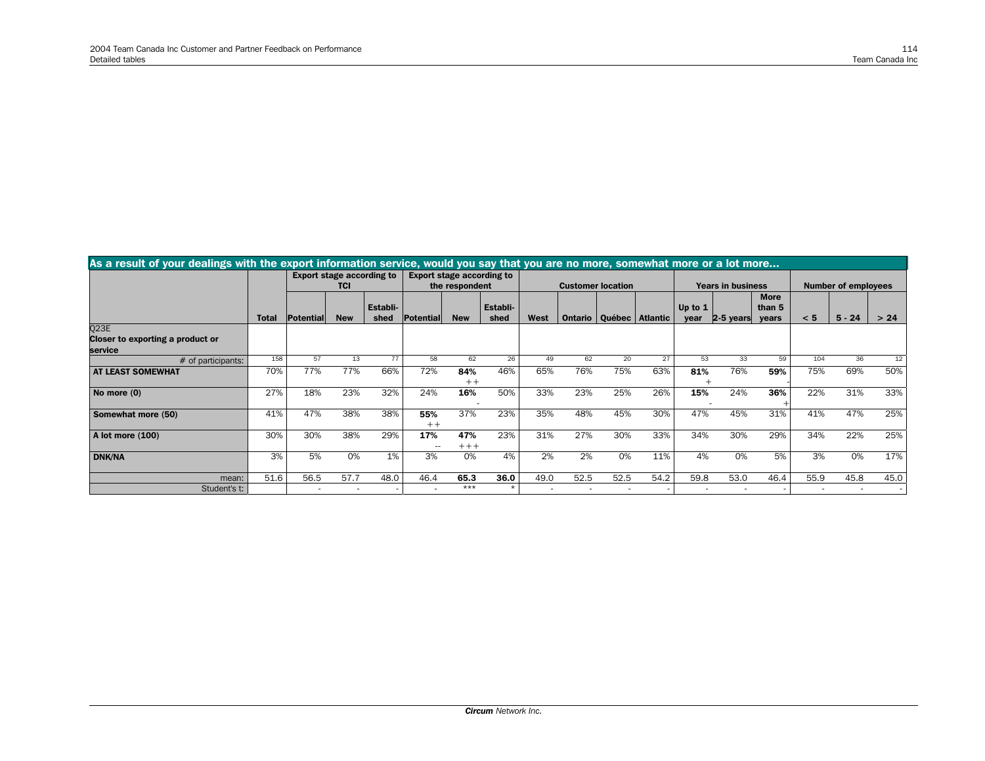| As a result of your dealings with the export information service, would you say that you are no more, somewhat more or a lot more |              |                  |                                                |                  |                  |                                                    |                  |      |                |                          |      |                   |                          |                                |      |                            |      |
|-----------------------------------------------------------------------------------------------------------------------------------|--------------|------------------|------------------------------------------------|------------------|------------------|----------------------------------------------------|------------------|------|----------------|--------------------------|------|-------------------|--------------------------|--------------------------------|------|----------------------------|------|
|                                                                                                                                   |              |                  | <b>Export stage according to</b><br><b>TCI</b> |                  |                  | <b>Export stage according to</b><br>the respondent |                  |      |                | <b>Customer location</b> |      |                   | <b>Years in business</b> |                                |      | <b>Number of employees</b> |      |
|                                                                                                                                   | <b>Total</b> | <b>Potential</b> | <b>New</b>                                     | Establi-<br>shed | <b>Potential</b> | <b>New</b>                                         | Establi-<br>shed | West | <b>Ontario</b> | Québec   Atlantic        |      | Up to $1$<br>year | 2-5 years                | <b>More</b><br>than 5<br>years | < 5  | $5 - 24$                   | > 24 |
| Q23E                                                                                                                              |              |                  |                                                |                  |                  |                                                    |                  |      |                |                          |      |                   |                          |                                |      |                            |      |
| Closer to exporting a product or<br>service                                                                                       |              |                  |                                                |                  |                  |                                                    |                  |      |                |                          |      |                   |                          |                                |      |                            |      |
| $#$ of participants:                                                                                                              | 158          | 57               | 13                                             | 77               | 58               | 62                                                 | 26               | 49   | 62             | 20                       | 27   | 53                | 33                       | 59                             | 104  | 36                         | 12   |
| AT LEAST SOMEWHAT                                                                                                                 | 70%          | 77%              | 77%                                            | 66%              | 72%              | 84%<br>$++$                                        | 46%              | 65%  | 76%            | 75%                      | 63%  | 81%               | 76%                      | 59%                            | 75%  | 69%                        | 50%  |
| No more $(0)$                                                                                                                     | 27%          | 18%              | 23%                                            | 32%              | 24%              | 16%                                                | 50%              | 33%  | 23%            | 25%                      | 26%  | 15%               | 24%                      | 36%                            | 22%  | 31%                        | 33%  |
| Somewhat more (50)                                                                                                                | 41%          | 47%              | 38%                                            | 38%              | 55%<br>$++$      | 37%                                                | 23%              | 35%  | 48%            | 45%                      | 30%  | 47%               | 45%                      | 31%                            | 41%  | 47%                        | 25%  |
| A lot more (100)                                                                                                                  | 30%          | 30%              | 38%                                            | 29%              | 17%              | 47%<br>$++++$                                      | 23%              | 31%  | 27%            | 30%                      | 33%  | 34%               | 30%                      | 29%                            | 34%  | 22%                        | 25%  |
| <b>DNK/NA</b>                                                                                                                     | 3%           | 5%               | 0%                                             | 1%               | 3%               | 0%                                                 | 4%               | 2%   | 2%             | 0%                       | 11%  | 4%                | 0%                       | 5%                             | 3%   | 0%                         | 17%  |
| mean:                                                                                                                             | 51.6         | 56.5             | 57.7                                           | 48.0             | 46.4             | 65.3                                               | 36.0             | 49.0 | 52.5           | 52.5                     | 54.2 | 59.8              | 53.0                     | 46.4                           | 55.9 | 45.8                       | 45.0 |
| Student's t:                                                                                                                      |              |                  |                                                |                  |                  | $***$                                              |                  |      |                |                          |      |                   |                          |                                |      |                            |      |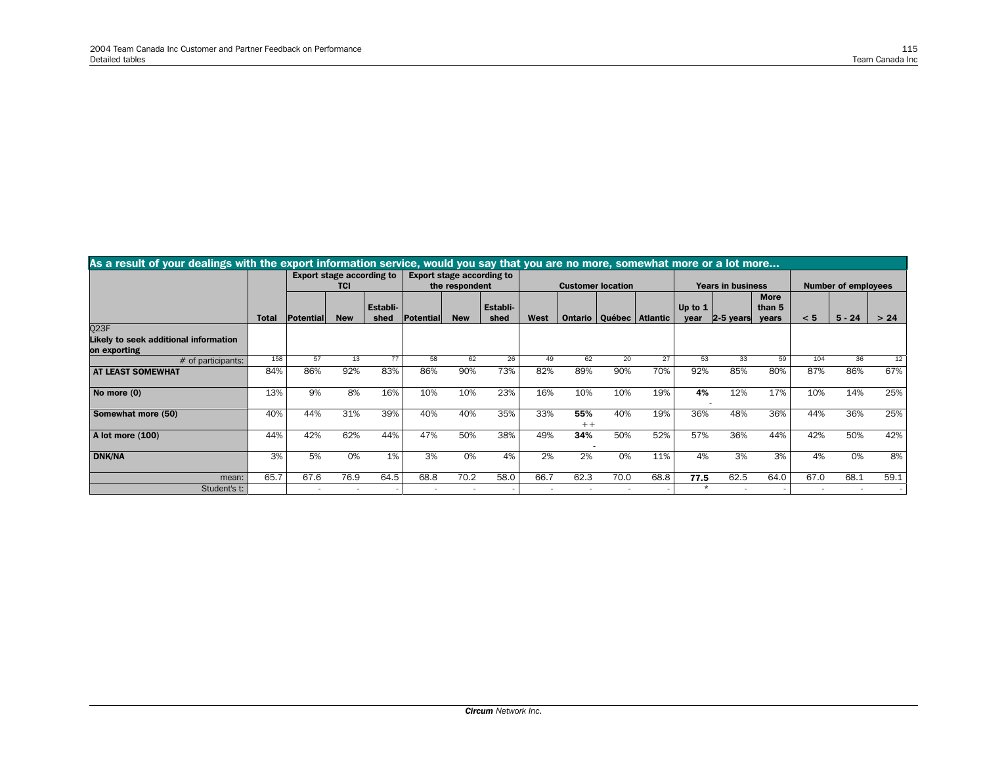|                                       | As a result of your dealings with the export information service, would you say that you are no more, somewhat more or a lot more<br><b>Export stage according to</b><br><b>Export stage according to</b> |                  |            |          |                  |                |          |      |                |                          |                 |           |                          |             |      |                            |      |
|---------------------------------------|-----------------------------------------------------------------------------------------------------------------------------------------------------------------------------------------------------------|------------------|------------|----------|------------------|----------------|----------|------|----------------|--------------------------|-----------------|-----------|--------------------------|-------------|------|----------------------------|------|
|                                       |                                                                                                                                                                                                           |                  |            |          |                  |                |          |      |                |                          |                 |           |                          |             |      |                            |      |
|                                       |                                                                                                                                                                                                           |                  | <b>TCI</b> |          |                  | the respondent |          |      |                | <b>Customer location</b> |                 |           | <b>Years in business</b> |             |      | <b>Number of employees</b> |      |
|                                       |                                                                                                                                                                                                           |                  |            |          |                  |                |          |      |                |                          |                 |           |                          | <b>More</b> |      |                            |      |
|                                       |                                                                                                                                                                                                           |                  |            | Establi- |                  |                | Establi- |      |                |                          |                 | Up to $1$ |                          | than 5      |      |                            |      |
|                                       | <b>Total</b>                                                                                                                                                                                              | <b>Potential</b> | <b>New</b> | shed     | <b>Potential</b> | <b>New</b>     | shed     | West | <b>Ontario</b> | Québec                   | <b>Atlantic</b> | year      | $2-5$ years              | years       | < 5  | $5 - 24$                   | > 24 |
| Q23F                                  |                                                                                                                                                                                                           |                  |            |          |                  |                |          |      |                |                          |                 |           |                          |             |      |                            |      |
| Likely to seek additional information |                                                                                                                                                                                                           |                  |            |          |                  |                |          |      |                |                          |                 |           |                          |             |      |                            |      |
| on exporting                          |                                                                                                                                                                                                           |                  |            |          |                  |                |          |      |                |                          |                 |           |                          |             |      |                            |      |
| # of participants:                    | 158                                                                                                                                                                                                       | 57               | 13         | 77       | 58               | 62             | 26       | 49   | 62             | 20                       | 27              | 53        | 33                       | 59          | 104  | 36                         | 12   |
| AT LEAST SOMEWHAT                     | 84%                                                                                                                                                                                                       | 86%              | 92%        | 83%      | 86%              | 90%            | 73%      | 82%  | 89%            | 90%                      | 70%             | 92%       | 85%                      | 80%         | 87%  | 86%                        | 67%  |
|                                       |                                                                                                                                                                                                           |                  |            |          |                  |                |          |      |                |                          |                 |           |                          |             |      |                            |      |
| No more $(0)$                         | 13%                                                                                                                                                                                                       | 9%               | 8%         | 16%      | 10%              | 10%            | 23%      | 16%  | 10%            | 10%                      | 19%             | 4%        | 12%                      | 17%         | 10%  | 14%                        | 25%  |
|                                       |                                                                                                                                                                                                           |                  |            |          |                  |                |          |      |                |                          |                 |           |                          |             |      |                            |      |
| Somewhat more (50)                    | 40%                                                                                                                                                                                                       | 44%              | 31%        | 39%      | 40%              | 40%            | 35%      | 33%  | 55%            | 40%                      | 19%             | 36%       | 48%                      | 36%         | 44%  | 36%                        | 25%  |
|                                       |                                                                                                                                                                                                           |                  |            |          |                  |                |          |      | $++$           |                          |                 |           |                          |             |      |                            |      |
| A lot more (100)                      | 44%                                                                                                                                                                                                       | 42%              | 62%        | 44%      | 47%              | 50%            | 38%      | 49%  | 34%            | 50%                      | 52%             | 57%       | 36%                      | 44%         | 42%  | 50%                        | 42%  |
|                                       |                                                                                                                                                                                                           |                  |            |          |                  |                |          |      |                |                          |                 |           |                          |             |      |                            |      |
| <b>DNK/NA</b>                         | 3%                                                                                                                                                                                                        | 5%               | 0%         | 1%       | 3%               | 0%             | 4%       | 2%   | 2%             | 0%                       | 11%             | 4%        | 3%                       | 3%          | 4%   | 0%                         | 8%   |
|                                       |                                                                                                                                                                                                           |                  |            |          |                  |                |          |      |                |                          |                 |           |                          |             |      |                            |      |
| mean:                                 | 65.7                                                                                                                                                                                                      | 67.6             | 76.9       | 64.5     | 68.8             | 70.2           | 58.0     | 66.7 | 62.3           | 70.0                     | 68.8            | 77.5      | 62.5                     | 64.0        | 67.0 | 68.1                       | 59.1 |
| Student's t:                          |                                                                                                                                                                                                           |                  |            |          |                  |                |          |      |                |                          |                 | $\star$   |                          |             |      |                            |      |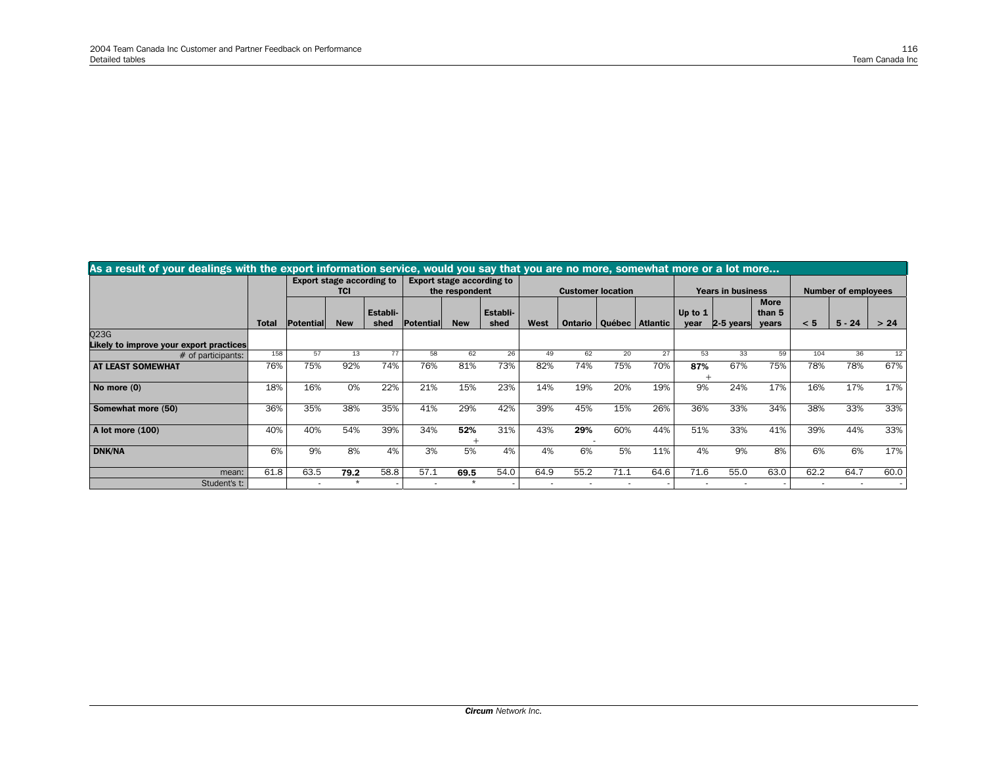| As a result of your dealings with the export information service, would you say that you are no more, somewhat more or a lot more |              |                  |            |                                  |                  |                                                    |                  |      |                          |                   |      |                   |                          |                                |      |                            |      |
|-----------------------------------------------------------------------------------------------------------------------------------|--------------|------------------|------------|----------------------------------|------------------|----------------------------------------------------|------------------|------|--------------------------|-------------------|------|-------------------|--------------------------|--------------------------------|------|----------------------------|------|
|                                                                                                                                   |              |                  | <b>TCI</b> | <b>Export stage according to</b> |                  | <b>Export stage according to</b><br>the respondent |                  |      | <b>Customer location</b> |                   |      |                   | <b>Years in business</b> |                                |      | <b>Number of employees</b> |      |
|                                                                                                                                   | <b>Total</b> | <b>Potential</b> | <b>New</b> | Establi-<br>shed                 | <b>Potential</b> | <b>New</b>                                         | Establi-<br>shed | West | <b>Ontario</b>           | Québec   Atlantic |      | Up to $1$<br>year | $2-5$ years              | <b>More</b><br>than 5<br>years | < 5  | $5 - 24$                   | > 24 |
| 023G                                                                                                                              |              |                  |            |                                  |                  |                                                    |                  |      |                          |                   |      |                   |                          |                                |      |                            |      |
| Likely to improve your export practices                                                                                           |              |                  |            |                                  |                  |                                                    |                  |      |                          |                   |      |                   |                          |                                |      |                            |      |
| $#$ of participants:                                                                                                              | 158          | 57               | 13         | 77                               | 58               | 62                                                 | 26               | 49   | 62                       | 20                | 27   | 53                | 33                       | 59                             | 104  | 36                         | 12   |
| AT LEAST SOMEWHAT                                                                                                                 | 76%          | 75%              | 92%        | 74%                              | 76%              | 81%                                                | 73%              | 82%  | 74%                      | 75%               | 70%  | 87%               | 67%                      | 75%                            | 78%  | 78%                        | 67%  |
| No more (0)                                                                                                                       | 18%          | 16%              | 0%         | 22%                              | 21%              | 15%                                                | 23%              | 14%  | 19%                      | 20%               | 19%  | 9%                | 24%                      | 17%                            | 16%  | 17%                        | 17%  |
| Somewhat more (50)                                                                                                                | 36%          | 35%              | 38%        | 35%                              | 41%              | 29%                                                | 42%              | 39%  | 45%                      | 15%               | 26%  | 36%               | 33%                      | 34%                            | 38%  | 33%                        | 33%  |
| A lot more (100)                                                                                                                  | 40%          | 40%              | 54%        | 39%                              | 34%              | 52%                                                | 31%              | 43%  | 29%                      | 60%               | 44%  | 51%               | 33%                      | 41%                            | 39%  | 44%                        | 33%  |
| <b>DNK/NA</b>                                                                                                                     | 6%           | 9%               | 8%         | 4%                               | 3%               | 5%                                                 | 4%               | 4%   | 6%                       | 5%                | 11%  | 4%                | 9%                       | 8%                             | 6%   | 6%                         | 17%  |
| mean:                                                                                                                             | 61.8         | 63.5             | 79.2       | 58.8                             | 57.1             | 69.5                                               | 54.0             | 64.9 | 55.2                     | 71.1              | 64.6 | 71.6              | 55.0                     | 63.0                           | 62.2 | 64.7                       | 60.0 |
| Student's t:                                                                                                                      |              |                  |            |                                  |                  |                                                    |                  |      |                          |                   |      |                   |                          |                                |      |                            |      |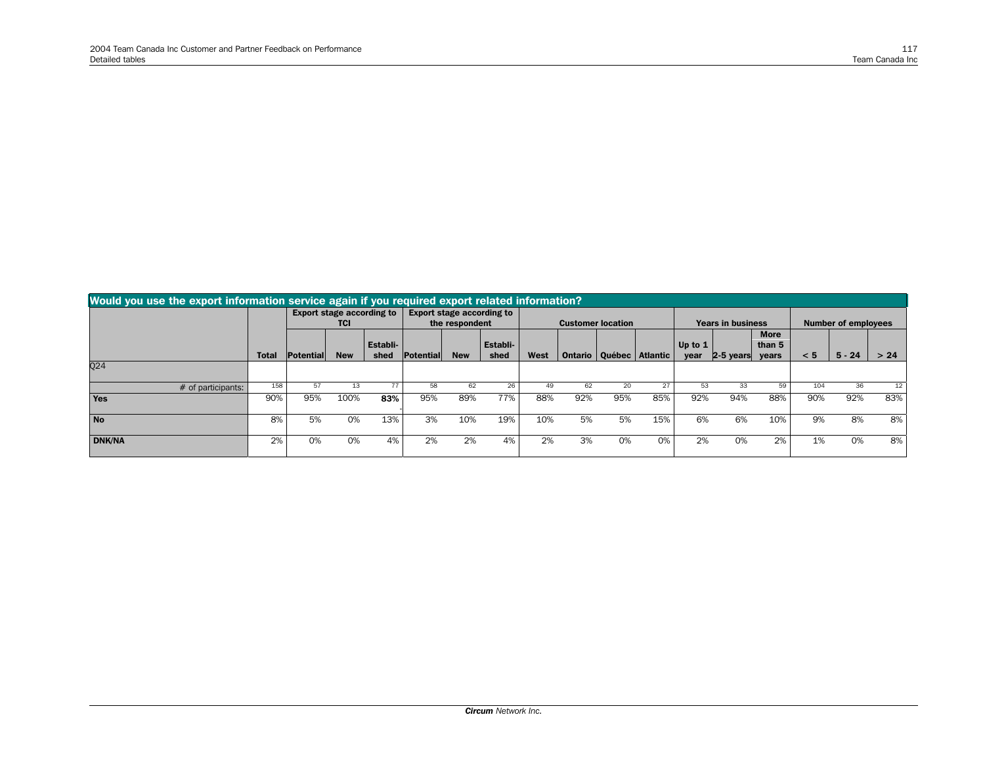| Would you use the export information service again if you required export related information? |              |                                  |            |          |                  |                                  |          |      |                |                          |     |           |                          |             |     |                            |      |
|------------------------------------------------------------------------------------------------|--------------|----------------------------------|------------|----------|------------------|----------------------------------|----------|------|----------------|--------------------------|-----|-----------|--------------------------|-------------|-----|----------------------------|------|
|                                                                                                |              | <b>Export stage according to</b> |            |          |                  | <b>Export stage according to</b> |          |      |                |                          |     |           |                          |             |     |                            |      |
|                                                                                                |              |                                  | <b>TCI</b> |          |                  | the respondent                   |          |      |                | <b>Customer location</b> |     |           | <b>Years in business</b> |             |     | <b>Number of employees</b> |      |
|                                                                                                |              |                                  |            |          |                  |                                  |          |      |                |                          |     |           |                          | <b>More</b> |     |                            |      |
|                                                                                                |              |                                  |            | Establi- |                  |                                  | Establi- |      |                |                          |     | Up to $1$ |                          | than 5      |     |                            |      |
|                                                                                                | <b>Total</b> | <b>Potential</b>                 | <b>New</b> | shed     | <b>Potential</b> | <b>New</b>                       | shed     | West | <b>Ontario</b> | Québec   Atlantic        |     | year      | 2-5 years                | years       | < 5 | $5 - 24$                   | > 24 |
| 024                                                                                            |              |                                  |            |          |                  |                                  |          |      |                |                          |     |           |                          |             |     |                            |      |
| $#$ of participants:                                                                           | 158          | 57                               | 13         | 77       | 58               | 62                               | 26       | 49   | 62             | 20                       | 27  | 53        | 33                       | 59          | 104 | 36                         | 12   |
| <b>Yes</b>                                                                                     | 90%          | 95%                              | 100%       | 83%      | 95%              | 89%                              | 77%      | 88%  | 92%            | 95%                      | 85% | 92%       | 94%                      | 88%         | 90% | 92%                        | 83%  |
| <b>No</b>                                                                                      | 8%           | 5%                               | 0%         | 13%      | 3%               | 10%                              | 19%      | 10%  | 5%             | 5%                       | 15% | 6%        | 6%                       | 10%         | 9%  | 8%                         | 8%   |
| <b>DNK/NA</b>                                                                                  | 2%           | O%                               | 0%         | 4%       | 2%               | 2%                               | 4%       | 2%   | 3%             | 0%                       | 0%  | 2%        | 0%                       | 2%          | 1%  | 0%                         | 8%   |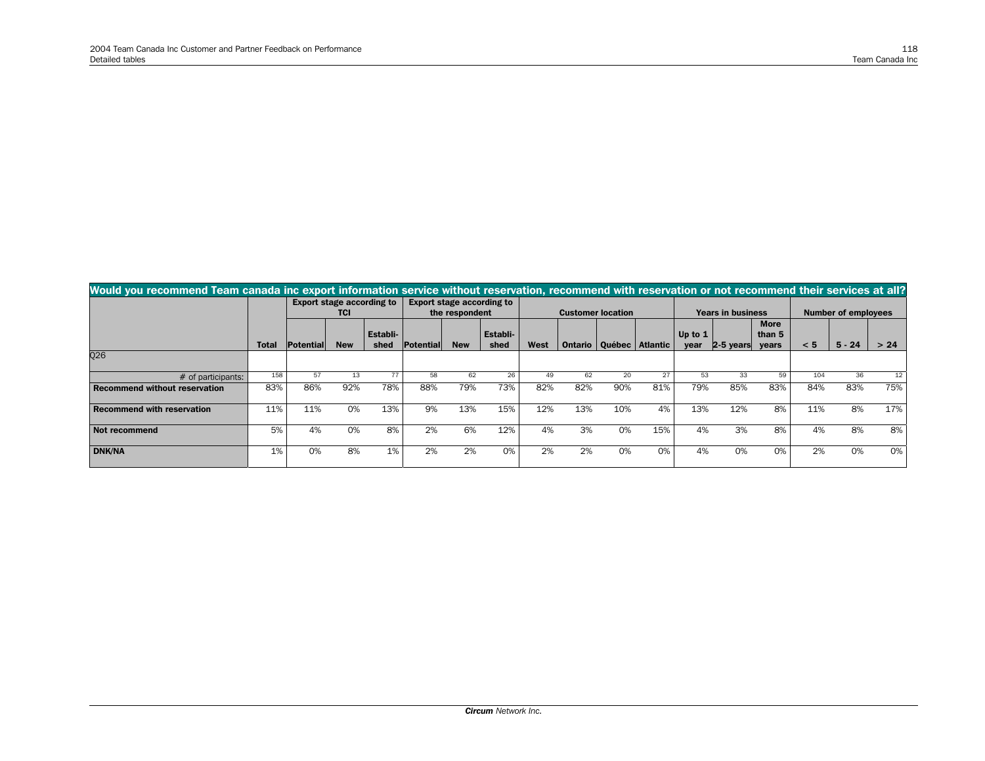| Would you recommend Team canada inc export information service without reservation, recommend with reservation or not recommend their services at all? |              |                  |            |                                  |                  |                                                    |                  |      |         |                          |     |                 |                          |                                |     |                            |      |
|--------------------------------------------------------------------------------------------------------------------------------------------------------|--------------|------------------|------------|----------------------------------|------------------|----------------------------------------------------|------------------|------|---------|--------------------------|-----|-----------------|--------------------------|--------------------------------|-----|----------------------------|------|
|                                                                                                                                                        |              |                  | TCI        | <b>Export stage according to</b> |                  | <b>Export stage according to</b><br>the respondent |                  |      |         | <b>Customer location</b> |     |                 | <b>Years in business</b> |                                |     | <b>Number of employees</b> |      |
|                                                                                                                                                        | <b>Total</b> | <b>Potential</b> | <b>New</b> | Establi-<br>shed                 | <b>Potential</b> | <b>New</b>                                         | Establi-<br>shed | West | Ontario | Ouébec   Atlantic        |     | Up to 1<br>vear | $2-5$ years              | <b>More</b><br>than 5<br>vears | < 5 | $5 - 24$                   | > 24 |
| 026                                                                                                                                                    |              |                  |            |                                  |                  |                                                    |                  |      |         |                          |     |                 |                          |                                |     |                            |      |
| $#$ of participants:                                                                                                                                   | 158          | 57               | 13         | 77                               | 58               | 62                                                 | 26               | 49   | 62      | 20                       | 27  | 53              | 33                       | 59                             | 104 | 36                         | 12   |
| <b>Recommend without reservation</b>                                                                                                                   | 83%          | 86%              | 92%        | 78%                              | 88%              | 79%                                                | 73%              | 82%  | 82%     | 90%                      | 81% | 79%             | 85%                      | 83%                            | 84% | 83%                        | 75%  |
| <b>Recommend with reservation</b>                                                                                                                      | 11%          | 11%              | $0\%$      | 13%                              | 9%               | 13%                                                | 15%              | 12%  | 13%     | 10%                      | 4%  | 13%             | 12%                      | 8%                             | 11% | 8%                         | 17%  |
| Not recommend                                                                                                                                          | 5%           | 4%               | O%         | 8%                               | 2%               | 6%                                                 | 12%              | 4%   | 3%      | 0%                       | 15% | 4%              | 3%                       | 8%                             | 4%  | 8%                         | 8%   |
| <b>DNK/NA</b>                                                                                                                                          | 1%           | 0%               | 8%         | 1%                               | 2%               | 2%                                                 | 0%               | 2%   | 2%      | 0%                       | 0%  | 4%              | 0%                       | 0%                             | 2%  | 0%                         | 0%   |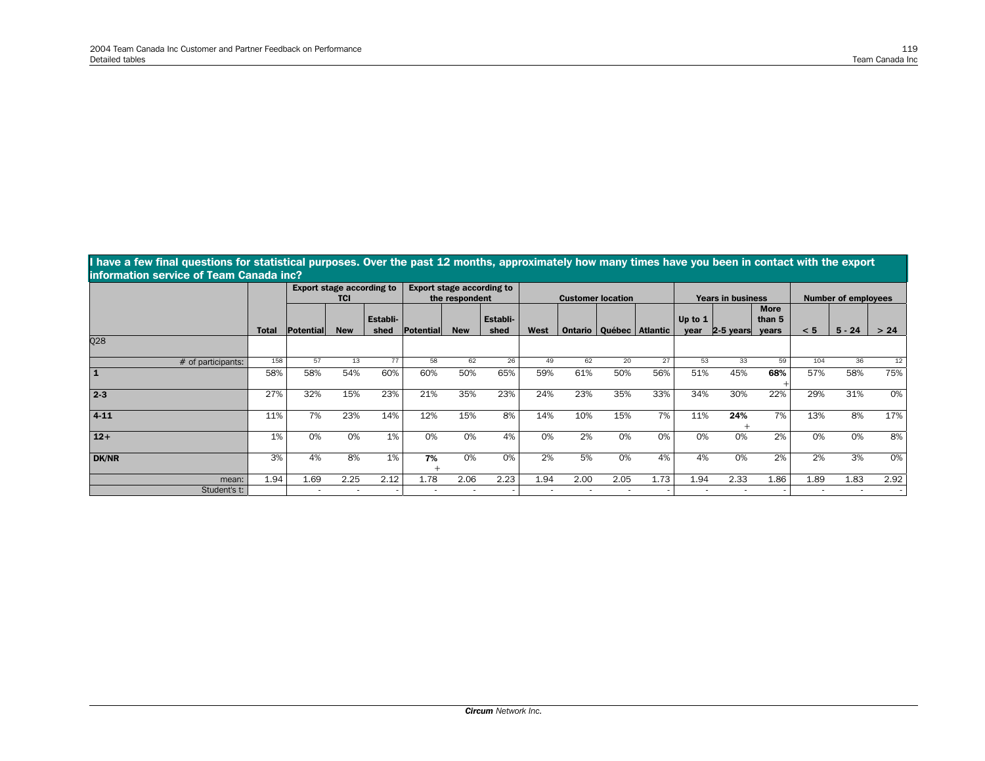| l have a few final questions for statistical purposes. Over the past 12 months, approximately how many times have you been in contact with the export g |  |  |
|---------------------------------------------------------------------------------------------------------------------------------------------------------|--|--|
| information service of Team Canada inc?                                                                                                                 |  |  |

|                      |              |                  | <b>Export stage according to</b> |          |                  | <b>Export stage according to</b> |          |      |                |                          |                 |           |                          |             |      |                            |      |
|----------------------|--------------|------------------|----------------------------------|----------|------------------|----------------------------------|----------|------|----------------|--------------------------|-----------------|-----------|--------------------------|-------------|------|----------------------------|------|
|                      |              |                  | <b>TCI</b>                       |          |                  | the respondent                   |          |      |                | <b>Customer location</b> |                 |           | <b>Years in business</b> |             |      | <b>Number of employees</b> |      |
|                      |              |                  |                                  |          |                  |                                  |          |      |                |                          |                 |           |                          | <b>More</b> |      |                            |      |
|                      |              |                  |                                  | Establi- |                  |                                  | Establi- |      |                |                          |                 | Up to $1$ |                          | than 5      |      |                            |      |
|                      | <b>Total</b> | <b>Potential</b> | <b>New</b>                       | shed     | <b>Potential</b> | <b>New</b>                       | shed     | West | <b>Ontario</b> | Québec                   | <b>Atlantic</b> | year      | $2-5$ years              | years       | < 5  | $5 - 24$                   | > 24 |
| 028                  |              |                  |                                  |          |                  |                                  |          |      |                |                          |                 |           |                          |             |      |                            |      |
| $#$ of participants: | 158          | 57               | 13                               | 77       | 58               | 62                               | 26       | 49   | 62             | 20                       | 27              | 53        | 33                       | 59          | 104  | 36                         | 12   |
| $\mathbf{1}$         | 58%          | 58%              | 54%                              | 60%      | 60%              | 50%                              | 65%      | 59%  | 61%            | 50%                      | 56%             | 51%       | 45%                      | 68%         | 57%  | 58%                        | 75%  |
|                      |              |                  |                                  |          |                  |                                  |          |      |                |                          |                 |           |                          |             |      |                            |      |
| $2 - 3$              | 27%          | 32%              | 15%                              | 23%      | 21%              | 35%                              | 23%      | 24%  | 23%            | 35%                      | 33%             | 34%       | 30%                      | 22%         | 29%  | 31%                        | 0%   |
| $4 - 11$             | 11%          | 7%               | 23%                              | 14%      | 12%              | 15%                              | 8%       | 14%  | 10%            | 15%                      | 7%              | 11%       | 24%                      | 7%          | 13%  | 8%                         | 17%  |
|                      |              |                  |                                  |          |                  |                                  |          |      |                |                          |                 |           |                          |             |      |                            |      |
| $12+$                | 1%           | $0\%$            | 0%                               | 1%       | 0%               | 0%                               | 4%       | 0%   | 2%             | 0%                       | 0%              | $0\%$     | 0%                       | 2%          | 0%   | 0%                         | 8%   |
| <b>DK/NR</b>         | 3%           | 4%               | 8%                               | 1%       | 7%               | 0%                               | 0%       | 2%   | 5%             | 0%                       | 4%              | 4%        | 0%                       | 2%          | 2%   | 3%                         | 0%   |
|                      |              |                  |                                  |          | $+$              |                                  |          |      |                |                          |                 |           |                          |             |      |                            |      |
| mean:                | 1.94         | 1.69             | 2.25                             | 2.12     | 1.78             | 2.06                             | 2.23     | 1.94 | 2.00           | 2.05                     | 1.73            | 1.94      | 2.33                     | 1.86        | 1.89 | 1.83                       | 2.92 |
| Student's t:         |              |                  |                                  |          |                  |                                  |          |      |                |                          |                 |           |                          |             |      |                            |      |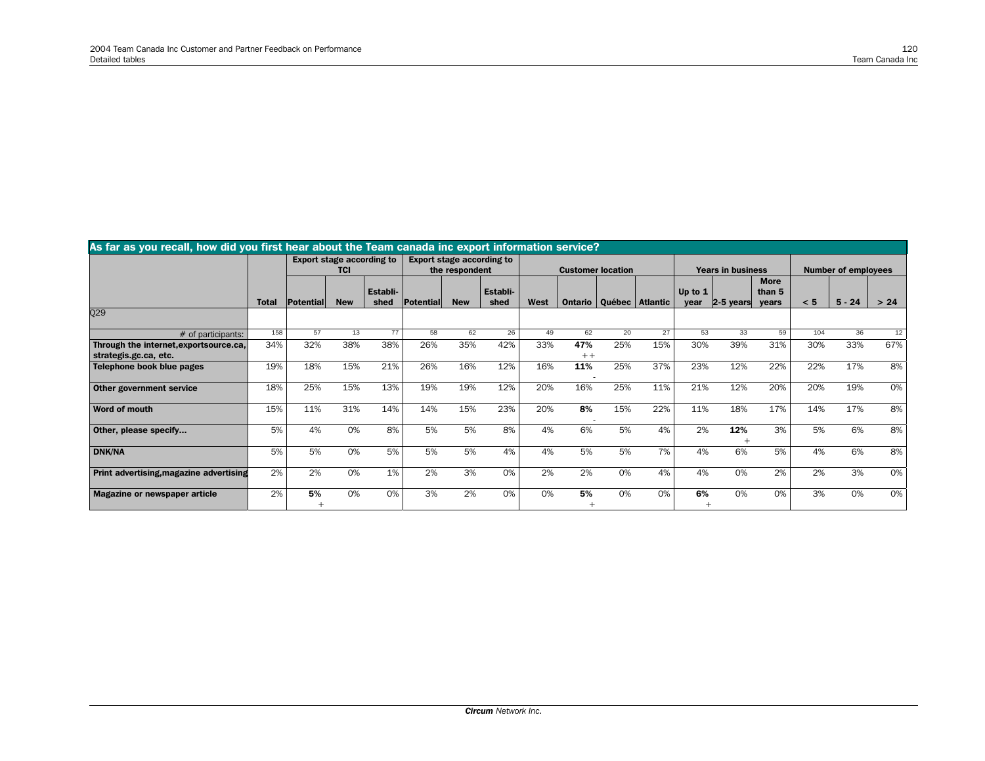| As far as you recall, how did you first hear about the Team canada inc export information service? |              |                  |            |                                  |                  |                                                    |          |      |                |                          |                 |           |                          |                       |     |                            |      |
|----------------------------------------------------------------------------------------------------|--------------|------------------|------------|----------------------------------|------------------|----------------------------------------------------|----------|------|----------------|--------------------------|-----------------|-----------|--------------------------|-----------------------|-----|----------------------------|------|
|                                                                                                    |              |                  | <b>TCI</b> | <b>Export stage according to</b> |                  | <b>Export stage according to</b><br>the respondent |          |      |                | <b>Customer location</b> |                 |           | <b>Years in business</b> |                       |     | <b>Number of employees</b> |      |
|                                                                                                    |              |                  |            | Establi-                         |                  |                                                    | Establi- |      |                |                          |                 | Up to $1$ |                          | <b>More</b><br>than 5 |     |                            |      |
|                                                                                                    | <b>Total</b> | <b>Potential</b> | <b>New</b> | shed                             | <b>Potential</b> | <b>New</b>                                         | shed     | West | <b>Ontario</b> | Québec                   | <b>Atlantic</b> | vear      | 2-5 years                | vears                 | < 5 | $5 - 24$                   | > 24 |
| 029                                                                                                |              |                  |            |                                  |                  |                                                    |          |      |                |                          |                 |           |                          |                       |     |                            |      |
| $#$ of participants:                                                                               | 158          | 57               | 13         | 77                               | 58               | 62                                                 | 26       | 49   | 62             | 20                       | 27              | 53        | 33                       | 59                    | 104 | 36                         | 12   |
| Through the internet, exportsource.ca,<br>strategis.gc.ca, etc.                                    | 34%          | 32%              | 38%        | 38%                              | 26%              | 35%                                                | 42%      | 33%  | 47%<br>$++$    | 25%                      | 15%             | 30%       | 39%                      | 31%                   | 30% | 33%                        | 67%  |
| Telephone book blue pages                                                                          | 19%          | 18%              | 15%        | 21%                              | 26%              | 16%                                                | 12%      | 16%  | 11%            | 25%                      | 37%             | 23%       | 12%                      | 22%                   | 22% | 17%                        | 8%   |
| Other government service                                                                           | 18%          | 25%              | 15%        | 13%                              | 19%              | 19%                                                | 12%      | 20%  | 16%            | 25%                      | 11%             | 21%       | 12%                      | 20%                   | 20% | 19%                        | 0%   |
| Word of mouth                                                                                      | 15%          | 11%              | 31%        | 14%                              | 14%              | 15%                                                | 23%      | 20%  | 8%             | 15%                      | 22%             | 11%       | 18%                      | 17%                   | 14% | 17%                        | 8%   |
| Other, please specify                                                                              | 5%           | 4%               | $0\%$      | 8%                               | 5%               | 5%                                                 | 8%       | 4%   | 6%             | 5%                       | 4%              | 2%        | 12%                      | 3%                    | 5%  | 6%                         | 8%   |
| <b>DNK/NA</b>                                                                                      | 5%           | 5%               | 0%         | 5%                               | 5%               | 5%                                                 | 4%       | 4%   | 5%             | 5%                       | 7%              | 4%        | 6%                       | 5%                    | 4%  | 6%                         | 8%   |
| Print advertising, magazine advertising                                                            | 2%           | 2%               | 0%         | 1%                               | 2%               | 3%                                                 | 0%       | 2%   | 2%             | 0%                       | 4%              | 4%        | 0%                       | 2%                    | 2%  | 3%                         | 0%   |
| Magazine or newspaper article                                                                      | 2%           | 5%               | $0\%$      | 0%                               | 3%               | 2%                                                 | O%       | 0%   | 5%             | 0%                       | 0%              | 6%        | 0%                       | 0%                    | 3%  | 0%                         | 0%   |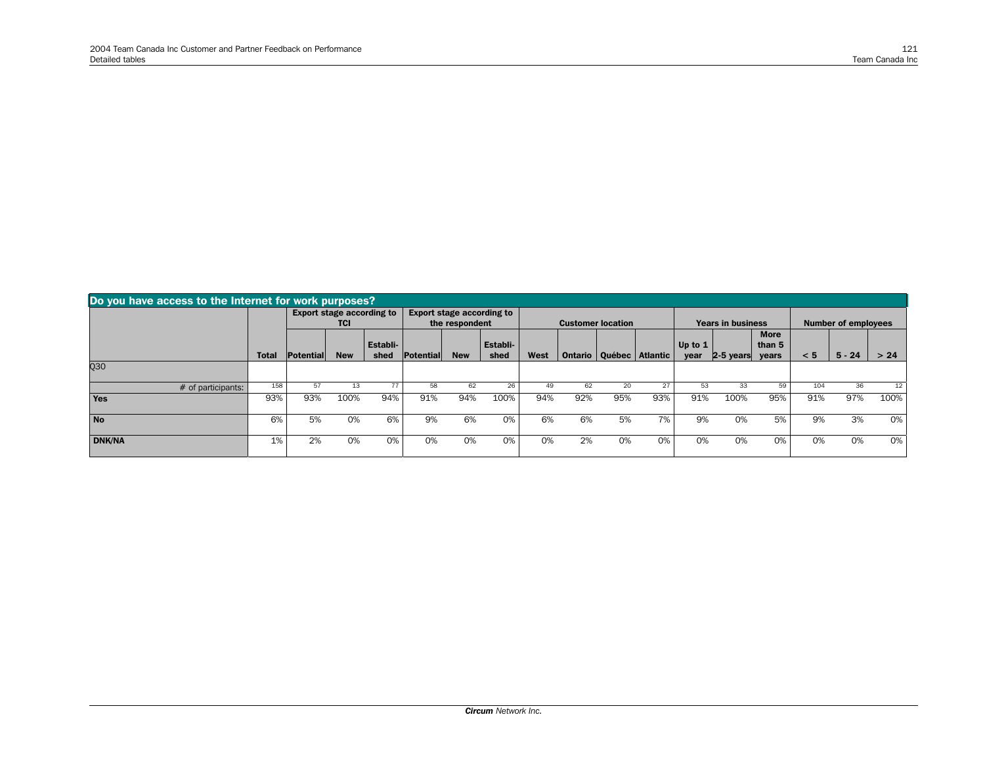| Do you have access to the Internet for work purposes? |              |                  |            |                                  |                  |                |                                  |       |                          |                   |     |           |                          |             |     |                            |      |
|-------------------------------------------------------|--------------|------------------|------------|----------------------------------|------------------|----------------|----------------------------------|-------|--------------------------|-------------------|-----|-----------|--------------------------|-------------|-----|----------------------------|------|
|                                                       |              |                  |            | <b>Export stage according to</b> |                  |                | <b>Export stage according to</b> |       |                          |                   |     |           |                          |             |     |                            |      |
|                                                       |              |                  | <b>TCI</b> |                                  |                  | the respondent |                                  |       | <b>Customer location</b> |                   |     |           | <b>Years in business</b> |             |     | <b>Number of employees</b> |      |
|                                                       |              |                  |            |                                  |                  |                |                                  |       |                          |                   |     |           |                          | <b>More</b> |     |                            |      |
|                                                       |              |                  |            | Establi-                         |                  |                | Establi-                         |       |                          |                   |     | Up to $1$ |                          | than 5      |     |                            |      |
|                                                       | <b>Total</b> | <b>Potential</b> | <b>New</b> | shed                             | <b>Potential</b> | <b>New</b>     | shed                             | West  | <b>Ontario</b>           | Québec   Atlantic |     | year      | $2-5$ years              | years       | < 5 | $5 - 24$                   | > 24 |
| 030                                                   |              |                  |            |                                  |                  |                |                                  |       |                          |                   |     |           |                          |             |     |                            |      |
| $#$ of participants:                                  | 158          | 57               | 13         | 77                               | 58               | 62             | 26                               | 49    | 62                       | 20                | 27  | 53        | 33                       | 59          | 104 | 36                         | 12   |
| Yes                                                   | 93%          | 93%              | 100%       | 94%                              | 91%              | 94%            | 100%                             | 94%   | 92%                      | 95%               | 93% | 91%       | 100%                     | 95%         | 91% | 97%                        | 100% |
| <b>No</b>                                             | 6%           | 5%               | 0%         | 6%                               | 9%               | 6%             | 0%                               | 6%    | 6%                       | 5%                | 7%  | 9%        | 0%                       | 5%          | 9%  | 3%                         | 0%   |
| <b>DNK/NA</b>                                         | 1%           | 2%               | 0%         | 0%                               | O%               | 0%             | 0%                               | $0\%$ | 2%                       | 0%                | 0%  | 0%        | 0%                       | O%          | O%  | 0%                         | 0%   |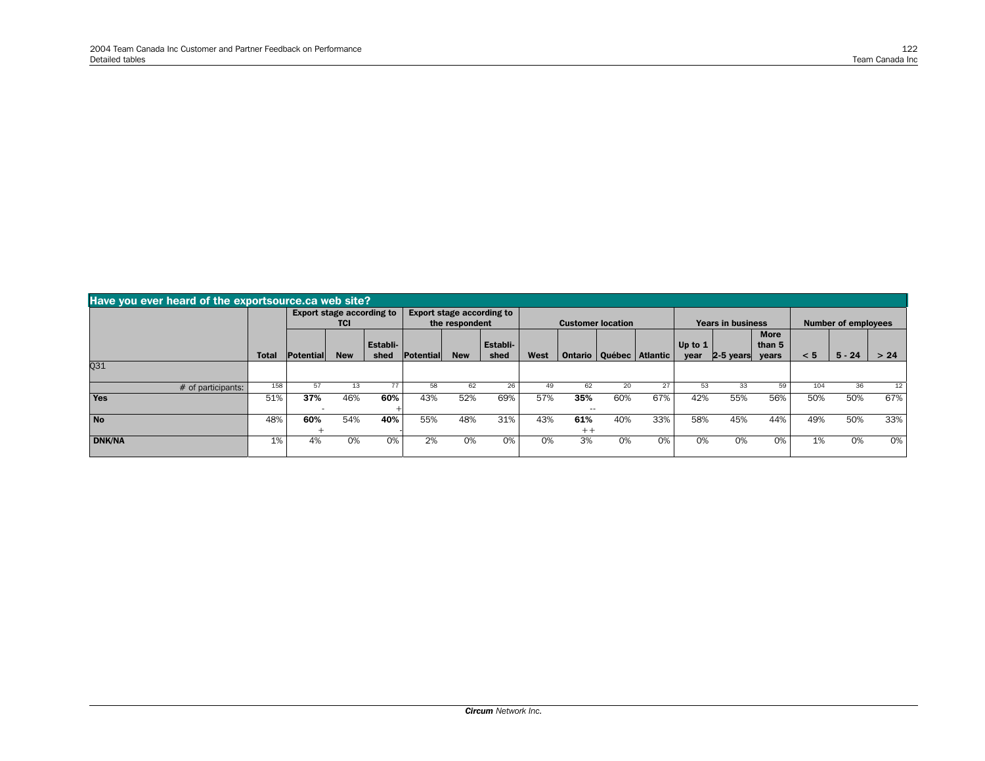| Have you ever heard of the exportsource.ca web site? |              |                                  |            |          |                                  |                |          |       |                |                          |                 |           |                          |             |     |                            |      |
|------------------------------------------------------|--------------|----------------------------------|------------|----------|----------------------------------|----------------|----------|-------|----------------|--------------------------|-----------------|-----------|--------------------------|-------------|-----|----------------------------|------|
|                                                      |              | <b>Export stage according to</b> |            |          | <b>Export stage according to</b> |                |          |       |                |                          |                 |           |                          |             |     |                            |      |
|                                                      |              |                                  | <b>TCI</b> |          |                                  | the respondent |          |       |                | <b>Customer location</b> |                 |           | <b>Years in business</b> |             |     | <b>Number of employees</b> |      |
|                                                      |              |                                  |            |          |                                  |                |          |       |                |                          |                 |           |                          | <b>More</b> |     |                            |      |
|                                                      |              |                                  |            | Establi- |                                  |                | Establi- |       |                |                          |                 | Up to $1$ |                          | than 5      |     |                            |      |
|                                                      | <b>Total</b> | <b>Potential</b>                 | <b>New</b> | shed     | <b>Potential</b>                 | <b>New</b>     | shed     | West  | <b>Ontario</b> | Québec                   | <b>Atlantic</b> | vear      | $2-5$ years              | years       | < 5 | $5 - 24$                   | > 24 |
| Q31                                                  |              |                                  |            |          |                                  |                |          |       |                |                          |                 |           |                          |             |     |                            |      |
|                                                      |              |                                  |            |          |                                  |                |          |       |                |                          |                 |           |                          |             |     |                            |      |
| $#$ of participants:                                 | 158          | 57                               | 13         | 77       | 58                               | 62             | 26       | 49    | 62             | 20                       | 27              | 53        | 33                       | 59          | 104 | 36                         | 12   |
| Yes                                                  | 51%          | 37%                              | 46%        | 60%      | 43%                              | 52%            | 69%      | 57%   | 35%            | 60%                      | 67%             | 42%       | 55%                      | 56%         | 50% | 50%                        | 67%  |
|                                                      |              |                                  |            |          |                                  |                |          |       | $- -$          |                          |                 |           |                          |             |     |                            |      |
| <b>No</b>                                            | 48%          | 60%                              | 54%        | 40%      | 55%                              | 48%            | 31%      | 43%   | 61%            | 40%                      | 33%             | 58%       | 45%                      | 44%         | 49% | 50%                        | 33%  |
|                                                      |              |                                  |            |          |                                  |                |          |       | $+ +$          |                          |                 |           |                          |             |     |                            |      |
| <b>DNK/NA</b>                                        | 1%           | 4%                               | 0%         | 0%       | 2%                               | 0%             | 0%       | $0\%$ | 3%             | 0%                       | O%              | 0%        | 0%                       | $0\%$       | 1%  | 0%                         | 0%   |
|                                                      |              |                                  |            |          |                                  |                |          |       |                |                          |                 |           |                          |             |     |                            |      |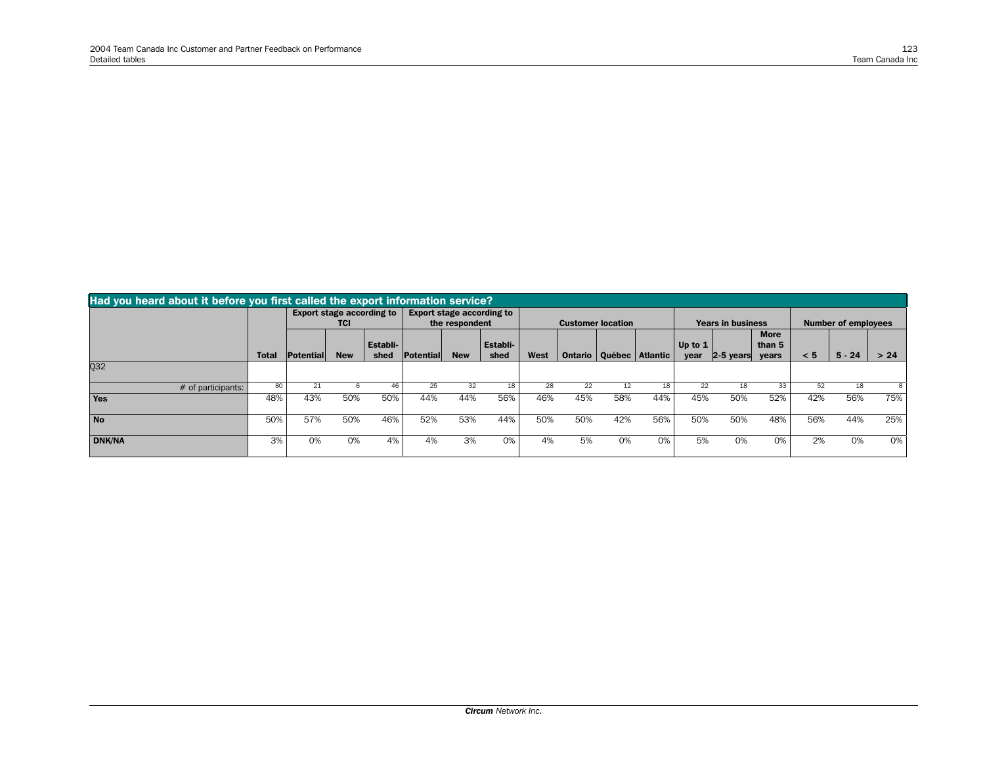|                      |              | Had you heard about it before you first called the export information service? |            |          |                  |                                  |          |      |                |                          |     |           |                          |             |     |                            |      |
|----------------------|--------------|--------------------------------------------------------------------------------|------------|----------|------------------|----------------------------------|----------|------|----------------|--------------------------|-----|-----------|--------------------------|-------------|-----|----------------------------|------|
|                      |              | <b>Export stage according to</b>                                               |            |          |                  | <b>Export stage according to</b> |          |      |                |                          |     |           |                          |             |     |                            |      |
|                      |              |                                                                                | <b>TCI</b> |          |                  | the respondent                   |          |      |                | <b>Customer location</b> |     |           | <b>Years in business</b> |             |     | <b>Number of employees</b> |      |
|                      |              |                                                                                |            |          |                  |                                  |          |      |                |                          |     |           |                          | <b>More</b> |     |                            |      |
|                      |              |                                                                                |            | Establi- |                  |                                  | Establi- |      |                |                          |     | Up to $1$ |                          | than 5      |     |                            |      |
|                      | <b>Total</b> | <b>Potential</b>                                                               | <b>New</b> | shed     | <b>Potential</b> | <b>New</b>                       | shed     | West | <b>Ontario</b> | Québec   Atlantic        |     | vear      | $2-5$ years              | years       | < 5 | $5 - 24$                   | > 24 |
| 032                  |              |                                                                                |            |          |                  |                                  |          |      |                |                          |     |           |                          |             |     |                            |      |
| $#$ of participants: | 80           | 21                                                                             |            | 46       | 25               | 32                               | 18       | 28   | 22             | 12                       | 18  | 22        | 18                       | 33          | 52  | 18                         | 8    |
| <b>Yes</b>           | 48%          | 43%                                                                            | 50%        | 50%      | 44%              | 44%                              | 56%      | 46%  | 45%            | 58%                      | 44% | 45%       | 50%                      | 52%         | 42% | 56%                        | 75%  |
| <b>No</b>            | 50%          | 57%                                                                            | 50%        | 46%      | 52%              | 53%                              | 44%      | 50%  | 50%            | 42%                      | 56% | 50%       | 50%                      | 48%         | 56% | 44%                        | 25%  |
| <b>DNK/NA</b>        | 3%           | O%                                                                             | 0%         | 4%       | 4%               | 3%                               | 0%       | 4%   | 5%             | 0%                       | 0%  | 5%        | 0%                       | $0\%$       | 2%  | 0%                         | 0%   |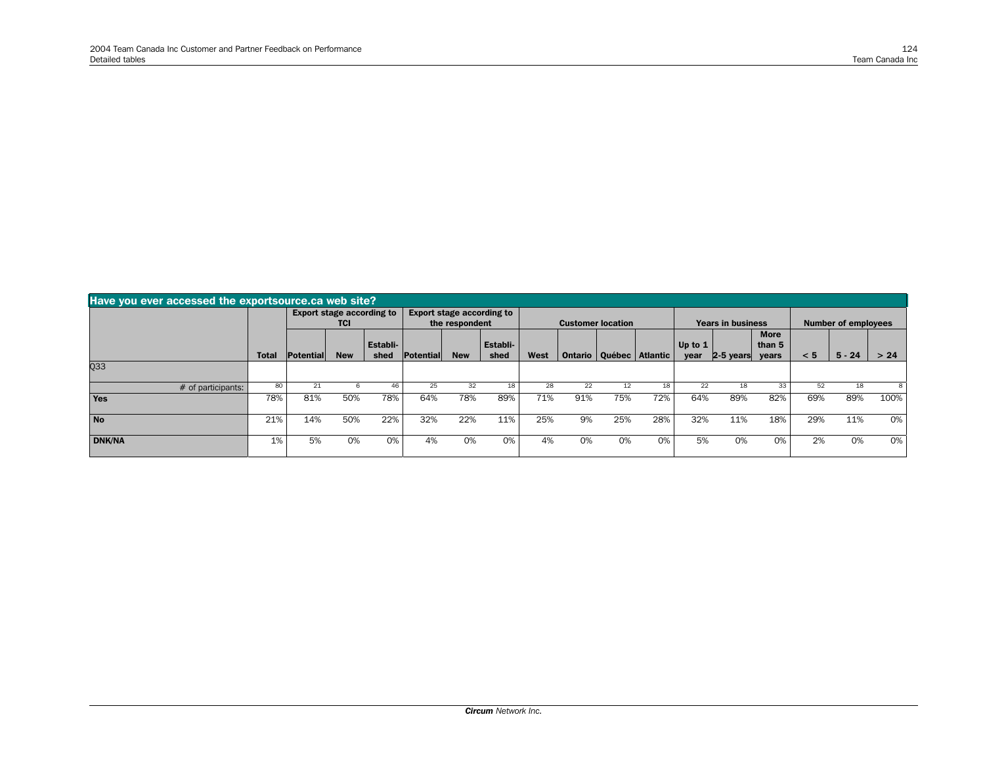| Have you ever accessed the exportsource.ca web site? |              |                                  |            |          |                  |                                  |          |      |                |                          |     |           |                          |             |     |                            |      |
|------------------------------------------------------|--------------|----------------------------------|------------|----------|------------------|----------------------------------|----------|------|----------------|--------------------------|-----|-----------|--------------------------|-------------|-----|----------------------------|------|
|                                                      |              | <b>Export stage according to</b> |            |          |                  | <b>Export stage according to</b> |          |      |                |                          |     |           |                          |             |     |                            |      |
|                                                      |              |                                  | <b>TCI</b> |          |                  | the respondent                   |          |      |                | <b>Customer location</b> |     |           | <b>Years in business</b> |             |     | <b>Number of employees</b> |      |
|                                                      |              |                                  |            |          |                  |                                  |          |      |                |                          |     |           |                          | <b>More</b> |     |                            |      |
|                                                      |              |                                  |            | Establi- |                  |                                  | Establi- |      |                |                          |     | Up to $1$ |                          | than 5      |     |                            |      |
|                                                      | <b>Total</b> | <b>Potential</b>                 | <b>New</b> | shed     | <b>Potential</b> | <b>New</b>                       | shed     | West | <b>Ontario</b> | Québec   Atlantic        |     | year      | $2-5$ years              | years       | < 5 | $5 - 24$                   | > 24 |
| Q <sub>33</sub>                                      |              |                                  |            |          |                  |                                  |          |      |                |                          |     |           |                          |             |     |                            |      |
|                                                      |              |                                  |            |          |                  |                                  |          |      |                |                          |     |           |                          |             |     |                            |      |
| $#$ of participants:                                 | 80           | 21                               | 6          | 46       | 25               | 32                               | 18       | 28   | 22             | 12                       | 18  | 22        | 18                       | 33          | 52  | 18                         | 8    |
| Yes                                                  | 78%          | 81%                              | 50%        | 78%      | 64%              | 78%                              | 89%      | 71%  | 91%            | 75%                      | 72% | 64%       | 89%                      | 82%         | 69% | 89%                        | 100% |
|                                                      |              |                                  |            |          |                  |                                  |          |      |                |                          |     |           |                          |             |     |                            |      |
| No.                                                  | 21%          | 14%                              | 50%        | 22%      | 32%              | 22%                              | 11%      | 25%  | 9%             | 25%                      | 28% | 32%       | 11%                      | 18%         | 29% | 11%                        | 0%   |
|                                                      |              |                                  |            |          |                  |                                  |          |      |                |                          |     |           |                          |             |     |                            |      |
| <b>DNK/NA</b>                                        | 1%           | 5%                               | 0%         | 0%       | 4%               | 0%                               | 0%       | 4%   | 0%             | 0%                       | 0%  | 5%        | 0%                       | $0\%$       | 2%  | 0%                         | 0%   |
|                                                      |              |                                  |            |          |                  |                                  |          |      |                |                          |     |           |                          |             |     |                            |      |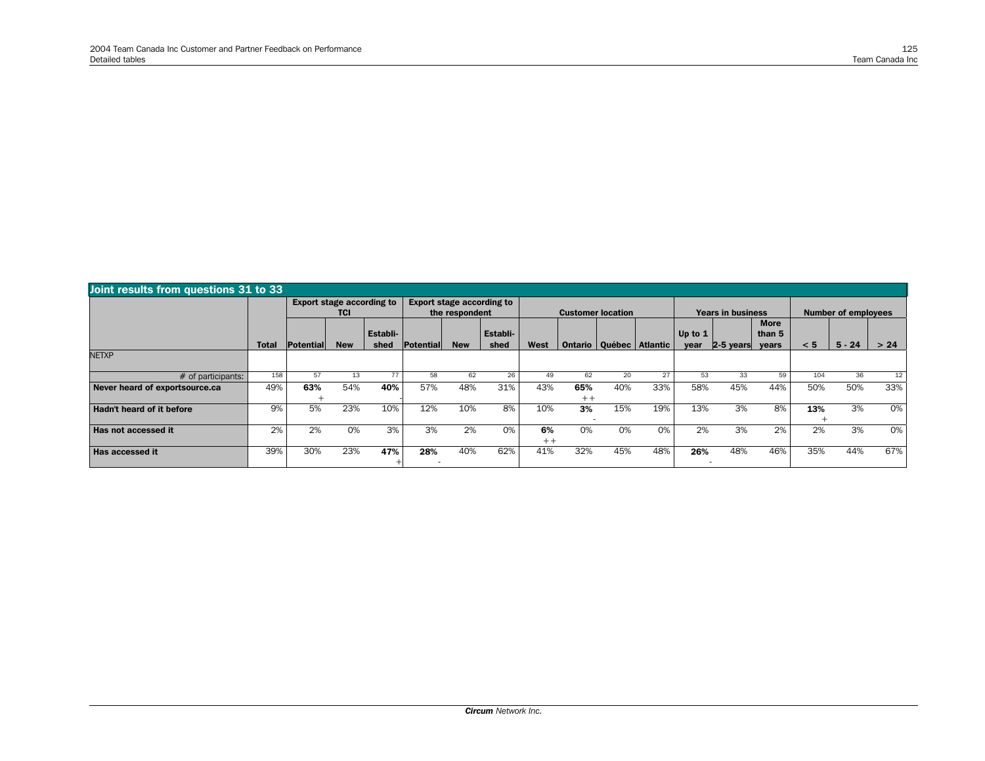| Joint results from questions 31 to 33 |              |                                  |            |                  |                  |                                                    |                  |             |                |                          |     |                   |                          |                                |     |                            |      |
|---------------------------------------|--------------|----------------------------------|------------|------------------|------------------|----------------------------------------------------|------------------|-------------|----------------|--------------------------|-----|-------------------|--------------------------|--------------------------------|-----|----------------------------|------|
|                                       |              | <b>Export stage according to</b> | <b>TCI</b> |                  |                  | <b>Export stage according to</b><br>the respondent |                  |             |                | <b>Customer location</b> |     |                   | <b>Years in business</b> |                                |     | <b>Number of employees</b> |      |
|                                       | <b>Total</b> | Potential                        | <b>New</b> | Establi-<br>shed | <b>Potential</b> | <b>New</b>                                         | Establi-<br>shed | West        | <b>Ontario</b> | Québec   Atlantic        |     | Up to $1$<br>year | $2-5$ years              | <b>More</b><br>than 5<br>years | < 5 | $5 - 24$                   | > 24 |
| <b>NETXP</b>                          |              |                                  |            |                  |                  |                                                    |                  |             |                |                          |     |                   |                          |                                |     |                            |      |
| # of participants:                    | 158          | 57                               | 13         | 77               | 58               | 62                                                 | 26               | 49          | 62             | 20                       | 27  | 53                | 33                       | 59                             | 104 | 36                         | 12   |
| Never heard of exportsource.ca        | 49%          | 63%                              | 54%        | 40%              | 57%              | 48%                                                | 31%              | 43%         | 65%<br>$++$    | 40%                      | 33% | 58%               | 45%                      | 44%                            | 50% | 50%                        | 33%  |
| Hadn't heard of it before             | 9%           | 5%                               | 23%        | 10%              | 12%              | 10%                                                | 8%               | 10%         | 3%             | 15%                      | 19% | 13%               | 3%                       | 8%                             | 13% | 3%                         | 0%   |
| Has not accessed it                   | 2%           | 2%                               | 0%         | 3%               | 3%               | 2%                                                 | 0%               | 6%<br>$+ +$ | 0%             | 0%                       | O%  | 2%                | 3%                       | 2%                             | 2%  | 3%                         | 0%   |
| <b>Has accessed it</b>                | 39%          | 30%                              | 23%        | 47%              | 28%              | 40%                                                | 62%              | 41%         | 32%            | 45%                      | 48% | 26%               | 48%                      | 46%                            | 35% | 44%                        | 67%  |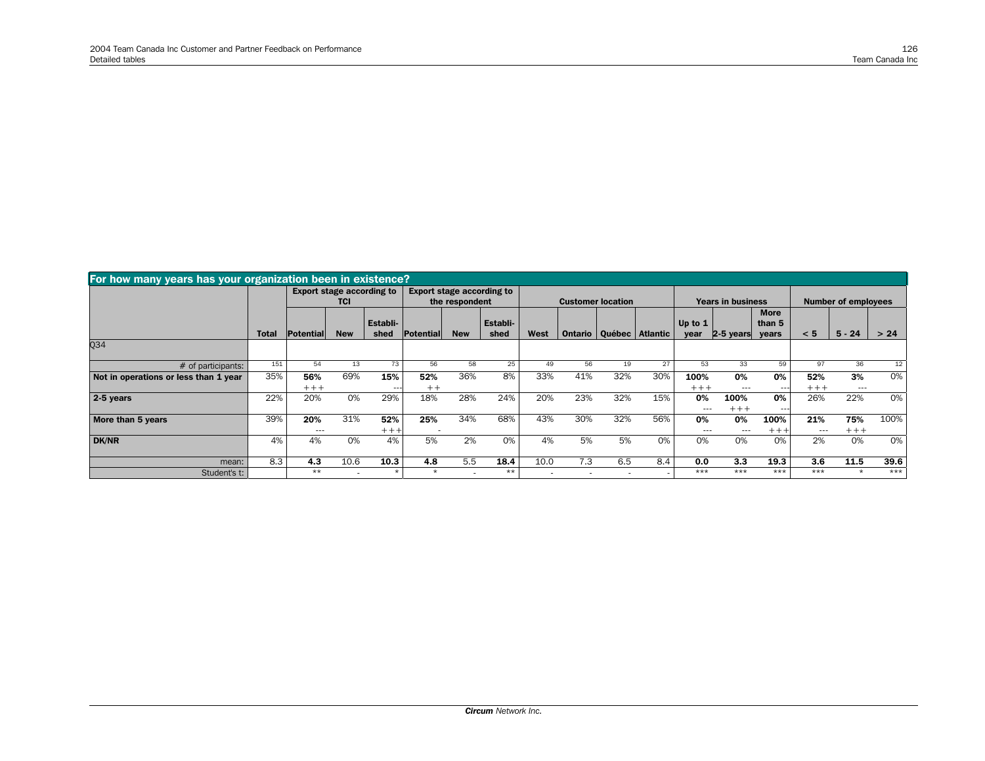| For how many years has your organization been in existence? |              |           |                                  |                      |                  |                                  |          |      |                |                          |                 |           |                          |             |       |                            |       |
|-------------------------------------------------------------|--------------|-----------|----------------------------------|----------------------|------------------|----------------------------------|----------|------|----------------|--------------------------|-----------------|-----------|--------------------------|-------------|-------|----------------------------|-------|
|                                                             |              |           | <b>Export stage according to</b> |                      |                  | <b>Export stage according to</b> |          |      |                |                          |                 |           |                          |             |       |                            |       |
|                                                             |              |           | <b>TCI</b>                       |                      |                  | the respondent                   |          |      |                | <b>Customer location</b> |                 |           | <b>Years in business</b> |             |       | <b>Number of employees</b> |       |
|                                                             |              |           |                                  |                      |                  |                                  |          |      |                |                          |                 |           |                          | <b>More</b> |       |                            |       |
|                                                             |              |           |                                  | Establi-             |                  |                                  | Establi- |      |                |                          |                 | Up to $1$ |                          | than 5      |       |                            |       |
|                                                             | <b>Total</b> | Potential | <b>New</b>                       | shed                 | <b>Potential</b> | <b>New</b>                       | shed     | West | <b>Ontario</b> | Québec                   | <b>Atlantic</b> | year      | 2-5 years                | years       | < 5   | $5 - 24$                   | > 24  |
| 034                                                         |              |           |                                  |                      |                  |                                  |          |      |                |                          |                 |           |                          |             |       |                            |       |
| $#$ of participants:                                        | 151          | 54        | 13                               | 73                   | 56               | 58                               | 25       | 49   | 56             | 19                       | 27              | 53        | 33                       | 59          | 97    | 36                         | 12    |
| Not in operations or less than 1 year                       | 35%          | 56%       | 69%                              | 15%                  | 52%              | 36%                              | 8%       | 33%  | 41%            | 32%                      | 30%             | 100%      | 0%                       | 0%          | 52%   | 3%                         | 0%    |
|                                                             |              | $+++$     |                                  | $\sim$ $\sim$ $\sim$ | $+ +$            |                                  |          |      |                |                          |                 | $+++$     | $- - -$                  | $- - -$     | $+++$ | $- - -$                    |       |
| 2-5 years                                                   | 22%          | 20%       | 0%                               | 29%                  | 18%              | 28%                              | 24%      | 20%  | 23%            | 32%                      | 15%             | 0%        | 100%                     | 0%          | 26%   | 22%                        | 0%    |
|                                                             |              |           |                                  |                      |                  |                                  |          |      |                |                          |                 | $- - -$   | $+++$                    | $\cdots$    |       |                            |       |
| More than 5 years                                           | 39%          | 20%       | 31%                              | 52%                  | 25%              | 34%                              | 68%      | 43%  | 30%            | 32%                      | 56%             | 0%        | 0%                       | 100%        | 21%   | 75%                        | 100%  |
|                                                             |              | $- - -$   |                                  | $+++$                |                  |                                  |          |      |                |                          |                 | $- - -$   | ---                      | $+ + +$     | $---$ | $+++$                      |       |
| <b>DK/NR</b>                                                | 4%           | 4%        | 0%                               | 4%                   | 5%               | 2%                               | 0%       | 4%   | 5%             | 5%                       | 0%              | 0%        | O%                       | 0%          | 2%    | 0%                         | 0%    |
|                                                             |              |           |                                  |                      |                  |                                  |          |      |                |                          |                 |           |                          |             |       |                            |       |
| mean:                                                       | 8.3          | 4.3       | 10.6                             | 10.3                 | 4.8              | 5.5                              | 18.4     | 10.0 | 7.3            | 6.5                      | 8.4             | 0.0       | 3.3                      | 19.3        | 3.6   | 11.5                       | 39.6  |
| Student's t:                                                |              | $***$     |                                  |                      |                  |                                  | $***$    |      |                |                          |                 | $***$     | $***$                    | $***$       | $***$ | $\star$                    | $***$ |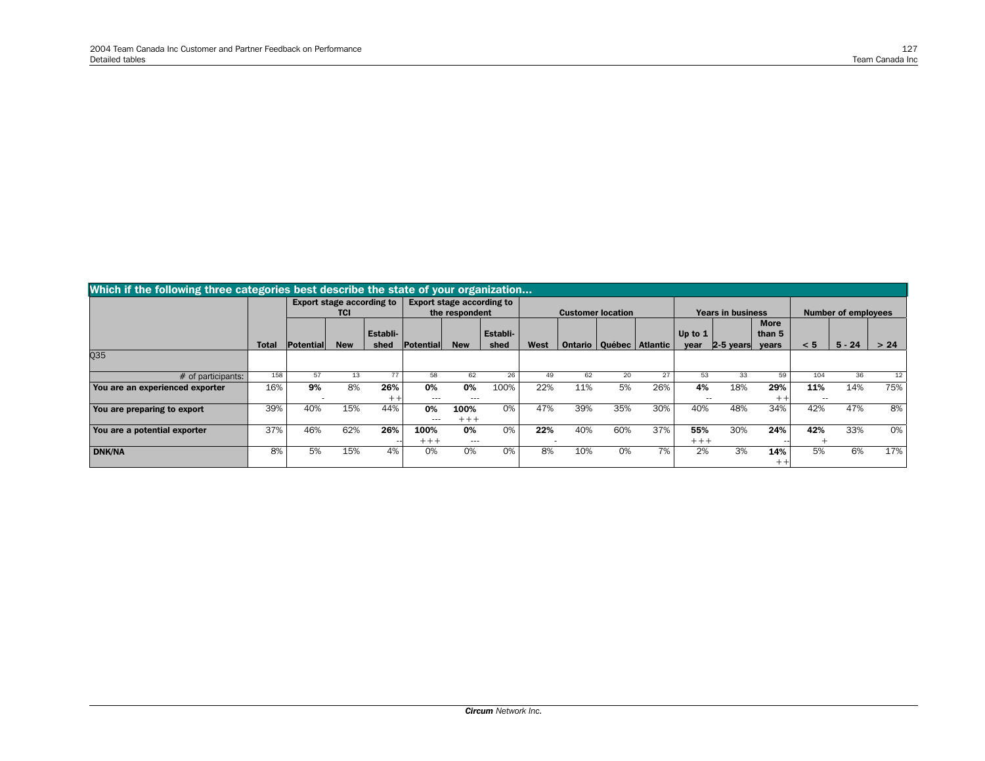| Which if the following three categories best describe the state of your organization |              |                                  |            |                  |                                  |                |                  |      |                |                          |          |                   |                          |                                |                   |                            |      |
|--------------------------------------------------------------------------------------|--------------|----------------------------------|------------|------------------|----------------------------------|----------------|------------------|------|----------------|--------------------------|----------|-------------------|--------------------------|--------------------------------|-------------------|----------------------------|------|
|                                                                                      |              | <b>Export stage according to</b> | <b>TCI</b> |                  | <b>Export stage according to</b> | the respondent |                  |      |                | <b>Customer location</b> |          |                   | <b>Years in business</b> |                                |                   | <b>Number of employees</b> |      |
|                                                                                      | <b>Total</b> | <b>Potential</b>                 | <b>New</b> | Establi-<br>shed | <b>Potential</b>                 | <b>New</b>     | Establi-<br>shed | West | <b>Ontario</b> | Québec                   | Atlantic | Up to $1$<br>year | $2-5$ years              | <b>More</b><br>than 5<br>years | < 5               | $5 - 24$                   | > 24 |
| 035                                                                                  |              |                                  |            |                  |                                  |                |                  |      |                |                          |          |                   |                          |                                |                   |                            |      |
| $#$ of participants:                                                                 | 158          | 57                               | 13         | 77               | 58                               | 62             | 26               | 49   | 62             | 20                       | 27       | 53                | 33                       | 59                             | 104               | 36                         | 12   |
| You are an experienced exporter                                                      | 16%          | 9%                               | 8%         | 26%<br>$+ +$     | 0%<br>$- - -$                    | 0%<br>$- - -$  | 100%             | 22%  | 11%            | 5%                       | 26%      | 4%<br>- -         | 18%                      | 29%<br>$+ +$                   | 11%<br>$\sim$ $-$ | 14%                        | 75%  |
| You are preparing to export                                                          | 39%          | 40%                              | 15%        | 44%              | 0%<br>$--$                       | 100%<br>$+++$  | 0%               | 47%  | 39%            | 35%                      | 30%      | 40%               | 48%                      | 34%                            | 42%               | 47%                        | 8%   |
| You are a potential exporter                                                         | 37%          | 46%                              | 62%        | 26%              | 100%<br>$++ +$                   | 0%<br>$- - -$  | 0%               | 22%  | 40%            | 60%                      | 37%      | 55%<br>$+++$      | 30%                      | 24%                            | 42%               | 33%                        | 0%   |
| <b>DNK/NA</b>                                                                        | 8%           | 5%                               | 15%        | 4%               | 0%                               | 0%             | 0%               | 8%   | 10%            | 0%                       | 7%       | 2%                | 3%                       | 14%<br>$++$                    | 5%                | 6%                         | 17%  |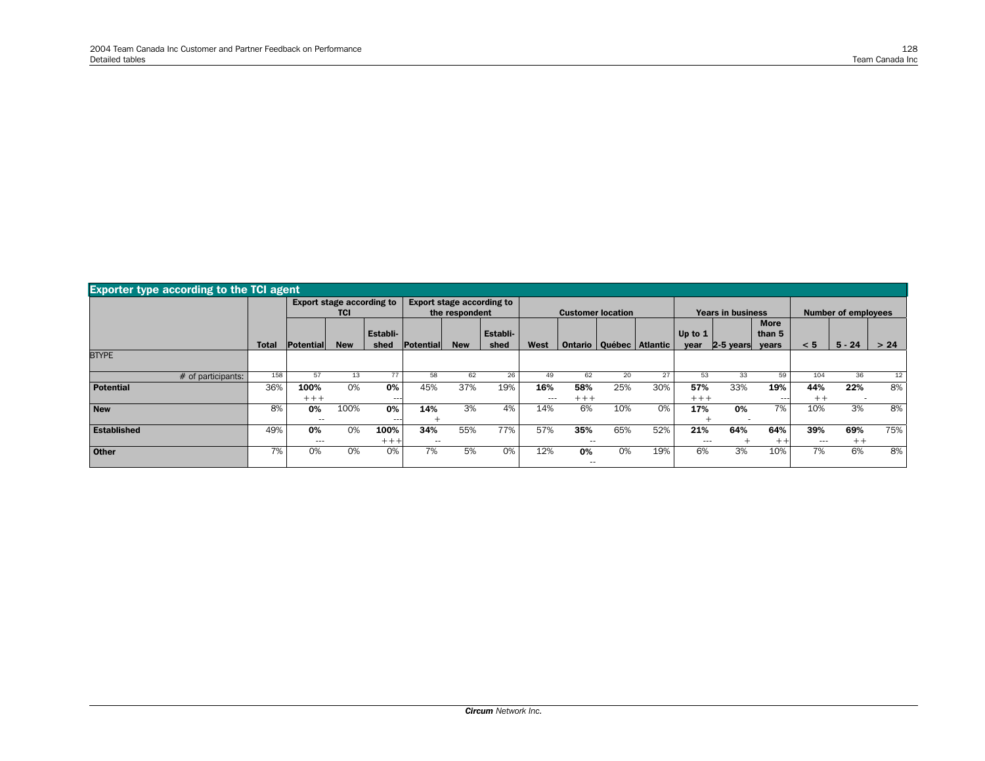| <b>Exporter type according to the TCI agent</b> |              |                                  |            |                  |                  |                                                    |                  |         |                |                          |     |                   |                          |                         |           |                            |      |
|-------------------------------------------------|--------------|----------------------------------|------------|------------------|------------------|----------------------------------------------------|------------------|---------|----------------|--------------------------|-----|-------------------|--------------------------|-------------------------|-----------|----------------------------|------|
|                                                 |              | <b>Export stage according to</b> | TCI        |                  |                  | <b>Export stage according to</b><br>the respondent |                  |         |                | <b>Customer location</b> |     |                   | <b>Years in business</b> |                         |           | <b>Number of employees</b> |      |
|                                                 | <b>Total</b> | <b>Potential</b>                 | <b>New</b> | Establi-<br>shed | <b>Potential</b> | <b>New</b>                                         | Establi-<br>shed | West    | <b>Ontario</b> | Québec   Atlantic        |     | Up to $1$<br>year | 2-5 years                | More<br>than 5<br>years | < 5       | $5 - 24$                   | > 24 |
| <b>BTYPE</b>                                    |              |                                  |            |                  |                  |                                                    |                  |         |                |                          |     |                   |                          |                         |           |                            |      |
| $#$ of participants:                            | 158          | 57                               | 13         | 77               | 58               | 62                                                 | 26               | 49      | 62             | 20                       | 27  | 53                | 33                       | 59                      | 104       | 36                         | 12   |
| <b>Potential</b>                                | 36%          | 100%                             | 0%         | 0%               | 45%              | 37%                                                | 19%              | 16%     | 58%            | 25%                      | 30% | 57%               | 33%                      | 19%                     | 44%       | 22%                        | 8%   |
|                                                 |              | $+++$                            |            | $- - -$          |                  |                                                    |                  | $- - -$ | $+ + +$        |                          |     | $+++$             |                          | $- - -$                 | $+ +$     | $\overline{\phantom{a}}$   |      |
| <b>New</b>                                      | 8%           | 0%                               | 100%       | 0%               | 14%              | 3%                                                 | 4%               | 14%     | 6%             | 10%                      | 0%  | 17%               | 0%                       | 7%                      | 10%       | 3%                         | 8%   |
|                                                 |              | --                               |            | $- - -$          |                  |                                                    |                  |         |                |                          |     |                   |                          |                         |           |                            |      |
| <b>Established</b>                              | 49%          | 0%                               | 0%         | 100%             | 34%              | 55%                                                | 77%              | 57%     | 35%            | 65%                      | 52% | 21%               | 64%                      | 64%                     | 39%       | 69%                        | 75%  |
|                                                 |              | $- - -$                          |            | $+ + +$          | $- -$            |                                                    |                  |         | $\sim$ $\sim$  |                          |     | $\cdots$          |                          | $++$                    | $- - - -$ | $++$                       |      |
| <b>Other</b>                                    | 7%           | O%                               | 0%         | 0%               | 7%               | 5%                                                 | 0%               | 12%     | 0%             | 0%                       | 19% | 6%                | 3%                       | 10%                     | 7%        | 6%                         | 8%   |
|                                                 |              |                                  |            |                  |                  |                                                    |                  |         | $-1$           |                          |     |                   |                          |                         |           |                            |      |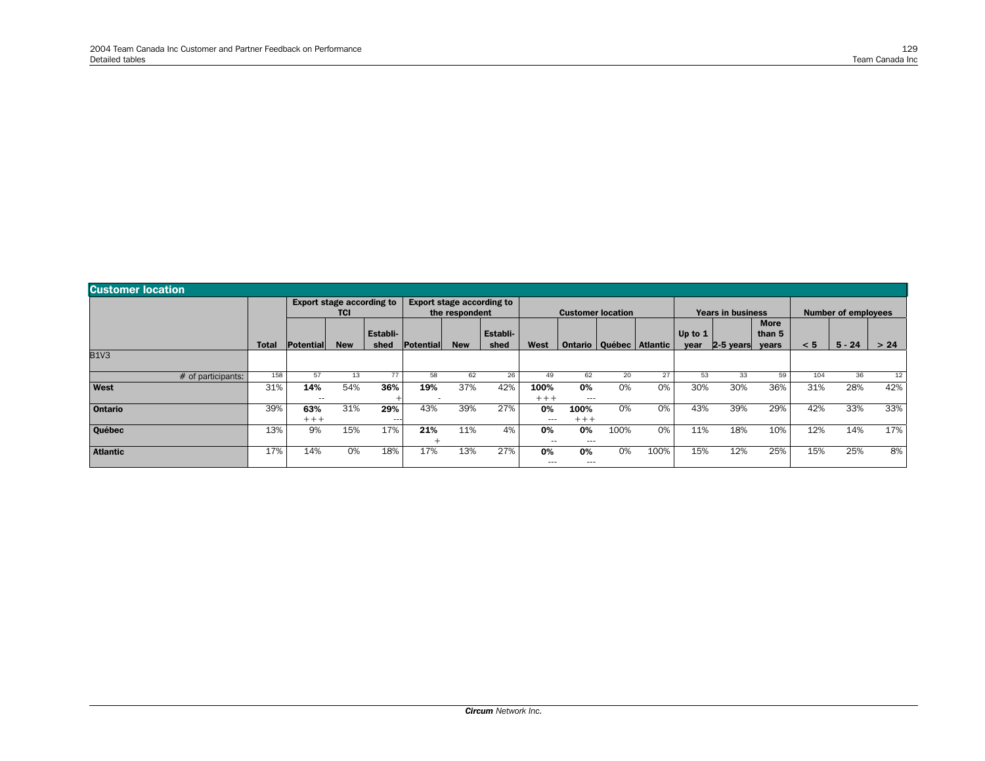| <b>Customer location</b> |              |                                  |            |                  |                  |                                                    |                  |                     |                |                          |      |                   |                          |                                |     |                            |      |
|--------------------------|--------------|----------------------------------|------------|------------------|------------------|----------------------------------------------------|------------------|---------------------|----------------|--------------------------|------|-------------------|--------------------------|--------------------------------|-----|----------------------------|------|
|                          |              | <b>Export stage according to</b> | <b>TCI</b> |                  |                  | <b>Export stage according to</b><br>the respondent |                  |                     |                | <b>Customer location</b> |      |                   | <b>Years in business</b> |                                |     | <b>Number of employees</b> |      |
|                          | <b>Total</b> | <b>Potential</b>                 | <b>New</b> | Establi-<br>shed | <b>Potential</b> | <b>New</b>                                         | Establi-<br>shed | West                | <b>Ontario</b> | Québec   Atlantic        |      | Up to $1$<br>year | 2-5 years                | <b>More</b><br>than 5<br>years | < 5 | $5 - 24$                   | > 24 |
| <b>B1V3</b>              |              |                                  |            |                  |                  |                                                    |                  |                     |                |                          |      |                   |                          |                                |     |                            |      |
| # of participants:       | 158          | 57                               | 13         | 77               | 58               | 62                                                 | 26               | 49                  | 62             | 20                       | 27   | 53                | 33                       | 59                             | 104 | 36                         | 12   |
| West                     | 31%          | 14%<br>$\sim$ $\sim$             | 54%        | 36%              | 19%              | 37%                                                | 42%              | 100%<br>$+++$       | 0%<br>$- - -$  | 0%                       | 0%   | 30%               | 30%                      | 36%                            | 31% | 28%                        | 42%  |
| <b>Ontario</b>           | 39%          | 63%<br>$+++$                     | 31%        | 29%<br>$- -$     | 43%              | 39%                                                | 27%              | 0%<br>$- - -$       | 100%<br>$+++$  | 0%                       | 0%   | 43%               | 39%                      | 29%                            | 42% | 33%                        | 33%  |
| <b>Ouébec</b>            | 13%          | 9%                               | 15%        | 17%              | 21%              | 11%                                                | 4%               | 0%<br>$\sim$ $\sim$ | 0%<br>$- - -$  | 100%                     | 0%   | 11%               | 18%                      | 10%                            | 12% | 14%                        | 17%  |
| <b>Atlantic</b>          | 17%          | 14%                              | 0%         | 18%              | 17%              | 13%                                                | 27%              | 0%<br>$- - -$       | 0%<br>$- - -$  | O%                       | 100% | 15%               | 12%                      | 25%                            | 15% | 25%                        | 8%   |